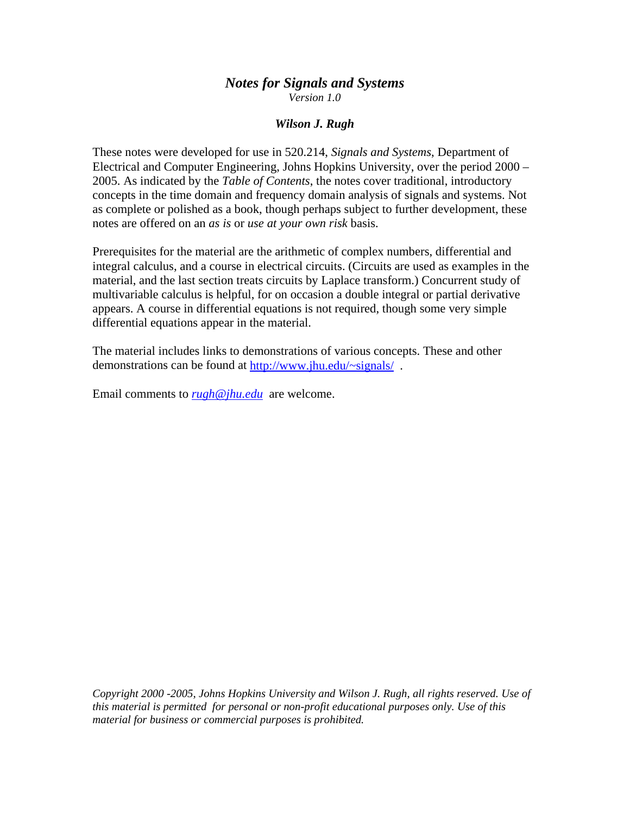# *Notes for Signals and Systems Version 1.0*

# *Wilson J. Rugh*

These notes were developed for use in 520.214, *Signals and Systems*, Department of Electrical and Computer Engineering, Johns Hopkins University, over the period 2000 – 2005. As indicated by the *Table of Contents*, the notes cover traditional, introductory concepts in the time domain and frequency domain analysis of signals and systems. Not as complete or polished as a book, though perhaps subject to further development, these notes are offered on an *as is* or *use at your own risk* basis.

Prerequisites for the material are the arithmetic of complex numbers, differential and integral calculus, and a course in electrical circuits. (Circuits are used as examples in the material, and the last section treats circuits by Laplace transform.) Concurrent study of multivariable calculus is helpful, for on occasion a double integral or partial derivative appears. A course in differential equations is not required, though some very simple differential equations appear in the material.

The material includes links to demonstrations of various concepts. These and other demonstrations can be found at<http://www.jhu.edu/~signals/>.

Email comments to *[rugh@jhu.edu](mailto:rugh@jhu.edu)* are welcome.

*Copyright 2000 -2005, Johns Hopkins University and Wilson J. Rugh, all rights reserved. Use of this material is permitted for personal or non-profit educational purposes only. Use of this material for business or commercial purposes is prohibited.*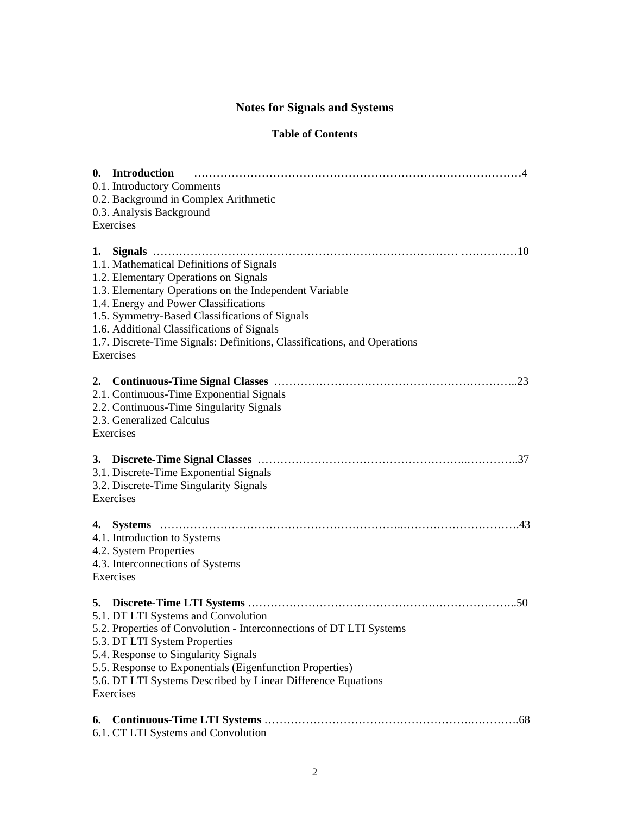# **Notes for Signals and Systems**

# **Table of Contents**

|    | 0. Introduction<br>0.1. Introductory Comments<br>0.2. Background in Complex Arithmetic<br>0.3. Analysis Background<br>Exercises                                                                                                                                                                                                                                               |
|----|-------------------------------------------------------------------------------------------------------------------------------------------------------------------------------------------------------------------------------------------------------------------------------------------------------------------------------------------------------------------------------|
|    | 1.1. Mathematical Definitions of Signals<br>1.2. Elementary Operations on Signals<br>1.3. Elementary Operations on the Independent Variable<br>1.4. Energy and Power Classifications<br>1.5. Symmetry-Based Classifications of Signals<br>1.6. Additional Classifications of Signals<br>1.7. Discrete-Time Signals: Definitions, Classifications, and Operations<br>Exercises |
|    | 2.1. Continuous-Time Exponential Signals<br>2.2. Continuous-Time Singularity Signals<br>2.3. Generalized Calculus<br>Exercises                                                                                                                                                                                                                                                |
|    | 3.1. Discrete-Time Exponential Signals<br>3.2. Discrete-Time Singularity Signals<br>Exercises                                                                                                                                                                                                                                                                                 |
|    | 4.1. Introduction to Systems<br>4.2. System Properties<br>4.3. Interconnections of Systems<br>Exercises                                                                                                                                                                                                                                                                       |
| 5. | 5.1. DT LTI Systems and Convolution<br>5.2. Properties of Convolution - Interconnections of DT LTI Systems<br>5.3. DT LTI System Properties<br>5.4. Response to Singularity Signals<br>5.5. Response to Exponentials (Eigenfunction Properties)<br>5.6. DT LTI Systems Described by Linear Difference Equations<br>Exercises                                                  |
| 6. | 6.1. CT LTI Systems and Convolution                                                                                                                                                                                                                                                                                                                                           |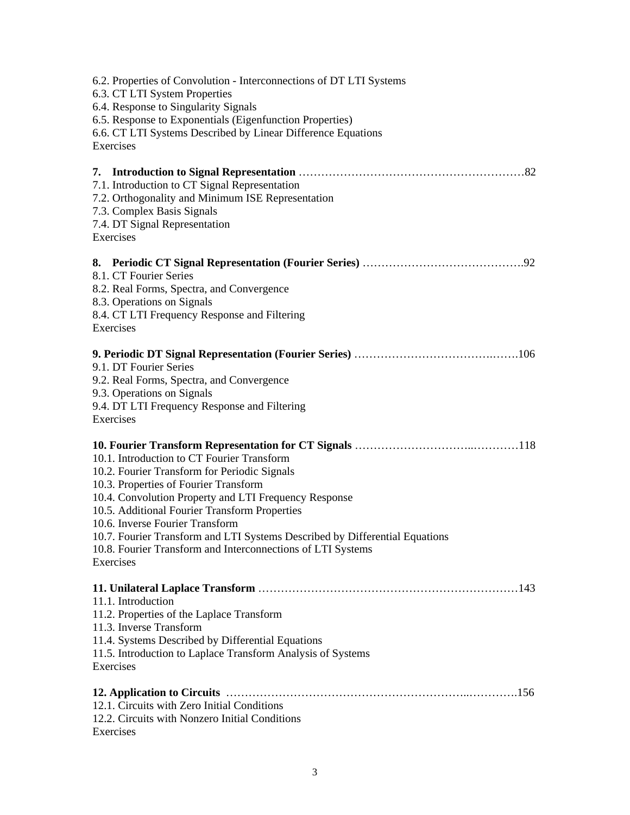| 6.2. Properties of Convolution - Interconnections of DT LTI Systems<br>6.3. CT LTI System Properties<br>6.4. Response to Singularity Signals<br>6.5. Response to Exponentials (Eigenfunction Properties)<br>6.6. CT LTI Systems Described by Linear Difference Equations<br>Exercises                                                                                                                                                       |
|---------------------------------------------------------------------------------------------------------------------------------------------------------------------------------------------------------------------------------------------------------------------------------------------------------------------------------------------------------------------------------------------------------------------------------------------|
| 7.1. Introduction to CT Signal Representation<br>7.2. Orthogonality and Minimum ISE Representation<br>7.3. Complex Basis Signals<br>7.4. DT Signal Representation<br>Exercises                                                                                                                                                                                                                                                              |
| 8.1. CT Fourier Series<br>8.2. Real Forms, Spectra, and Convergence<br>8.3. Operations on Signals<br>8.4. CT LTI Frequency Response and Filtering<br>Exercises                                                                                                                                                                                                                                                                              |
| 9.1. DT Fourier Series<br>9.2. Real Forms, Spectra, and Convergence<br>9.3. Operations on Signals<br>9.4. DT LTI Frequency Response and Filtering<br>Exercises                                                                                                                                                                                                                                                                              |
| 10.1. Introduction to CT Fourier Transform<br>10.2. Fourier Transform for Periodic Signals<br>10.3. Properties of Fourier Transform<br>10.4. Convolution Property and LTI Frequency Response<br>10.5. Additional Fourier Transform Properties<br>10.6. Inverse Fourier Transform<br>10.7. Fourier Transform and LTI Systems Described by Differential Equations<br>10.8. Fourier Transform and Interconnections of LTI Systems<br>Exercises |
| 11.1. Introduction<br>11.2. Properties of the Laplace Transform<br>11.3. Inverse Transform<br>11.4. Systems Described by Differential Equations<br>11.5. Introduction to Laplace Transform Analysis of Systems<br>Exercises                                                                                                                                                                                                                 |
| 12.1. Circuits with Zero Initial Conditions<br>12.2. Circuits with Nonzero Initial Conditions<br>Exercises                                                                                                                                                                                                                                                                                                                                  |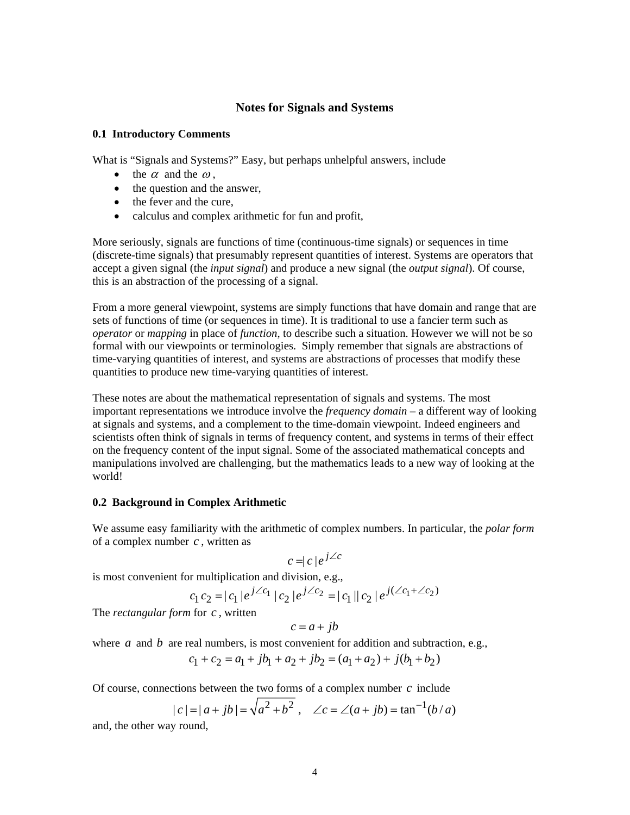# **Notes for Signals and Systems**

#### **0.1 Introductory Comments**

What is "Signals and Systems?" Easy, but perhaps unhelpful answers, include

- the  $\alpha$  and the  $\omega$ .
- the question and the answer,
- the fever and the cure,
- calculus and complex arithmetic for fun and profit,

More seriously, signals are functions of time (continuous-time signals) or sequences in time (discrete-time signals) that presumably represent quantities of interest. Systems are operators that accept a given signal (the *input signal*) and produce a new signal (the *output signal*). Of course, this is an abstraction of the processing of a signal.

From a more general viewpoint, systems are simply functions that have domain and range that are sets of functions of time (or sequences in time). It is traditional to use a fancier term such as *operator* or *mapping* in place of *function*, to describe such a situation. However we will not be so formal with our viewpoints or terminologies. Simply remember that signals are abstractions of time-varying quantities of interest, and systems are abstractions of processes that modify these quantities to produce new time-varying quantities of interest.

These notes are about the mathematical representation of signals and systems. The most important representations we introduce involve the *frequency domain* – a different way of looking at signals and systems, and a complement to the time-domain viewpoint. Indeed engineers and scientists often think of signals in terms of frequency content, and systems in terms of their effect on the frequency content of the input signal. Some of the associated mathematical concepts and manipulations involved are challenging, but the mathematics leads to a new way of looking at the world!

## **0.2 Background in Complex Arithmetic**

We assume easy familiarity with the arithmetic of complex numbers. In particular, the *polar form* of a complex number *c* , written as

$$
c = |c|e^{j\angle c}
$$

is most convenient for multiplication and division, e.g.,

$$
c_1 c_2 = |c_1| e^{j\angle c_1} |c_2| e^{j\angle c_2} = |c_1| |c_2| e^{j(\angle c_1 + \angle c_2)}
$$

The *rectangular form* for *c* , written

$$
c = a + jb
$$

where  $a$  and  $b$  are real numbers, is most convenient for addition and subtraction, e.g.,

$$
c_1 + c_2 = a_1 + jb_1 + a_2 + jb_2 = (a_1 + a_2) + j(b_1 + b_2)
$$

Of course, connections between the two forms of a complex number *c* include

$$
|c| = |a + jb| = \sqrt{a^2 + b^2}
$$
,  $\angle c = \angle (a + jb) = \tan^{-1}(b/a)$ 

and, the other way round,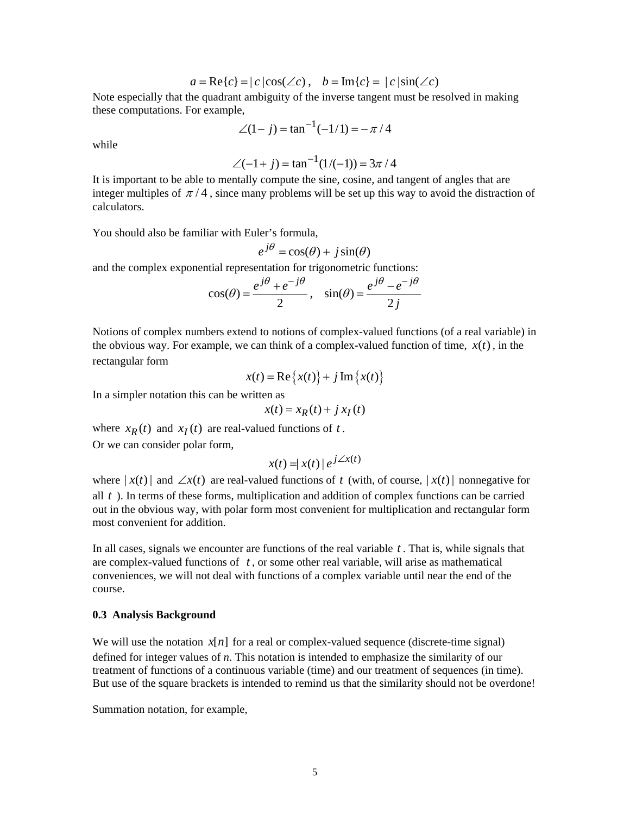$$
a = \text{Re}\{c\} = |c|\cos(\angle c), \quad b = \text{Im}\{c\} = |c|\sin(\angle c)
$$

Note especially that the quadrant ambiguity of the inverse tangent must be resolved in making these computations. For example,

$$
\angle(1-j) = \tan^{-1}(-1/1) = -\pi/4
$$

while

$$
\angle(-1+j) = \tan^{-1}(1/(-1)) = 3\pi/4
$$

It is important to be able to mentally compute the sine, cosine, and tangent of angles that are integer multiples of  $\pi/4$ , since many problems will be set up this way to avoid the distraction of calculators.

You should also be familiar with Euler's formula,

 $e^{j\theta} = \cos(\theta) + i\sin(\theta)$ 

and the complex exponential representation for trigonometric functions:

$$
\cos(\theta) = \frac{e^{j\theta} + e^{-j\theta}}{2}, \quad \sin(\theta) = \frac{e^{j\theta} - e^{-j\theta}}{2j}
$$

Notions of complex numbers extend to notions of complex-valued functions (of a real variable) in the obvious way. For example, we can think of a complex-valued function of time,  $x(t)$ , in the rectangular form

$$
x(t) = \text{Re}\left\{x(t)\right\} + j\,\text{Im}\left\{x(t)\right\}
$$

In a simpler notation this can be written as

$$
x(t) = x_R(t) + j x_I(t)
$$

where  $x_R(t)$  and  $x_I(t)$  are real-valued functions of *t*. Or we can consider polar form,

$$
x(t) = |x(t)| e^{j\angle x(t)}
$$

where  $|x(t)|$  and  $\angle x(t)$  are real-valued functions of t (with, of course,  $|x(t)|$  nonnegative for all *t* ). In terms of these forms, multiplication and addition of complex functions can be carried out in the obvious way, with polar form most convenient for multiplication and rectangular form most convenient for addition.

In all cases, signals we encounter are functions of the real variable *t* . That is, while signals that are complex-valued functions of *t* , or some other real variable, will arise as mathematical conveniences, we will not deal with functions of a complex variable until near the end of the course.

#### **0.3 Analysis Background**

We will use the notation  $x[n]$  for a real or complex-valued sequence (discrete-time signal) defined for integer values of *n*. This notation is intended to emphasize the similarity of our treatment of functions of a continuous variable (time) and our treatment of sequences (in time). But use of the square brackets is intended to remind us that the similarity should not be overdone!

Summation notation, for example,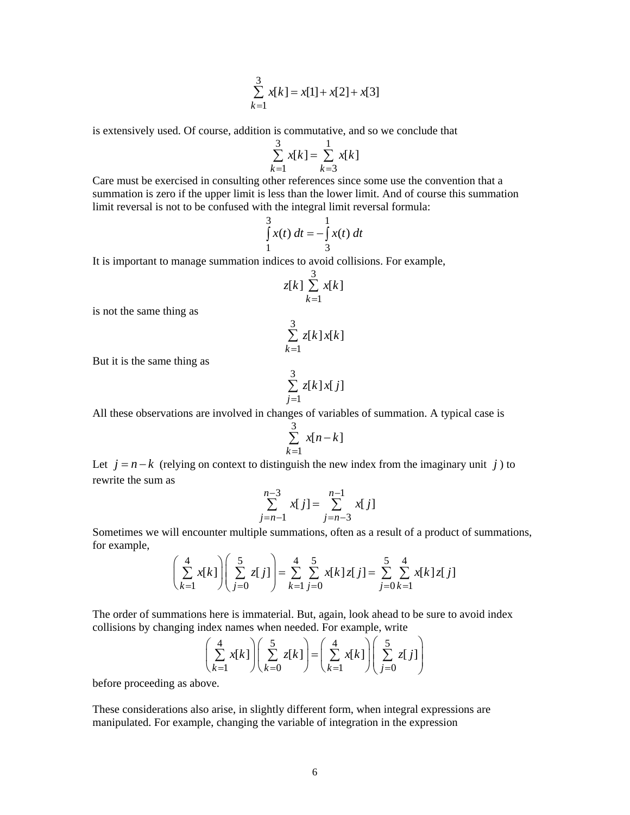$$
\sum_{k=1}^{3} x[k] = x[1] + x[2] + x[3]
$$

is extensively used. Of course, addition is commutative, and so we conclude that

$$
\sum_{k=1}^{3} x[k] = \sum_{k=3}^{1} x[k]
$$

Care must be exercised in consulting other references since some use the convention that a summation is zero if the upper limit is less than the lower limit. And of course this summation limit reversal is not to be confused with the integral limit reversal formula:

$$
\int_{1}^{3} x(t) dt = -\int_{3}^{1} x(t) dt
$$

It is important to manage summation indices to avoid collisions. For example,

$$
z[k] \sum_{k=1}^{3} x[k]
$$

is not the same thing as

$$
\sum_{k=1}^{3} z[k]x[k]
$$

But it is the same thing as

$$
\sum_{j=1}^{3} z[k]x[j]
$$

All these observations are involved in changes of variables of summation. A typical case is

$$
\sum_{k=1}^{3} x[n-k]
$$

Let  $j = n - k$  (relying on context to distinguish the new index from the imaginary unit *j*) to rewrite the sum as

$$
\sum_{j=n-1}^{n-3} x[j] = \sum_{j=n-3}^{n-1} x[j]
$$

Sometimes we will encounter multiple summations, often as a result of a product of summations, for example,

$$
\left(\sum_{k=1}^{4} x[k]\right) \left(\sum_{j=0}^{5} z[j]\right) = \sum_{k=1}^{4} \sum_{j=0}^{5} x[k] z[j] = \sum_{j=0}^{5} \sum_{k=1}^{4} x[k] z[j]
$$

The order of summations here is immaterial. But, again, look ahead to be sure to avoid index collisions by changing index names when needed. For example, write

$$
\left(\sum_{k=1}^{4} x[k]\right)\left(\sum_{k=0}^{5} z[k]\right) = \left(\sum_{k=1}^{4} x[k]\right)\left(\sum_{j=0}^{5} z[j]\right)
$$

before proceeding as above.

These considerations also arise, in slightly different form, when integral expressions are manipulated. For example, changing the variable of integration in the expression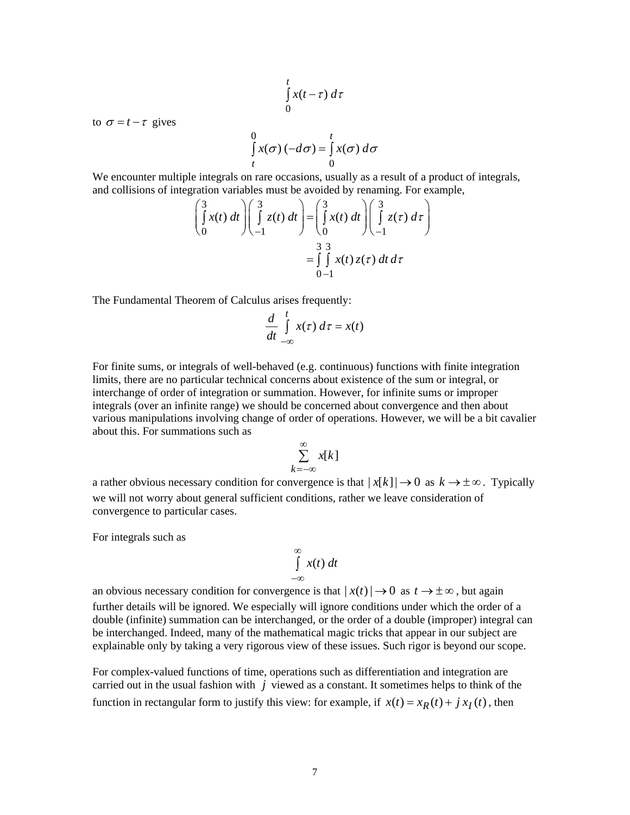$$
\int\limits_0^t x(t-\tau)\,d\tau
$$

to  $\sigma = t - \tau$  gives

$$
\int_{t}^{0} x(\sigma) (-d\sigma) = \int_{0}^{t} x(\sigma) d\sigma
$$

We encounter multiple integrals on rare occasions, usually as a result of a product of integrals, and collisions of integration variables must be avoided by renaming. For example,

$$
\begin{pmatrix} 3 \\ \int_0^x x(t) dt \end{pmatrix} \begin{pmatrix} 3 \\ \int_0^x z(t) dt \end{pmatrix} = \begin{pmatrix} 3 \\ \int_0^x x(t) dt \end{pmatrix} \begin{pmatrix} 3 \\ \int_0^x z(\tau) d\tau \end{pmatrix}
$$

$$
= \begin{pmatrix} 3 & 3 \\ \int_0^x x(t) z(\tau) dt d\tau \end{pmatrix}
$$

The Fundamental Theorem of Calculus arises frequently:

$$
\frac{d}{dt} \int\limits_{-\infty}^{t} x(\tau) \, d\tau = x(t)
$$

For finite sums, or integrals of well-behaved (e.g. continuous) functions with finite integration limits, there are no particular technical concerns about existence of the sum or integral, or interchange of order of integration or summation. However, for infinite sums or improper integrals (over an infinite range) we should be concerned about convergence and then about various manipulations involving change of order of operations. However, we will be a bit cavalier about this. For summations such as

$$
\sum_{k=-\infty}^{\infty} x[k]
$$

a rather obvious necessary condition for convergence is that  $|x[k]| \to 0$  as  $k \to \pm \infty$ . Typically we will not worry about general sufficient conditions, rather we leave consideration of convergence to particular cases.

For integrals such as

$$
\int_{-\infty}^{\infty} x(t) dt
$$

an obvious necessary condition for convergence is that  $|x(t)| \to 0$  as  $t \to \pm \infty$ , but again further details will be ignored. We especially will ignore conditions under which the order of a double (infinite) summation can be interchanged, or the order of a double (improper) integral can be interchanged. Indeed, many of the mathematical magic tricks that appear in our subject are explainable only by taking a very rigorous view of these issues. Such rigor is beyond our scope.

For complex-valued functions of time, operations such as differentiation and integration are carried out in the usual fashion with *j* viewed as a constant. It sometimes helps to think of the function in rectangular form to justify this view: for example, if  $x(t) = x_R(t) + j x_I(t)$ , then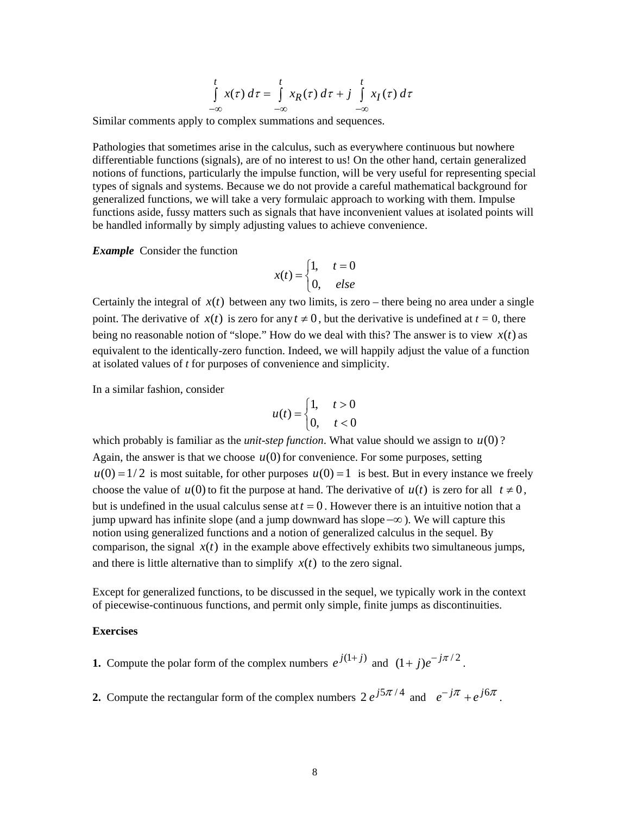$$
\int_{-\infty}^{t} x(\tau) d\tau = \int_{-\infty}^{t} x_R(\tau) d\tau + j \int_{-\infty}^{t} x_I(\tau) d\tau
$$

Similar comments apply to complex summations and sequences.

Pathologies that sometimes arise in the calculus, such as everywhere continuous but nowhere differentiable functions (signals), are of no interest to us! On the other hand, certain generalized notions of functions, particularly the impulse function, will be very useful for representing special types of signals and systems. Because we do not provide a careful mathematical background for generalized functions, we will take a very formulaic approach to working with them. Impulse functions aside, fussy matters such as signals that have inconvenient values at isolated points will be handled informally by simply adjusting values to achieve convenience.

*Example* Consider the function

$$
x(t) = \begin{cases} 1, & t = 0 \\ 0, & else \end{cases}
$$

Certainly the integral of  $x(t)$  between any two limits, is zero – there being no area under a single point. The derivative of  $x(t)$  is zero for any  $t \neq 0$ , but the derivative is undefined at  $t = 0$ , there being no reasonable notion of "slope." How do we deal with this? The answer is to view  $x(t)$  as equivalent to the identically-zero function. Indeed, we will happily adjust the value of a function at isolated values of *t* for purposes of convenience and simplicity.

In a similar fashion, consider

$$
u(t) = \begin{cases} 1, & t > 0 \\ 0, & t < 0 \end{cases}
$$

which probably is familiar as the *unit-step function*. What value should we assign to  $u(0)$ ? Again, the answer is that we choose  $u(0)$  for convenience. For some purposes, setting  $u(0) = 1/2$  is most suitable, for other purposes  $u(0) = 1$  is best. But in every instance we freely choose the value of  $u(0)$  to fit the purpose at hand. The derivative of  $u(t)$  is zero for all  $t \neq 0$ , but is undefined in the usual calculus sense at  $t = 0$ . However there is an intuitive notion that a jump upward has infinite slope (and a jump downward has slope −∞ ). We will capture this notion using generalized functions and a notion of generalized calculus in the sequel. By comparison, the signal  $x(t)$  in the example above effectively exhibits two simultaneous jumps, and there is little alternative than to simplify  $x(t)$  to the zero signal.

Except for generalized functions, to be discussed in the sequel, we typically work in the context of piecewise-continuous functions, and permit only simple, finite jumps as discontinuities.

#### **Exercises**

- **1.** Compute the polar form of the complex numbers  $e^{j(1+j)}$  and  $(1+j)e^{-j\pi/2}$ .
- **2.** Compute the rectangular form of the complex numbers  $2 e^{j5\pi/4}$  and  $e^{-j\pi} + e^{j6\pi}$ .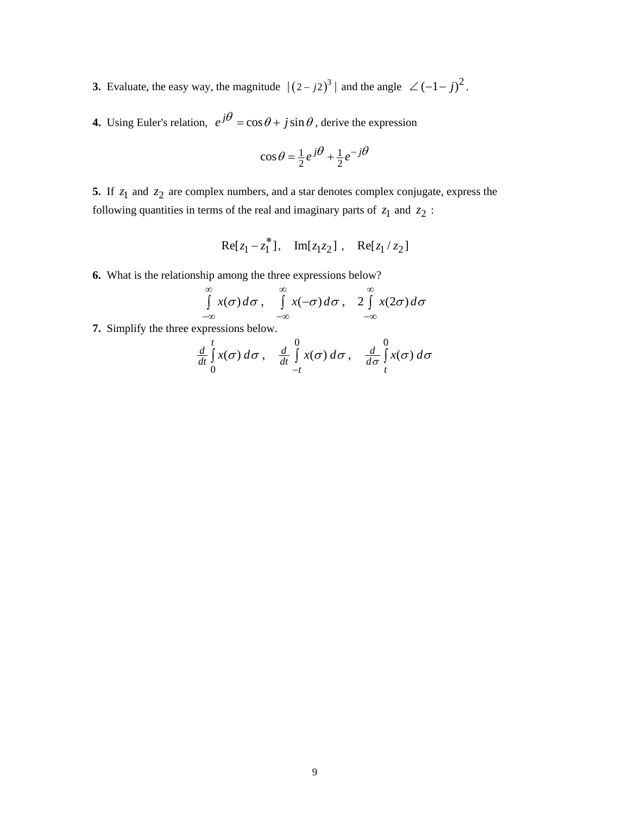**3.** Evaluate, the easy way, the magnitude  $|(2 - j2)^3|$  and the angle  $\angle (-1 - j)^2$ .

**4.** Using Euler's relation,  $e^{j\theta} = \cos \theta + j \sin \theta$ , derive the expression

$$
\cos \theta = \frac{1}{2} e^{j\theta} + \frac{1}{2} e^{-j\theta}
$$

**5.** If  $z_1$  and  $z_2$  are complex numbers, and a star denotes complex conjugate, express the following quantities in terms of the real and imaginary parts of  $z_1$  and  $z_2$ :

$$
Re[z_1 - z_1^*], Im[z_1z_2], Re[z_1/z_2]
$$

**6.** What is the relationship among the three expressions below?

$$
\int_{-\infty}^{\infty} x(\sigma) d\sigma, \quad \int_{-\infty}^{\infty} x(-\sigma) d\sigma, \quad 2 \int_{-\infty}^{\infty} x(2\sigma) d\sigma
$$

**7.** Simplify the three expressions below.

$$
\frac{d}{dt}\int_{0}^{t} x(\sigma) d\sigma, \quad \frac{d}{dt}\int_{-t}^{0} x(\sigma) d\sigma, \quad \frac{d}{d\sigma}\int_{t}^{0} x(\sigma) d\sigma
$$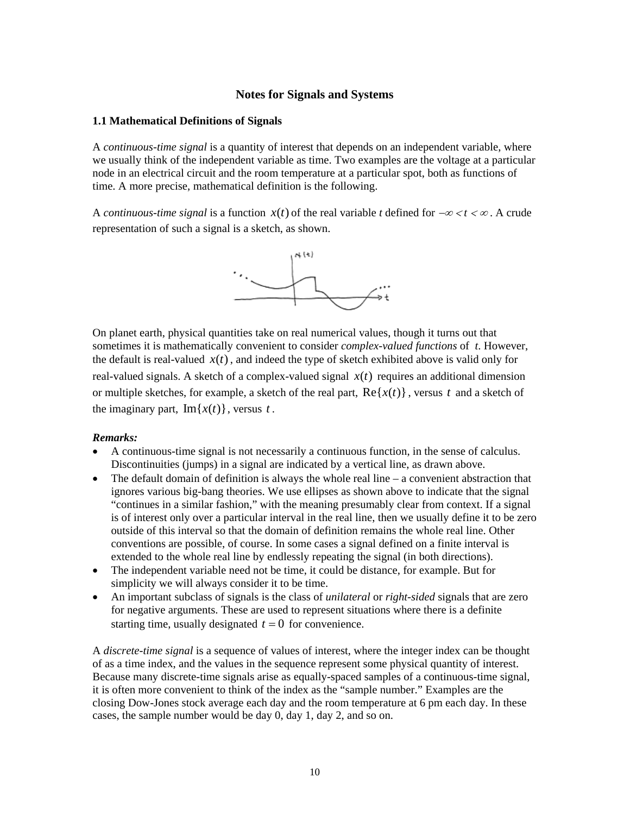# **Notes for Signals and Systems**

#### **1.1 Mathematical Definitions of Signals**

A *continuous-time signal* is a quantity of interest that depends on an independent variable, where we usually think of the independent variable as time. Two examples are the voltage at a particular node in an electrical circuit and the room temperature at a particular spot, both as functions of time. A more precise, mathematical definition is the following.

A *continuous-time signal* is a function  $x(t)$  of the real variable *t* defined for  $-\infty < t < \infty$ . A crude representation of such a signal is a sketch, as shown.



On planet earth, physical quantities take on real numerical values, though it turns out that sometimes it is mathematically convenient to consider *complex-valued functions* of *t*. However, the default is real-valued  $x(t)$ , and indeed the type of sketch exhibited above is valid only for real-valued signals. A sketch of a complex-valued signal  $x(t)$  requires an additional dimension or multiple sketches, for example, a sketch of the real part,  $\text{Re}\{x(t)\}\,$ , versus t and a sketch of the imaginary part,  $\text{Im}\{x(t)\}\,$ , versus *t*.

#### *Remarks:*

- A continuous-time signal is not necessarily a continuous function, in the sense of calculus. Discontinuities (jumps) in a signal are indicated by a vertical line, as drawn above.
- The default domain of definition is always the whole real line  $-$  a convenient abstraction that ignores various big-bang theories. We use ellipses as shown above to indicate that the signal "continues in a similar fashion," with the meaning presumably clear from context. If a signal is of interest only over a particular interval in the real line, then we usually define it to be zero outside of this interval so that the domain of definition remains the whole real line. Other conventions are possible, of course. In some cases a signal defined on a finite interval is extended to the whole real line by endlessly repeating the signal (in both directions).
- The independent variable need not be time, it could be distance, for example. But for simplicity we will always consider it to be time.
- An important subclass of signals is the class of *unilateral* or *right-sided* signals that are zero for negative arguments. These are used to represent situations where there is a definite starting time, usually designated  $t = 0$  for convenience.

A *discrete-time signal* is a sequence of values of interest, where the integer index can be thought of as a time index, and the values in the sequence represent some physical quantity of interest. Because many discrete-time signals arise as equally-spaced samples of a continuous-time signal, it is often more convenient to think of the index as the "sample number." Examples are the closing Dow-Jones stock average each day and the room temperature at 6 pm each day. In these cases, the sample number would be day 0, day 1, day 2, and so on.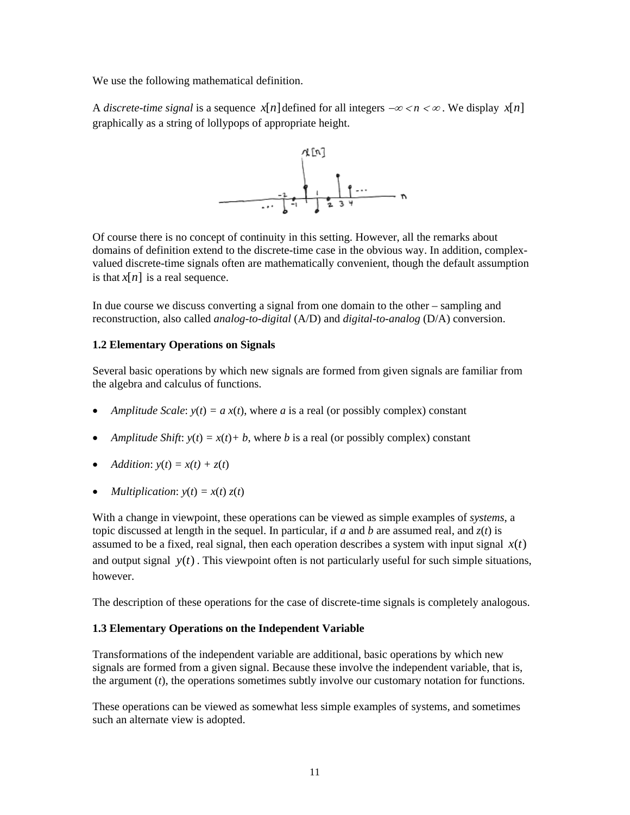We use the following mathematical definition.

A *discrete-time signal* is a sequence *x*[*n*] defined for all integers  $-\infty < n < \infty$ . We display *x*[*n*] graphically as a string of lollypops of appropriate height.



Of course there is no concept of continuity in this setting. However, all the remarks about domains of definition extend to the discrete-time case in the obvious way. In addition, complexvalued discrete-time signals often are mathematically convenient, though the default assumption is that  $x[n]$  is a real sequence.

In due course we discuss converting a signal from one domain to the other – sampling and reconstruction, also called *analog-to-digital* (A/D) and *digital-to-analog* (D/A) conversion.

# **1.2 Elementary Operations on Signals**

Several basic operations by which new signals are formed from given signals are familiar from the algebra and calculus of functions.

- *Amplitude Scale:*  $y(t) = a x(t)$ , where *a* is a real (or possibly complex) constant
- *Amplitude Shift:*  $y(t) = x(t) + b$ , where *b* is a real (or possibly complex) constant
- *Addition*:  $y(t) = x(t) + z(t)$
- *Multiplication*:  $y(t) = x(t) z(t)$

With a change in viewpoint, these operations can be viewed as simple examples of *systems*, a topic discussed at length in the sequel. In particular, if *a* and *b* are assumed real, and *z*(*t*) is assumed to be a fixed, real signal, then each operation describes a system with input signal  $x(t)$ and output signal  $y(t)$ . This viewpoint often is not particularly useful for such simple situations, however.

The description of these operations for the case of discrete-time signals is completely analogous.

## **1.3 Elementary Operations on the Independent Variable**

Transformations of the independent variable are additional, basic operations by which new signals are formed from a given signal. Because these involve the independent variable, that is, the argument (*t*), the operations sometimes subtly involve our customary notation for functions.

These operations can be viewed as somewhat less simple examples of systems, and sometimes such an alternate view is adopted.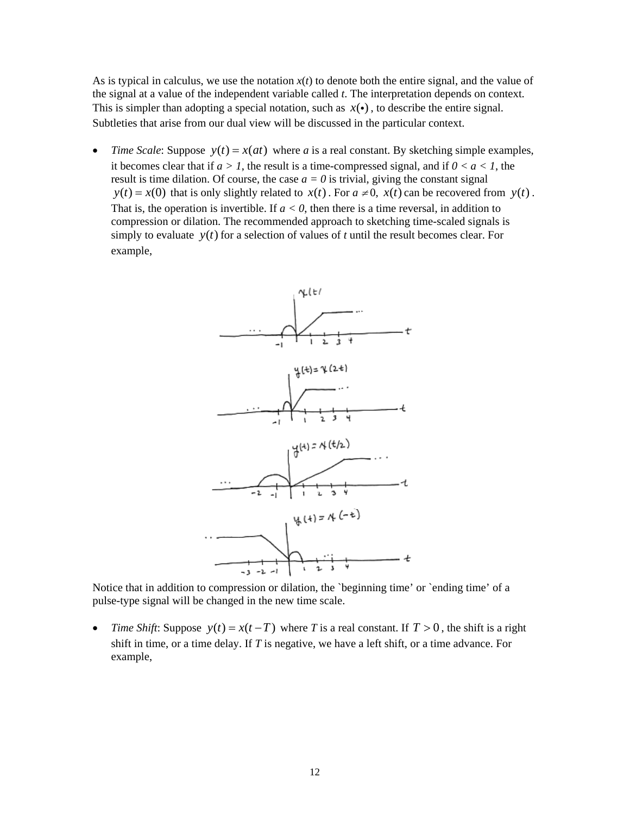As is typical in calculus, we use the notation  $x(t)$  to denote both the entire signal, and the value of the signal at a value of the independent variable called *t*. The interpretation depends on context. This is simpler than adopting a special notation, such as  $x(\cdot)$ , to describe the entire signal. Subtleties that arise from our dual view will be discussed in the particular context.

• *Time Scale:* Suppose  $y(t) = x(at)$  where *a* is a real constant. By sketching simple examples, it becomes clear that if  $a > 1$ , the result is a time-compressed signal, and if  $0 < a < 1$ , the result is time dilation. Of course, the case  $a = 0$  is trivial, giving the constant signal  $y(t) = x(0)$  that is only slightly related to  $x(t)$ . For  $a \neq 0$ ,  $x(t)$  can be recovered from  $y(t)$ . That is, the operation is invertible. If  $a < 0$ , then there is a time reversal, in addition to compression or dilation. The recommended approach to sketching time-scaled signals is simply to evaluate  $y(t)$  for a selection of values of *t* until the result becomes clear. For example,



Notice that in addition to compression or dilation, the `beginning time' or `ending time' of a pulse-type signal will be changed in the new time scale.

• *Time Shift*: Suppose  $y(t) = x(t - T)$  where *T* is a real constant. If  $T > 0$ , the shift is a right shift in time, or a time delay. If *T* is negative, we have a left shift, or a time advance. For example,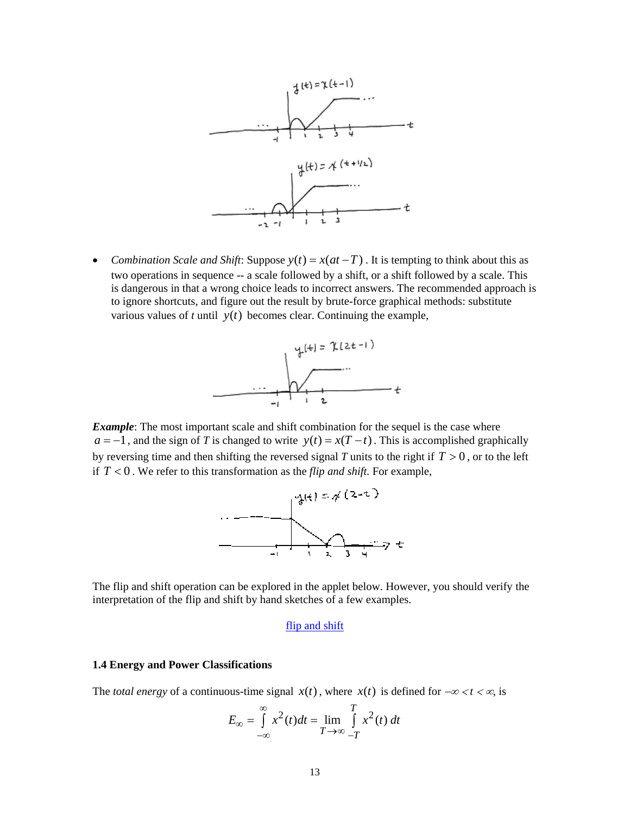

• *Combination Scale and Shift*: Suppose  $y(t) = x(at - T)$ . It is tempting to think about this as two operations in sequence -- a scale followed by a shift, or a shift followed by a scale. This is dangerous in that a wrong choice leads to incorrect answers. The recommended approach is to ignore shortcuts, and figure out the result by brute-force graphical methods: substitute various values of  $t$  until  $y(t)$  becomes clear. Continuing the example,



*Example*: The most important scale and shift combination for the sequel is the case where *a* = −1, and the sign of *T* is changed to write  $y(t) = x(T - t)$ . This is accomplished graphically by reversing time and then shifting the reversed signal *T* units to the right if  $T > 0$ , or to the left if  $T < 0$ . We refer to this transformation as the *flip and shift*. For example,



The flip and shift operation can be explored in the applet below. However, you should verify the interpretation of the flip and shift by hand sketches of a few examples.

## [flip and shift](http://www.ece.jhu.edu/~rugh/flipper2/default.htm)

# **1.4 Energy and Power Classifications**

The *total energy* of a continuous-time signal  $x(t)$ , where  $x(t)$  is defined for  $-\infty < t < \infty$ , is

$$
E_{\infty} = \int_{-\infty}^{\infty} x^2(t)dt = \lim_{T \to \infty} \int_{-T}^{T} x^2(t) dt
$$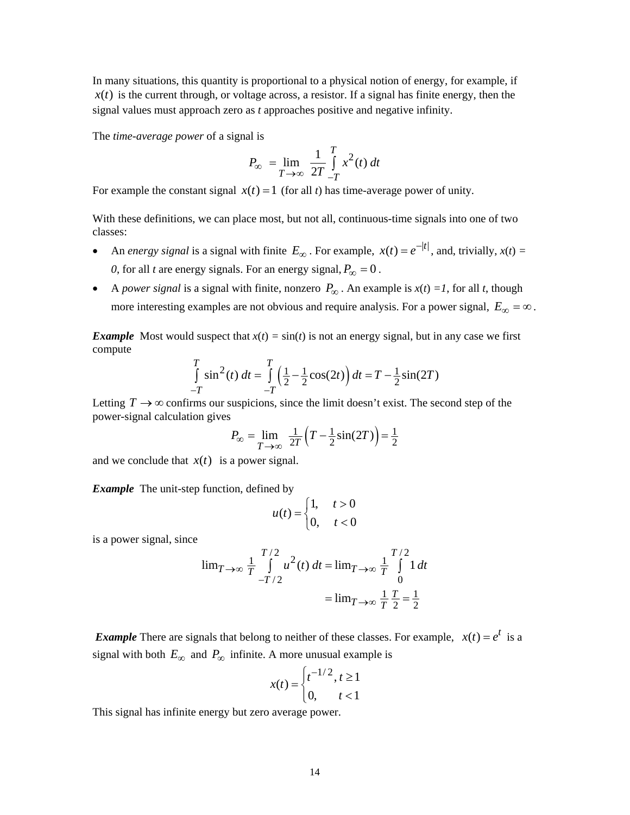In many situations, this quantity is proportional to a physical notion of energy, for example, if  $x(t)$  is the current through, or voltage across, a resistor. If a signal has finite energy, then the signal values must approach zero as *t* approaches positive and negative infinity.

The *time-average power* of a signal is

$$
P_{\infty} = \lim_{T \to \infty} \frac{1}{2T} \int_{-T}^{T} x^2(t) dt
$$

For example the constant signal  $x(t) = 1$  (for all *t*) has time-average power of unity.

With these definitions, we can place most, but not all, continuous-time signals into one of two classes:

- An *energy signal* is a signal with finite  $E_{\infty}$ . For example,  $x(t) = e^{-|t|}$ , and, trivially,  $x(t) =$ *0*, for all *t* are energy signals. For an energy signal,  $P_\infty = 0$ .
- A *power signal* is a signal with finite, nonzero  $P_\infty$ . An example is  $x(t) = 1$ , for all *t*, though more interesting examples are not obvious and require analysis. For a power signal,  $E_{\infty} = \infty$ .

*Example* Most would suspect that  $x(t) = \sin(t)$  is not an energy signal, but in any case we first compute

$$
\int_{-T}^{T} \sin^2(t) dt = \int_{-T}^{T} \left(\frac{1}{2} - \frac{1}{2}\cos(2t)\right) dt = T - \frac{1}{2}\sin(2T)
$$

Letting  $T \rightarrow \infty$  confirms our suspicions, since the limit doesn't exist. The second step of the power-signal calculation gives

$$
P_{\infty} = \lim_{T \to \infty} \frac{1}{2T} \left( T - \frac{1}{2} \sin(2T) \right) = \frac{1}{2}
$$

and we conclude that  $x(t)$  is a power signal.

*Example* The unit-step function, defined by

$$
u(t) = \begin{cases} 1, & t > 0 \\ 0, & t < 0 \end{cases}
$$

is a power signal, since

$$
\lim_{T \to \infty} \frac{1}{T} \int_{-T/2}^{T/2} u^2(t) dt = \lim_{T \to \infty} \frac{1}{T} \int_{0}^{T/2} 1 dt
$$

$$
= \lim_{T \to \infty} \frac{1}{T} \frac{T}{2} = \frac{1}{2}
$$

*Example* There are signals that belong to neither of these classes. For example,  $x(t) = e^t$  is a signal with both  $E_{\infty}$  and  $P_{\infty}$  infinite. A more unusual example is

$$
x(t) = \begin{cases} t^{-1/2}, t \ge 1\\ 0, t < 1 \end{cases}
$$

This signal has infinite energy but zero average power.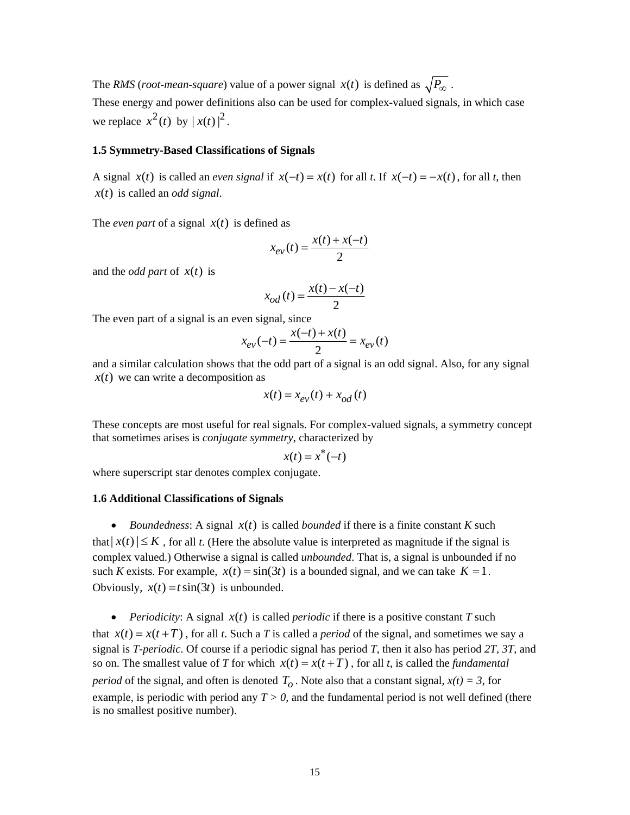The *RMS* (*root-mean-square*) value of a power signal  $x(t)$  is defined as  $\sqrt{P_{\infty}}$ .

These energy and power definitions also can be used for complex-valued signals, in which case we replace  $x^2(t)$  by  $|x(t)|^2$ .

## **1.5 Symmetry-Based Classifications of Signals**

A signal  $x(t)$  is called an *even signal* if  $x(-t) = x(t)$  for all *t*. If  $x(-t) = -x(t)$ , for all *t*, then  $x(t)$  is called an *odd signal*.

The *even part* of a signal  $x(t)$  is defined as

$$
x_{ev}(t) = \frac{x(t) + x(-t)}{2}
$$

and the *odd part* of  $x(t)$  is

$$
x_{od}(t) = \frac{x(t) - x(-t)}{2}
$$

The even part of a signal is an even signal, since

$$
x_{ev}(-t) = \frac{x(-t) + x(t)}{2} = x_{ev}(t)
$$

and a similar calculation shows that the odd part of a signal is an odd signal. Also, for any signal  $x(t)$  we can write a decomposition as

$$
x(t) = x_{ev}(t) + x_{od}(t)
$$

These concepts are most useful for real signals. For complex-valued signals, a symmetry concept that sometimes arises is *conjugate symmetry*, characterized by

$$
x(t) = x^*(-t)
$$

where superscript star denotes complex conjugate.

#### **1.6 Additional Classifications of Signals**

• *Boundedness:* A signal  $x(t)$  is called *bounded* if there is a finite constant *K* such that  $|x(t)| \leq K$ , for all *t*. (Here the absolute value is interpreted as magnitude if the signal is complex valued.) Otherwise a signal is called *unbounded*. That is, a signal is unbounded if no such *K* exists. For example,  $x(t) = \sin(3t)$  is a bounded signal, and we can take  $K = 1$ . Obviously,  $x(t) = t \sin(3t)$  is unbounded.

• *Periodicity:* A signal  $x(t)$  is called *periodic* if there is a positive constant *T* such that  $x(t) = x(t + T)$ , for all *t*. Such a *T* is called a *period* of the signal, and sometimes we say a signal is *T-periodic*. Of course if a periodic signal has period *T*, then it also has period *2T, 3T,* and so on. The smallest value of *T* for which  $x(t) = x(t + T)$ , for all *t*, is called the *fundamental period* of the signal, and often is denoted  $T<sub>o</sub>$ . Note also that a constant signal,  $x(t) = 3$ , for example, is periodic with period any  $T > 0$ , and the fundamental period is not well defined (there is no smallest positive number).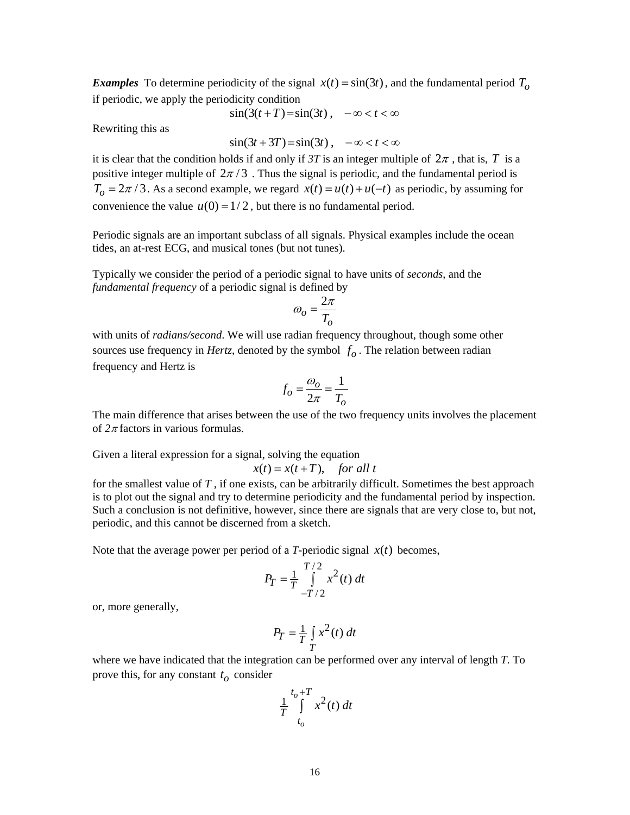*Examples* To determine periodicity of the signal  $x(t) = \sin(3t)$ , and the fundamental period  $T<sub>o</sub>$ if periodic, we apply the periodicity condition

$$
\sin(3(t+T)) = \sin(3t), \quad -\infty < t < \infty
$$

Rewriting this as

$$
\sin(3t+3T) = \sin(3t), \quad -\infty < t < \infty
$$

it is clear that the condition holds if and only if *3T* is an integer multiple of  $2\pi$ , that is, *T* is a positive integer multiple of  $2\pi/3$ . Thus the signal is periodic, and the fundamental period is  $T_0 = 2\pi/3$ . As a second example, we regard  $x(t) = u(t) + u(-t)$  as periodic, by assuming for convenience the value  $u(0) = 1/2$ , but there is no fundamental period.

Periodic signals are an important subclass of all signals. Physical examples include the ocean tides, an at-rest ECG, and musical tones (but not tunes).

Typically we consider the period of a periodic signal to have units of *seconds*, and the *fundamental frequency* of a periodic signal is defined by

$$
\omega_o = \frac{2\pi}{T_o}
$$

with units of *radians/second*. We will use radian frequency throughout, though some other sources use frequency in *Hertz*, denoted by the symbol  $f<sub>o</sub>$ . The relation between radian frequency and Hertz is

$$
f_o = \frac{\omega_o}{2\pi} = \frac{1}{T_o}
$$

The main difference that arises between the use of the two frequency units involves the placement of *2*<sup>π</sup> factors in various formulas.

Given a literal expression for a signal, solving the equation

$$
x(t) = x(t+T), \quad \text{for all } t
$$

for the smallest value of *T* , if one exists, can be arbitrarily difficult. Sometimes the best approach is to plot out the signal and try to determine periodicity and the fundamental period by inspection. Such a conclusion is not definitive, however, since there are signals that are very close to, but not, periodic, and this cannot be discerned from a sketch.

Note that the average power per period of a *T*-periodic signal  $x(t)$  becomes,

$$
P_T = \frac{1}{T} \int_{-T/2}^{T/2} x^2(t) \, dt
$$

or, more generally,

$$
P_T = \frac{1}{T} \int\limits_T x^2(t) \, dt
$$

where we have indicated that the integration can be performed over any interval of length *T*. To prove this, for any constant  $t<sub>o</sub>$  consider

$$
\frac{1}{T} \int\limits_{t_o}^{t_o+T} x^2(t) \, dt
$$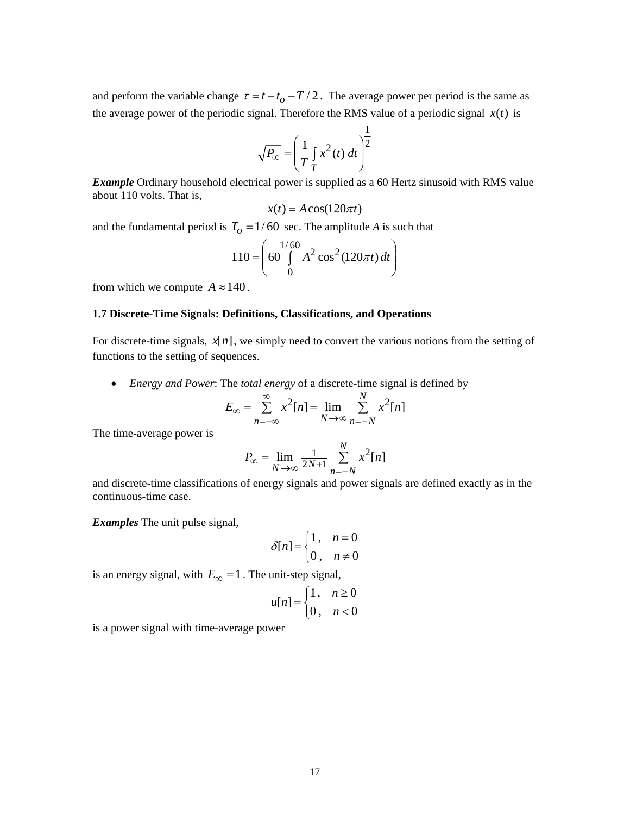and perform the variable change  $\tau = t - t_0 - T/2$ . The average power per period is the same as the average power of the periodic signal. Therefore the RMS value of a periodic signal  $x(t)$  is

$$
\sqrt{P_{\infty}} = \left(\frac{1}{T} \int_{T} x^{2}(t) dt\right)^{\frac{1}{2}}
$$

*Example* Ordinary household electrical power is supplied as a 60 Hertz sinusoid with RMS value about 110 volts. That is,

$$
x(t) = A\cos(120\pi t)
$$

and the fundamental period is  $T_0 = 1/60$  sec. The amplitude *A* is such that

$$
110 = \left( \frac{1/60}{60} A^2 \cos^2(120\pi t) dt \right)
$$

from which we compute  $A \approx 140$ .

# **1.7 Discrete-Time Signals: Definitions, Classifications, and Operations**

For discrete-time signals,  $x[n]$ , we simply need to convert the various notions from the setting of functions to the setting of sequences.

• *Energy and Power*: The *total energy* of a discrete-time signal is defined by

$$
E_{\infty} = \sum_{n=-\infty}^{\infty} x^2[n] = \lim_{N \to \infty} \sum_{n=-N}^{N} x^2[n]
$$

The time-average power is

$$
P_{\infty} = \lim_{N \to \infty} \frac{1}{2N+1} \sum_{n=-N}^{N} x^2[n]
$$

and discrete-time classifications of energy signals and power signals are defined exactly as in the continuous-time case.

*Examples* The unit pulse signal,

$$
\delta[n] = \begin{cases} 1, & n = 0 \\ 0, & n \neq 0 \end{cases}
$$

is an energy signal, with  $E_{\infty} = 1$ . The unit-step signal,

$$
u[n] = \begin{cases} 1, & n \ge 0 \\ 0, & n < 0 \end{cases}
$$

is a power signal with time-average power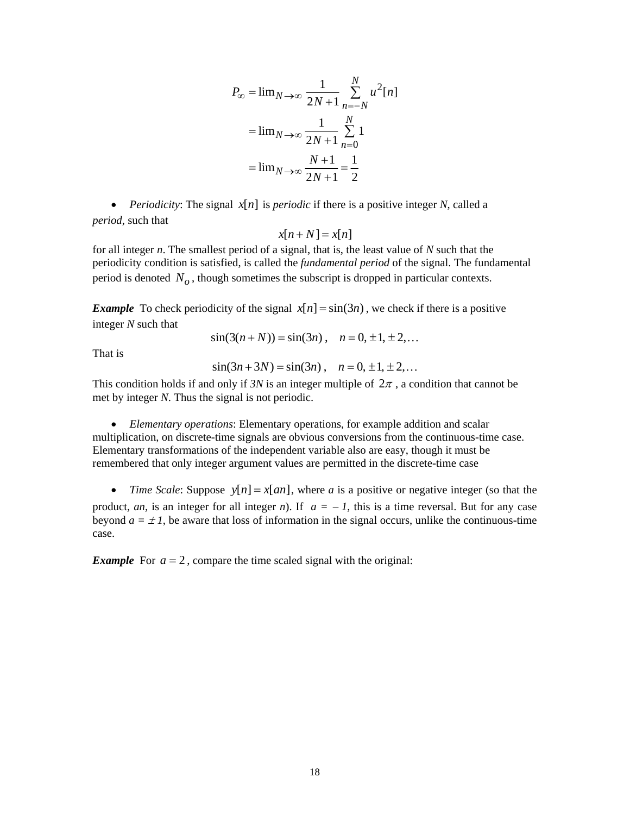$$
P_{\infty} = \lim_{N \to \infty} \frac{1}{2N+1} \sum_{n=-N}^{N} u^{2}[n]
$$

$$
= \lim_{N \to \infty} \frac{1}{2N+1} \sum_{n=0}^{N} 1
$$

$$
= \lim_{N \to \infty} \frac{N+1}{2N+1} = \frac{1}{2}
$$

• *Periodicity:* The signal  $x[n]$  is *periodic* if there is a positive integer *N*, called a *period*, such that

$$
x[n+N] = x[n]
$$

for all integer *n*. The smallest period of a signal, that is, the least value of *N* such that the periodicity condition is satisfied, is called the *fundamental period* of the signal. The fundamental period is denoted  $N<sub>o</sub>$ , though sometimes the subscript is dropped in particular contexts.

*Example* To check periodicity of the signal  $x[n] = \sin(3n)$ , we check if there is a positive integer *N* such that

 $sin(3(n+N)) = sin(3n)$ ,  $n = 0, \pm 1, \pm 2, ...$ 

That is

$$
sin(3n+3N) = sin(3n), \quad n = 0, \pm 1, \pm 2,...
$$

This condition holds if and only if  $3N$  is an integer multiple of  $2\pi$ , a condition that cannot be met by integer *N*. Thus the signal is not periodic.

• *Elementary operations*: Elementary operations, for example addition and scalar multiplication, on discrete-time signals are obvious conversions from the continuous-time case. Elementary transformations of the independent variable also are easy, though it must be remembered that only integer argument values are permitted in the discrete-time case

• *Time Scale:* Suppose  $y[n] = x[an]$ , where *a* is a positive or negative integer (so that the product, *an*, is an integer for all integer *n*). If  $a = -1$ , this is a time reversal. But for any case beyond  $a = \pm 1$ , be aware that loss of information in the signal occurs, unlike the continuous-time case.

*Example* For  $a = 2$ , compare the time scaled signal with the original: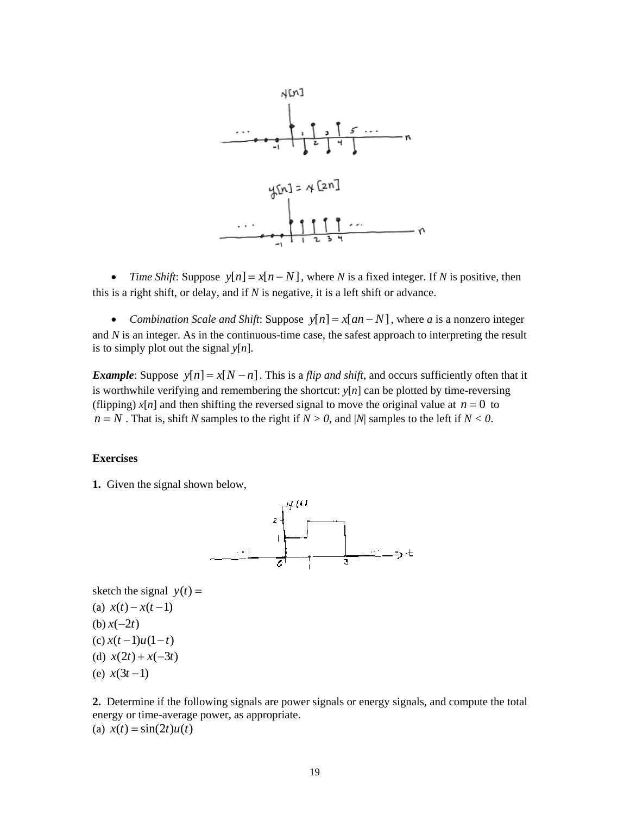

• *Time Shift:* Suppose  $y[n] = x[n-N]$ , where *N* is a fixed integer. If *N* is positive, then this is a right shift, or delay, and if  $N$  is negative, it is a left shift or advance.

• *Combination Scale and Shift*: Suppose  $y[n] = x[an-N]$ , where *a* is a nonzero integer and *N* is an integer. As in the continuous-time case, the safest approach to interpreting the result is to simply plot out the signal  $y[n]$ .

*Example*: Suppose  $y[n] = x[N - n]$ . This is a *flip and shift*, and occurs sufficiently often that it is worthwhile verifying and remembering the shortcut: *y*[*n*] can be plotted by time-reversing (flipping)  $x[n]$  and then shifting the reversed signal to move the original value at  $n = 0$  to  $n = N$ . That is, shift *N* samples to the right if  $N > 0$ , and |*N*| samples to the left if  $N < 0$ .

# **Exercises**

**1.** Given the signal shown below,



sketch the signal  $y(t) =$ (a)  $x(t) - x(t-1)$ 

- $(b) x(-2t)$
- $(c) x(t-1)u(1-t)$ (d)  $x(2t) + x(-3t)$
- $(e)$  *x*(3*t* -1)

**2.** Determine if the following signals are power signals or energy signals, and compute the total energy or time-average power, as appropriate. (a)  $x(t) = \sin(2t)u(t)$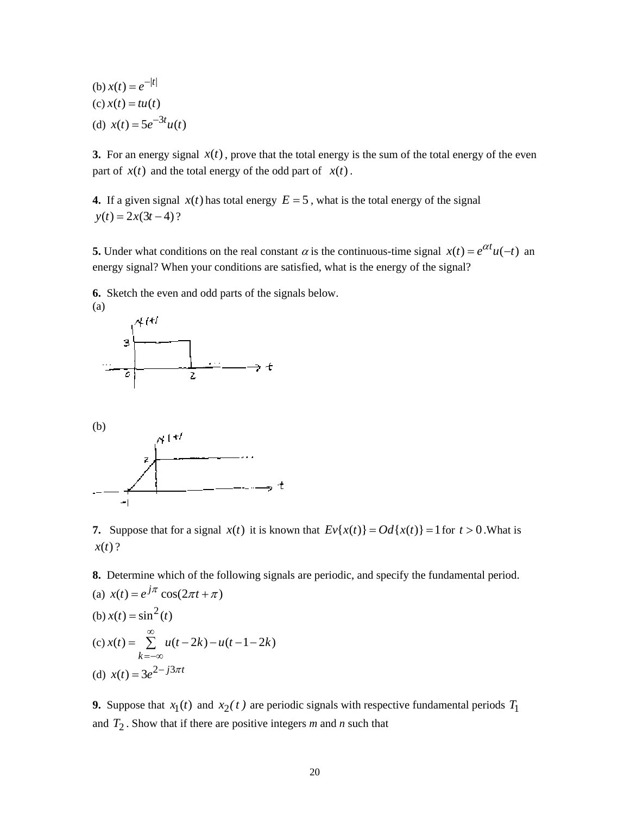(b) 
$$
x(t) = e^{-|t|}
$$
  
(c)  $x(t) = tu(t)$   
(d)  $x(t) = 5e^{-3t}u(t)$ 

**3.** For an energy signal  $x(t)$ , prove that the total energy is the sum of the total energy of the even part of  $x(t)$  and the total energy of the odd part of  $x(t)$ .

**4.** If a given signal  $x(t)$  has total energy  $E = 5$ , what is the total energy of the signal  $y(t) = 2x(3t-4)?$ 

**5.** Under what conditions on the real constant  $\alpha$  is the continuous-time signal  $x(t) = e^{\alpha t}u(-t)$  an energy signal? When your conditions are satisfied, what is the energy of the signal?

**6.** Sketch the even and odd parts of the signals below.



(b)



**7.** Suppose that for a signal  $x(t)$  it is known that  $Ev{x(t)} = Od{x(t)} = 1$  for  $t > 0$ . What is  $x(t)$  ?

**8.** Determine which of the following signals are periodic, and specify the fundamental period.

(a) 
$$
x(t) = e^{j\pi} \cos(2\pi t + \pi)
$$
  
\n(b)  $x(t) = \sin^2(t)$   
\n(c)  $x(t) = \sum_{k=-\infty}^{\infty} u(t - 2k) - u(t - 1 - 2k)$   
\n(d)  $x(t) = 3e^{2 - j3\pi t}$ 

**9.** Suppose that  $x_1(t)$  and  $x_2(t)$  are periodic signals with respective fundamental periods  $T_1$ and  $T_2$ . Show that if there are positive integers  $m$  and  $n$  such that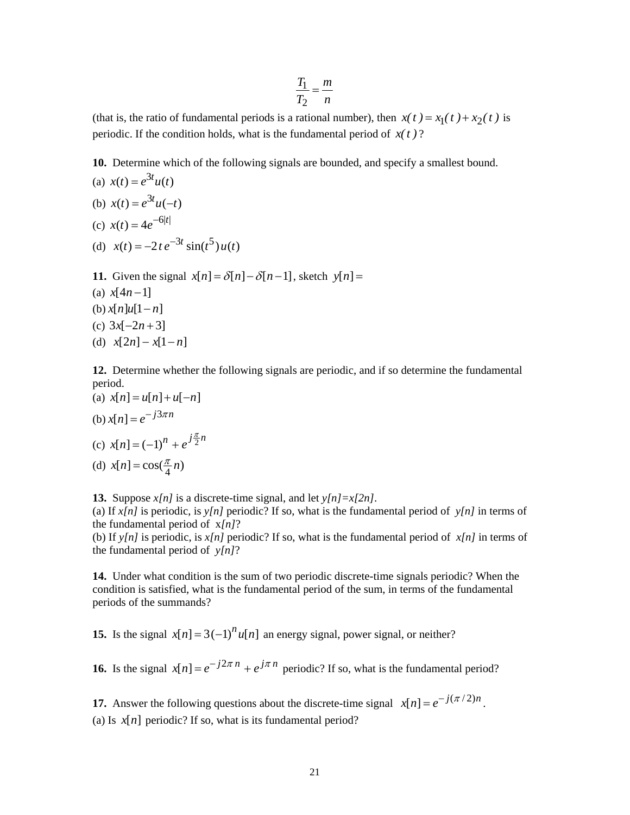$$
\frac{T_1}{T_2} = \frac{m}{n}
$$

(that is, the ratio of fundamental periods is a rational number), then  $x(t) = x_1(t) + x_2(t)$  is periodic. If the condition holds, what is the fundamental period of  $x(t)$ ?

**10.** Determine which of the following signals are bounded, and specify a smallest bound.

(a) 
$$
x(t) = e^{3t}u(t)
$$
  
(b)  $x(t) = e^{3t}u(-t)$ 

(c)  $x(t) = 4e^{-6|t|}$ 

(d) 
$$
x(t) = -2te^{-3t} \sin(t^5)u(t)
$$

**11.** Given the signal  $x[n] = \delta[n] - \delta[n-1]$ , sketch  $y[n] =$ (a)  $x[4n-1]$ (b)  $x[n]u[1-n]$  $(c)$  3x[ $-2n+3$ ] (d)  $x[2n] - x[1 - n]$ 

**12.** Determine whether the following signals are periodic, and if so determine the fundamental period.

(a) 
$$
x[n] = u[n] + u[-n]
$$
  
\n(b)  $x[n] = e^{-j3\pi n}$   
\n(c)  $x[n] = (-1)^n + e^{j\frac{\pi}{2}n}$   
\n(d)  $x[n] = \cos(\frac{\pi}{4}n)$ 

**13.** Suppose *x[n]* is a discrete-time signal, and let *y[n]=x[2n]*.

(a) If  $x[n]$  is periodic, is  $y[n]$  periodic? If so, what is the fundamental period of  $y[n]$  in terms of the fundamental period of x*[n]*?

(b) If  $y[n]$  is periodic, is  $x[n]$  periodic? If so, what is the fundamental period of  $x[n]$  in terms of the fundamental period of *y[n]*?

**14.** Under what condition is the sum of two periodic discrete-time signals periodic? When the condition is satisfied, what is the fundamental period of the sum, in terms of the fundamental periods of the summands?

**15.** Is the signal  $x[n] = 3(-1)^n u[n]$  an energy signal, power signal, or neither?

**16.** Is the signal  $x[n] = e^{-j2\pi n} + e^{j\pi n}$  periodic? If so, what is the fundamental period?

**17.** Answer the following questions about the discrete-time signal  $x[n] = e^{-j(\pi/2)n}$ . (a) Is  $x[n]$  periodic? If so, what is its fundamental period?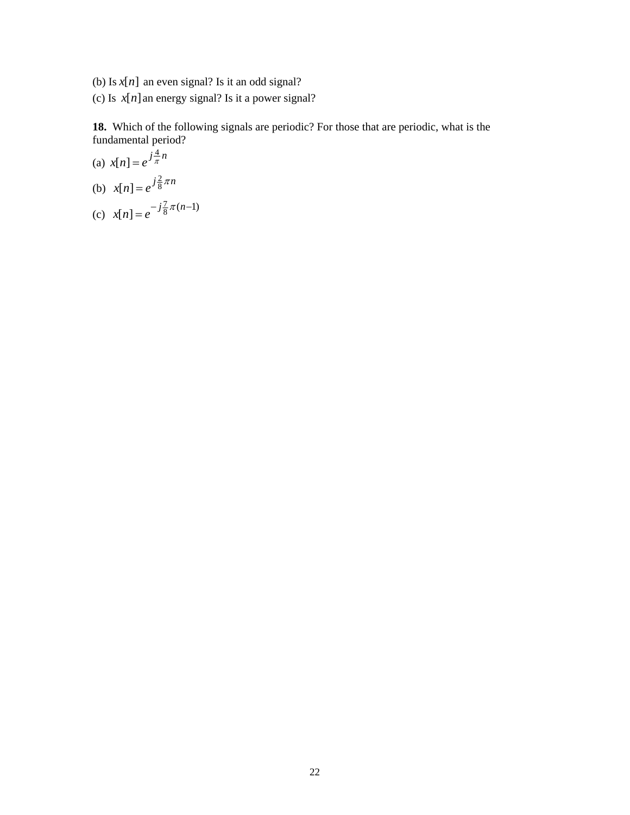- (b) Is  $x[n]$  an even signal? Is it an odd signal?
- (c) Is  $x[n]$  an energy signal? Is it a power signal?

**18.** Which of the following signals are periodic? For those that are periodic, what is the fundamental period?

(a) 
$$
x[n] = e^{j\frac{4}{\pi}n}
$$
  
\n(b)  $x[n] = e^{j\frac{2}{8}\pi n}$   
\n(c)  $x[n] = e^{-j\frac{7}{8}\pi(n-1)}$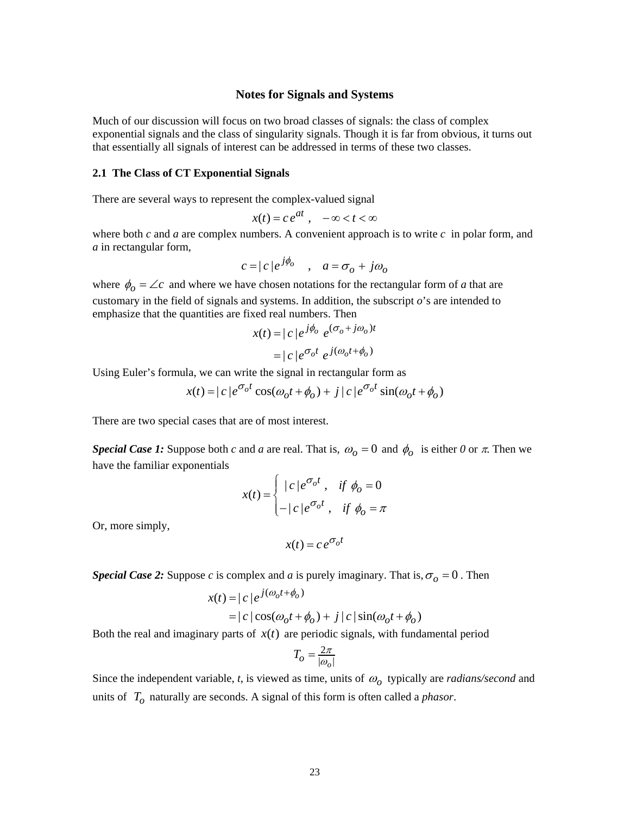#### **Notes for Signals and Systems**

Much of our discussion will focus on two broad classes of signals: the class of complex exponential signals and the class of singularity signals. Though it is far from obvious, it turns out that essentially all signals of interest can be addressed in terms of these two classes.

#### **2.1 The Class of CT Exponential Signals**

There are several ways to represent the complex-valued signal

$$
x(t) = c e^{at}, \quad -\infty < t < \infty
$$

where both *c* and *a* are complex numbers. A convenient approach is to write *c* in polar form, and *a* in rectangular form,

$$
c = |c|e^{j\phi_o} \quad , \quad a = \sigma_o + j\omega_o
$$

where  $\phi_o = \angle c$  and where we have chosen notations for the rectangular form of *a* that are customary in the field of signals and systems. In addition, the subscript *o*'s are intended to emphasize that the quantities are fixed real numbers. Then

$$
x(t) = |c|e^{j\phi_o} e^{(\sigma_o + j\omega_o)t}
$$

$$
= |c|e^{\sigma_o t} e^{j(\omega_o t + \phi_o)}
$$

Using Euler's formula, we can write the signal in rectangular form as

$$
x(t) = |c|e^{\sigma_0 t} \cos(\omega_0 t + \phi_0) + j|c|e^{\sigma_0 t} \sin(\omega_0 t + \phi_0)
$$

There are two special cases that are of most interest.

*Special Case 1:* Suppose both *c* and *a* are real. That is,  $\omega_0 = 0$  and  $\phi_0$  is either 0 or  $\pi$ . Then we have the familiar exponentials

$$
x(t) = \begin{cases} |c|e^{\sigma_o t}, & \text{if } \phi_o = 0\\ -|c|e^{\sigma_o t}, & \text{if } \phi_o = \pi \end{cases}
$$

Or, more simply,

$$
x(t) = c e^{\sigma_o t}
$$

*Special Case 2:* Suppose *c* is complex and *a* is purely imaginary. That is,  $\sigma$ <sub>*o*</sub> = 0. Then

$$
x(t) = |c|e^{j(\omega_0 t + \phi_0)}
$$
  
= |c| cos( $\omega_0 t + \phi_0$ ) + j|c| sin( $\omega_0 t + \phi_0$ )

Both the real and imaginary parts of  $x(t)$  are periodic signals, with fundamental period

$$
T_{\scriptscriptstyle O}=\frac{2\pi}{|\omega_{\scriptscriptstyle O}|}
$$

Since the independent variable, *t*, is viewed as time, units of  $\omega_0$  typically are *radians/second* and units of *To* naturally are seconds. A signal of this form is often called a *phasor*.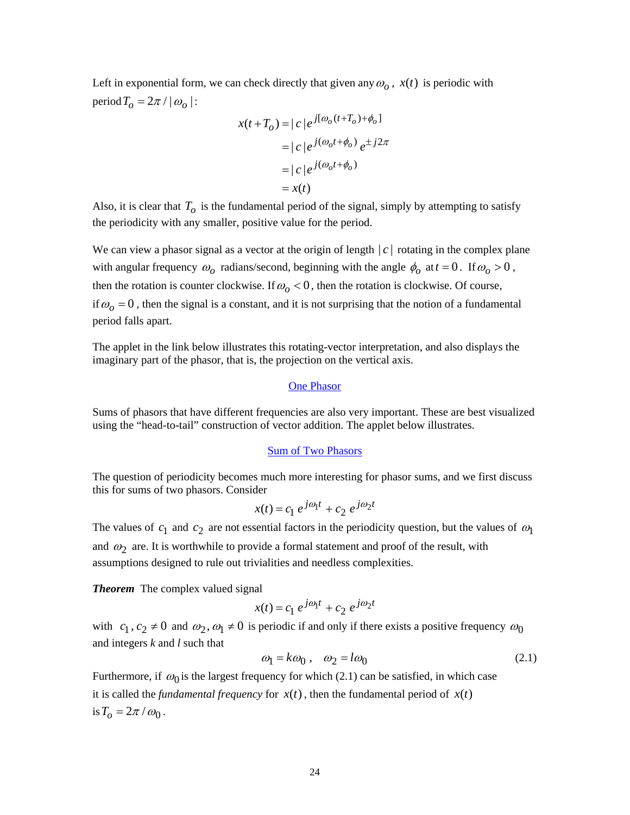<span id="page-23-0"></span>Left in exponential form, we can check directly that given any  $\omega$ <sub>o</sub>,  $x(t)$  is periodic with period  $T_o = 2\pi / |\omega_o|$ :

$$
x(t+T_o) = |c|e^{j[\omega_o(t+T_o)+\phi_o]}
$$
  
= |c|e^{j(\omega\_o t+\phi\_o)}e^{\pm j2\pi}  
= |c|e^{j(\omega\_o t+\phi\_o)}  
= x(t)

Also, it is clear that  $T<sub>o</sub>$  is the fundamental period of the signal, simply by attempting to satisfy the periodicity with any smaller, positive value for the period.

We can view a phasor signal as a vector at the origin of length  $|c|$  rotating in the complex plane with angular frequency  $\omega_0$  radians/second, beginning with the angle  $\phi_0$  at  $t = 0$ . If  $\omega_0 > 0$ , then the rotation is counter clockwise. If  $\omega_0 < 0$ , then the rotation is clockwise. Of course, if  $\omega_0 = 0$ , then the signal is a constant, and it is not surprising that the notion of a fundamental period falls apart.

The applet in the link below illustrates this rotating-vector interpretation, and also displays the imaginary part of the phasor, that is, the projection on the vertical axis.

## [One Phasor](http://www.ece.jhu.edu/~rugh/littlephasor/littlephasor1.htm)

Sums of phasors that have different frequencies are also very important. These are best visualized using the "head-to-tail" construction of vector addition. The applet below illustrates.

#### [Sum of Two Phasors](http://www.ece.jhu.edu/~rugh/littlephasor/littlephasor2.htm)

The question of periodicity becomes much more interesting for phasor sums, and we first discuss this for sums of two phasors. Consider

$$
x(t) = c_1 e^{j\omega_1 t} + c_2 e^{j\omega_2 t}
$$

The values of  $c_1$  and  $c_2$  are not essential factors in the periodicity question, but the values of  $\omega_1$ and  $\omega_2$  are. It is worthwhile to provide a formal statement and proof of the result, with assumptions designed to rule out trivialities and needless complexities.

*Theorem* The complex valued signal

$$
x(t) = c_1 e^{j\omega_1 t} + c_2 e^{j\omega_2 t}
$$

with  $c_1$ ,  $c_2 \neq 0$  and  $\omega_2$ ,  $\omega_1 \neq 0$  is periodic if and only if there exists a positive frequency  $\omega_0$ and integers *k* and *l* such that

$$
\omega_1 = k\omega_0 \,, \quad \omega_2 = l\omega_0 \tag{2.1}
$$

Furthermore, if  $\omega_0$  is the largest frequency for which [\(2.1\)](#page-23-0) can be satisfied, in which case it is called the *fundamental frequency* for  $x(t)$ , then the fundamental period of  $x(t)$ is  $T_o = 2\pi / \omega_0$ .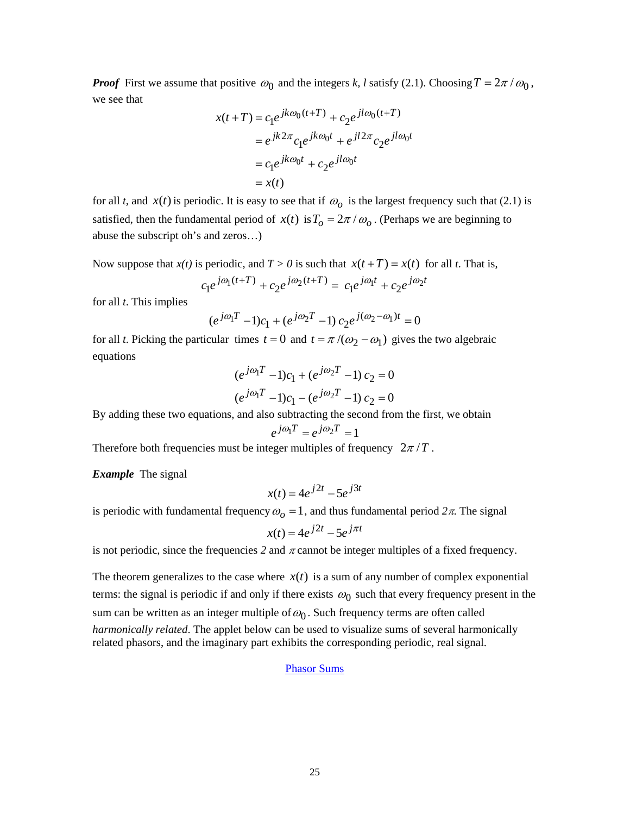*Proof* First we assume that positive  $\omega_0$  and the integers *k, l* satisfy [\(2.1\).](#page-23-0) Choosing  $T = 2\pi / \omega_0$ , we see that

$$
x(t+T) = c_1 e^{jk\omega_0(t+T)} + c_2 e^{jl\omega_0(t+T)}
$$
  
=  $e^{jk2\pi} c_1 e^{jk\omega_0 t} + e^{jl2\pi} c_2 e^{jl\omega_0 t}$   
=  $c_1 e^{jk\omega_0 t} + c_2 e^{jl\omega_0 t}$   
=  $x(t)$ 

for all *t*, and  $x(t)$  is periodic. It is easy to see that if  $\omega_o$  is the largest frequency such that [\(2.1\)](#page-23-0) is satisfied, then the fundamental period of  $x(t)$  is  $T_0 = 2\pi / \omega_0$ . (Perhaps we are beginning to abuse the subscript oh's and zeros…)

Now suppose that  $x(t)$  is periodic, and  $T > 0$  is such that  $x(t+T) = x(t)$  for all *t*. That is,

$$
c_1 e^{j\omega_1(t+T)} + c_2 e^{j\omega_2(t+T)} = c_1 e^{j\omega_1 t} + c_2 e^{j\omega_2 t}
$$

for all *t*. This implies

$$
(e^{j\omega_1 T} - 1)c_1 + (e^{j\omega_2 T} - 1)c_2 e^{j(\omega_2 - \omega_1)t} = 0
$$

for all *t*. Picking the particular times  $t = 0$  and  $t = \pi /(\omega_2 - \omega_1)$  gives the two algebraic equations

$$
(e^{j\omega_1 T} - 1)c_1 + (e^{j\omega_2 T} - 1)c_2 = 0
$$
  

$$
(e^{j\omega_1 T} - 1)c_1 - (e^{j\omega_2 T} - 1)c_2 = 0
$$

By adding these two equations, and also subtracting the second from the first, we obtain

$$
e^{j\omega_1 T}=e^{j\omega_2 T}=1
$$

Therefore both frequencies must be integer multiples of frequency  $2\pi / T$ .

*Example* The signal

$$
x(t) = 4e^{j2t} - 5e^{j3t}
$$

is periodic with fundamental frequency  $\omega_0 = 1$ , and thus fundamental period  $2\pi$ . The signal

$$
x(t) = 4e^{j2t} - 5e^{j\pi t}
$$

is not periodic, since the frequencies 2 and  $\pi$  cannot be integer multiples of a fixed frequency.

The theorem generalizes to the case where  $x(t)$  is a sum of any number of complex exponential terms: the signal is periodic if and only if there exists  $\omega_0$  such that every frequency present in the sum can be written as an integer multiple of  $\omega_0$ . Such frequency terms are often called *harmonically related*. The applet below can be used to visualize sums of several harmonically related phasors, and the imaginary part exhibits the corresponding periodic, real signal.

#### [Phasor Sums](http://www.ece.jhu.edu/~rugh/littlephasor/littlephasork.htm)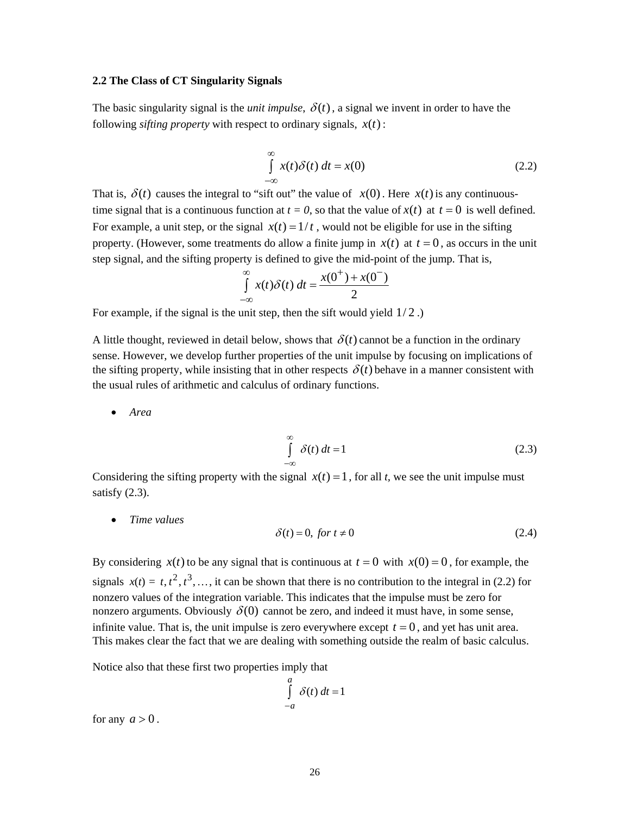#### <span id="page-25-0"></span>**2.2 The Class of CT Singularity Signals**

The basic singularity signal is the *unit impulse*,  $\delta(t)$ , a signal we invent in order to have the following *sifting property* with respect to ordinary signals,  $x(t)$ :

$$
\int_{-\infty}^{\infty} x(t)\delta(t) dt = x(0)
$$
\n(2.2)

That is,  $\delta(t)$  causes the integral to "sift out" the value of  $x(0)$ . Here  $x(t)$  is any continuoustime signal that is a continuous function at  $t = 0$ , so that the value of  $x(t)$  at  $t = 0$  is well defined. For example, a unit step, or the signal  $x(t) = 1/t$ , would not be eligible for use in the sifting property. (However, some treatments do allow a finite jump in  $x(t)$  at  $t = 0$ , as occurs in the unit step signal, and the sifting property is defined to give the mid-point of the jump. That is,

$$
\int_{-\infty}^{\infty} x(t)\delta(t) dt = \frac{x(0^+) + x(0^-)}{2}
$$

For example, if the signal is the unit step, then the sift would yield  $1/2$ .

A little thought, reviewed in detail below, shows that  $\delta(t)$  cannot be a function in the ordinary sense. However, we develop further properties of the unit impulse by focusing on implications of the sifting property, while insisting that in other respects  $\delta(t)$  behave in a manner consistent with the usual rules of arithmetic and calculus of ordinary functions.

• *Area* 

$$
\int_{-\infty}^{\infty} \delta(t) dt = 1
$$
\n(2.3)

Considering the sifting property with the signal  $x(t) = 1$ , for all *t*, we see the unit impulse must satisfy  $(2.3)$ .

• *Time values* 

$$
\delta(t) = 0, \text{ for } t \neq 0 \tag{2.4}
$$

By considering  $x(t)$  to be any signal that is continuous at  $t = 0$  with  $x(0) = 0$ , for example, the signals  $x(t) = t, t^2, t^3, \ldots$ , it can be shown that there is no contribution to the integral in [\(2.2\)](#page-25-0) for nonzero values of the integration variable. This indicates that the impulse must be zero for nonzero arguments. Obviously  $\delta(0)$  cannot be zero, and indeed it must have, in some sense, infinite value. That is, the unit impulse is zero everywhere except  $t = 0$ , and yet has unit area. This makes clear the fact that we are dealing with something outside the realm of basic calculus.

Notice also that these first two properties imply that

$$
\int_{-a}^{a} \delta(t) dt = 1
$$

for any  $a > 0$ .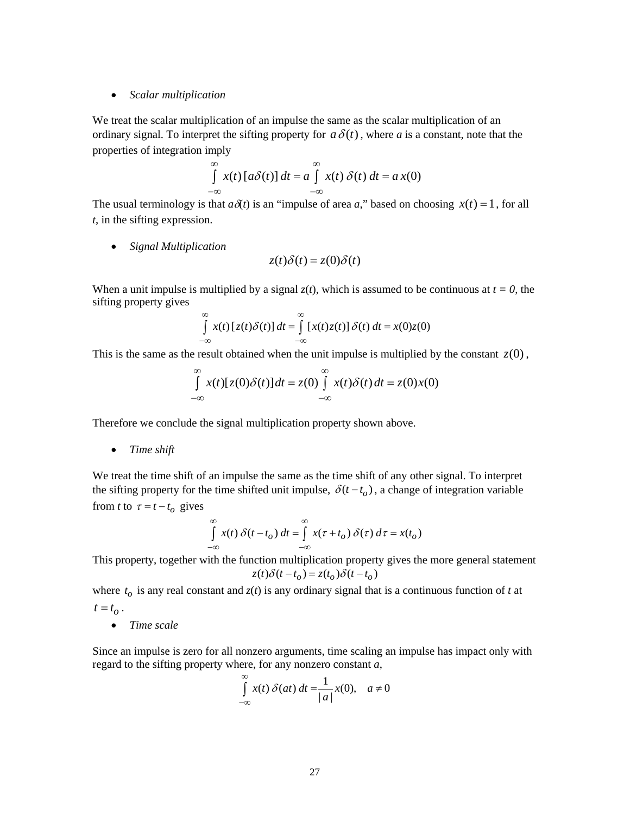#### • *Scalar multiplication*

We treat the scalar multiplication of an impulse the same as the scalar multiplication of an ordinary signal. To interpret the sifting property for  $a\delta(t)$ , where *a* is a constant, note that the properties of integration imply

$$
\int_{-\infty}^{\infty} x(t) [a\delta(t)] dt = a \int_{-\infty}^{\infty} x(t) \delta(t) dt = a x(0)
$$

The usual terminology is that  $a\delta(t)$  is an "impulse of area *a*," based on choosing  $x(t) = 1$ , for all *t*, in the sifting expression.

• *Signal Multiplication* 

$$
z(t)\delta(t) = z(0)\delta(t)
$$

When a unit impulse is multiplied by a signal  $z(t)$ , which is assumed to be continuous at  $t = 0$ , the sifting property gives

$$
\int_{-\infty}^{\infty} x(t) [z(t)\delta(t)] dt = \int_{-\infty}^{\infty} [x(t)z(t)] \delta(t) dt = x(0)z(0)
$$

This is the same as the result obtained when the unit impulse is multiplied by the constant  $z(0)$ ,

$$
\int_{-\infty}^{\infty} x(t)[z(0)\delta(t)]dt = z(0)\int_{-\infty}^{\infty} x(t)\delta(t)dt = z(0)x(0)
$$

Therefore we conclude the signal multiplication property shown above.

• *Time shift* 

We treat the time shift of an impulse the same as the time shift of any other signal. To interpret the sifting property for the time shifted unit impulse,  $\delta(t - t_o)$ , a change of integration variable from *t* to  $\tau = t - t_o$  gives

$$
\int_{-\infty}^{\infty} x(t) \, \delta(t - t_o) \, dt = \int_{-\infty}^{\infty} x(\tau + t_o) \, \delta(\tau) \, d\tau = x(t_o)
$$

This property, together with the function multiplication property gives the more general statement  $z(t)\delta(t - t_o) = z(t_o)\delta(t - t_o)$ 

where  $t_o$  is any real constant and  $z(t)$  is any ordinary signal that is a continuous function of *t* at  $t = t_{\alpha}$ .

• *Time scale* 

Since an impulse is zero for all nonzero arguments, time scaling an impulse has impact only with regard to the sifting property where, for any nonzero constant *a*,

$$
\int_{-\infty}^{\infty} x(t) \, \delta(at) \, dt = \frac{1}{|a|} x(0), \quad a \neq 0
$$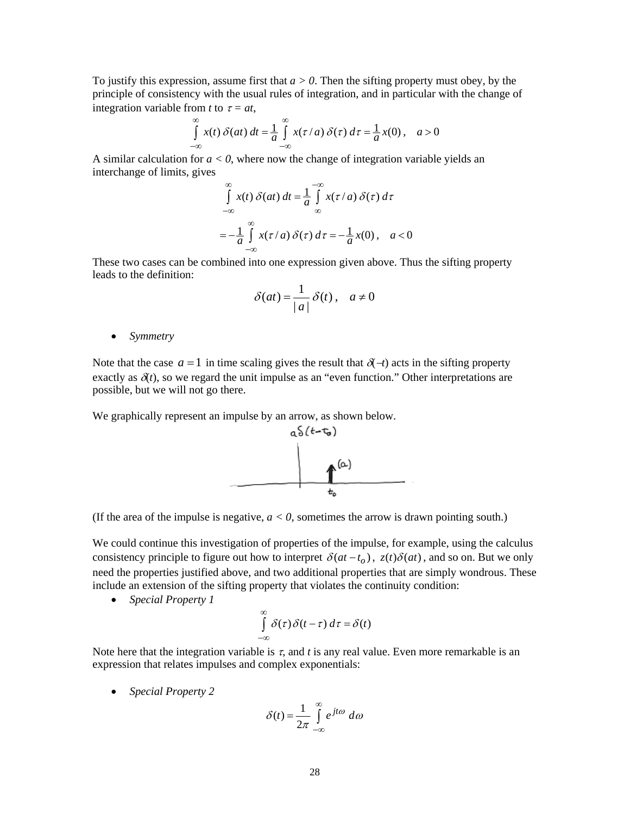To justify this expression, assume first that  $a > 0$ . Then the sifting property must obey, by the principle of consistency with the usual rules of integration, and in particular with the change of integration variable from *t* to  $\tau = at$ ,

$$
\int_{-\infty}^{\infty} x(t) \, \delta(at) \, dt = \frac{1}{a} \int_{-\infty}^{\infty} x(\tau/a) \, \delta(\tau) \, d\tau = \frac{1}{a} x(0) \,, \quad a > 0
$$

A similar calculation for  $a < 0$ , where now the change of integration variable yields an interchange of limits, gives

$$
\int_{-\infty}^{\infty} x(t) \, \delta(at) \, dt = \frac{1}{a} \int_{-\infty}^{\infty} x(\tau/a) \, \delta(\tau) \, d\tau
$$
\n
$$
= -\frac{1}{a} \int_{-\infty}^{\infty} x(\tau/a) \, \delta(\tau) \, d\tau = -\frac{1}{a} x(0), \quad a < 0
$$

These two cases can be combined into one expression given above. Thus the sifting property leads to the definition:

$$
\delta(at) = \frac{1}{|a|} \delta(t), \quad a \neq 0
$$

• *Symmetry* 

Note that the case  $a = 1$  in time scaling gives the result that  $\delta(\tau)$  acts in the sifting property exactly as  $\delta(t)$ , so we regard the unit impulse as an "even function." Other interpretations are possible, but we will not go there.

We graphically represent an impulse by an arrow, as shown below.



(If the area of the impulse is negative,  $a < 0$ , sometimes the arrow is drawn pointing south.)

We could continue this investigation of properties of the impulse, for example, using the calculus consistency principle to figure out how to interpret  $\delta(at - t_o)$ ,  $z(t)\delta(at)$ , and so on. But we only need the properties justified above, and two additional properties that are simply wondrous. These include an extension of the sifting property that violates the continuity condition:

• *Special Property 1* 

$$
\int_{-\infty}^{\infty} \delta(\tau) \delta(t-\tau) d\tau = \delta(t)
$$

Note here that the integration variable is  $\tau$ , and  $t$  is any real value. Even more remarkable is an expression that relates impulses and complex exponentials:

• *Special Property 2* 

$$
\delta(t) = \frac{1}{2\pi} \int_{-\infty}^{\infty} e^{jt\omega} d\omega
$$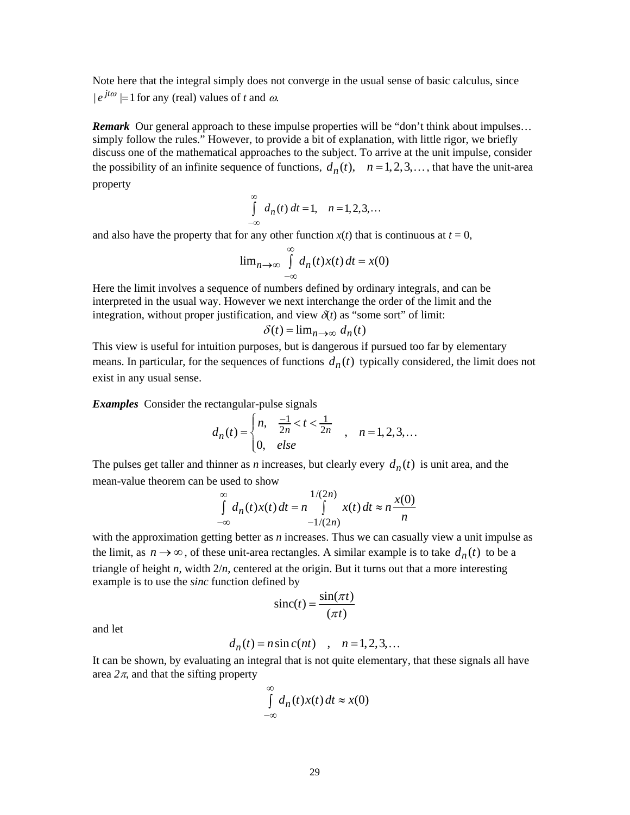Note here that the integral simply does not converge in the usual sense of basic calculus, since  $|e^{jt\omega}| = 1$  for any (real) values of *t* and  $\omega$ .

**Remark** Our general approach to these impulse properties will be "don't think about impulses... simply follow the rules." However, to provide a bit of explanation, with little rigor, we briefly discuss one of the mathematical approaches to the subject. To arrive at the unit impulse, consider the possibility of an infinite sequence of functions,  $d_n(t)$ ,  $n = 1,2,3,...$ , that have the unit-area property

$$
\int_{-\infty}^{\infty} d_n(t) dt = 1, \quad n = 1, 2, 3, \dots
$$

and also have the property that for any other function  $x(t)$  that is continuous at  $t = 0$ ,

$$
\lim_{n \to \infty} \int_{-\infty}^{\infty} d_n(t) x(t) dt = x(0)
$$

Here the limit involves a sequence of numbers defined by ordinary integrals, and can be interpreted in the usual way. However we next interchange the order of the limit and the integration, without proper justification, and view  $\delta(t)$  as "some sort" of limit:

$$
\delta(t) = \lim_{n \to \infty} d_n(t)
$$

This view is useful for intuition purposes, but is dangerous if pursued too far by elementary means. In particular, for the sequences of functions  $d_n(t)$  typically considered, the limit does not exist in any usual sense.

*Examples* Consider the rectangular-pulse signals

$$
d_n(t) = \begin{cases} n, & \frac{-1}{2n} < t < \frac{1}{2n} \\ 0, & \text{else} \end{cases} \quad n = 1, 2, 3, \dots
$$

The pulses get taller and thinner as *n* increases, but clearly every  $d_n(t)$  is unit area, and the mean-value theorem can be used to show

$$
\int_{-\infty}^{\infty} d_n(t)x(t) dt = n \int_{-1/(2n)}^{1/(2n)} x(t) dt \approx n \frac{x(0)}{n}
$$

with the approximation getting better as *n* increases. Thus we can casually view a unit impulse as the limit, as  $n \to \infty$ , of these unit-area rectangles. A similar example is to take  $d_n(t)$  to be a triangle of height *n*, width 2/*n*, centered at the origin. But it turns out that a more interesting example is to use the *sinc* function defined by

$$
\text{sinc}(t) = \frac{\sin(\pi t)}{(\pi t)}
$$

and let

$$
d_n(t) = n \sin c(nt) \quad , \quad n = 1, 2, 3, \dots
$$

It can be shown, by evaluating an integral that is not quite elementary, that these signals all have area  $2\pi$ , and that the sifting property

$$
\int_{-\infty}^{\infty} d_n(t) x(t) dt \approx x(0)
$$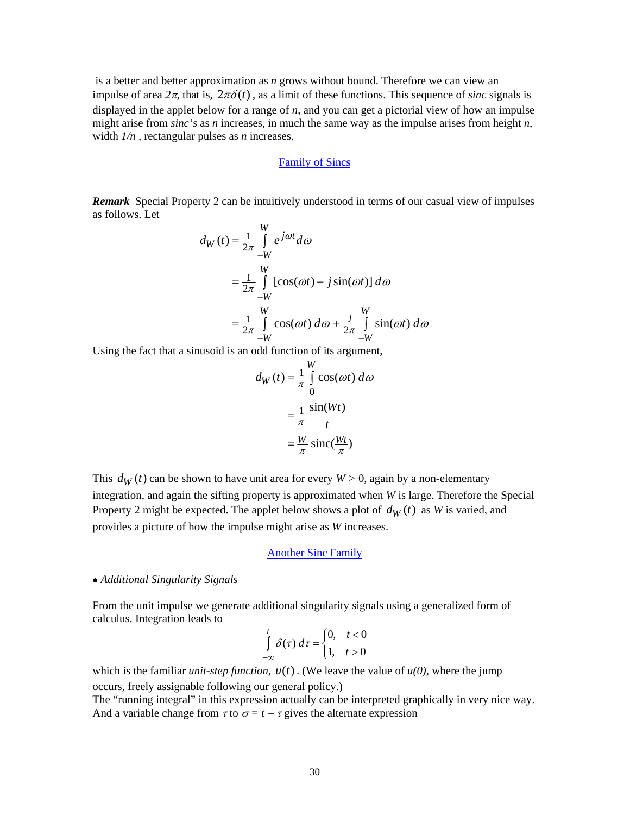is a better and better approximation as *n* grows without bound. Therefore we can view an impulse of area  $2\pi$ , that is,  $2\pi\delta(t)$ , as a limit of these functions. This sequence of *sinc* signals is displayed in the applet below for a range of *n*, and you can get a pictorial view of how an impulse might arise from *sinc's* as *n* increases, in much the same way as the impulse arises from height *n*, width *1/n ,* rectangular pulses as *n* increases.

# [Family of Sincs](http://www.ece.jhu.edu/~rugh/sinc1/sinc1.html)

*Remark* Special Property 2 can be intuitively understood in terms of our casual view of impulses as follows. Let

$$
d_W(t) = \frac{1}{2\pi} \int_{-W}^{W} e^{j\omega t} d\omega
$$
  
=  $\frac{1}{2\pi} \int_{-W}^{W} [\cos(\omega t) + j \sin(\omega t)] d\omega$   
=  $\frac{1}{2\pi} \int_{-W}^{W} \cos(\omega t) d\omega + \frac{j}{2\pi} \int_{-W}^{W} \sin(\omega t) d\omega$ 

Using the fact that a sinusoid is an odd function of its argument,

$$
d_W(t) = \frac{1}{\pi} \int_0^W \cos(\omega t) \, d\omega
$$

$$
= \frac{1}{\pi} \frac{\sin(Wt)}{t}
$$

$$
= \frac{W}{\pi} \operatorname{sinc}(\frac{Wt}{\pi})
$$

This  $d_W(t)$  can be shown to have unit area for every  $W > 0$ , again by a non-elementary integration, and again the sifting property is approximated when *W* is large. Therefore the Special Property 2 might be expected. The applet below shows a plot of  $d_W(t)$  as *W* is varied, and provides a picture of how the impulse might arise as *W* increases.

#### [Another Sinc Family](http://www.ece.jhu.edu/~rugh/sinc2/sinc2.html)

#### • *Additional Singularity Signals*

From the unit impulse we generate additional singularity signals using a generalized form of calculus. Integration leads to

$$
\int_{-\infty}^{t} \delta(\tau) d\tau = \begin{cases} 0, & t < 0 \\ 1, & t > 0 \end{cases}
$$

which is the familiar *unit-step function*,  $u(t)$ . (We leave the value of  $u(0)$ , where the jump occurs, freely assignable following our general policy.)

The "running integral" in this expression actually can be interpreted graphically in very nice way. And a variable change from  $\tau$  to  $\sigma = t - \tau$  gives the alternate expression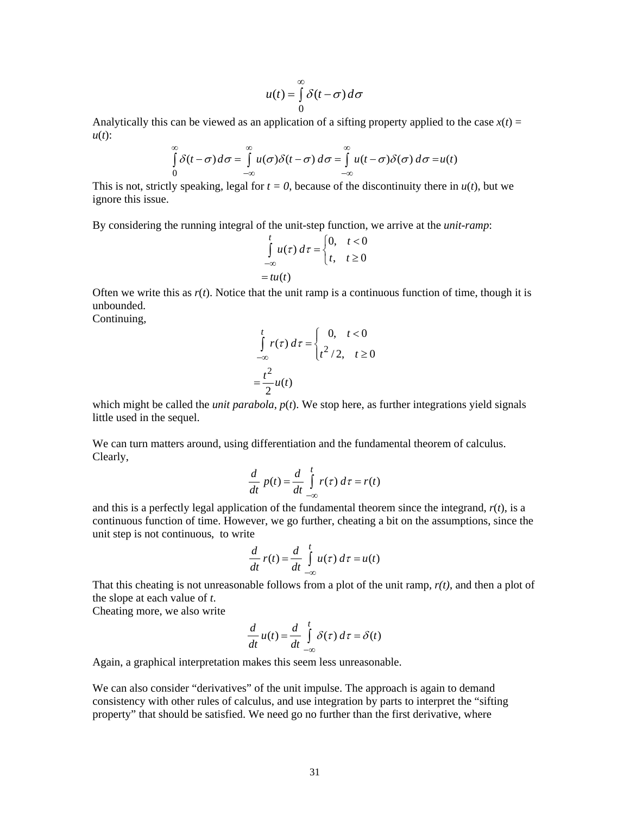$$
u(t) = \int_{0}^{\infty} \delta(t - \sigma) d\sigma
$$

Analytically this can be viewed as an application of a sifting property applied to the case  $x(t) =$ *u*(*t*):

$$
\int_{0}^{\infty} \delta(t-\sigma) d\sigma = \int_{-\infty}^{\infty} u(\sigma) \delta(t-\sigma) d\sigma = \int_{-\infty}^{\infty} u(t-\sigma) \delta(\sigma) d\sigma = u(t)
$$

This is not, strictly speaking, legal for  $t = 0$ , because of the discontinuity there in  $u(t)$ , but we ignore this issue.

By considering the running integral of the unit-step function, we arrive at the *unit-ramp*:

$$
\int_{-\infty}^{t} u(\tau) d\tau = \begin{cases} 0, & t < 0 \\ t, & t \ge 0 \end{cases}
$$
  
= tu(t)

Often we write this as  $r(t)$ . Notice that the unit ramp is a continuous function of time, though it is unbounded. Continuing,

$$
\int_{-\infty}^{t} r(\tau) d\tau = \begin{cases} 0, & t < 0 \\ t^2 / 2, & t \ge 0 \end{cases}
$$

$$
= \frac{t^2}{2} u(t)
$$

 $\theta$ 

which might be called the *unit parabola*,  $p(t)$ . We stop here, as further integrations yield signals little used in the sequel.

We can turn matters around, using differentiation and the fundamental theorem of calculus. Clearly,

$$
\frac{d}{dt} p(t) = \frac{d}{dt} \int_{-\infty}^{t} r(\tau) d\tau = r(t)
$$

and this is a perfectly legal application of the fundamental theorem since the integrand,  $r(t)$ , is a continuous function of time. However, we go further, cheating a bit on the assumptions, since the unit step is not continuous, to write

$$
\frac{d}{dt}r(t) = \frac{d}{dt}\int_{-\infty}^{t} u(\tau) d\tau = u(t)
$$

That this cheating is not unreasonable follows from a plot of the unit ramp, *r(t)*, and then a plot of the slope at each value of *t*.

Cheating more, we also write

$$
\frac{d}{dt}u(t) = \frac{d}{dt}\int_{-\infty}^{t} \delta(\tau) d\tau = \delta(t)
$$

Again, a graphical interpretation makes this seem less unreasonable.

We can also consider "derivatives" of the unit impulse. The approach is again to demand consistency with other rules of calculus, and use integration by parts to interpret the "sifting property" that should be satisfied. We need go no further than the first derivative, where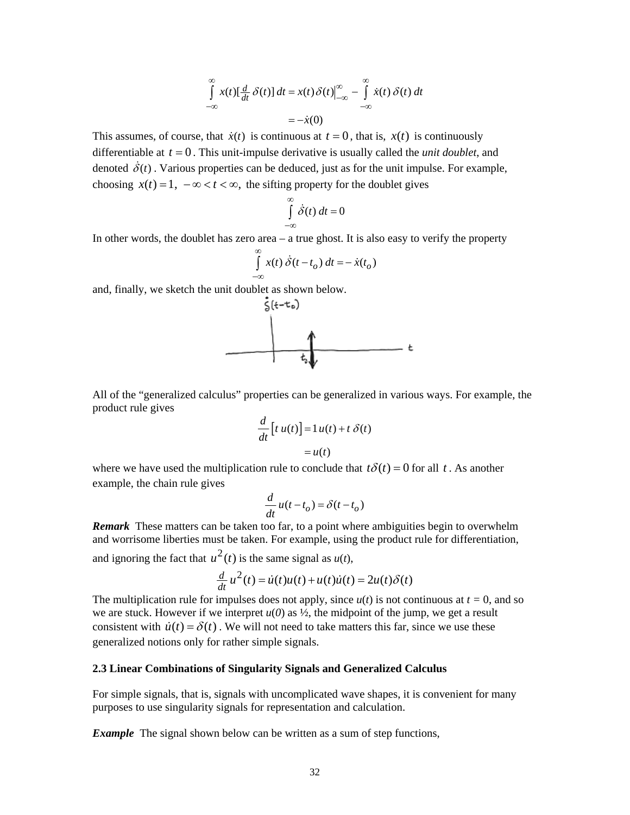$$
\int_{-\infty}^{\infty} x(t) \left[ \frac{d}{dt} \delta(t) \right] dt = x(t) \delta(t) \Big|_{-\infty}^{\infty} - \int_{-\infty}^{\infty} \dot{x}(t) \delta(t) dt
$$

$$
= -\dot{x}(0)
$$

This assumes, of course, that  $\dot{x}(t)$  is continuous at  $t = 0$ , that is,  $x(t)$  is continuously differentiable at  $t = 0$ . This unit-impulse derivative is usually called the *unit doublet*, and denoted  $\delta(t)$ . Various properties can be deduced, just as for the unit impulse. For example, choosing  $x(t) = 1$ ,  $-\infty < t < \infty$ , the sifting property for the doublet gives

$$
\int_{-\infty}^{\infty} \dot{\delta}(t) dt = 0
$$

In other words, the doublet has zero area – a true ghost. It is also easy to verify the property

$$
\int_{-\infty}^{\infty} x(t) \dot{\delta}(t - t_o) dt = -\dot{x}(t_o)
$$

and, finally, we sketch the unit doublet as shown below.



All of the "generalized calculus" properties can be generalized in various ways. For example, the product rule gives

$$
\frac{d}{dt}\left[t\ u(t)\right] = 1\ u(t) + t\ \delta(t)
$$

$$
= u(t)
$$

where we have used the multiplication rule to conclude that  $t\delta(t) = 0$  for all t. As another example, the chain rule gives

$$
\frac{d}{dt}u(t-t_o) = \delta(t-t_o)
$$

*Remark* These matters can be taken too far, to a point where ambiguities begin to overwhelm and worrisome liberties must be taken. For example, using the product rule for differentiation, and ignoring the fact that  $u^2(t)$  is the same signal as  $u(t)$ ,

$$
\frac{d}{dt}u^2(t) = \dot{u}(t)u(t) + u(t)\dot{u}(t) = 2u(t)\delta(t)
$$

The multiplication rule for impulses does not apply, since  $u(t)$  is not continuous at  $t = 0$ , and so we are stuck. However if we interpret  $u(0)$  as  $\frac{1}{2}$ , the midpoint of the jump, we get a result consistent with  $\dot{u}(t) = \delta(t)$ . We will not need to take matters this far, since we use these generalized notions only for rather simple signals.

#### **2.3 Linear Combinations of Singularity Signals and Generalized Calculus**

For simple signals, that is, signals with uncomplicated wave shapes, it is convenient for many purposes to use singularity signals for representation and calculation.

*Example* The signal shown below can be written as a sum of step functions,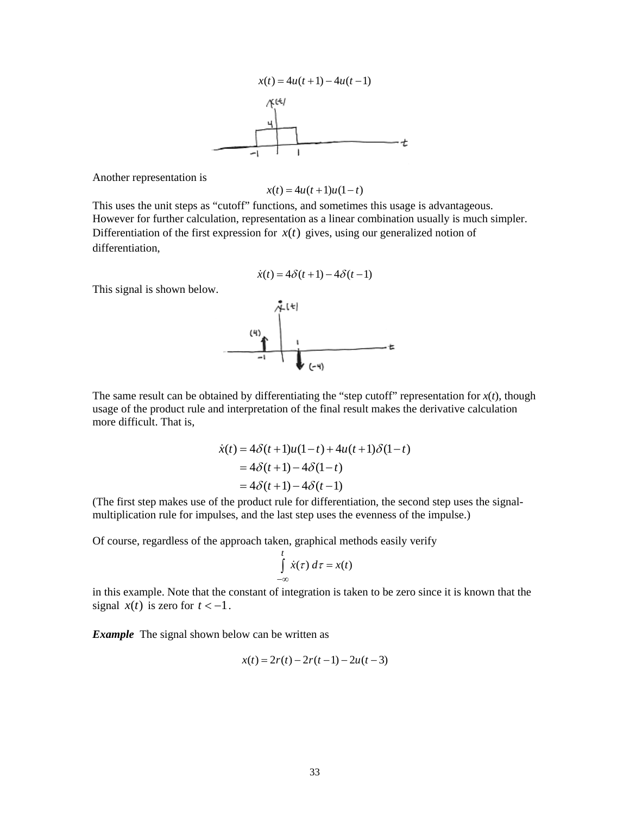

Another representation is

 $x(t) = 4u(t+1)u(1-t)$ 

This uses the unit steps as "cutoff" functions, and sometimes this usage is advantageous. However for further calculation, representation as a linear combination usually is much simpler. Differentiation of the first expression for  $x(t)$  gives, using our generalized notion of differentiation,

$$
\dot{x}(t) = 4\delta(t+1) - 4\delta(t-1)
$$

This signal is shown below.



The same result can be obtained by differentiating the "step cutoff" representation for  $x(t)$ , though usage of the product rule and interpretation of the final result makes the derivative calculation more difficult. That is,

$$
\dot{x}(t) = 4\delta(t+1)u(1-t) + 4u(t+1)\delta(1-t)
$$

$$
= 4\delta(t+1) - 4\delta(1-t)
$$

$$
= 4\delta(t+1) - 4\delta(t-1)
$$

(The first step makes use of the product rule for differentiation, the second step uses the signalmultiplication rule for impulses, and the last step uses the evenness of the impulse.)

Of course, regardless of the approach taken, graphical methods easily verify

$$
\int\limits_{-\infty}^t \dot{x}(\tau) \, d\tau = x(t)
$$

in this example. Note that the constant of integration is taken to be zero since it is known that the signal  $x(t)$  is zero for  $t < -1$ .

*Example* The signal shown below can be written as

$$
x(t) = 2r(t) - 2r(t-1) - 2u(t-3)
$$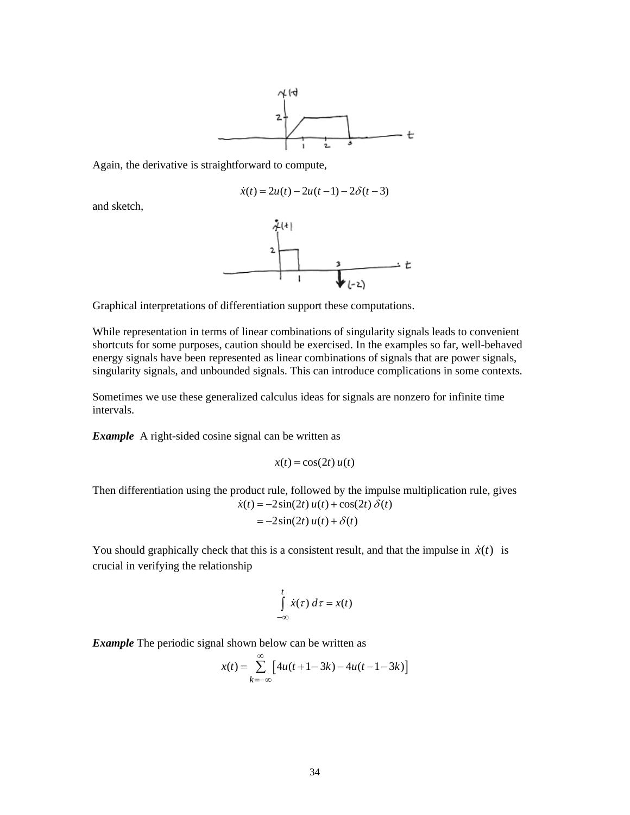

Again, the derivative is straightforward to compute,

$$
\dot{x}(t) = 2u(t) - 2u(t-1) - 2\delta(t-3)
$$

and sketch,



Graphical interpretations of differentiation support these computations.

While representation in terms of linear combinations of singularity signals leads to convenient shortcuts for some purposes, caution should be exercised. In the examples so far, well-behaved energy signals have been represented as linear combinations of signals that are power signals, singularity signals, and unbounded signals. This can introduce complications in some contexts.

Sometimes we use these generalized calculus ideas for signals are nonzero for infinite time intervals.

**Example** A right-sided cosine signal can be written as

$$
x(t) = \cos(2t) u(t)
$$

Then differentiation using the product rule, followed by the impulse multiplication rule, gives  $\dot{x}(t) = -2\sin(2t) u(t) + \cos(2t) \delta(t)$ 

$$
= -2\sin(2t) u(t) + \delta(t)
$$

You should graphically check that this is a consistent result, and that the impulse in  $\dot{x}(t)$  is crucial in verifying the relationship

$$
\int\limits_{-\infty}^t \dot{x}(\tau) \, d\tau = x(t)
$$

*Example* The periodic signal shown below can be written as

$$
x(t) = \sum_{k=-\infty}^{\infty} \left[ 4u(t+1-3k) - 4u(t-1-3k) \right]
$$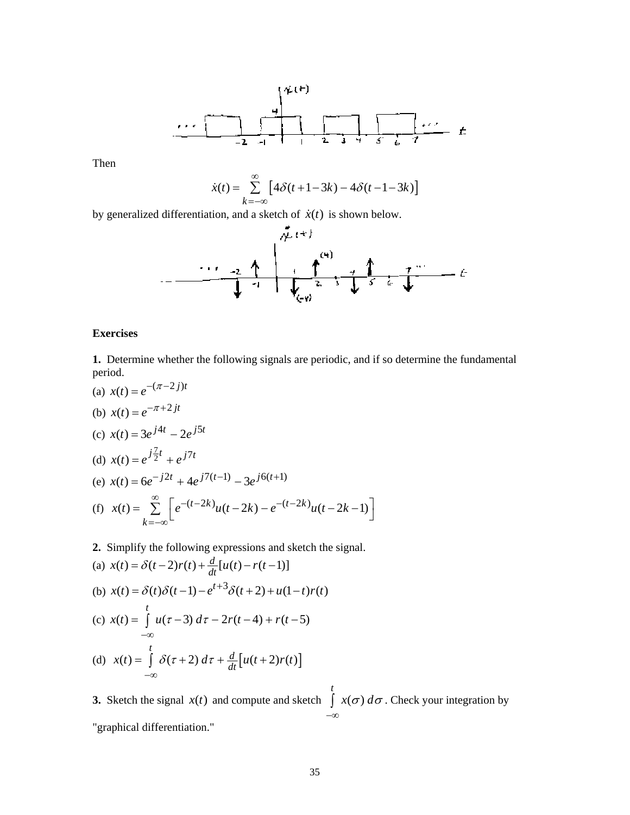$$
\cdots
$$

Then

$$
\dot{x}(t) = \sum_{k=-\infty}^{\infty} \left[ 4\delta(t+1-3k) - 4\delta(t-1-3k) \right]
$$



# **Exercises**

**1.** Determine whether the following signals are periodic, and if so determine the fundamental period.

(a) 
$$
x(t) = e^{-(\pi - 2j)t}
$$
  
\n(b)  $x(t) = e^{-\pi + 2jt}$   
\n(c)  $x(t) = 3e^{j4t} - 2e^{j5t}$   
\n(d)  $x(t) = e^{j\frac{7}{2}t} + e^{j7t}$   
\n(e)  $x(t) = 6e^{-j2t} + 4e^{j7(t-1)} - 3e^{j6(t+1)}$   
\n(f)  $x(t) = \sum_{k=-\infty}^{\infty} \left[ e^{-(t-2k)}u(t-2k) - e^{-(t-2k)}u(t-2k-1) \right]$ 

**2.** Simplify the following expressions and sketch the signal.

(a) 
$$
x(t) = \delta(t-2)r(t) + \frac{d}{dt}[u(t) - r(t-1)]
$$
  
\n(b)  $x(t) = \delta(t)\delta(t-1) - e^{t+3}\delta(t+2) + u(1-t)r(t)$   
\n(c)  $x(t) = \int_{-\infty}^{t} u(\tau-3) d\tau - 2r(t-4) + r(t-5)$   
\n(d)  $x(t) = \int_{-\infty}^{t} \delta(\tau+2) d\tau + \frac{d}{dt}[u(t+2)r(t)]$ 

**3.** Sketch the signal  $x(t)$  and compute and sketch  $\int x(\sigma)$ *t*  $\int x(\sigma) d\sigma$ . Check your integration by −∞ "graphical differentiation."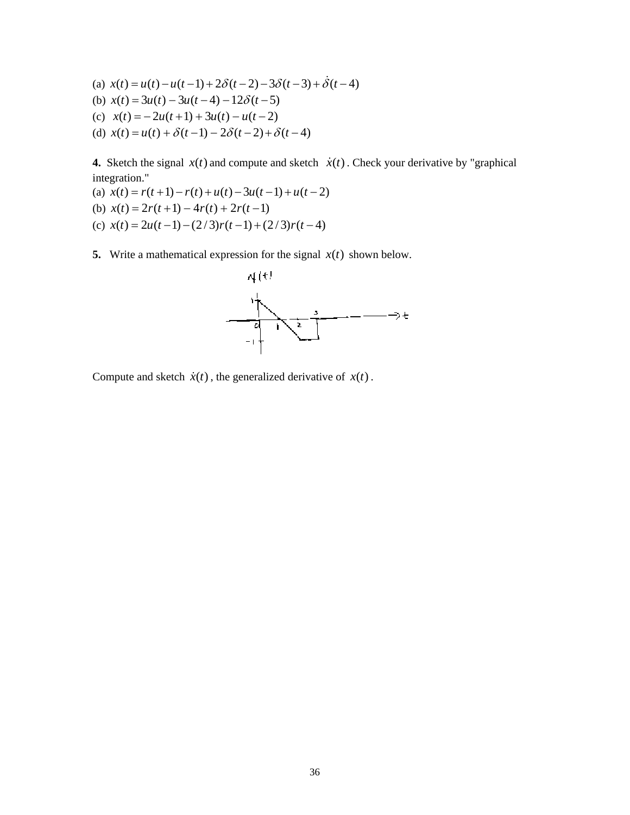(a)  $x(t) = u(t) - u(t-1) + 2\delta(t-2) - 3\delta(t-3) + \dot{\delta}(t-4)$ (b)  $x(t) = 3u(t) - 3u(t-4) - 12\delta(t-5)$ (c)  $x(t) = -2u(t+1) + 3u(t) - u(t-2)$ (d)  $x(t) = u(t) + \delta(t-1) - 2\delta(t-2) + \delta(t-4)$ 

**4.** Sketch the signal  $x(t)$  and compute and sketch  $\dot{x}(t)$ . Check your derivative by "graphical integration."

- (a)  $x(t) = r(t+1) r(t) + u(t) 3u(t-1) + u(t-2)$ (b)  $x(t) = 2r(t+1) - 4r(t) + 2r(t-1)$ (c)  $x(t) = 2u(t-1) - (2/3)r(t-1) + (2/3)r(t-4)$
- **5.** Write a mathematical expression for the signal  $x(t)$  shown below.



Compute and sketch  $\dot{x}(t)$ , the generalized derivative of  $x(t)$ .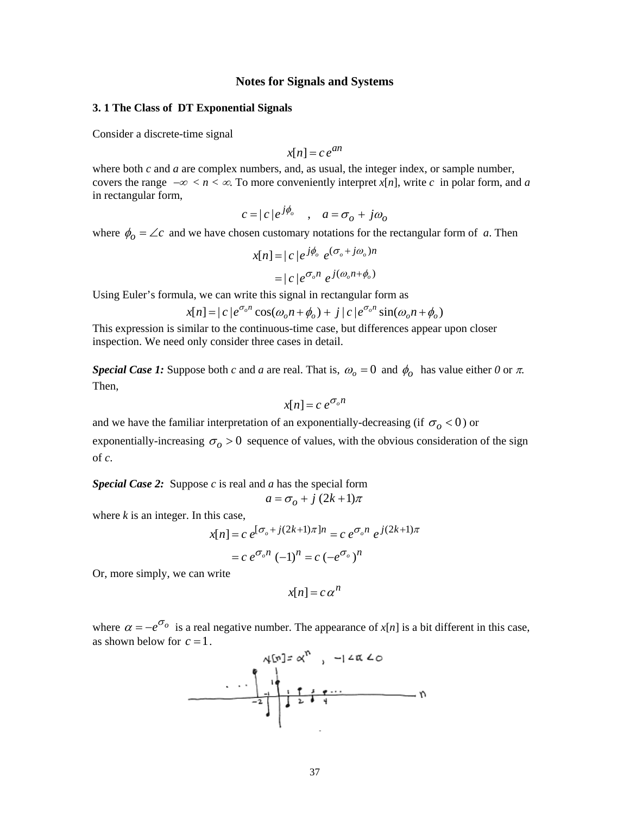## **Notes for Signals and Systems**

### **3. 1 The Class of DT Exponential Signals**

Consider a discrete-time signal

$$
x[n] = c e^{an}
$$

where both *c* and *a* are complex numbers, and, as usual, the integer index, or sample number, covers the range  $-\infty < n < \infty$ . To more conveniently interpret *x[n]*, write *c* in polar form, and *a* in rectangular form,

$$
c = |c|e^{j\phi_o} \quad , \quad a = \sigma_o + j\omega_o
$$

where  $\phi_o = \angle c$  and we have chosen customary notations for the rectangular form of *a*. Then

$$
x[n] = |c|e^{j\phi_o} e^{(\sigma_o + j\omega_o)n}
$$

$$
= |c|e^{\sigma_o n} e^{j(\omega_o n + \phi_o)}
$$

Using Euler's formula, we can write this signal in rectangular form as

$$
x[n] = |c|e^{\sigma_o n} \cos(\omega_o n + \phi_o) + j|c|e^{\sigma_o n} \sin(\omega_o n + \phi_o)
$$

This expression is similar to the continuous-time case, but differences appear upon closer inspection. We need only consider three cases in detail.

*Special Case 1:* Suppose both *c* and *a* are real. That is,  $\omega_o = 0$  and  $\phi_o$  has value either *0* or  $\pi$ . Then,

$$
x[n] = c \, e^{\sigma_o n}
$$

and we have the familiar interpretation of an exponentially-decreasing (if  $\sigma$ <sub>o</sub> < 0) or

exponentially-increasing  $\sigma_{\rho} > 0$  sequence of values, with the obvious consideration of the sign of *c*.

*Special Case 2:* Suppose *c* is real and *a* has the special form  $a = \sigma_o + j(2k+1)\pi$ 

where  $k$  is an integer. In this case,

$$
x[n] = c e^{\left[\sigma_o + j(2k+1)\pi\right]n} = c e^{\sigma_o n} e^{j(2k+1)\pi}
$$

$$
= c e^{\sigma_o n} (-1)^n = c (-e^{\sigma_o})^n
$$

Or, more simply, we can write

$$
x[n] = c \alpha^n
$$

where  $\alpha = -e^{\sigma_o}$  is a real negative number. The appearance of *x*[*n*] is a bit different in this case, as shown below for  $c = 1$ .

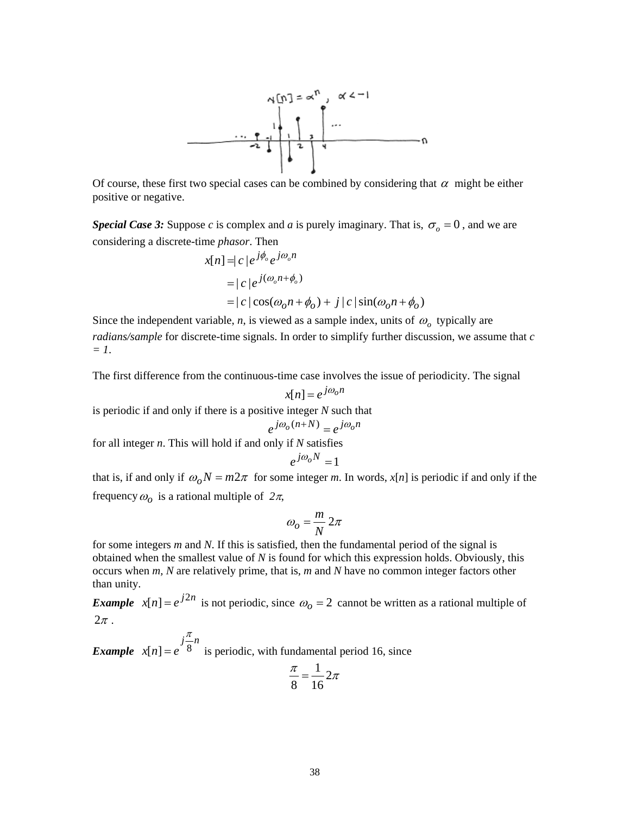

Of course, these first two special cases can be combined by considering that  $\alpha$  might be either positive or negative.

*Special Case 3:* Suppose *c* is complex and *a* is purely imaginary. That is,  $\sigma$ <sub>o</sub> = 0, and we are considering a discrete-time *phasor*. Then

$$
x[n] = |c|e^{j\phi_o}e^{j\omega_o n}
$$
  
= |c|e^{j(\omega\_o n + \phi\_o)}  
= |c|cos(\omega\_o n + \phi\_o) + j|c|sin(\omega\_o n + \phi\_o)

Since the independent variable, *n*, is viewed as a sample index, units of  $\omega$ <sub>o</sub> typically are *radians/sample* for discrete-time signals. In order to simplify further discussion, we assume that *c = 1*.

The first difference from the continuous-time case involves the issue of periodicity. The signal

$$
x[n] = e^{j\omega_0 n}
$$

is periodic if and only if there is a positive integer *N* such that

$$
e^{j\omega_o(n+N)} = e^{j\omega_o n}
$$

for all integer *n*. This will hold if and only if *N* satisfies

$$
e^{j\omega_o N}=1
$$

that is, if and only if  $\omega_0 N = m2\pi$  for some integer *m*. In words, *x*[*n*] is periodic if and only if the frequency  $\omega_o$  is a rational multiple of  $2\pi$ ,

$$
\omega_o = \frac{m}{N} 2\pi
$$

for some integers *m* and *N*. If this is satisfied, then the fundamental period of the signal is obtained when the smallest value of *N* is found for which this expression holds. Obviously, this occurs when *m, N* are relatively prime, that is, *m* and *N* have no common integer factors other than unity.

*Example*  $x[n] = e^{j2n}$  is not periodic, since  $\omega_0 = 2$  cannot be written as a rational multiple of  $2\pi$ .

 $x[n] = e^{j\frac{n}{8}n}$  $x[n] = e$ π  $= e^{8}$  is periodic, with fundamental period 16, since

$$
\frac{\pi}{8} = \frac{1}{16} 2\pi
$$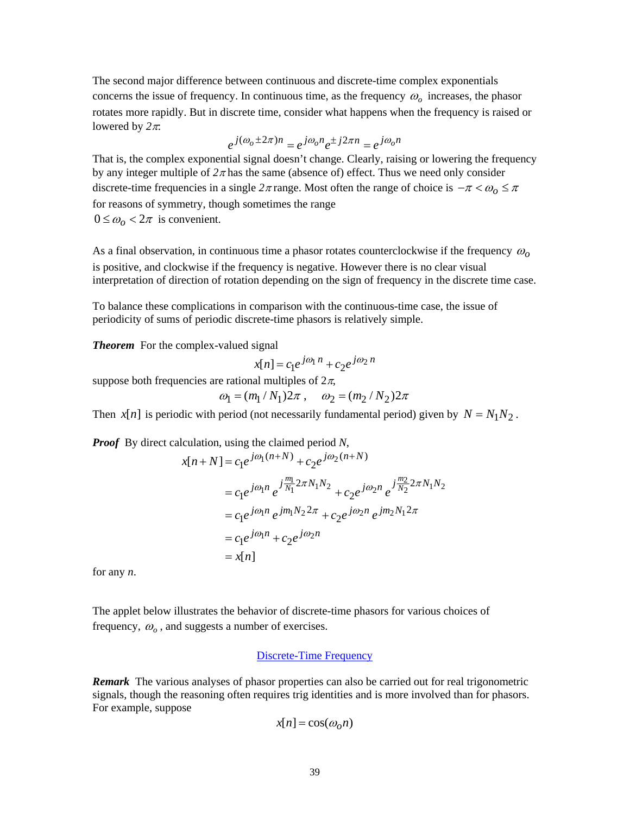The second major difference between continuous and discrete-time complex exponentials concerns the issue of frequency. In continuous time, as the frequency  $\omega$ <sub>o</sub> increases, the phasor rotates more rapidly. But in discrete time, consider what happens when the frequency is raised or lowered by *2*π:

$$
e^{j(\omega_o \pm 2\pi)n} = e^{j\omega_o n} e^{\pm j2\pi n} = e^{j\omega_o n}
$$

That is, the complex exponential signal doesn't change. Clearly, raising or lowering the frequency by any integer multiple of  $2\pi$  has the same (absence of) effect. Thus we need only consider discrete-time frequencies in a single  $2\pi$  range. Most often the range of choice is  $-\pi < \omega_0 \leq \pi$ for reasons of symmetry, though sometimes the range

 $0 \le \omega_o < 2\pi$  is convenient.

As a final observation, in continuous time a phasor rotates counterclockwise if the frequency <sup>ω</sup>*o* is positive, and clockwise if the frequency is negative. However there is no clear visual interpretation of direction of rotation depending on the sign of frequency in the discrete time case.

To balance these complications in comparison with the continuous-time case, the issue of periodicity of sums of periodic discrete-time phasors is relatively simple.

*Theorem* For the complex-valued signal

$$
x[n] = c_1 e^{j\omega_1 n} + c_2 e^{j\omega_2 n}
$$

suppose both frequencies are rational multiples of  $2\pi$ ,

$$
\omega_1 = (m_1/N_1)2\pi
$$
,  $\omega_2 = (m_2/N_2)2\pi$ 

Then *x*[*n*] is periodic with period (not necessarily fundamental period) given by  $N = N_1 N_2$ .

*Proof* By direct calculation, using the claimed period *N*,

$$
x[n+N] = c_1 e^{j\omega_1(n+N)} + c_2 e^{j\omega_2(n+N)}
$$
  
=  $c_1 e^{j\omega_1 n} e^{j\frac{m_1}{N_1} 2\pi N_1 N_2} + c_2 e^{j\omega_2 n} e^{j\frac{m_2}{N_2} 2\pi N_1 N_2}$   
=  $c_1 e^{j\omega_1 n} e^{j m_1 N_2 2\pi} + c_2 e^{j\omega_2 n} e^{j m_2 N_1 2\pi}$   
=  $c_1 e^{j\omega_1 n} + c_2 e^{j\omega_2 n}$   
=  $x[n]$ 

for any *n*.

The applet below illustrates the behavior of discrete-time phasors for various choices of frequency,  $\omega$ <sub>o</sub>, and suggests a number of exercises.

# [Discrete-Time Frequency](http://www.jhu.edu/~signals/dtphasor/)

*Remark* The various analyses of phasor properties can also be carried out for real trigonometric signals, though the reasoning often requires trig identities and is more involved than for phasors. For example, suppose

$$
x[n] = \cos(\omega_0 n)
$$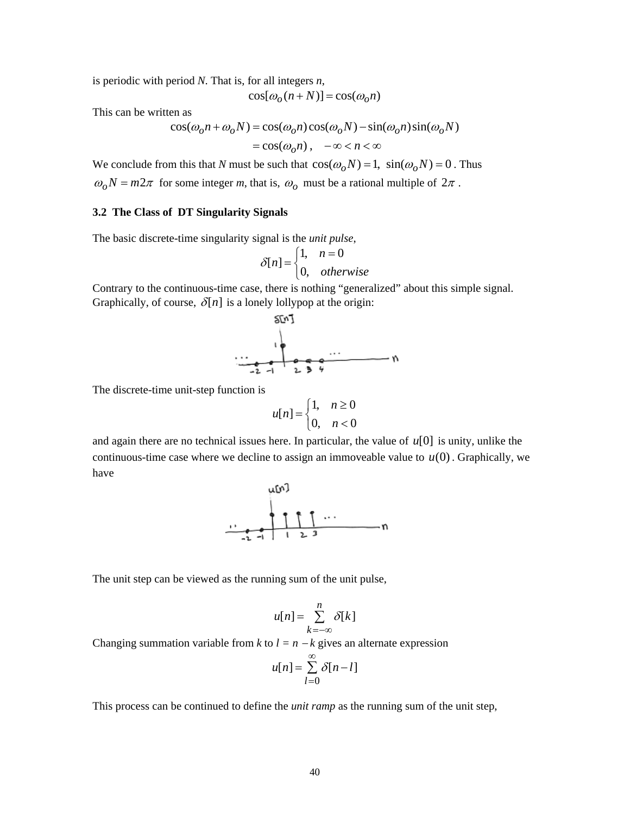is periodic with period *N*. That is, for all integers *n*,

$$
\cos[\omega_o(n+N)] = \cos(\omega_o n)
$$

This can be written as

$$
\cos(\omega_0 n + \omega_0 N) = \cos(\omega_0 n) \cos(\omega_0 N) - \sin(\omega_0 n) \sin(\omega_0 N)
$$
  
=  $\cos(\omega_0 n), \quad -\infty < n < \infty$ 

We conclude from this that *N* must be such that  $\cos(\omega_o N) = 1$ ,  $\sin(\omega_o N) = 0$ . Thus

 $\omega_0 N = m2\pi$  for some integer *m*, that is,  $\omega_0$  must be a rational multiple of  $2\pi$ .

## **3.2 The Class of DT Singularity Signals**

The basic discrete-time singularity signal is the *unit pulse*,

$$
\delta[n] = \begin{cases} 1, & n = 0 \\ 0, & otherwise \end{cases}
$$

Contrary to the continuous-time case, there is nothing "generalized" about this simple signal. Graphically, of course,  $\delta[n]$  is a lonely lollypop at the origin:



The discrete-time unit-step function is

$$
u[n] = \begin{cases} 1, & n \ge 0 \\ 0, & n < 0 \end{cases}
$$

and again there are no technical issues here. In particular, the value of *u*[0] is unity, unlike the continuous-time case where we decline to assign an immoveable value to  $u(0)$ . Graphically, we have



The unit step can be viewed as the running sum of the unit pulse,

$$
u[n] = \sum_{k=-\infty}^{n} \delta[k]
$$

Changing summation variable from *k* to  $l = n - k$  gives an alternate expression

$$
u[n] = \sum_{l=0}^{\infty} \delta[n-l]
$$

This process can be continued to define the *unit ramp* as the running sum of the unit step,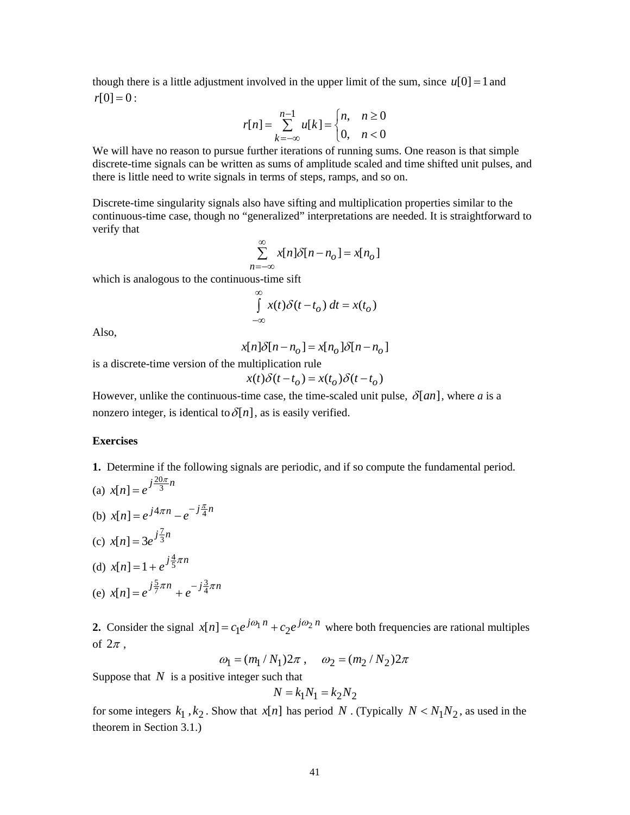though there is a little adjustment involved in the upper limit of the sum, since  $u[0] = 1$  and  $r[0] = 0$ :

$$
r[n] = \sum_{k=-\infty}^{n-1} u[k] = \begin{cases} n, & n \ge 0 \\ 0, & n < 0 \end{cases}
$$

We will have no reason to pursue further iterations of running sums. One reason is that simple discrete-time signals can be written as sums of amplitude scaled and time shifted unit pulses, and there is little need to write signals in terms of steps, ramps, and so on.

Discrete-time singularity signals also have sifting and multiplication properties similar to the continuous-time case, though no "generalized" interpretations are needed. It is straightforward to verify that

$$
\sum_{n=-\infty}^{\infty} x[n]\delta[n-n_o] = x[n_o]
$$

which is analogous to the continuous-time sift

$$
\int_{-\infty}^{\infty} x(t)\delta(t - t_o) dt = x(t_o)
$$

Also,

$$
x[n]\delta[n-n_o] = x[n_o]\delta[n-n_o]
$$

is a discrete-time version of the multiplication rule

$$
x(t)\delta(t - t_o) = x(t_o)\delta(t - t_o)
$$

However, unlike the continuous-time case, the time-scaled unit pulse,  $\delta$ [an], where a is a nonzero integer, is identical to  $\delta[n]$ , as is easily verified.

## **Exercises**

- **1.** Determine if the following signals are periodic, and if so compute the fundamental period. (a)  $x[n] = e^{j\frac{20\pi}{3}n}$
- (b)  $x[n] = e^{j4\pi n} e^{-j\frac{\pi}{4}n}$
- (c)  $x[n] = 3e^{j\frac{7}{3}n}$

(d) 
$$
x[n] = 1 + e^{j\frac{4}{5}\pi n}
$$

(e) 
$$
x[n] = e^{j\frac{5}{7}\pi n} + e^{-j\frac{3}{4}\pi n}
$$

**2.** Consider the signal  $x[n] = c_1 e^{j\omega_1 n} + c_2 e^{j\omega_2 n}$  where both frequencies are rational multiples of  $2\pi$ .

$$
\omega_1 = (m_1/N_1)2\pi
$$
,  $\omega_2 = (m_2/N_2)2\pi$ 

Suppose that *N* is a positive integer such that

$$
N = k_1 N_1 = k_2 N_2
$$

for some integers  $k_1$ ,  $k_2$ . Show that  $x[n]$  has period N. (Typically  $N < N_1N_2$ , as used in the theorem in Section 3.1.)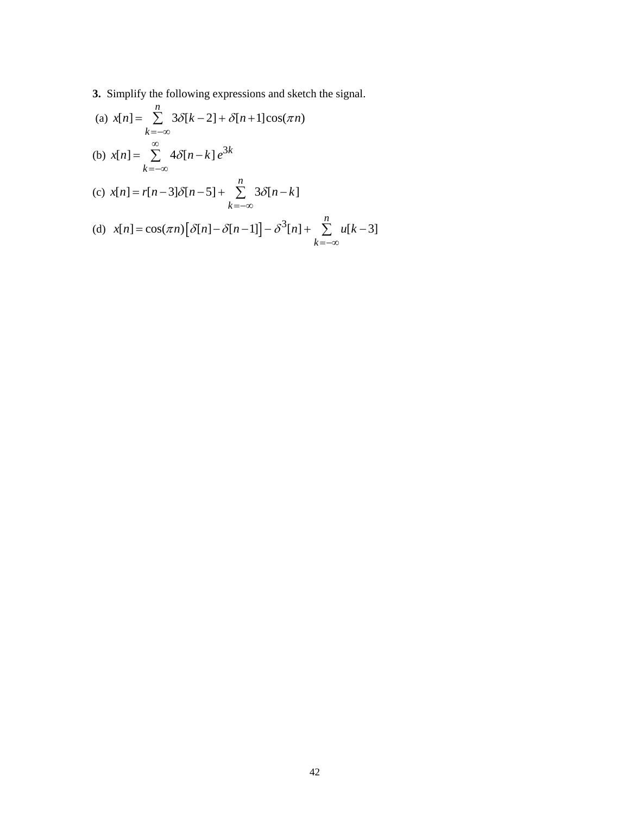**3.** Simplify the following expressions and sketch the signal.

(a) 
$$
x[n] = \sum_{k=-\infty}^{n} 3\delta[k-2] + \delta[n+1]\cos(\pi n)
$$
  
\n(b)  $x[n] = \sum_{k=-\infty}^{\infty} 4\delta[n-k]e^{3k}$   
\n(c)  $x[n] = r[n-3]\delta[n-5] + \sum_{k=-\infty}^{n} 3\delta[n-k]$   
\n(d)  $x[n] = \cos(\pi n)[\delta[n]-\delta[n-1]] - \delta^{3}[n] + \sum_{k=-\infty}^{n} u[k-3]$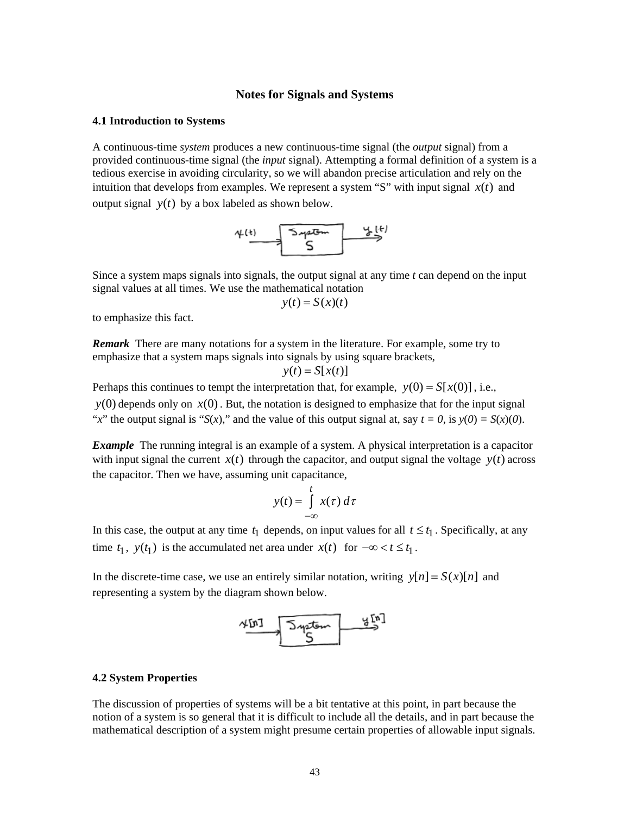## **Notes for Signals and Systems**

### **4.1 Introduction to Systems**

A continuous-time *system* produces a new continuous-time signal (the *output* signal) from a provided continuous-time signal (the *input* signal). Attempting a formal definition of a system is a tedious exercise in avoiding circularity, so we will abandon precise articulation and rely on the intuition that develops from examples. We represent a system "S" with input signal  $x(t)$  and output signal  $y(t)$  by a box labeled as shown below.



Since a system maps signals into signals, the output signal at any time *t* can depend on the input signal values at all times. We use the mathematical notation

$$
y(t) = S(x)(t)
$$

to emphasize this fact.

*Remark* There are many notations for a system in the literature. For example, some try to emphasize that a system maps signals into signals by using square brackets,

$$
y(t) = S[x(t)]
$$

Perhaps this continues to tempt the interpretation that, for example,  $y(0) = S[x(0)]$ , i.e.,

 $y(0)$  depends only on  $x(0)$ . But, the notation is designed to emphasize that for the input signal "*x*" the output signal is "*S*(*x*)," and the value of this output signal at, say  $t = 0$ , is  $y(0) = S(x)(0)$ .

*Example* The running integral is an example of a system. A physical interpretation is a capacitor with input signal the current  $x(t)$  through the capacitor, and output signal the voltage  $y(t)$  across the capacitor. Then we have, assuming unit capacitance,

$$
y(t) = \int_{-\infty}^{t} x(\tau) d\tau
$$

In this case, the output at any time  $t_1$  depends, on input values for all  $t \le t_1$ . Specifically, at any time  $t_1$ ,  $y(t_1)$  is the accumulated net area under  $x(t)$  for  $-\infty < t \leq t_1$ .

In the discrete-time case, we use an entirely similar notation, writing  $y[n] = S(x)[n]$  and representing a system by the diagram shown below.



### **4.2 System Properties**

The discussion of properties of systems will be a bit tentative at this point, in part because the notion of a system is so general that it is difficult to include all the details, and in part because the mathematical description of a system might presume certain properties of allowable input signals.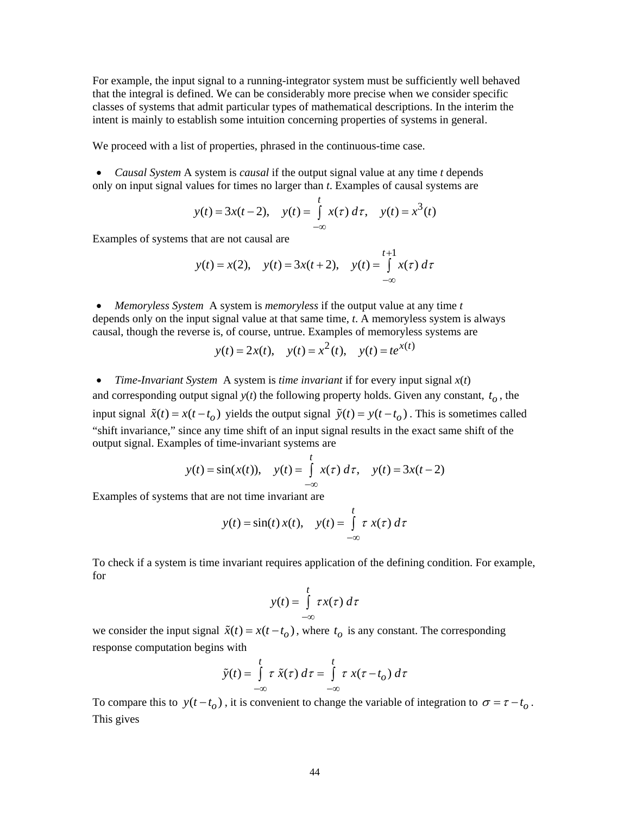For example, the input signal to a running-integrator system must be sufficiently well behaved that the integral is defined. We can be considerably more precise when we consider specific classes of systems that admit particular types of mathematical descriptions. In the interim the intent is mainly to establish some intuition concerning properties of systems in general.

We proceed with a list of properties, phrased in the continuous-time case.

• *Causal System* A system is *causal* if the output signal value at any time *t* depends only on input signal values for times no larger than *t*. Examples of causal systems are

$$
y(t) = 3x(t-2)
$$
,  $y(t) = \int_{-\infty}^{t} x(\tau) d\tau$ ,  $y(t) = x^3(t)$ 

Examples of systems that are not causal are

$$
y(t) = x(2)
$$
,  $y(t) = 3x(t+2)$ ,  $y(t) = \int_{-\infty}^{t+1} x(\tau) d\tau$ 

• *Memoryless System* A system is *memoryless* if the output value at any time *t* depends only on the input signal value at that same time, *t*. A memoryless system is always causal, though the reverse is, of course, untrue. Examples of memoryless systems are

$$
y(t) = 2x(t)
$$
,  $y(t) = x2(t)$ ,  $y(t) = te^{x(t)}$ 

• *Time-Invariant System* A system is *time invariant* if for every input signal *x*(*t*) and corresponding output signal  $y(t)$  the following property holds. Given any constant,  $t<sub>o</sub>$ , the input signal  $\tilde{x}(t) = x(t - t_0)$  yields the output signal  $\tilde{y}(t) = y(t - t_0)$ . This is sometimes called "shift invariance," since any time shift of an input signal results in the exact same shift of the output signal. Examples of time-invariant systems are

$$
y(t) = \sin(x(t)),
$$
  $y(t) = \int_{-\infty}^{t} x(\tau) d\tau,$   $y(t) = 3x(t-2)$ 

Examples of systems that are not time invariant are

$$
y(t) = \sin(t) x(t), \quad y(t) = \int_{-\infty}^{t} \tau x(\tau) d\tau
$$

To check if a system is time invariant requires application of the defining condition. For example, for

$$
y(t) = \int_{-\infty}^{t} \tau x(\tau) \, d\tau
$$

we consider the input signal  $\tilde{x}(t) = x(t - t_o)$ , where  $t_o$  is any constant. The corresponding response computation begins with

$$
\tilde{y}(t) = \int_{-\infty}^{t} \tau \, \tilde{x}(\tau) \, d\tau = \int_{-\infty}^{t} \tau \, x(\tau - t_o) \, d\tau
$$

To compare this to  $y(t - t_0)$ , it is convenient to change the variable of integration to  $\sigma = \tau - t_0$ . This gives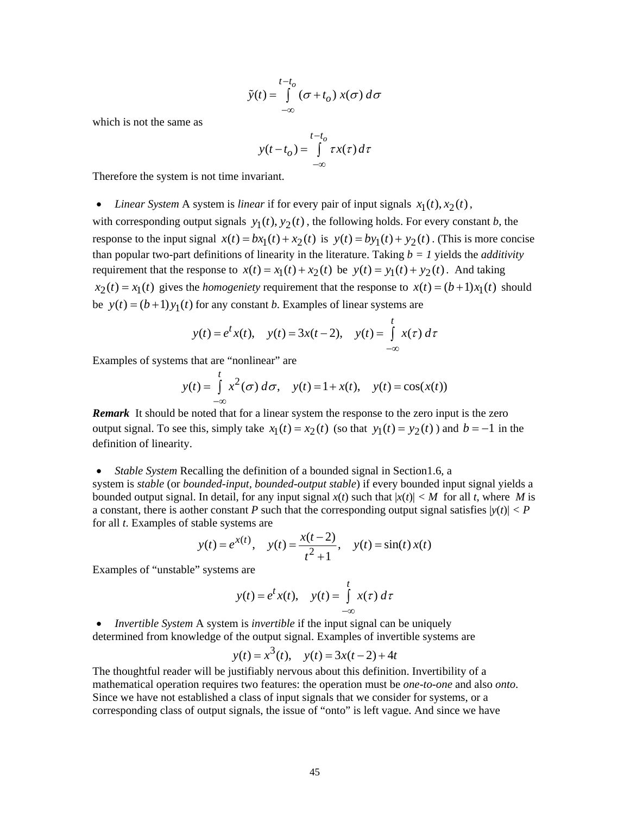$$
\tilde{y}(t) = \int_{-\infty}^{t-t_0} (\sigma + t_0) x(\sigma) d\sigma
$$

which is not the same as

$$
y(t - t_o) = \int_{-\infty}^{t - t_o} \tau x(\tau) d\tau
$$

Therefore the system is not time invariant.

• *Linear System* A system is *linear* if for every pair of input signals  $x_1(t), x_2(t)$ ,

with corresponding output signals  $y_1(t)$ ,  $y_2(t)$ , the following holds. For every constant *b*, the response to the input signal  $x(t) = bx_1(t) + x_2(t)$  is  $y(t) = by_1(t) + y_2(t)$ . (This is more concise than popular two-part definitions of linearity in the literature. Taking  $b = 1$  yields the *additivity* requirement that the response to  $x(t) = x_1(t) + x_2(t)$  be  $y(t) = y_1(t) + y_2(t)$ . And taking  $x_2(t) = x_1(t)$  gives the *homogeniety* requirement that the response to  $x(t) = (b+1)x_1(t)$  should be  $y(t) = (b+1)y_1(t)$  for any constant *b*. Examples of linear systems are

$$
y(t) = e^t x(t)
$$
,  $y(t) = 3x(t-2)$ ,  $y(t) = \int_{-\infty}^{t} x(\tau) d\tau$ 

Examples of systems that are "nonlinear" are

$$
y(t) = \int_{-\infty}^{t} x^2(\sigma) d\sigma, \quad y(t) = 1 + x(t), \quad y(t) = \cos(x(t))
$$

*Remark* It should be noted that for a linear system the response to the zero input is the zero output signal. To see this, simply take  $x_1(t) = x_2(t)$  (so that  $y_1(t) = y_2(t)$ ) and  $b = -1$  in the definition of linearity.

### • *Stable System* Recalling the definition of a bounded signal in Section 1.6, a

system is *stable* (or *bounded-input, bounded-output stable*) if every bounded input signal yields a bounded output signal. In detail, for any input signal  $x(t)$  such that  $|x(t)| < M$  for all *t*, where M is a constant, there is aother constant *P* such that the corresponding output signal satisfies  $|y(t)| < P$ for all *t*. Examples of stable systems are

$$
y(t) = e^{x(t)}
$$
,  $y(t) = \frac{x(t-2)}{t^2 + 1}$ ,  $y(t) = \sin(t) x(t)$ 

Examples of "unstable" systems are

$$
y(t) = e^t x(t), \quad y(t) = \int_{-\infty}^{t} x(\tau) d\tau
$$

• *Invertible System* A system is *invertible* if the input signal can be uniquely determined from knowledge of the output signal. Examples of invertible systems are

$$
y(t) = x3(t)
$$
,  $y(t) = 3x(t-2) + 4t$ 

The thoughtful reader will be justifiably nervous about this definition. Invertibility of a mathematical operation requires two features: the operation must be *one-to-one* and also *onto*. Since we have not established a class of input signals that we consider for systems, or a corresponding class of output signals, the issue of "onto" is left vague. And since we have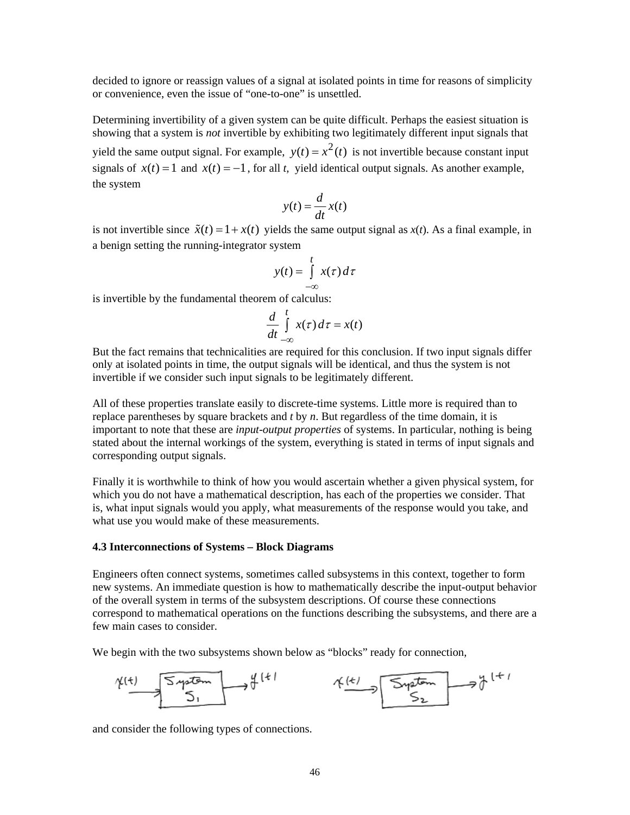decided to ignore or reassign values of a signal at isolated points in time for reasons of simplicity or convenience, even the issue of "one-to-one" is unsettled.

Determining invertibility of a given system can be quite difficult. Perhaps the easiest situation is showing that a system is *not* invertible by exhibiting two legitimately different input signals that yield the same output signal. For example,  $y(t) = x^2(t)$  is not invertible because constant input signals of  $x(t) = 1$  and  $x(t) = -1$ , for all *t*, yield identical output signals. As another example, the system

$$
y(t) = \frac{d}{dt}x(t)
$$

is not invertible since  $\tilde{x}(t) = 1 + x(t)$  yields the same output signal as  $x(t)$ . As a final example, in a benign setting the running-integrator system

$$
y(t) = \int_{-\infty}^{t} x(\tau) d\tau
$$

is invertible by the fundamental theorem of calculus:

$$
\frac{d}{dt} \int\limits_{-\infty}^{t} x(\tau) \, d\tau = x(t)
$$

But the fact remains that technicalities are required for this conclusion. If two input signals differ only at isolated points in time, the output signals will be identical, and thus the system is not invertible if we consider such input signals to be legitimately different.

All of these properties translate easily to discrete-time systems. Little more is required than to replace parentheses by square brackets and *t* by *n*. But regardless of the time domain, it is important to note that these are *input-output properties* of systems. In particular, nothing is being stated about the internal workings of the system, everything is stated in terms of input signals and corresponding output signals.

Finally it is worthwhile to think of how you would ascertain whether a given physical system, for which you do not have a mathematical description, has each of the properties we consider. That is, what input signals would you apply, what measurements of the response would you take, and what use you would make of these measurements.

### **4.3 Interconnections of Systems – Block Diagrams**

Engineers often connect systems, sometimes called subsystems in this context, together to form new systems. An immediate question is how to mathematically describe the input-output behavior of the overall system in terms of the subsystem descriptions. Of course these connections correspond to mathematical operations on the functions describing the subsystems, and there are a few main cases to consider.

We begin with the two subsystems shown below as "blocks" ready for connection,



and consider the following types of connections.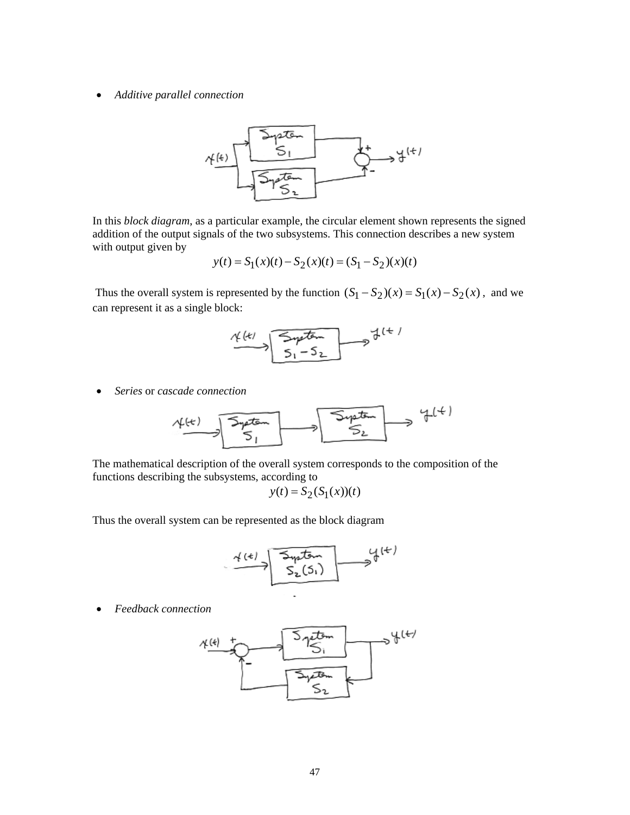• *Additive parallel connection* 



In this *block diagram*, as a particular example, the circular element shown represents the signed addition of the output signals of the two subsystems. This connection describes a new system with output given by

$$
y(t) = S_1(x)(t) - S_2(x)(t) = (S_1 - S_2)(x)(t)
$$

Thus the overall system is represented by the function  $(S_1 - S_2)(x) = S_1(x) - S_2(x)$ , and we can represent it as a single block:



• *Series* or *cascade connection*

$$
\underbrace{\mathcal{A}^{(k)}}_{\mathcal{S}_1} \longrightarrow \underbrace{\overbrace{\mathcal{S}^{\mathcal{A}^{p\text{-}\text{-}\text{-}}_{\mathcal{S}_{1}}}}^{\mathcal{S}_{\mathcal{A}^{p\text{-}\text{-}\text{-}}_{\mathcal{S}_{2}}}} \longrightarrow \mathcal{A}^{(k)}
$$

The mathematical description of the overall system corresponds to the composition of the functions describing the subsystems, according to

$$
y(t) = S_2(S_1(x))(t)
$$

Thus the overall system can be represented as the block diagram

$$
\begin{array}{c}\n\begin{array}{c}\n\hline\n\text{4}(t) \\
\hline\n\end{array}\n\end{array}
$$

• *Feedback connection* 

$$
\begin{array}{c}\n\begin{array}{c}\n\begin{array}{c}\n\begin{array}{c}\n\begin{array}{c}\n\begin{array}{c}\n\begin{array}{c}\n\begin{array}{c}\n\end{array} \\
\end{array} \\
\end{array} \\
\end{array} \\
\end{array} \\
\end{array} \\
\end{array} \\
\begin{array}{c}\n\begin{array}{c}\n\begin{array}{c}\n\begin{array}{c}\n\begin{array}{c}\n\begin{array}{c}\n\end{array} \\
\end{array} \\
\end{array} \\
\end{array} \\
\end{array} \\
\end{array} \\
\end{array} \\
\begin{array}{c}\n\begin{array}{c}\n\begin{array}{c}\n\begin{array}{c}\n\begin{array}{c}\n\end{array} \\
\end{array} \\
\end{array} \\
\end{array} \\
\end{array} \\
\end{array} \\
\end{array} \\
\end{array}
$$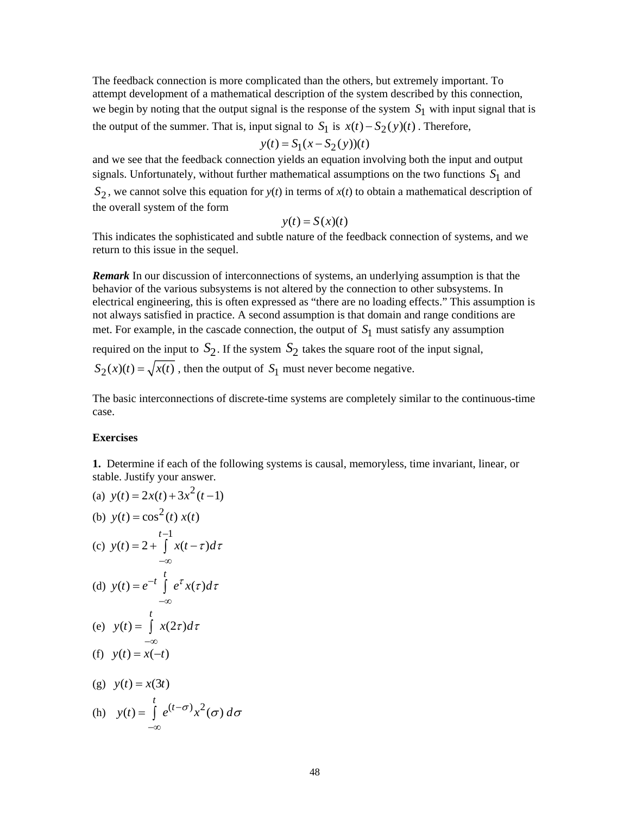The feedback connection is more complicated than the others, but extremely important. To attempt development of a mathematical description of the system described by this connection, we begin by noting that the output signal is the response of the system  $S_1$  with input signal that is the output of the summer. That is, input signal to  $S_1$  is  $x(t) - S_2(y(t))$ . Therefore,

$$
y(t) = S_1(x - S_2(y))(t)
$$

and we see that the feedback connection yields an equation involving both the input and output signals. Unfortunately, without further mathematical assumptions on the two functions  $S_1$  and  $S_2$ , we cannot solve this equation for  $y(t)$  in terms of  $x(t)$  to obtain a mathematical description of the overall system of the form

$$
y(t) = S(x)(t)
$$

This indicates the sophisticated and subtle nature of the feedback connection of systems, and we return to this issue in the sequel.

*Remark* In our discussion of interconnections of systems, an underlying assumption is that the behavior of the various subsystems is not altered by the connection to other subsystems. In electrical engineering, this is often expressed as "there are no loading effects." This assumption is not always satisfied in practice. A second assumption is that domain and range conditions are met. For example, in the cascade connection, the output of  $S_1$  must satisfy any assumption

required on the input to  $S_2$ . If the system  $S_2$  takes the square root of the input signal,  $S_2(x)(t) = \sqrt{x(t)}$ , then the output of  $S_1$  must never become negative.

The basic interconnections of discrete-time systems are completely similar to the continuous-time case.

### **Exercises**

**1.** Determine if each of the following systems is causal, memoryless, time invariant, linear, or stable. Justify your answer.

(a) 
$$
y(t) = 2x(t) + 3x^2(t-1)
$$
  
\n(b)  $y(t) = \cos^2(t) x(t)$   
\n(c)  $y(t) = 2 + \int_{-\infty}^{t-1} x(t-\tau)d\tau$   
\n(d)  $y(t) = e^{-t} \int_{-\infty}^{t} e^{\tau} x(\tau)d\tau$   
\n(e)  $y(t) = \int_{-\infty}^{t} x(2\tau)d\tau$   
\n(f)  $y(t) = x(-t)$   
\n(g)  $y(t) = x(3t)$   
\n(h)  $y(t) = \int_{-\infty}^{t} e^{(t-\sigma)} x^2(\sigma) d\sigma$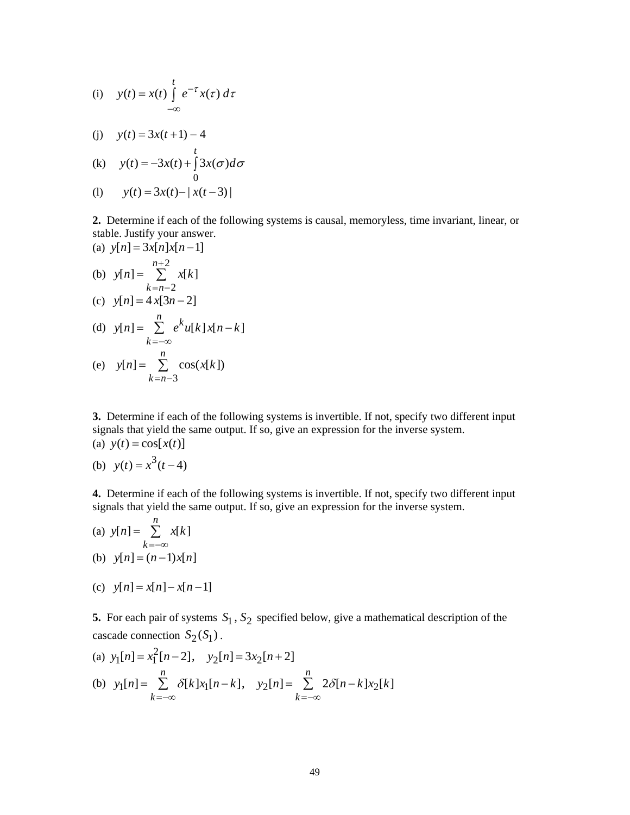(i) 
$$
y(t) = x(t) \int_{-\infty}^{t} e^{-\tau} x(\tau) d\tau
$$

(j)  $y(t) = 3x(t+1) - 4$ 

(k) 
$$
y(t) = -3x(t) + \int_0^t 3x(\sigma)d\sigma
$$

$$
(1) \t y(t) = 3x(t) - |x(t-3)|
$$

**2.** Determine if each of the following systems is causal, memoryless, time invariant, linear, or stable. Justify your answer.

(a) 
$$
y[n] = 3x[n]x[n-1]
$$
  
\n(b)  $y[n] = \sum_{k=n-2}^{n+2} x[k]$   
\n(c)  $y[n] = 4x[3n-2]$   
\n(d)  $y[n] = \sum_{k=-\infty}^{n} e^{k}u[k]x[n-k]$   
\n(e)  $y[n] = \sum_{k=-\infty}^{n} cos(x[k])$ 

 $k = n - 3$ 

**3.** Determine if each of the following systems is invertible. If not, specify two different input signals that yield the same output. If so, give an expression for the inverse system. (a)  $y(t) = \cos[x(t)]$ 

(b) 
$$
y(t) = x^3(t-4)
$$

**4.** Determine if each of the following systems is invertible. If not, specify two different input signals that yield the same output. If so, give an expression for the inverse system.

(a) 
$$
y[n] = \sum_{k=-\infty}^{n} x[k]
$$
  
(b)  $y[n] = (n-1)x[n]$ 

(c)  $y[n] = x[n] - x[n-1]$ 

**5.** For each pair of systems  $S_1$ ,  $S_2$  specified below, give a mathematical description of the cascade connection  $S_2(S_1)$ .

(a) 
$$
y_1[n] = x_1^2[n-2], \quad y_2[n] = 3x_2[n+2]
$$
  
\n(b)  $y_1[n] = \sum_{k=-\infty}^{n} \delta[k]x_1[n-k], \quad y_2[n] = \sum_{k=-\infty}^{n} 2\delta[n-k]x_2[k]$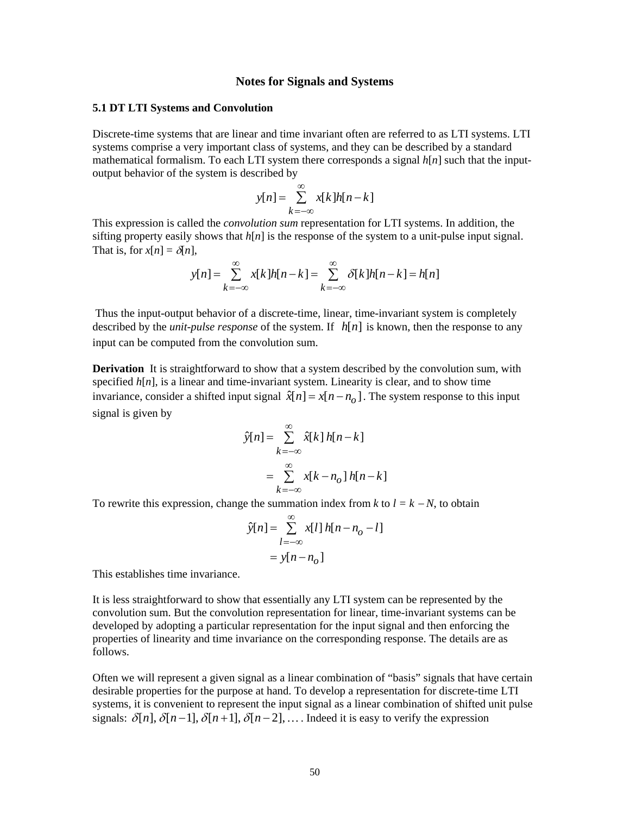## **Notes for Signals and Systems**

#### **5.1 DT LTI Systems and Convolution**

Discrete-time systems that are linear and time invariant often are referred to as LTI systems. LTI systems comprise a very important class of systems, and they can be described by a standard mathematical formalism. To each LTI system there corresponds a signal  $h[n]$  such that the inputoutput behavior of the system is described by

$$
y[n] = \sum_{k=-\infty}^{\infty} x[k]h[n-k]
$$

This expression is called the *convolution sum* representation for LTI systems. In addition, the sifting property easily shows that  $h[n]$  is the response of the system to a unit-pulse input signal. That is, for  $x[n] = \delta[n]$ ,

$$
y[n] = \sum_{k=-\infty}^{\infty} x[k]h[n-k] = \sum_{k=-\infty}^{\infty} \delta[k]h[n-k] = h[n]
$$

 Thus the input-output behavior of a discrete-time, linear, time-invariant system is completely described by the *unit-pulse response* of the system. If  $h[n]$  is known, then the response to any input can be computed from the convolution sum.

**Derivation** It is straightforward to show that a system described by the convolution sum, with specified  $h[n]$ , is a linear and time-invariant system. Linearity is clear, and to show time invariance, consider a shifted input signal  $\hat{x}[n] = x[n - n_0]$ . The system response to this input signal is given by

$$
\hat{y}[n] = \sum_{k=-\infty}^{\infty} \hat{x}[k] h[n-k]
$$

$$
= \sum_{k=-\infty}^{\infty} x[k-n_0] h[n-k]
$$

To rewrite this expression, change the summation index from  $k$  to  $l = k - N$ , to obtain

$$
\hat{y}[n] = \sum_{l=-\infty}^{\infty} x[l] h[n - n_o - l]
$$

$$
= y[n - n_o]
$$

This establishes time invariance.

It is less straightforward to show that essentially any LTI system can be represented by the convolution sum. But the convolution representation for linear, time-invariant systems can be developed by adopting a particular representation for the input signal and then enforcing the properties of linearity and time invariance on the corresponding response. The details are as follows.

Often we will represent a given signal as a linear combination of "basis" signals that have certain desirable properties for the purpose at hand. To develop a representation for discrete-time LTI systems, it is convenient to represent the input signal as a linear combination of shifted unit pulse signals:  $\delta[n], \delta[n-1], \delta[n+1], \delta[n-2], \ldots$  Indeed it is easy to verify the expression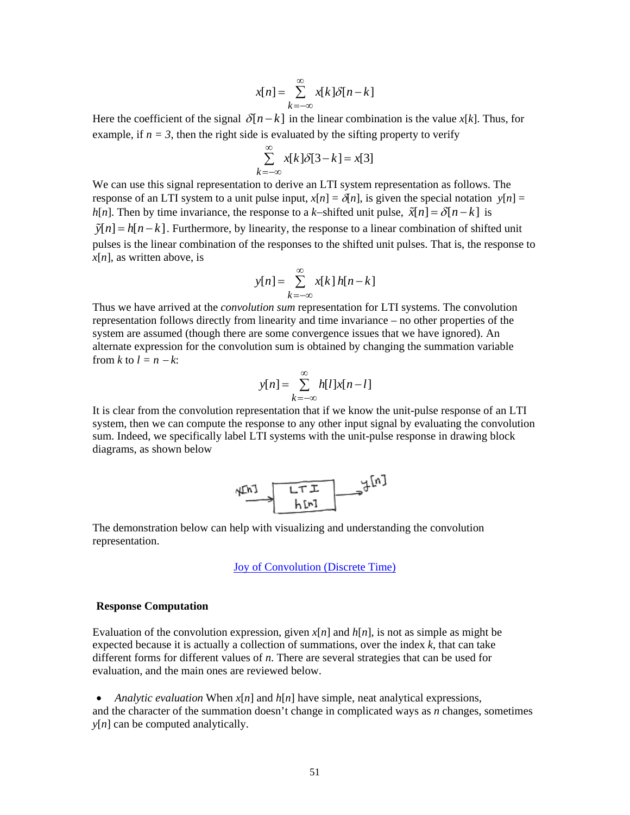$$
x[n] = \sum_{k=-\infty}^{\infty} x[k]\delta[n-k]
$$

Here the coefficient of the signal  $\delta[n-k]$  in the linear combination is the value *x*[*k*]. Thus, for example, if  $n = 3$ , then the right side is evaluated by the sifting property to verify

$$
\sum_{k=-\infty}^{\infty} x[k]\delta[3-k] = x[3]
$$

We can use this signal representation to derive an LTI system representation as follows. The response of an LTI system to a unit pulse input,  $x[n] = \delta[n]$ , is given the special notation  $y[n] =$ *h*[*n*]. Then by time invariance, the response to a *k*−shifted unit pulse,  $\tilde{x}[n] = \delta[n-k]$  is  $\tilde{y}[n] = h[n-k]$ . Furthermore, by linearity, the response to a linear combination of shifted unit pulses is the linear combination of the responses to the shifted unit pulses. That is, the response to  $x[n]$ , as written above, is

$$
y[n] = \sum_{k=-\infty}^{\infty} x[k] h[n-k]
$$

Thus we have arrived at the *convolution sum* representation for LTI systems. The convolution representation follows directly from linearity and time invariance – no other properties of the system are assumed (though there are some convergence issues that we have ignored). An alternate expression for the convolution sum is obtained by changing the summation variable from  $k$  to  $l = n - k$ :

$$
y[n] = \sum_{k=-\infty}^{\infty} h[l]x[n-l]
$$

It is clear from the convolution representation that if we know the unit-pulse response of an LTI system, then we can compute the response to any other input signal by evaluating the convolution sum. Indeed, we specifically label LTI systems with the unit-pulse response in drawing block diagrams, as shown below



The demonstration below can help with visualizing and understanding the convolution representation.

[Joy of Convolution \(Discrete Time\)](http://www.jhu.edu/~signals/discreteconv2/index.html)

### **Response Computation**

Evaluation of the convolution expression, given  $x[n]$  and  $h[n]$ , is not as simple as might be expected because it is actually a collection of summations, over the index *k*, that can take different forms for different values of *n*. There are several strategies that can be used for evaluation, and the main ones are reviewed below.

• *Analytic evaluation* When  $x[n]$  and  $h[n]$  have simple, neat analytical expressions, and the character of the summation doesn't change in complicated ways as *n* changes, sometimes *y*[*n*] can be computed analytically.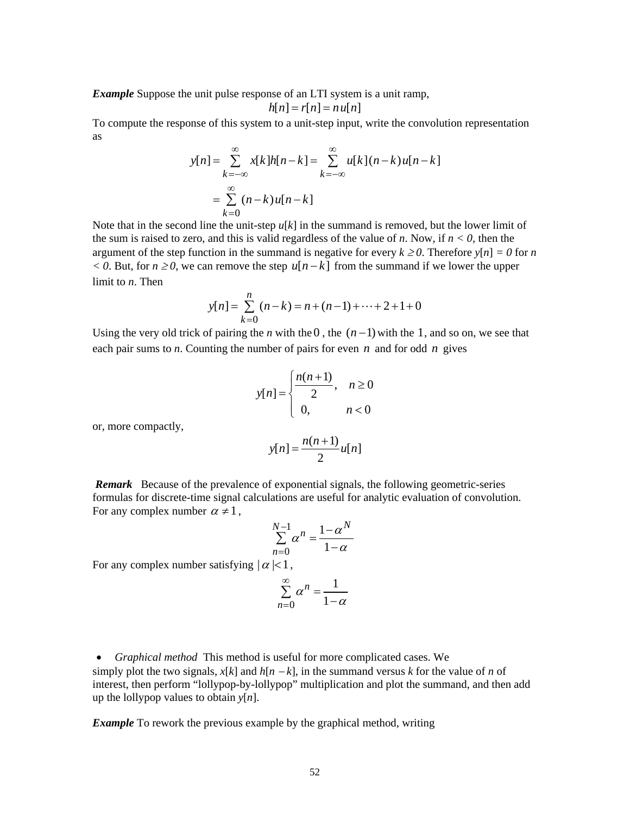*Example* Suppose the unit pulse response of an LTI system is a unit ramp,

$$
h[n] = r[n] = n u[n]
$$

To compute the response of this system to a unit-step input, write the convolution representation as

$$
y[n] = \sum_{k=-\infty}^{\infty} x[k]h[n-k] = \sum_{k=-\infty}^{\infty} u[k](n-k)u[n-k]
$$

$$
= \sum_{k=0}^{\infty} (n-k)u[n-k]
$$

Note that in the second line the unit-step  $u[k]$  in the summand is removed, but the lower limit of the sum is raised to zero, and this is valid regardless of the value of *n*. Now, if  $n < 0$ , then the argument of the step function in the summand is negative for every  $k \ge 0$ . Therefore  $y[n] = 0$  for *n*  $\langle 0, B$ ut, for  $n \ge 0$ , we can remove the step  $u[n-k]$  from the summand if we lower the upper limit to *n*. Then

$$
y[n] = \sum_{k=0}^{n} (n-k) = n + (n-1) + \dots + 2 + 1 + 0
$$

Using the very old trick of pairing the *n* with the 0, the  $(n-1)$  with the 1, and so on, we see that each pair sums to *n*. Counting the number of pairs for even *n* and for odd *n* gives

$$
y[n] = \begin{cases} \frac{n(n+1)}{2}, & n \ge 0 \\ 0, & n < 0 \end{cases}
$$

or, more compactly,

$$
y[n] = \frac{n(n+1)}{2}u[n]
$$

 *Remark* Because of the prevalence of exponential signals, the following geometric-series formulas for discrete-time signal calculations are useful for analytic evaluation of convolution. For any complex number  $\alpha \neq 1$ ,

$$
\sum_{n=0}^{N-1} \alpha^n = \frac{1 - \alpha^N}{1 - \alpha}
$$

For any complex number satisfying  $|\alpha|<1$ ,

$$
\sum_{n=0}^{\infty} \alpha^n = \frac{1}{1-\alpha}
$$

• *Graphical method* This method is useful for more complicated cases. We simply plot the two signals,  $x[k]$  and  $h[n-k]$ , in the summand versus *k* for the value of *n* of interest, then perform "lollypop-by-lollypop" multiplication and plot the summand, and then add up the lollypop values to obtain *y*[*n*].

*Example* To rework the previous example by the graphical method, writing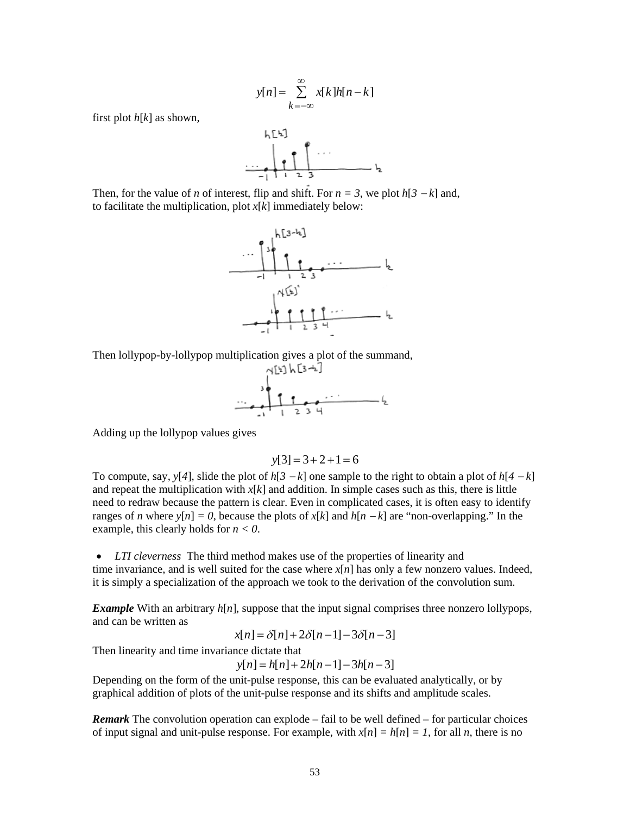$$
y[n] = \sum_{k=-\infty}^{\infty} x[k]h[n-k]
$$

first plot *h*[*k*] as shown,



Then, for the value of *n* of interest, flip and shift. For  $n = 3$ , we plot  $h[3 - k]$  and, to facilitate the multiplication, plot *x*[*k*] immediately below:



Then lollypop-by-lollypop multiplication gives a plot of the summand,



Adding up the lollypop values gives

$$
y[3] = 3 + 2 + 1 = 6
$$

To compute, say,  $y[4]$ , slide the plot of  $h[3 - k]$  one sample to the right to obtain a plot of  $h[4 - k]$ and repeat the multiplication with  $x[k]$  and addition. In simple cases such as this, there is little need to redraw because the pattern is clear. Even in complicated cases, it is often easy to identify ranges of *n* where  $y[n] = 0$ , because the plots of  $x[k]$  and  $h[n - k]$  are "non-overlapping." In the example, this clearly holds for *n < 0*.

• *LTI cleverness* The third method makes use of the properties of linearity and time invariance, and is well suited for the case where  $x[n]$  has only a few nonzero values. Indeed, it is simply a specialization of the approach we took to the derivation of the convolution sum.

*Example* With an arbitrary  $h[n]$ , suppose that the input signal comprises three nonzero lollypops, and can be written as

 $x[n] = \delta[n] + 2\delta[n-1] - 3\delta[n-3]$ 

Then linearity and time invariance dictate that

 $y[n] = h[n] + 2h[n-1] - 3h[n-3]$ 

Depending on the form of the unit-pulse response, this can be evaluated analytically, or by graphical addition of plots of the unit-pulse response and its shifts and amplitude scales.

*Remark* The convolution operation can explode – fail to be well defined – for particular choices of input signal and unit-pulse response. For example, with  $x[n] = h[n] = 1$ , for all *n*, there is no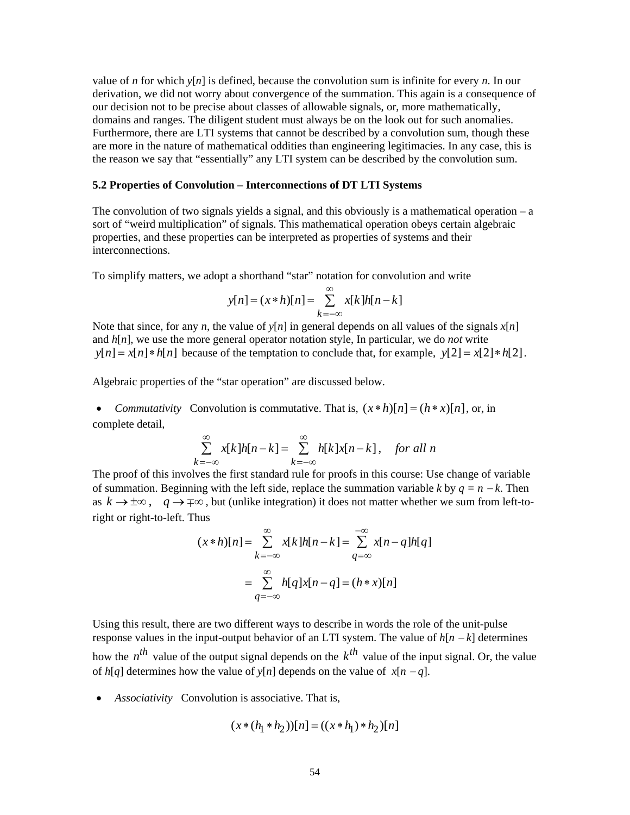value of *n* for which  $y[n]$  is defined, because the convolution sum is infinite for every *n*. In our derivation, we did not worry about convergence of the summation. This again is a consequence of our decision not to be precise about classes of allowable signals, or, more mathematically, domains and ranges. The diligent student must always be on the look out for such anomalies. Furthermore, there are LTI systems that cannot be described by a convolution sum, though these are more in the nature of mathematical oddities than engineering legitimacies. In any case, this is the reason we say that "essentially" any LTI system can be described by the convolution sum.

#### **5.2 Properties of Convolution – Interconnections of DT LTI Systems**

The convolution of two signals yields a signal, and this obviously is a mathematical operation  $-a$ sort of "weird multiplication" of signals. This mathematical operation obeys certain algebraic properties, and these properties can be interpreted as properties of systems and their interconnections.

To simplify matters, we adopt a shorthand "star" notation for convolution and write

$$
y[n] = (x * h)[n] = \sum_{k=-\infty}^{\infty} x[k]h[n-k]
$$

Note that since, for any *n*, the value of  $y[n]$  in general depends on all values of the signals  $x[n]$ and *h*[*n*], we use the more general operator notation style, In particular, we do *not* write  $y[n] = x[n] * h[n]$  because of the temptation to conclude that, for example,  $y[2] = x[2] * h[2]$ .

Algebraic properties of the "star operation" are discussed below.

• *Commutativity* Convolution is commutative. That is,  $(x * h)[n] = (h * x)[n]$ , or, in complete detail,

$$
\sum_{k=-\infty}^{\infty} x[k]h[n-k] = \sum_{k=-\infty}^{\infty} h[k]x[n-k], \text{ for all } n
$$

The proof of this involves the first standard rule for proofs in this course: Use change of variable of summation. Beginning with the left side, replace the summation variable *k* by  $q = n - k$ . Then as  $k \to \pm \infty$ ,  $q \to \mp \infty$ , but (unlike integration) it does not matter whether we sum from left-toright or right-to-left. Thus

$$
(x * h)[n] = \sum_{k=-\infty}^{\infty} x[k]h[n-k] = \sum_{q=\infty}^{-\infty} x[n-q]h[q]
$$

$$
= \sum_{q=-\infty}^{\infty} h[q]x[n-q] = (h * x)[n]
$$

Using this result, there are two different ways to describe in words the role of the unit-pulse response values in the input-output behavior of an LTI system. The value of *h*[*n* − *k*] determines how the  $n^{th}$  value of the output signal depends on the  $k^{th}$  value of the input signal. Or, the value of  $h[q]$  determines how the value of  $v[n]$  depends on the value of  $x[n-q]$ .

• *Associativity* Convolution is associative. That is,

$$
(x * (h_1 * h_2))[n] = ((x * h_1) * h_2)[n]
$$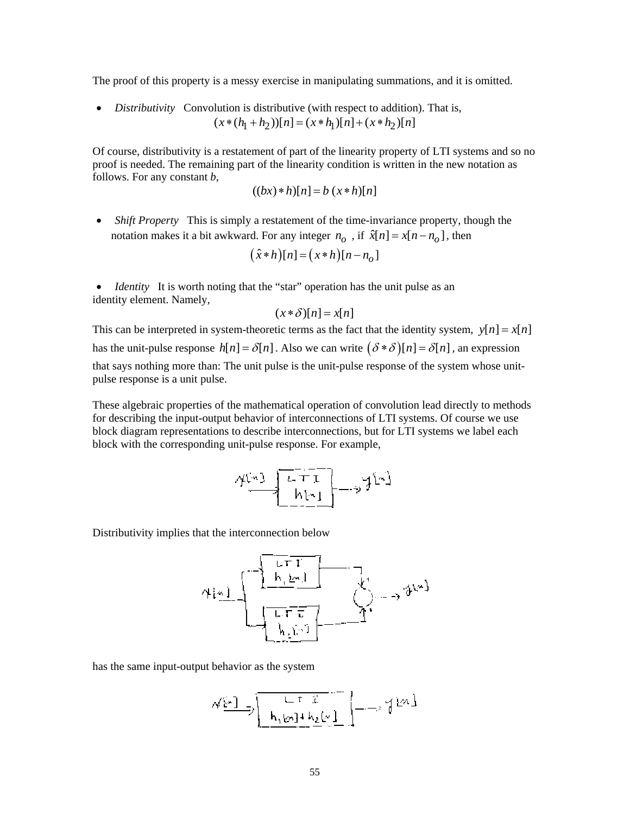The proof of this property is a messy exercise in manipulating summations, and it is omitted.

• *Distributivity* Convolution is distributive (with respect to addition). That is,  $(x * (h_1 + h_2))[n] = (x * h_1)[n] + (x * h_2)[n]$ 

Of course, distributivity is a restatement of part of the linearity property of LTI systems and so no proof is needed. The remaining part of the linearity condition is written in the new notation as follows. For any constant *b*,

$$
((bx)*h)[n] = b(x*h)[n]
$$

• *Shift Property* This is simply a restatement of the time-invariance property, though the notation makes it a bit awkward. For any integer  $n_0$ , if  $\hat{x}[n] = x[n - n_0]$ , then

$$
(\hat{x} * h)[n] = (x * h)[n - n_o]
$$

• *Identity* It is worth noting that the "star" operation has the unit pulse as an identity element. Namely,

$$
(x * \delta)[n] = x[n]
$$

This can be interpreted in system-theoretic terms as the fact that the identity system,  $y[n] = x[n]$ has the unit-pulse response  $h[n] = \delta[n]$ . Also we can write  $(\delta * \delta)[n] = \delta[n]$ , an expression that says nothing more than: The unit pulse is the unit-pulse response of the system whose unitpulse response is a unit pulse.

These algebraic properties of the mathematical operation of convolution lead directly to methods for describing the input-output behavior of interconnections of LTI systems. Of course we use block diagram representations to describe interconnections, but for LTI systems we label each block with the corresponding unit-pulse response. For example,

$$
\gamma_{\frac{m\cdot 1}{2}}\left[\begin{array}{c} \overline{r_1+r_1}\\ \overline{h(r_1)}\end{array}\right]\longrightarrow \gamma_{\frac{r_1}{2}}\gamma_{\frac{r_1}{2}}\gamma_{\frac{r_1}{2}}\gamma_{\frac{r_1}{2}}\gamma_{\frac{r_1}{2}}\gamma_{\frac{r_1}{2}}\gamma_{\frac{r_1}{2}}\gamma_{\frac{r_1}{2}}\gamma_{\frac{r_1}{2}}\gamma_{\frac{r_1}{2}}\gamma_{\frac{r_1}{2}}\gamma_{\frac{r_1}{2}}\gamma_{\frac{r_1}{2}}\gamma_{\frac{r_1}{2}}\gamma_{\frac{r_1}{2}}\gamma_{\frac{r_1}{2}}\gamma_{\frac{r_1}{2}}\gamma_{\frac{r_1}{2}}\gamma_{\frac{r_1}{2}}\gamma_{\frac{r_1}{2}}\gamma_{\frac{r_1}{2}}\gamma_{\frac{r_1}{2}}\gamma_{\frac{r_1}{2}}\gamma_{\frac{r_1}{2}}\gamma_{\frac{r_1}{2}}\gamma_{\frac{r_1}{2}}\gamma_{\frac{r_1}{2}}\gamma_{\frac{r_1}{2}}\gamma_{\frac{r_1}{2}}\gamma_{\frac{r_1}{2}}\gamma_{\frac{r_1}{2}}\gamma_{\frac{r_1}{2}}\gamma_{\frac{r_1}{2}}\gamma_{\frac{r_1}{2}}\gamma_{\frac{r_1}{2}}\gamma_{\frac{r_1}{2}}\gamma_{\frac{r_1}{2}}\gamma_{\frac{r_1}{2}}\gamma_{\frac{r_1}{2}}\gamma_{\frac{r_1}{2}}\gamma_{\frac{r_1}{2}}\gamma_{\frac{r_1}{2}}\gamma_{\frac{r_1}{2}}\gamma_{\frac{r_1}{2}}\gamma_{\frac{r_1}{2}}\gamma_{\frac{r_1}{2}}\gamma_{\frac{r_1}{2}}\gamma_{\frac{r_1}{2}}\gamma_{\frac{r_1}{2}}\gamma_{\frac{r_1}{2}}\gamma_{\frac{r_1}{2}}\gamma_{\frac{r_1}{2}}\gamma_{\frac{r_1}{2}}\gamma_{\frac{r_1}{2}}\gamma_{\frac{r_1}{2}}\gamma_{\frac{r_1}{2}}\gamma_{\frac{r_1}{2}}\gamma_{\frac{r_1}{2}}\gamma_{\frac{r_1}{2}}\
$$

Distributivity implies that the interconnection below

$$
\gamma_{\frac{1}{k}m} = \frac{\sqrt{\frac{1}{\left\lfloor \frac{1}{k} \right\rfloor} \prod\limits_{i=1}^{k-1} \prod\limits_{j=1}^{k-1} \prod\limits_{j=1}^{k-1} \gamma_{j}}}{\sqrt{\frac{1}{\left\lfloor \frac{1}{k} \right\rfloor} \prod\limits_{i=1}^{k-1} \prod\limits_{j=1}^{k-1} \gamma_{j}}}
$$

has the same input-output behavior as the system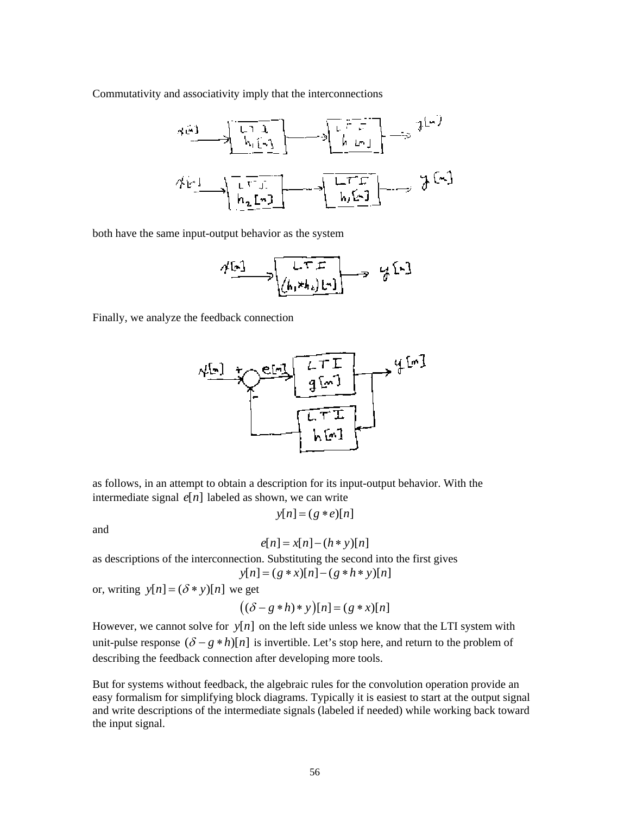Commutativity and associativity imply that the interconnections



both have the same input-output behavior as the system

$$
\begin{array}{ccc}\n\mathcal{N}[x] & \longrightarrow & \downarrow & \uparrow & \uparrow & \downarrow \\
\hline\n\mathcal{N}[x] & \longrightarrow & \downarrow & \downarrow & \downarrow \\
\hline\n\mathcal{N}[x] & \downarrow & \downarrow & \downarrow \\
\hline\n\mathcal{N}[x] & \downarrow & \downarrow & \downarrow \\
\hline\n\mathcal{N}[x] & \downarrow & \downarrow & \downarrow \\
\hline\n\mathcal{N}[x] & \downarrow & \downarrow & \downarrow \\
\hline\n\mathcal{N}[x] & \downarrow & \downarrow & \downarrow \\
\hline\n\mathcal{N}[x] & \downarrow & \downarrow & \downarrow \\
\hline\n\mathcal{N}[x] & \downarrow & \downarrow & \downarrow \\
\hline\n\mathcal{N}[x] & \downarrow & \downarrow & \downarrow \\
\hline\n\mathcal{N}[x] & \downarrow & \downarrow & \downarrow \\
\hline\n\mathcal{N}[x] & \downarrow & \downarrow & \downarrow \\
\hline\n\mathcal{N}[x] & \downarrow & \downarrow & \downarrow \\
\hline\n\mathcal{N}[x] & \downarrow & \downarrow & \downarrow \\
\hline\n\mathcal{N}[x] & \downarrow & \downarrow & \downarrow \\
\hline\n\mathcal{N}[x] & \downarrow & \downarrow & \downarrow \\
\hline\n\mathcal{N}[x] & \downarrow & \downarrow & \downarrow \\
\hline\n\mathcal{N}[x] & \downarrow & \downarrow & \downarrow \\
\hline\n\mathcal{N}[x] & \downarrow & \downarrow & \downarrow \\
\hline\n\mathcal{N}[x] & \downarrow & \downarrow & \downarrow \\
\hline\n\mathcal{N}[x] & \downarrow & \downarrow & \downarrow \\
\hline\n\mathcal{N}[x] & \downarrow & \downarrow & \downarrow \\
\hline\n\mathcal{N}[x] & \downarrow & \downarrow & \downarrow \\
\hline\n\mathcal{N}[x] & \downarrow & \downarrow & \downarrow \\
\hline\n\mathcal{N}[x] & \downarrow & \downarrow & \downarrow \\
\hline\n\mathcal{N}[x] & \downarrow & \downarrow & \downarrow \\
\hline\n\mathcal{N}[x] & \downarrow & \downarrow & \downarrow \\
\hline\n\mathcal{N}[x] & \downarrow & \downarrow & \downarrow \\
\hline\n\mathcal{N}[x] & \downarrow & \downarrow & \downarrow \\
\hline\n\mathcal{N}[x] & \downarrow & \downarrow &
$$

Finally, we analyze the feedback connection



as follows, in an attempt to obtain a description for its input-output behavior. With the intermediate signal  $e[n]$  labeled as shown, we can write

$$
y[n] = (g * e)[n]
$$

and

$$
e[n] = x[n] - (h*y)[n]
$$

as descriptions of the interconnection. Substituting the second into the first gives  $y[n] = (g * x)[n] - (g * h * y)[n]$ 

or, writing  $y[n] = (\delta * y)[n]$  we get

$$
((\delta - g * h) * y)[n] = (g * x)[n]
$$

However, we cannot solve for  $y[n]$  on the left side unless we know that the LTI system with unit-pulse response  $(\delta - g * h)[n]$  is invertible. Let's stop here, and return to the problem of describing the feedback connection after developing more tools.

But for systems without feedback, the algebraic rules for the convolution operation provide an easy formalism for simplifying block diagrams. Typically it is easiest to start at the output signal and write descriptions of the intermediate signals (labeled if needed) while working back toward the input signal.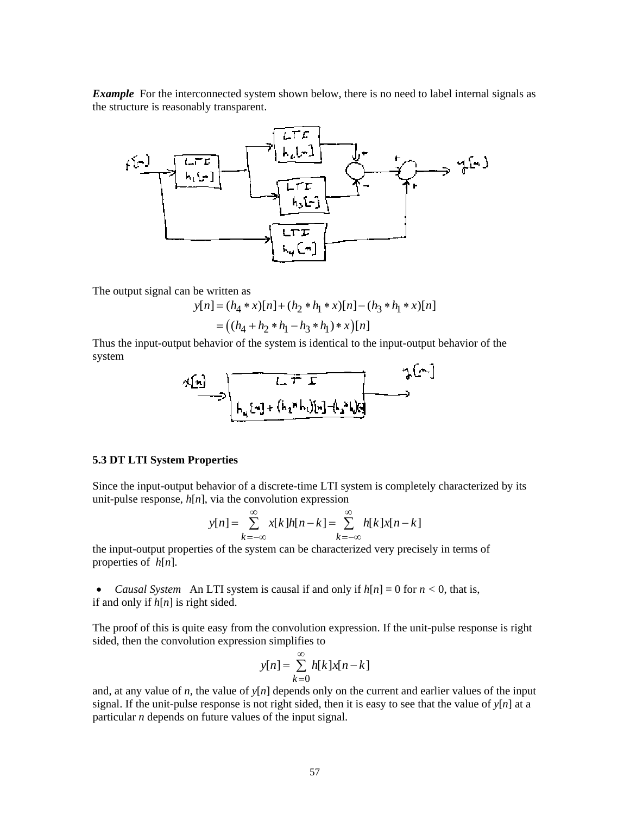*Example* For the interconnected system shown below, there is no need to label internal signals as the structure is reasonably transparent.



The output signal can be written as

$$
y[n] = (h_4 * x)[n] + (h_2 * h_1 * x)[n] - (h_3 * h_1 * x)[n]
$$
  
= ((h<sub>4</sub> + h<sub>2</sub> \* h<sub>1</sub> - h<sub>3</sub> \* h<sub>1</sub>) \* x)[n]

Thus the input-output behavior of the system is identical to the input-output behavior of the system

$$
\mathcal{A}[n] \longrightarrow \boxed{\begin{matrix} \downarrow & \downarrow \\ \downarrow & \downarrow \\ \downarrow & \downarrow \end{matrix} + (h_1 * h_1)[n_1] \cdot (h_2 * h_2)}
$$

## **5.3 DT LTI System Properties**

Since the input-output behavior of a discrete-time LTI system is completely characterized by its unit-pulse response,  $h[n]$ , via the convolution expression

$$
y[n] = \sum_{k=-\infty}^{\infty} x[k]h[n-k] = \sum_{k=-\infty}^{\infty} h[k]x[n-k]
$$

the input-output properties of the system can be characterized very precisely in terms of properties of *h*[*n*].

• *Causal System* An LTI system is causal if and only if  $h[n] = 0$  for  $n < 0$ , that is, if and only if *h*[*n*] is right sided.

The proof of this is quite easy from the convolution expression. If the unit-pulse response is right sided, then the convolution expression simplifies to

$$
y[n] = \sum_{k=0}^{\infty} h[k]x[n-k]
$$

and, at any value of *n*, the value of  $y[n]$  depends only on the current and earlier values of the input signal. If the unit-pulse response is not right sided, then it is easy to see that the value of  $v[n]$  at a particular *n* depends on future values of the input signal.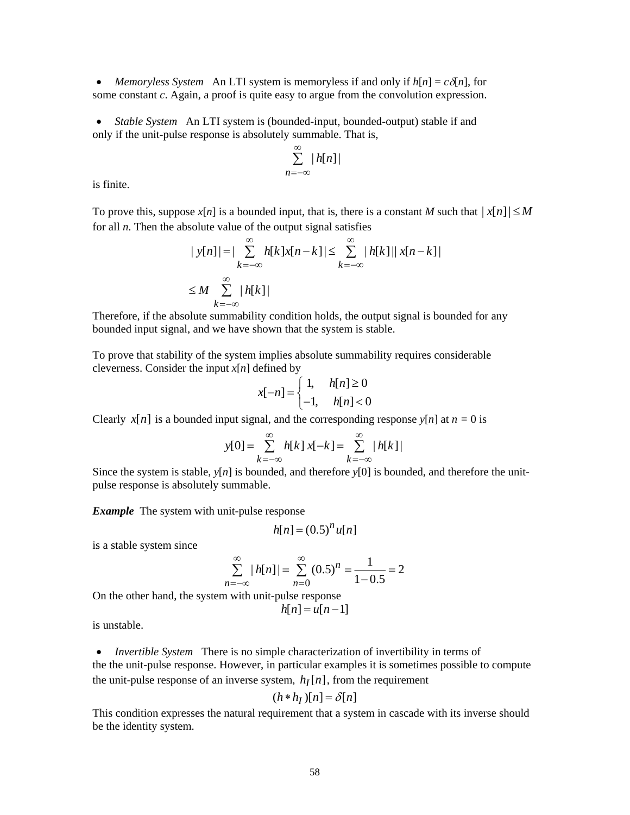• *Memoryless System* An LTI system is memoryless if and only if  $h[n] = c\delta[n]$ , for some constant *c*. Again, a proof is quite easy to argue from the convolution expression.

• *Stable System* An LTI system is (bounded-input, bounded-output) stable if and only if the unit-pulse response is absolutely summable. That is,

$$
\sum_{n=-\infty}^{\infty} |h[n]|
$$

is finite.

To prove this, suppose  $x[n]$  is a bounded input, that is, there is a constant *M* such that  $|x[n]| \leq M$ for all *n*. Then the absolute value of the output signal satisfies

$$
|y[n]| = |\sum_{k=-\infty}^{\infty} h[k]x[n-k]| \le \sum_{k=-\infty}^{\infty} |h[k]| |x[n-k]|
$$
  

$$
\le M \sum_{k=-\infty}^{\infty} |h[k]|
$$

Therefore, if the absolute summability condition holds, the output signal is bounded for any bounded input signal, and we have shown that the system is stable.

To prove that stability of the system implies absolute summability requires considerable cleverness. Consider the input  $x[n]$  defined by

$$
x[-n] = \begin{cases} 1, & h[n] \ge 0 \\ -1, & h[n] < 0 \end{cases}
$$

Clearly *x*[*n*] is a bounded input signal, and the corresponding response *y*[*n*] at  $n = 0$  is

$$
y[0] = \sum_{k=-\infty}^{\infty} h[k] x[-k] = \sum_{k=-\infty}^{\infty} |h[k]|
$$

Since the system is stable,  $y[n]$  is bounded, and therefore  $y[0]$  is bounded, and therefore the unitpulse response is absolutely summable.

*Example* The system with unit-pulse response

$$
h[n] = (0.5)^n u[n]
$$

is a stable system since

$$
\sum_{n=-\infty}^{\infty} |h[n]| = \sum_{n=0}^{\infty} (0.5)^n = \frac{1}{1 - 0.5} = 2
$$

On the other hand, the system with unit-pulse response

$$
h[n] = u[n-1]
$$

is unstable.

• *Invertible System* There is no simple characterization of invertibility in terms of the the unit-pulse response. However, in particular examples it is sometimes possible to compute the unit-pulse response of an inverse system,  $h_I[n]$ , from the requirement

$$
(h * h_I)[n] = \delta[n]
$$

This condition expresses the natural requirement that a system in cascade with its inverse should be the identity system.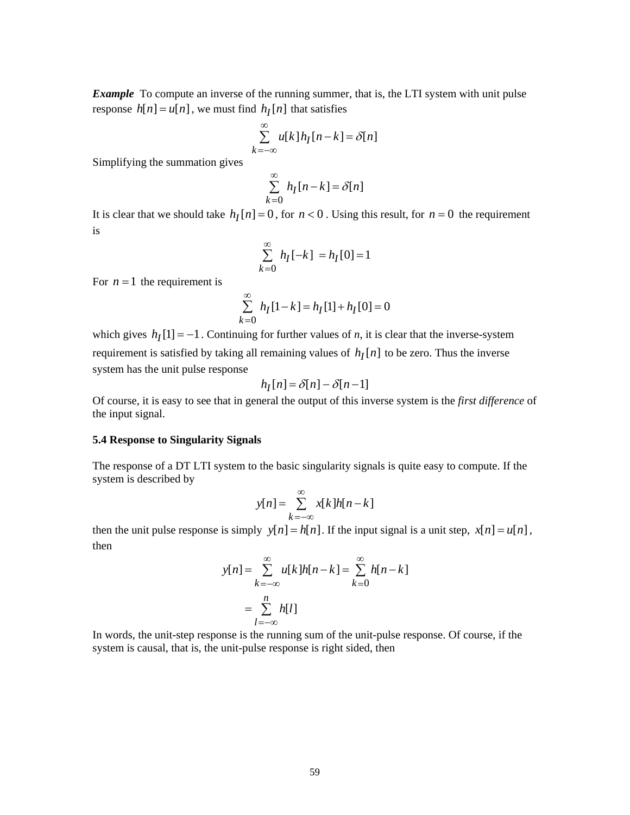*Example* To compute an inverse of the running summer, that is, the LTI system with unit pulse response  $h[n] = u[n]$ , we must find  $h_I[n]$  that satisfies

$$
\sum_{k=-\infty}^{\infty} u[k]h_I[n-k] = \delta[n]
$$

Simplifying the summation gives

$$
\sum_{k=0}^{\infty} h_I[n-k] = \delta[n]
$$

It is clear that we should take  $h_I[n] = 0$ , for  $n < 0$ . Using this result, for  $n = 0$  the requirement is

$$
\sum_{k=0}^{\infty} h_I[-k] = h_I[0] = 1
$$

For  $n = 1$  the requirement is

$$
\sum_{k=0}^{\infty} h_I[1-k] = h_I[1] + h_I[0] = 0
$$

which gives  $h_I[1] = -1$ . Continuing for further values of *n*, it is clear that the inverse-system requirement is satisfied by taking all remaining values of  $h_I[n]$  to be zero. Thus the inverse system has the unit pulse response

$$
h_I[n] = \delta[n] - \delta[n-1]
$$

Of course, it is easy to see that in general the output of this inverse system is the *first difference* of the input signal.

#### **5.4 Response to Singularity Signals**

The response of a DT LTI system to the basic singularity signals is quite easy to compute. If the system is described by

$$
y[n] = \sum_{k=-\infty}^{\infty} x[k]h[n-k]
$$

then the unit pulse response is simply  $y[n] = h[n]$ . If the input signal is a unit step,  $x[n] = u[n]$ , then

$$
y[n] = \sum_{k=-\infty}^{\infty} u[k]h[n-k] = \sum_{k=0}^{\infty} h[n-k]
$$

$$
= \sum_{l=-\infty}^{n} h[l]
$$

In words, the unit-step response is the running sum of the unit-pulse response. Of course, if the system is causal, that is, the unit-pulse response is right sided, then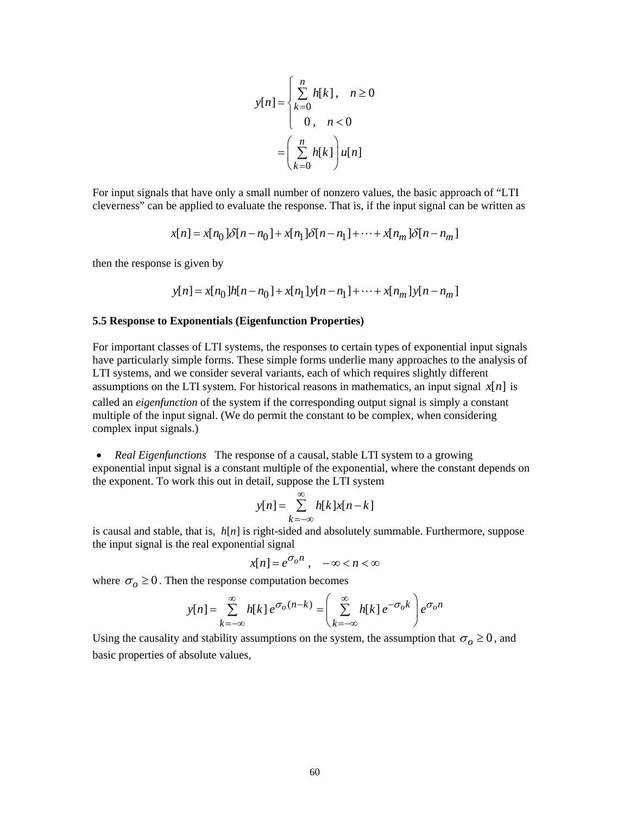$$
y[n] = \begin{cases} \sum_{k=0}^{n} h[k], & n \ge 0 \\ 0, & n < 0 \end{cases}
$$

$$
= \left(\sum_{k=0}^{n} h[k]\right) u[n]
$$

For input signals that have only a small number of nonzero values, the basic approach of "LTI cleverness" can be applied to evaluate the response. That is, if the input signal can be written as

$$
x[n] = x[n_0] \delta[n - n_0] + x[n_1] \delta[n - n_1] + \dots + x[n_m] \delta[n - n_m]
$$

then the response is given by

$$
y[n] = x[n_0]h[n - n_0] + x[n_1]y[n - n_1] + \dots + x[n_m]y[n - n_m]
$$

### **5.5 Response to Exponentials (Eigenfunction Properties)**

For important classes of LTI systems, the responses to certain types of exponential input signals have particularly simple forms. These simple forms underlie many approaches to the analysis of LTI systems, and we consider several variants, each of which requires slightly different assumptions on the LTI system. For historical reasons in mathematics, an input signal  $x[n]$  is called an *eigenfunction* of the system if the corresponding output signal is simply a constant multiple of the input signal. (We do permit the constant to be complex, when considering complex input signals.)

• *Real Eigenfunctions* The response of a causal, stable LTI system to a growing exponential input signal is a constant multiple of the exponential, where the constant depends on the exponent. To work this out in detail, suppose the LTI system

$$
y[n] = \sum_{k=-\infty}^{\infty} h[k]x[n-k]
$$

is causal and stable, that is, *h*[*n*] is right-sided and absolutely summable. Furthermore, suppose the input signal is the real exponential signal

$$
x[n] = e^{\sigma_o n} , \quad -\infty < n < \infty
$$

where  $\sigma_0 \ge 0$ . Then the response computation becomes

$$
y[n] = \sum_{k=-\infty}^{\infty} h[k] e^{\sigma_o(n-k)} = \left( \sum_{k=-\infty}^{\infty} h[k] e^{-\sigma_o k} \right) e^{\sigma_o n}
$$

Using the causality and stability assumptions on the system, the assumption that  $\sigma_0 \ge 0$ , and basic properties of absolute values,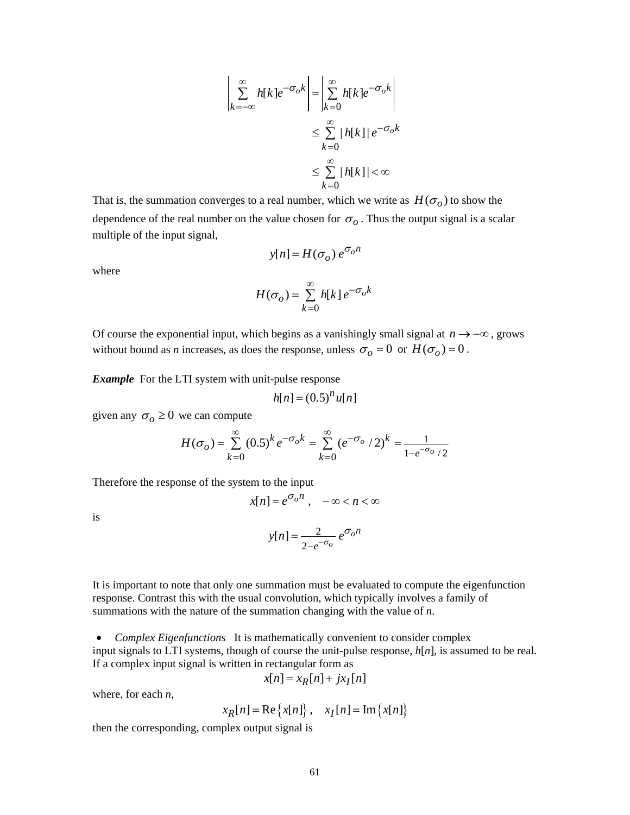$$
\left| \sum_{k=-\infty}^{\infty} h[k] e^{-\sigma_o k} \right| = \left| \sum_{k=0}^{\infty} h[k] e^{-\sigma_o k} \right|
$$
  

$$
\leq \sum_{k=0}^{\infty} |h[k]| e^{-\sigma_o k}
$$
  

$$
\leq \sum_{k=0}^{\infty} |h[k]| < \infty
$$

That is, the summation converges to a real number, which we write as  $H(\sigma_o)$  to show the dependence of the real number on the value chosen for  $\sigma_{\rho}$ . Thus the output signal is a scalar multiple of the input signal,

$$
y[n] = H(\sigma_o) e^{\sigma_o n}
$$

where

$$
H(\sigma_o) = \sum_{k=0}^{\infty} h[k] e^{-\sigma_o k}
$$

Of course the exponential input, which begins as a vanishingly small signal at *n* → −∞ , grows without bound as *n* increases, as does the response, unless  $\sigma_o = 0$  or  $H(\sigma_o) = 0$ .

*Example* For the LTI system with unit-pulse response

$$
h[n] = (0.5)^n u[n]
$$

given any  $\sigma$ <sub>o</sub>  $\geq$  0 we can compute

$$
H(\sigma_o) = \sum_{k=0}^{\infty} (0.5)^k e^{-\sigma_o k} = \sum_{k=0}^{\infty} (e^{-\sigma_o} / 2)^k = \frac{1}{1 - e^{-\sigma_o} / 2}
$$

Therefore the response of the system to the input

$$
x[n] = e^{\sigma_o n} , -\infty < n < \infty
$$

is

$$
y[n] = \frac{2}{2 - e^{-\sigma_o}} e^{\sigma_o n}
$$

It is important to note that only one summation must be evaluated to compute the eigenfunction response. Contrast this with the usual convolution, which typically involves a family of summations with the nature of the summation changing with the value of *n*.

• *Complex Eigenfunctions* It is mathematically convenient to consider complex input signals to LTI systems, though of course the unit-pulse response, *h*[*n*], is assumed to be real. If a complex input signal is written in rectangular form as

$$
x[n] = x_R[n] + jx_I[n]
$$

where, for each *n*,

$$
x_R[n] = \text{Re}\left\{x[n]\right\}, \quad x_I[n] = \text{Im}\left\{x[n]\right\}
$$

then the corresponding, complex output signal is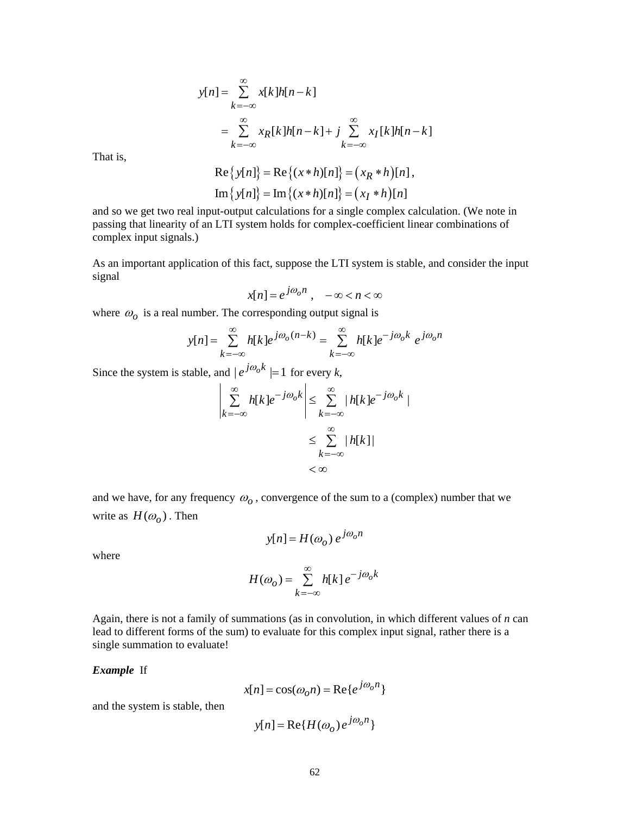$$
y[n] = \sum_{k=-\infty}^{\infty} x[k]h[n-k]
$$
  
\n
$$
= \sum_{k=-\infty}^{\infty} x_R[k]h[n-k] + j \sum_{k=-\infty}^{\infty} x_I[k]h[n-k]
$$
  
\n
$$
Re\{y[n]\} = Re\{(x*h)[n]\} = (x_R*h)[n],
$$
  
\n
$$
Im\{y[n]\} = Im\{(x*h)[n]\} = (x_I*h)[n]
$$

That is,

and so we get two real input-output calculations for a single complex calculation. (We note in passing that linearity of an LTI system holds for complex-coefficient linear combinations of complex input signals.)

As an important application of this fact, suppose the LTI system is stable, and consider the input signal

$$
x[n] = e^{j\omega_0 n}, \quad -\infty < n < \infty
$$

where  $\omega_0$  is a real number. The corresponding output signal is

$$
y[n] = \sum_{k=-\infty}^{\infty} h[k]e^{j\omega_o(n-k)} = \sum_{k=-\infty}^{\infty} h[k]e^{-j\omega_o k} e^{j\omega_o n}
$$

Since the system is stable, and  $|e^{j\omega_0 k}| = 1$  for every *k*,

$$
\left| \sum_{k=-\infty}^{\infty} h[k]e^{-j\omega_0 k} \right| \leq \sum_{k=-\infty}^{\infty} |h[k]e^{-j\omega_0 k}|
$$
  

$$
\leq \sum_{k=-\infty}^{\infty} |h[k]|
$$
  
<  $\infty$ 

and we have, for any frequency  $\omega_o$ , convergence of the sum to a (complex) number that we write as  $H(\omega_o)$ . Then

where

$$
y[n] = H(\omega_o) e^{j\omega_o n}
$$

$$
H(\omega_o) = \sum_{k=-\infty}^{\infty} h[k] e^{-j\omega_o k}
$$

Again, there is not a family of summations (as in convolution, in which different values of *n* can lead to different forms of the sum) to evaluate for this complex input signal, rather there is a single summation to evaluate!

#### *Example* If

 $x[n] = \cos(\omega_0 n) = \text{Re}\{e^{j\omega_0 n}\}\$ 

and the system is stable, then

$$
y[n] = \text{Re}\{H(\omega_o)e^{j\omega_o n}\}\
$$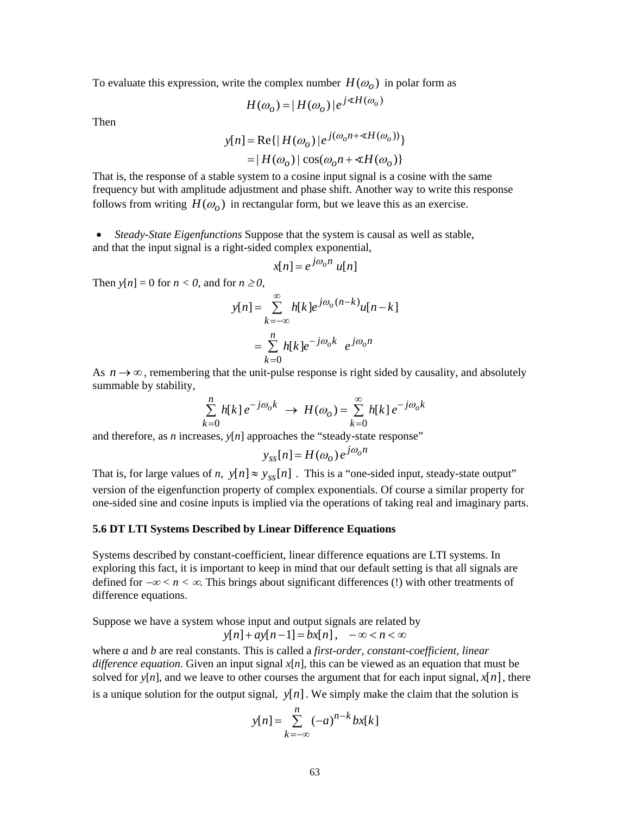To evaluate this expression, write the complex number  $H(\omega_o)$  in polar form as

$$
H(\omega_o) = |H(\omega_o)|e^{j \cdot \mathbb{X}H(\omega_o)}
$$

Then

$$
y[n] = \text{Re}\{|H(\omega_o)|e^{j(\omega_0 n + \alpha H(\omega_o))}\}\
$$

 $= |H(\omega_o)| \cos(\omega_o n + \measuredangle H(\omega_o))$ 

That is, the response of a stable system to a cosine input signal is a cosine with the same frequency but with amplitude adjustment and phase shift. Another way to write this response follows from writing  $H(\omega_o)$  in rectangular form, but we leave this as an exercise.

• *Steady-State Eigenfunctions* Suppose that the system is causal as well as stable, and that the input signal is a right-sided complex exponential,

$$
x[n] = e^{j\omega_0 n} u[n]
$$

Then  $y[n] = 0$  for  $n < 0$ , and for  $n \ge 0$ ,

$$
y[n] = \sum_{k=-\infty}^{\infty} h[k]e^{j\omega_o(n-k)}u[n-k]
$$

$$
= \sum_{k=0}^{n} h[k]e^{-j\omega_0k} e^{j\omega_0n}
$$

As  $n \rightarrow \infty$ , remembering that the unit-pulse response is right sided by causality, and absolutely summable by stability,

$$
\sum_{k=0}^{n} h[k] e^{-j\omega_0 k} \rightarrow H(\omega_0) = \sum_{k=0}^{\infty} h[k] e^{-j\omega_0 k}
$$

and therefore, as *n* increases,  $y[n]$  approaches the "steady-state response"

$$
y_{ss}[n] = H(\omega_o) e^{j\omega_o n}
$$

That is, for large values of *n*,  $y[n] \approx y_{ss}[n]$ . This is a "one-sided input, steady-state output" version of the eigenfunction property of complex exponentials. Of course a similar property for one-sided sine and cosine inputs is implied via the operations of taking real and imaginary parts.

## **5.6 DT LTI Systems Described by Linear Difference Equations**

Systems described by constant-coefficient, linear difference equations are LTI systems. In exploring this fact, it is important to keep in mind that our default setting is that all signals are defined for −∞ *< n <* ∞. This brings about significant differences (!) with other treatments of difference equations.

Suppose we have a system whose input and output signals are related by

$$
y[n] + ay[n-1] = bx[n], \quad -\infty < n < \infty
$$

where *a* and *b* are real constants. This is called a *first-order, constant-coefficient, linear difference equation*. Given an input signal *x*[*n*], this can be viewed as an equation that must be solved for  $y[n]$ , and we leave to other courses the argument that for each input signal,  $x[n]$ , there is a unique solution for the output signal,  $y[n]$ . We simply make the claim that the solution is

$$
y[n] = \sum_{k=-\infty}^{n} (-a)^{n-k} bx[k]
$$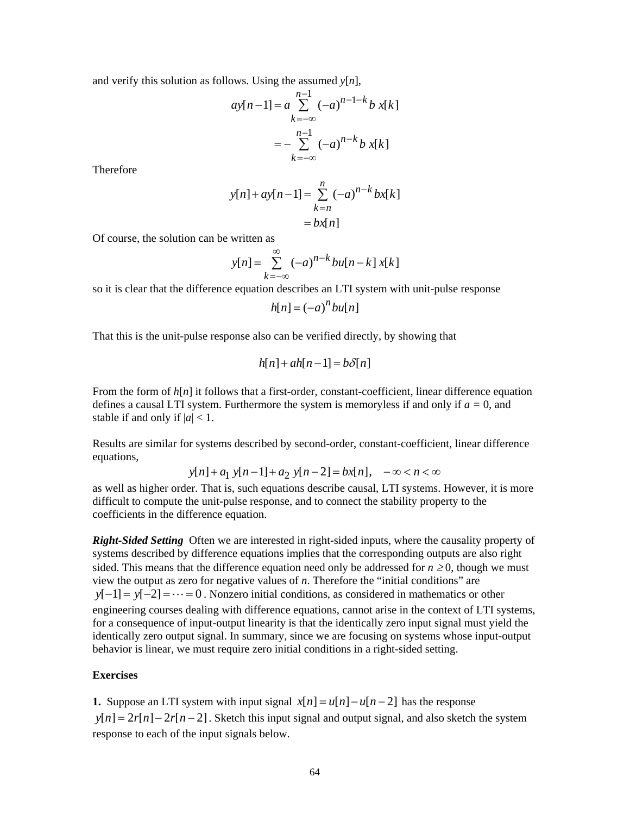and verify this solution as follows. Using the assumed *y*[*n*],

$$
ay[n-1] = a \sum_{k=-\infty}^{n-1} (-a)^{n-1-k} b x[k]
$$
  
=  $-\sum_{k=-\infty}^{n-1} (-a)^{n-k} b x[k]$ 

**Therefore** 

$$
y[n] + ay[n-1] = \sum_{k=n}^{n} (-a)^{n-k} bx[k]
$$

$$
= bx[n]
$$

Of course, the solution can be written as

$$
y[n] = \sum_{k=-\infty}^{\infty} (-a)^{n-k} bu[n-k] x[k]
$$

so it is clear that the difference equation describes an LTI system with unit-pulse response

$$
h[n] = (-a)^n bu[n]
$$

That this is the unit-pulse response also can be verified directly, by showing that

$$
h[n] + ah[n-1] = b\delta[n]
$$

From the form of  $h[n]$  it follows that a first-order, constant-coefficient, linear difference equation defines a causal LTI system. Furthermore the system is memoryless if and only if  $a = 0$ , and stable if and only if  $|a|$  < 1.

Results are similar for systems described by second-order, constant-coefficient, linear difference equations,

$$
y[n] + a_1 y[n-1] + a_2 y[n-2] = bx[n], -\infty < n < \infty
$$

as well as higher order. That is, such equations describe causal, LTI systems. However, it is more difficult to compute the unit-pulse response, and to connect the stability property to the coefficients in the difference equation.

*Right-Sided Setting* Often we are interested in right-sided inputs, where the causality property of systems described by difference equations implies that the corresponding outputs are also right sided. This means that the difference equation need only be addressed for  $n \ge 0$ , though we must view the output as zero for negative values of *n*. Therefore the "initial conditions" are  $y[-1] = y[-2] = \cdots = 0$ . Nonzero initial conditions, as considered in mathematics or other engineering courses dealing with difference equations, cannot arise in the context of LTI systems, for a consequence of input-output linearity is that the identically zero input signal must yield the identically zero output signal. In summary, since we are focusing on systems whose input-output behavior is linear, we must require zero initial conditions in a right-sided setting.

## **Exercises**

**1.** Suppose an LTI system with input signal  $x[n] = u[n] - u[n-2]$  has the response  $y[n] = 2r[n] - 2r[n-2]$ . Sketch this input signal and output signal, and also sketch the system response to each of the input signals below.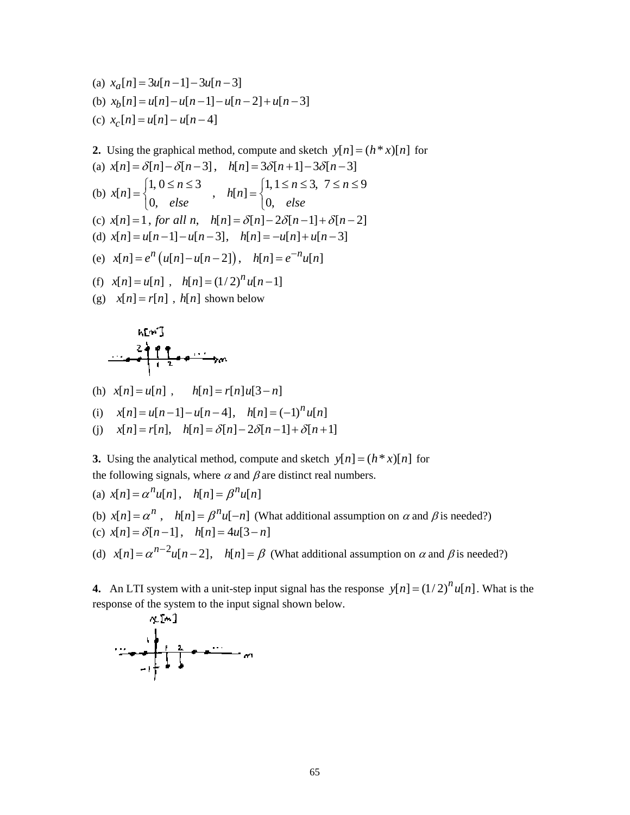(a) 
$$
x_a[n] = 3u[n-1] - 3u[n-3]
$$
  
\n(b)  $x_b[n] = u[n] - u[n-1] - u[n-2] + u[n-3]$   
\n(c)  $x_c[n] = u[n] - u[n-4]$ 

**2.** Using the graphical method, compute and sketch  $y[n] = (h * x)[n]$  for (a)  $x[n] = \delta[n] - \delta[n-3]$ ,  $h[n] = 3\delta[n+1] - 3\delta[n-3]$ (b)  $x[n] = \begin{cases} 1, 0 \le n \le 3 \\ 0, \text{ else} \end{cases}$ ,  $h[n] = \begin{cases} 1, 1 \le n \le 3, 7 \le n \le 9 \\ 0, \text{ else} \end{cases}$  $x[n] = \begin{cases} 1, & n = n - 1 \\ 0, & n = n \end{cases}$ ,  $h[n]$  $e = \begin{cases} 1, 0 \le n \le 3 \\ 0, \text{ else} \end{cases}$ ,  $h[n] = \begin{cases} 1, 1 \le n \le 3, \ 7 \le n \le 3 \\ 0, \text{ else} \end{cases}$ (c)  $x[n] = 1$ , for all n,  $h[n] = \delta[n] - 2\delta[n-1] + \delta[n-2]$ (d)  $x[n] = u[n-1] - u[n-3], \quad h[n] = -u[n] + u[n-3]$ (e)  $x[n] = e^n (u[n] - u[n-2]), h[n] = e^{-n} u[n]$ (f)  $x[n] = u[n]$ ,  $h[n] = (1/2)^n u[n-1]$ (g)  $x[n] = r[n]$ ,  $h[n]$  shown below

$$
\begin{array}{c}\n\text{ form 3} \\
2+2+1 \\
\hline\n\end{array}
$$

(h)  $x[n] = u[n]$ ,  $h[n] = r[n]u[3-n]$ 

(i) 
$$
x[n] = u[n-1] - u[n-4], h[n] = (-1)^n u[n]
$$

(j) 
$$
x[n] = r[n], h[n] = \delta[n] - 2\delta[n-1] + \delta[n+1]
$$

**3.** Using the analytical method, compute and sketch  $y[n] = (h * x)[n]$  for the following signals, where  $\alpha$  and  $\beta$  are distinct real numbers.

(a) 
$$
x[n] = \alpha^n u[n], \quad h[n] = \beta^n u[n]
$$

(b)  $x[n] = \alpha^n$ ,  $h[n] = \beta^n u[-n]$  (What additional assumption on  $\alpha$  and  $\beta$  is needed?)

(c) 
$$
x[n] = \delta[n-1]
$$
,  $h[n] = 4u[3-n]$ 

(d)  $x[n] = \alpha^{n-2} u[n-2]$ ,  $h[n] = \beta$  (What additional assumption on  $\alpha$  and  $\beta$  is needed?)

**4.** An LTI system with a unit-step input signal has the response  $y[n] = (1/2)^n u[n]$ . What is the response of the system to the input signal shown below.

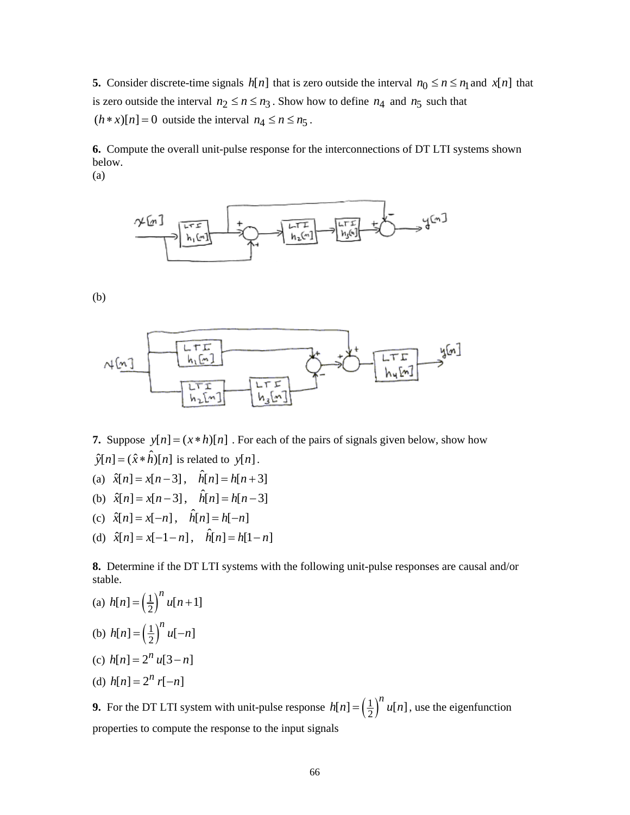**5.** Consider discrete-time signals  $h[n]$  that is zero outside the interval  $n_0 \le n \le n_1$  and  $x[n]$  that is zero outside the interval  $n_2 \le n \le n_3$ . Show how to define  $n_4$  and  $n_5$  such that  $(h * x)[n] = 0$  outside the interval  $n_4 \le n \le n_5$ .

**6.** Compute the overall unit-pulse response for the interconnections of DT LTI systems shown below.

(a)



(b)



**7.** Suppose  $y[n] = (x * h)[n]$ . For each of the pairs of signals given below, show how  $\hat{y}[n] = (\hat{x} * \hat{h})[n]$  is related to  $y[n]$ .

- (a)  $\hat{x}[n] = x[n-3], \hat{h}[n] = h[n+3]$
- (b)  $\hat{x}[n] = x[n-3], \hat{h}[n] = h[n-3]$
- (c)  $\hat{x}[n] = x[-n], \hat{h}[n] = h[-n]$
- (d)  $\hat{x}[n] = x[-1-n], \quad \hat{h}[n] = h[1-n]$

**8.** Determine if the DT LTI systems with the following unit-pulse responses are causal and/or stable.

(a) 
$$
h[n] = \left(\frac{1}{2}\right)^n u[n+1]
$$
  
\n(b)  $h[n] = \left(\frac{1}{2}\right)^n u[-n]$   
\n(c)  $h[n] = 2^n u[3-n]$ 

(d) 
$$
h[n] = 2^n r[-n]
$$

**9.** For the DT LTI system with unit-pulse response  $h[n] = \left(\frac{1}{2}\right)^n u[n]$ , use the eigenfunction properties to compute the response to the input signals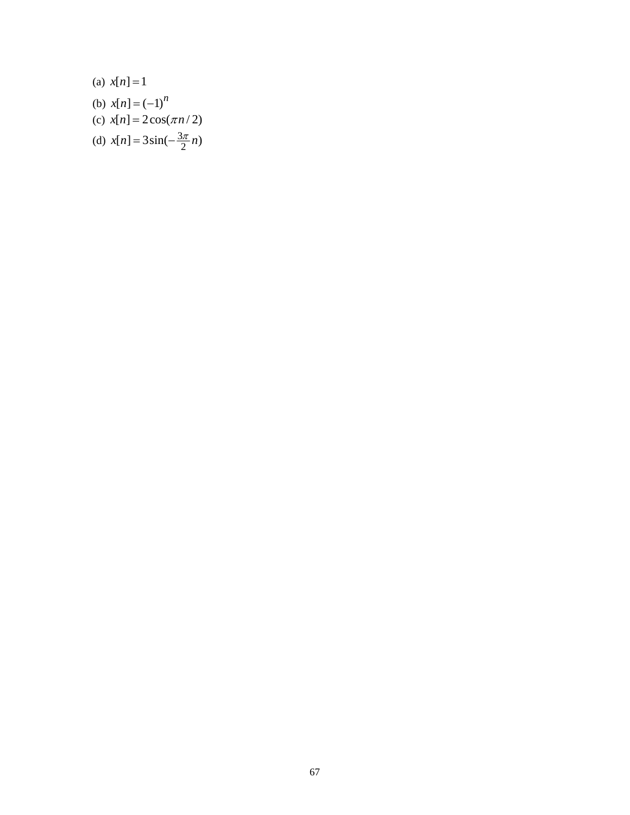(a)  $x[n] = 1$ (b)  $x[n] = (-1)^n$ (c)  $x[n] = 2\cos(\pi n/2)$ (d)  $x[n] = 3\sin(-\frac{3\pi}{2}n)$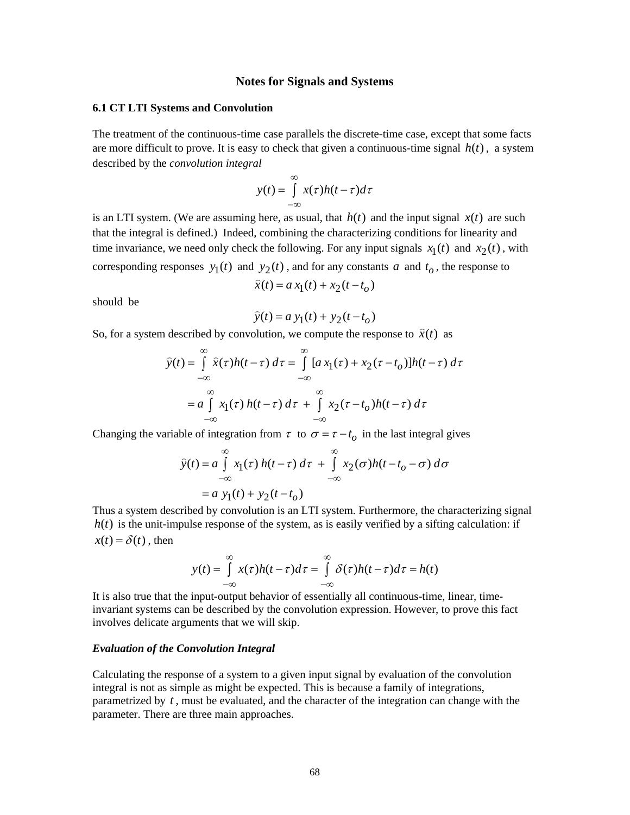## **Notes for Signals and Systems**

#### **6.1 CT LTI Systems and Convolution**

The treatment of the continuous-time case parallels the discrete-time case, except that some facts are more difficult to prove. It is easy to check that given a continuous-time signal  $h(t)$ , a system described by the *convolution integral*

$$
y(t) = \int_{-\infty}^{\infty} x(\tau)h(t-\tau)d\tau
$$

is an LTI system. (We are assuming here, as usual, that  $h(t)$  and the input signal  $x(t)$  are such that the integral is defined.) Indeed, combining the characterizing conditions for linearity and time invariance, we need only check the following. For any input signals  $x_1(t)$  and  $x_2(t)$ , with corresponding responses  $y_1(t)$  and  $y_2(t)$ , and for any constants *a* and  $t_0$ , the response to

$$
\hat{x}(t) = a x_1(t) + x_2(t - t_o)
$$

should be

$$
\hat{y}(t) = a y_1(t) + y_2(t - t_o)
$$

So, for a system described by convolution, we compute the response to  $\hat{x}(t)$  as

$$
\widehat{y}(t) = \int_{-\infty}^{\infty} \widehat{x}(\tau)h(t-\tau) d\tau = \int_{-\infty}^{\infty} [a x_1(\tau) + x_2(\tau - t_o)]h(t-\tau) d\tau
$$

$$
= a \int_{-\infty}^{\infty} x_1(\tau) h(t-\tau) d\tau + \int_{-\infty}^{\infty} x_2(\tau - t_o)h(t-\tau) d\tau
$$

Changing the variable of integration from  $\tau$  to  $\sigma = \tau - t_o$  in the last integral gives

$$
\widehat{y}(t) = a \int_{-\infty}^{\infty} x_1(\tau) h(t - \tau) d\tau + \int_{-\infty}^{\infty} x_2(\sigma) h(t - t_o - \sigma) d\sigma
$$

$$
= a y_1(t) + y_2(t - t_o)
$$

Thus a system described by convolution is an LTI system. Furthermore, the characterizing signal  $h(t)$  is the unit-impulse response of the system, as is easily verified by a sifting calculation: if  $x(t) = \delta(t)$ , then

$$
y(t) = \int_{-\infty}^{\infty} x(\tau)h(t-\tau)d\tau = \int_{-\infty}^{\infty} \delta(\tau)h(t-\tau)d\tau = h(t)
$$

It is also true that the input-output behavior of essentially all continuous-time, linear, timeinvariant systems can be described by the convolution expression. However, to prove this fact involves delicate arguments that we will skip.

### *Evaluation of the Convolution Integral*

Calculating the response of a system to a given input signal by evaluation of the convolution integral is not as simple as might be expected. This is because a family of integrations, parametrized by *t* , must be evaluated, and the character of the integration can change with the parameter. There are three main approaches.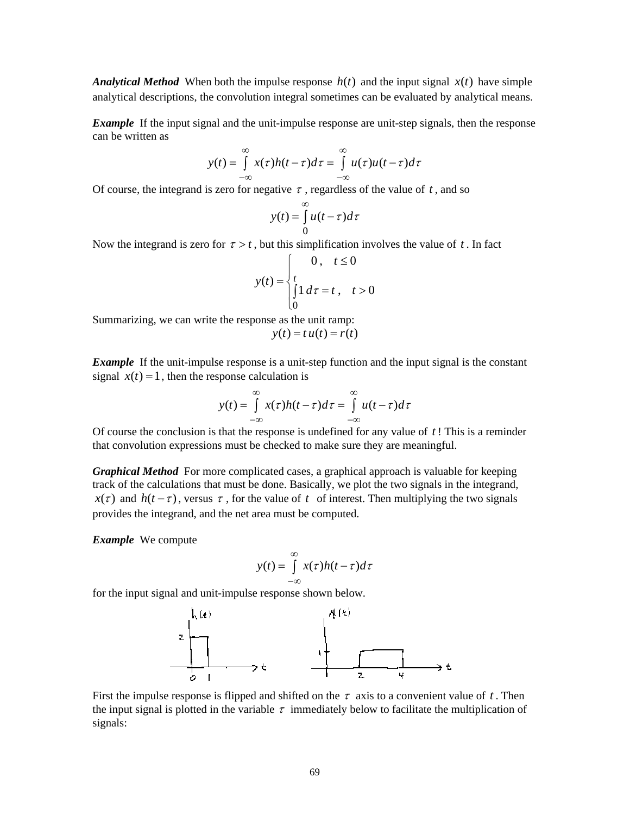*Analytical Method* When both the impulse response  $h(t)$  and the input signal  $x(t)$  have simple analytical descriptions, the convolution integral sometimes can be evaluated by analytical means.

*Example* If the input signal and the unit-impulse response are unit-step signals, then the response can be written as

$$
y(t) = \int_{-\infty}^{\infty} x(\tau)h(t-\tau)d\tau = \int_{-\infty}^{\infty} u(\tau)u(t-\tau)d\tau
$$

Of course, the integrand is zero for negative  $\tau$ , regardless of the value of  $t$ , and so

$$
y(t) = \int_{0}^{\infty} u(t - \tau) d\tau
$$

Now the integrand is zero for  $\tau > t$ , but this simplification involves the value of t. In fact

$$
y(t) = \begin{cases} 0, & t \le 0 \\ t \\ \int_0^t 1 \, d\tau = t, & t > 0 \\ 0 \end{cases}
$$

Summarizing, we can write the response as the unit ramp:  $y(t) = t u(t) = r(t)$ 

*Example* If the unit-impulse response is a unit-step function and the input signal is the constant signal  $x(t) = 1$ , then the response calculation is

$$
y(t) = \int_{-\infty}^{\infty} x(\tau)h(t-\tau)d\tau = \int_{-\infty}^{\infty} u(t-\tau)d\tau
$$

Of course the conclusion is that the response is undefined for any value of *t* ! This is a reminder that convolution expressions must be checked to make sure they are meaningful.

*Graphical Method* For more complicated cases, a graphical approach is valuable for keeping track of the calculations that must be done. Basically, we plot the two signals in the integrand,  $x(\tau)$  and  $h(t-\tau)$ , versus  $\tau$ , for the value of t of interest. Then multiplying the two signals provides the integrand, and the net area must be computed.

*Example* We compute

$$
y(t) = \int_{-\infty}^{\infty} x(\tau)h(t-\tau)d\tau
$$

for the input signal and unit-impulse response shown below.



First the impulse response is flipped and shifted on the  $\tau$  axis to a convenient value of t. Then the input signal is plotted in the variable  $\tau$  immediately below to facilitate the multiplication of signals: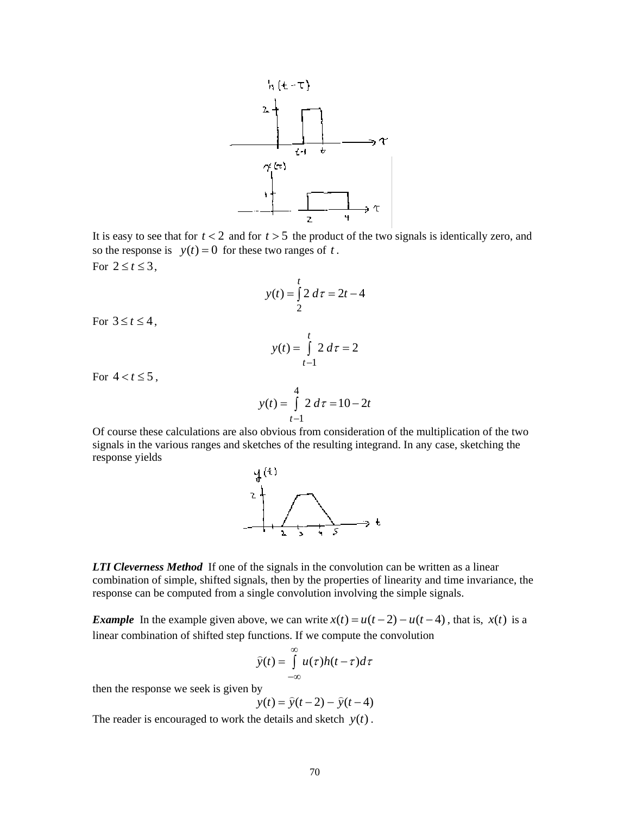

It is easy to see that for  $t < 2$  and for  $t > 5$  the product of the two signals is identically zero, and so the response is  $y(t) = 0$  for these two ranges of t. For  $2 \le t \le 3$ ,

$$
y(t) = \int_{2}^{t} 2 \, d\tau = 2t - 4
$$

For  $3 \le t \le 4$ ,

$$
y(t) = \int_{t-1}^{t} 2 \, d\tau = 2
$$

For  $4 < t \le 5$ ,

$$
y(t) = \int_{t-1}^{4} 2 \, d\tau = 10 - 2t
$$

Of course these calculations are also obvious from consideration of the multiplication of the two signals in the various ranges and sketches of the resulting integrand. In any case, sketching the response yields



*LTI Cleverness Method* If one of the signals in the convolution can be written as a linear combination of simple, shifted signals, then by the properties of linearity and time invariance, the response can be computed from a single convolution involving the simple signals.

*Example* In the example given above, we can write  $x(t) = u(t-2) - u(t-4)$ , that is,  $x(t)$  is a linear combination of shifted step functions. If we compute the convolution

$$
\widehat{y}(t) = \int_{-\infty}^{\infty} u(\tau)h(t-\tau)d\tau
$$

then the response we seek is given by

$$
y
$$
  
 $y(t) = \hat{y}(t-2) - \hat{y}(t-4)$ 

The reader is encouraged to work the details and sketch  $y(t)$ .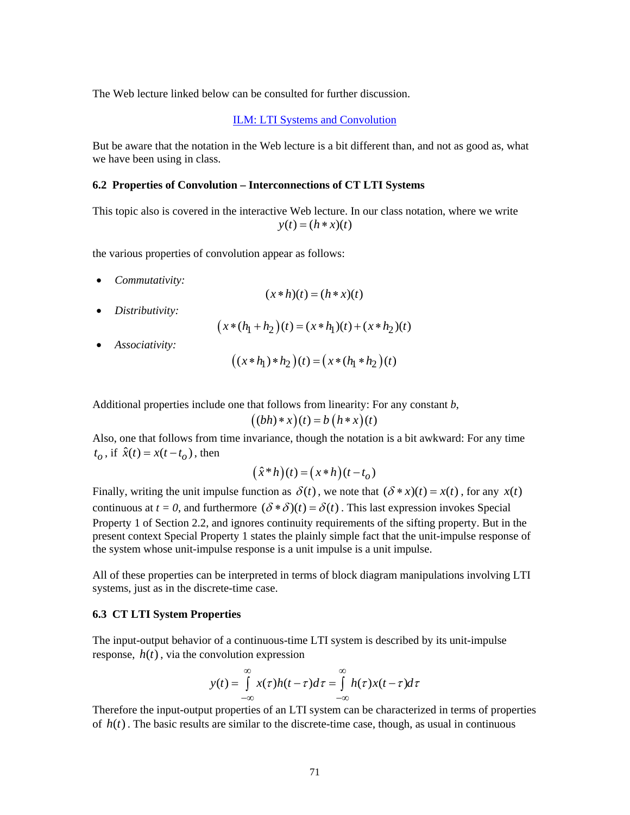The Web lecture linked below can be consulted for further discussion.

[ILM: LTI Systems and Convolution](http://www.jhu.edu/~signals/lecture1/frames.html)

But be aware that the notation in the Web lecture is a bit different than, and not as good as, what we have been using in class.

#### **6.2 Properties of Convolution – Interconnections of CT LTI Systems**

This topic also is covered in the interactive Web lecture. In our class notation, where we write  $y(t) = (h * x)(t)$ 

the various properties of convolution appear as follows:

• *Commutativity:* 

$$
(x * h)(t) = (h * x)(t)
$$

• *Distributivity:* 

$$
(x * (h_1 + h_2)(t) = (x * h_1)(t) + (x * h_2)(t)
$$

• *Associativity:* 

$$
((x * h_1) * h_2)(t) = (x * (h_1 * h_2)(t))
$$

Additional properties include one that follows from linearity: For any constant *b*,

$$
((bh)*x)(t) = b(h*x)(t)
$$

Also, one that follows from time invariance, though the notation is a bit awkward: For any time  $t_o$ , if  $\hat{x}(t) = x(t - t_o)$ , then

$$
(\hat{x}^*h)(t) = (x*h)(t-t_o)
$$

Finally, writing the unit impulse function as  $\delta(t)$ , we note that  $(\delta * x)(t) = x(t)$ , for any  $x(t)$ continuous at  $t = 0$ , and furthermore  $(\delta * \delta)(t) = \delta(t)$ . This last expression invokes Special Property 1 of Section 2.2, and ignores continuity requirements of the sifting property. But in the present context Special Property 1 states the plainly simple fact that the unit-impulse response of the system whose unit-impulse response is a unit impulse is a unit impulse.

All of these properties can be interpreted in terms of block diagram manipulations involving LTI systems, just as in the discrete-time case.

### **6.3 CT LTI System Properties**

The input-output behavior of a continuous-time LTI system is described by its unit-impulse response,  $h(t)$ , via the convolution expression

$$
y(t) = \int_{-\infty}^{\infty} x(\tau)h(t-\tau)d\tau = \int_{-\infty}^{\infty} h(\tau)x(t-\tau)d\tau
$$

Therefore the input-output properties of an LTI system can be characterized in terms of properties of  $h(t)$ . The basic results are similar to the discrete-time case, though, as usual in continuous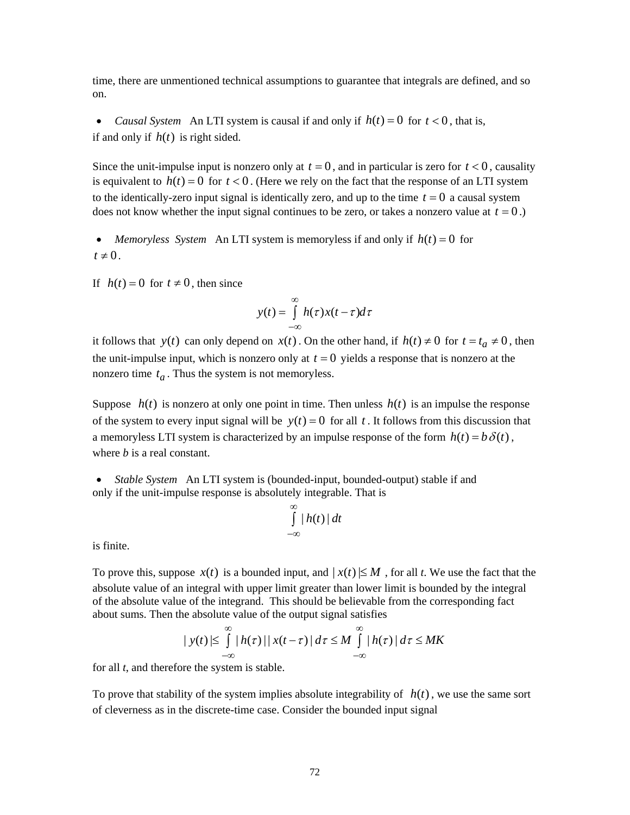time, there are unmentioned technical assumptions to guarantee that integrals are defined, and so on.

• *Causal System* An LTI system is causal if and only if  $h(t) = 0$  for  $t < 0$ , that is, if and only if  $h(t)$  is right sided.

Since the unit-impulse input is nonzero only at  $t = 0$ , and in particular is zero for  $t < 0$ , causality is equivalent to  $h(t) = 0$  for  $t < 0$ . (Here we rely on the fact that the response of an LTI system to the identically-zero input signal is identically zero, and up to the time  $t = 0$  a causal system does not know whether the input signal continues to be zero, or takes a nonzero value at  $t = 0$ .)

• *Memoryless System* An LTI system is memoryless if and only if  $h(t) = 0$  for  $t \neq 0$ .

If  $h(t) = 0$  for  $t \neq 0$ , then since

$$
y(t) = \int_{-\infty}^{\infty} h(\tau) x(t - \tau) d\tau
$$

it follows that *y*(*t*) can only depend on *x*(*t*). On the other hand, if  $h(t) \neq 0$  for  $t = t_a \neq 0$ , then the unit-impulse input, which is nonzero only at  $t = 0$  yields a response that is nonzero at the nonzero time  $t_a$ . Thus the system is not memoryless.

Suppose  $h(t)$  is nonzero at only one point in time. Then unless  $h(t)$  is an impulse the response of the system to every input signal will be  $y(t) = 0$  for all t. It follows from this discussion that a memoryless LTI system is characterized by an impulse response of the form  $h(t) = b \delta(t)$ , where *b* is a real constant.

• *Stable System* An LTI system is (bounded-input, bounded-output) stable if and only if the unit-impulse response is absolutely integrable. That is

$$
\int_{-\infty}^{\infty} |h(t)| dt
$$

is finite.

To prove this, suppose  $x(t)$  is a bounded input, and  $|x(t)| \leq M$ , for all *t*. We use the fact that the absolute value of an integral with upper limit greater than lower limit is bounded by the integral of the absolute value of the integrand. This should be believable from the corresponding fact about sums. Then the absolute value of the output signal satisfies

$$
|y(t)| \leq \int_{-\infty}^{\infty} |h(\tau)| |x(t-\tau)| d\tau \leq M \int_{-\infty}^{\infty} |h(\tau)| d\tau \leq MK
$$

for all *t*, and therefore the system is stable.

To prove that stability of the system implies absolute integrability of  $h(t)$ , we use the same sort of cleverness as in the discrete-time case. Consider the bounded input signal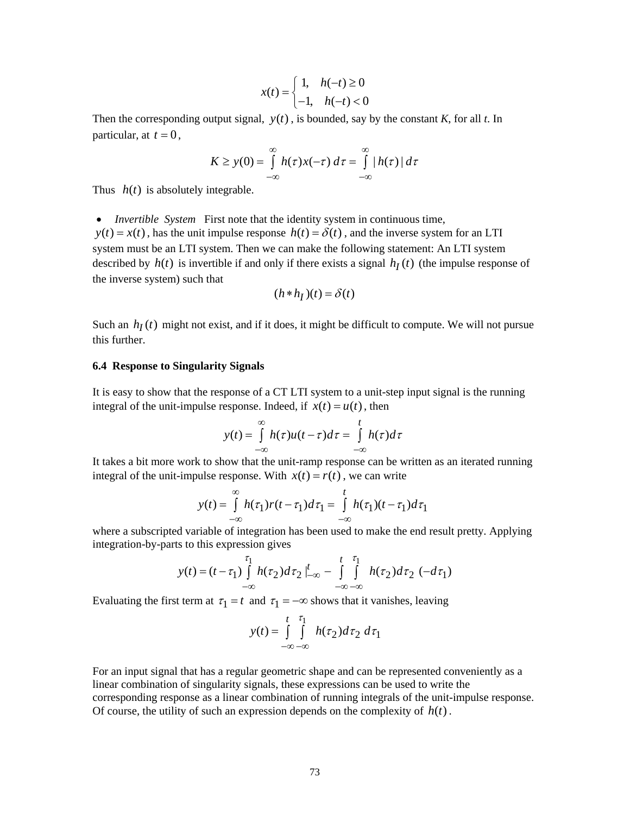$$
x(t) = \begin{cases} 1, & h(-t) \ge 0 \\ -1, & h(-t) < 0 \end{cases}
$$

Then the corresponding output signal,  $y(t)$ , is bounded, say by the constant *K*, for all *t*. In particular, at  $t = 0$ ,

$$
K \geq y(0) = \int_{-\infty}^{\infty} h(\tau) x(-\tau) \, d\tau = \int_{-\infty}^{\infty} |h(\tau)| \, d\tau
$$

Thus  $h(t)$  is absolutely integrable.

• *Invertible System* First note that the identity system in continuous time,  $y(t) = x(t)$ , has the unit impulse response  $h(t) = \delta(t)$ , and the inverse system for an LTI system must be an LTI system. Then we can make the following statement: An LTI system described by  $h(t)$  is invertible if and only if there exists a signal  $h<sub>I</sub>(t)$  (the impulse response of the inverse system) such that

$$
(h * h_I)(t) = \delta(t)
$$

Such an  $h_I(t)$  might not exist, and if it does, it might be difficult to compute. We will not pursue this further.

#### **6.4 Response to Singularity Signals**

It is easy to show that the response of a CT LTI system to a unit-step input signal is the running integral of the unit-impulse response. Indeed, if  $x(t) = u(t)$ , then

$$
y(t) = \int_{-\infty}^{\infty} h(\tau)u(t-\tau)d\tau = \int_{-\infty}^{t} h(\tau)d\tau
$$

It takes a bit more work to show that the unit-ramp response can be written as an iterated running integral of the unit-impulse response. With  $x(t) = r(t)$ , we can write

$$
y(t) = \int_{-\infty}^{\infty} h(\tau_1) r(t - \tau_1) d\tau_1 = \int_{-\infty}^{t} h(\tau_1) (t - \tau_1) d\tau_1
$$

where a subscripted variable of integration has been used to make the end result pretty. Applying integration-by-parts to this expression gives

$$
y(t) = (t - \tau_1) \int_{-\infty}^{\tau_1} h(\tau_2) d\tau_2 \Big|_{-\infty}^t - \int_{-\infty}^t \int_{-\infty}^{\tau_1} h(\tau_2) d\tau_2 \, (-d\tau_1)
$$

Evaluating the first term at  $\tau_1 = t$  and  $\tau_1 = -\infty$  shows that it vanishes, leaving

$$
y(t) = \int_{-\infty}^{t} \int_{-\infty}^{\tau_1} h(\tau_2) d\tau_2 d\tau_1
$$

For an input signal that has a regular geometric shape and can be represented conveniently as a linear combination of singularity signals, these expressions can be used to write the corresponding response as a linear combination of running integrals of the unit-impulse response. Of course, the utility of such an expression depends on the complexity of  $h(t)$ .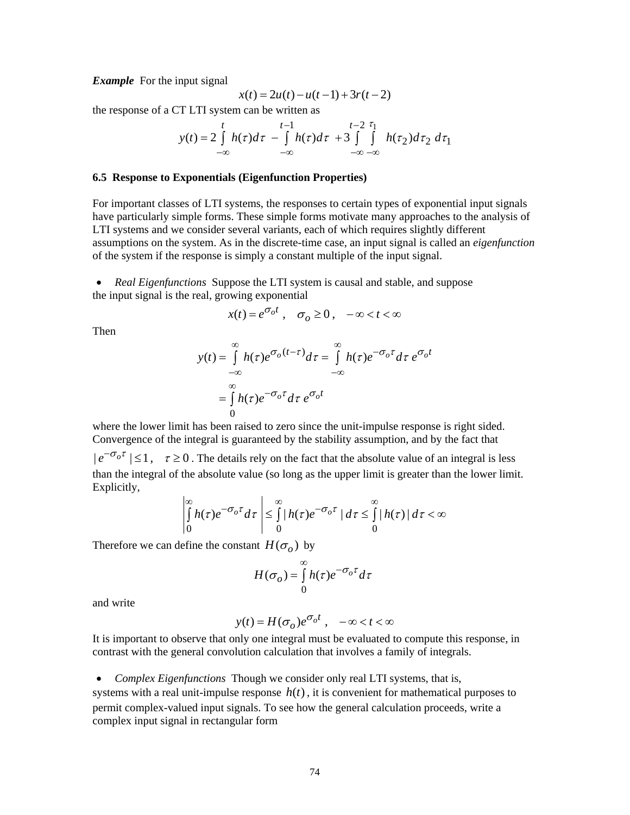#### *Example* For the input signal

$$
x(t) = 2u(t) - u(t-1) + 3r(t-2)
$$

the response of a CT LTI system can be written as

$$
y(t) = 2\int_{-\infty}^{t} h(\tau)d\tau - \int_{-\infty}^{t-1} h(\tau)d\tau + 3\int_{-\infty}^{t-2} \int_{-\infty}^{\tau_1} h(\tau_2)d\tau_2 d\tau_1
$$

### **6.5 Response to Exponentials (Eigenfunction Properties)**

For important classes of LTI systems, the responses to certain types of exponential input signals have particularly simple forms. These simple forms motivate many approaches to the analysis of LTI systems and we consider several variants, each of which requires slightly different assumptions on the system. As in the discrete-time case, an input signal is called an *eigenfunction* of the system if the response is simply a constant multiple of the input signal.

• *Real Eigenfunctions* Suppose the LTI system is causal and stable, and suppose the input signal is the real, growing exponential

$$
x(t) = e^{\sigma_o t} , \quad \sigma_o \ge 0 , \quad -\infty < t < \infty
$$

Then

$$
y(t) = \int_{-\infty}^{\infty} h(\tau)e^{\sigma_o(t-\tau)}d\tau = \int_{-\infty}^{\infty} h(\tau)e^{-\sigma_o\tau}d\tau e^{\sigma_o t}
$$

$$
= \int_{0}^{\infty} h(\tau)e^{-\sigma_o\tau}d\tau e^{\sigma_o t}
$$

where the lower limit has been raised to zero since the unit-impulse response is right sided. Convergence of the integral is guaranteed by the stability assumption, and by the fact that

 $|e^{-\sigma_o \tau}| \leq 1$ ,  $\tau \geq 0$ . The details rely on the fact that the absolute value of an integral is less than the integral of the absolute value (so long as the upper limit is greater than the lower limit. Explicitly,

$$
\left|\int_{0}^{\infty} h(\tau)e^{-\sigma_0 \tau} d\tau\right| \leq \int_{0}^{\infty} |h(\tau)e^{-\sigma_0 \tau}| d\tau \leq \int_{0}^{\infty} |h(\tau)| d\tau < \infty
$$

Therefore we can define the constant  $H(\sigma_o)$  by

$$
H(\sigma_o) = \int_{0}^{\infty} h(\tau) e^{-\sigma_o \tau} d\tau
$$

and write

$$
y(t) = H(\sigma_o)e^{\sigma_o t}, \quad -\infty < t < \infty
$$

It is important to observe that only one integral must be evaluated to compute this response, in contrast with the general convolution calculation that involves a family of integrals.

• *Complex Eigenfunctions* Though we consider only real LTI systems, that is, systems with a real unit-impulse response  $h(t)$ , it is convenient for mathematical purposes to permit complex-valued input signals. To see how the general calculation proceeds, write a complex input signal in rectangular form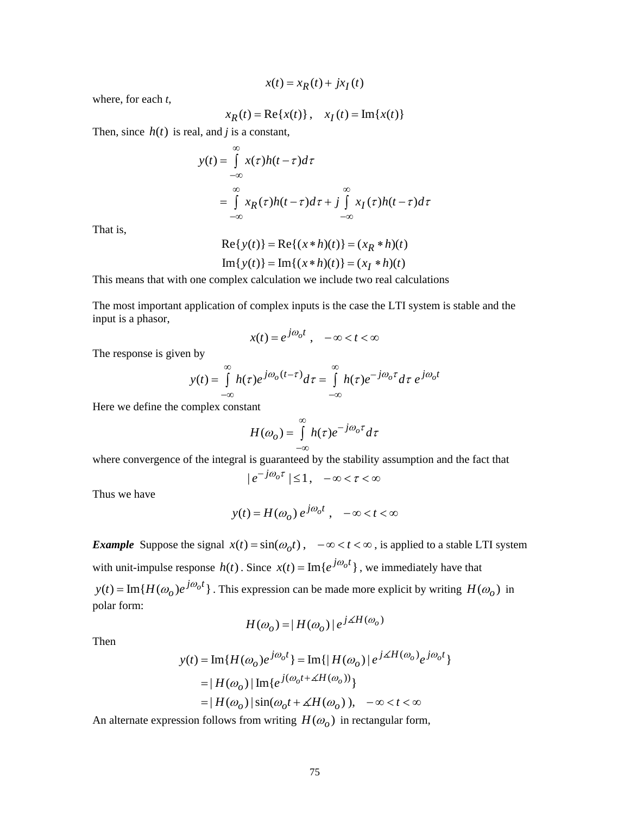$x(t) = x_R(t) + jx_I(t)$ 

where, for each *t*,

$$
x_R(t) = \text{Re}\{x(t)\}\, , \quad x_I(t) = \text{Im}\{x(t)\}\,
$$

Then, since  $h(t)$  is real, and *j* is a constant,

$$
y(t) = \int_{-\infty}^{\infty} x(\tau)h(t-\tau)d\tau
$$
  
= 
$$
\int_{-\infty}^{\infty} x_R(\tau)h(t-\tau)d\tau + j \int_{-\infty}^{\infty} x_I(\tau)h(t-\tau)d\tau
$$

That is,

Re{ ( )} Re{( )( )} ( )( ) Im{ ( )} Im{( )( )} ( )( ) *R I y t xht x ht y t xht x ht* = ∗ =∗ = ∗ =∗

This means that with one complex calculation we include two real calculations

The most important application of complex inputs is the case the LTI system is stable and the input is a phasor,

$$
x(t) = e^{j\omega_0 t}, \quad -\infty < t < \infty
$$

The response is given by

$$
y(t) = \int_{-\infty}^{\infty} h(\tau)e^{j\omega_o(t-\tau)}d\tau = \int_{-\infty}^{\infty} h(\tau)e^{-j\omega_o\tau}d\tau e^{j\omega_o t}
$$

Here we define the complex constant

$$
H(\omega_o) = \int_{-\infty}^{\infty} h(\tau) e^{-j\omega_o \tau} d\tau
$$

where convergence of the integral is guaranteed by the stability assumption and the fact that

$$
|e^{-j\omega_o \tau}| \le 1, \quad -\infty < \tau < \infty
$$

Thus we have

$$
y(t) = H(\omega_o) e^{j\omega_o t}, \quad -\infty < t < \infty
$$

*Example* Suppose the signal  $x(t) = \sin(\omega_0 t)$ ,  $-\infty < t < \infty$ , is applied to a stable LTI system with unit-impulse response  $h(t)$ . Since  $x(t) = \text{Im} \{ e^{j\omega_0 t} \}$ , we immediately have that  $y(t) = \text{Im} \{ H(\omega_o)e^{j\omega_o t} \}$ . This expression can be made more explicit by writing  $H(\omega_o)$  in polar form:

$$
H(\omega_o) = |H(\omega_o)| e^{j\measuredangle H(\omega_o)}
$$

Then

$$
y(t) = \text{Im}\{H(\omega_o)e^{j\omega_o t}\} = \text{Im}\{|H(\omega_o)|e^{j\angle H(\omega_o)}e^{j\omega_o t}\}
$$

$$
= |H(\omega_o)|\text{Im}\{e^{j(\omega_o t + \angle H(\omega_o))}\}
$$

$$
= |H(\omega_o)|\sin(\omega_o t + \angle H(\omega_o)), \quad -\infty < t < \infty
$$

An alternate expression follows from writing  $H(\omega_o)$  in rectangular form,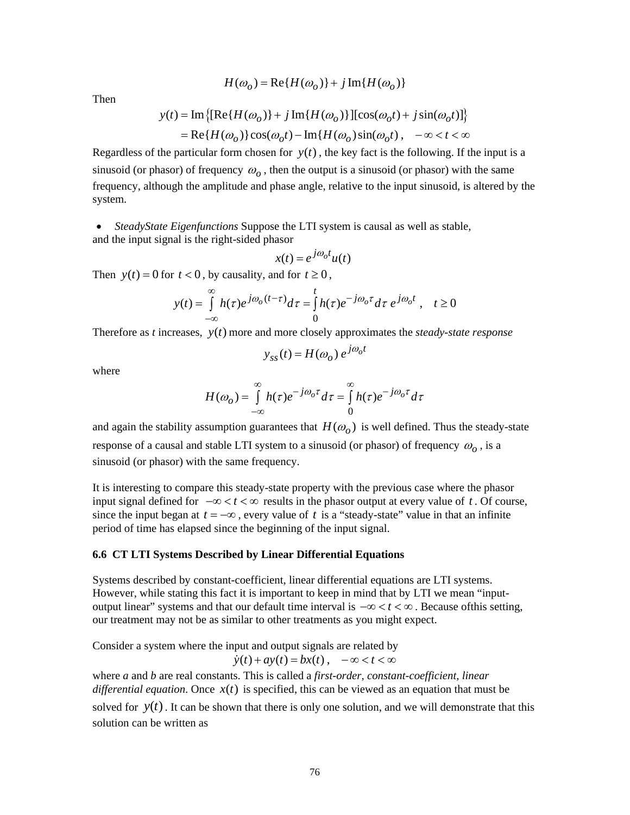$$
H(\omega_o) = \text{Re}\{H(\omega_o)\} + j\,\text{Im}\{H(\omega_o)\}
$$

Then

$$
y(t) = \text{Im}\left\{ [\text{Re}\{H(\omega_o)\} + j \,\text{Im}\{H(\omega_o)\}] [\cos(\omega_o t) + j \sin(\omega_o t)] \right\}
$$
  
= Re\{H(\omega\_o)\}\cos(\omega\_o t) - \text{Im}\{H(\omega\_o)\sin(\omega\_o t), -\infty < t < \infty

Regardless of the particular form chosen for  $y(t)$ , the key fact is the following. If the input is a sinusoid (or phasor) of frequency  $\omega_0$ , then the output is a sinusoid (or phasor) with the same frequency, although the amplitude and phase angle, relative to the input sinusoid, is altered by the system.

• *SteadyState Eigenfunctions* Suppose the LTI system is causal as well as stable, and the input signal is the right-sided phasor

$$
x(t) = e^{j\omega_o t} u(t)
$$

Then  $y(t) = 0$  for  $t < 0$ , by causality, and for  $t \ge 0$ ,

$$
y(t) = \int_{-\infty}^{\infty} h(\tau)e^{j\omega_o(t-\tau)}d\tau = \int_{0}^{t} h(\tau)e^{-j\omega_o\tau}d\tau e^{j\omega_o t}, \quad t \ge 0
$$

Therefore as *t* increases, *y t*( ) more and more closely approximates the *steady-state response* 

$$
y_{ss}(t) = H(\omega_o) e^{j\omega_o t}
$$

where

$$
H(\omega_o) = \int_{-\infty}^{\infty} h(\tau)e^{-j\omega_o \tau} d\tau = \int_{0}^{\infty} h(\tau)e^{-j\omega_o \tau} d\tau
$$

and again the stability assumption guarantees that  $H(\omega_o)$  is well defined. Thus the steady-state response of a causal and stable LTI system to a sinusoid (or phasor) of frequency  $\omega$ , is a sinusoid (or phasor) with the same frequency.

It is interesting to compare this steady-state property with the previous case where the phasor input signal defined for  $-\infty < t < \infty$  results in the phasor output at every value of *t*. Of course, since the input began at  $t = -\infty$ , every value of t is a "steady-state" value in that an infinite period of time has elapsed since the beginning of the input signal.

### **6.6 CT LTI Systems Described by Linear Differential Equations**

Systems described by constant-coefficient, linear differential equations are LTI systems. However, while stating this fact it is important to keep in mind that by LTI we mean "inputoutput linear" systems and that our default time interval is  $-\infty < t < \infty$ . Because of this setting, our treatment may not be as similar to other treatments as you might expect.

Consider a system where the input and output signals are related by

$$
\dot{y}(t) + ay(t) = bx(t), \quad -\infty < t < \infty
$$

where *a* and *b* are real constants. This is called a *first-order, constant-coefficient, linear differential equation*. Once  $x(t)$  is specified, this can be viewed as an equation that must be solved for  $y(t)$ . It can be shown that there is only one solution, and we will demonstrate that this solution can be written as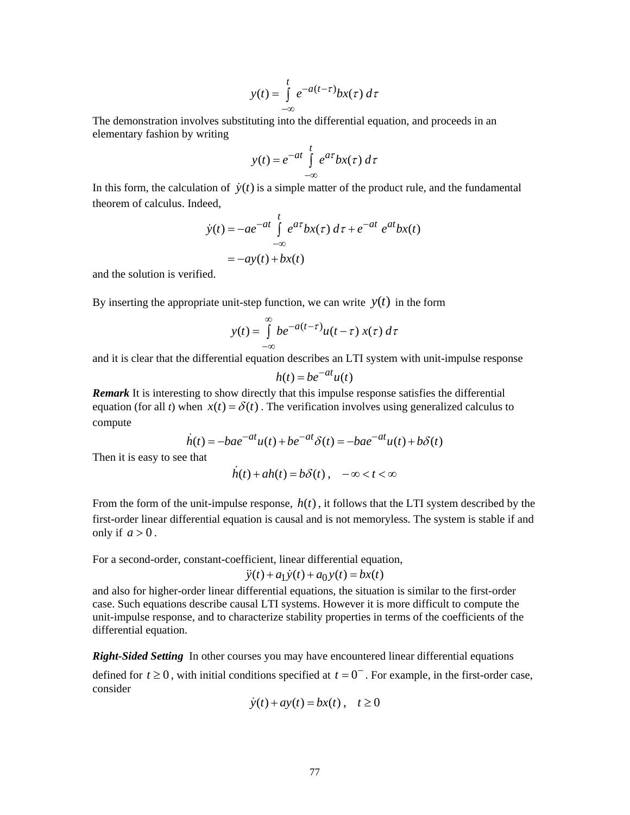$$
y(t) = \int_{-\infty}^{t} e^{-a(t-\tau)} bx(\tau) d\tau
$$

The demonstration involves substituting into the differential equation, and proceeds in an elementary fashion by writing

$$
y(t) = e^{-at} \int_{-\infty}^{t} e^{at} bx(\tau) d\tau
$$

In this form, the calculation of  $\dot{y}(t)$  is a simple matter of the product rule, and the fundamental theorem of calculus. Indeed,

$$
\dot{y}(t) = -ae^{-at} \int_{-\infty}^{t} e^{at} bx(\tau) d\tau + e^{-at} e^{at} bx(t)
$$

$$
= -ay(t) + bx(t)
$$

and the solution is verified.

By inserting the appropriate unit-step function, we can write  $y(t)$  in the form

$$
y(t) = \int_{-\infty}^{\infty} b e^{-a(t-\tau)} u(t-\tau) x(\tau) d\tau
$$

and it is clear that the differential equation describes an LTI system with unit-impulse response

$$
h(t) = be^{-at}u(t)
$$

*Remark* It is interesting to show directly that this impulse response satisfies the differential equation (for all *t*) when  $x(t) = \delta(t)$ . The verification involves using generalized calculus to compute

$$
\dot{h}(t) = -bae^{-at}u(t) + be^{-at}\delta(t) = -bae^{-at}u(t) + b\delta(t)
$$

Then it is easy to see that

 $\dot{h}(t) + ah(t) = b\delta(t), \quad -\infty < t < \infty$ 

From the form of the unit-impulse response,  $h(t)$ , it follows that the LTI system described by the first-order linear differential equation is causal and is not memoryless. The system is stable if and only if  $a > 0$ .

For a second-order, constant-coefficient, linear differential equation,

$$
\ddot{y}(t) + a_1 \dot{y}(t) + a_0 y(t) = bx(t)
$$

and also for higher-order linear differential equations, the situation is similar to the first-order case. Such equations describe causal LTI systems. However it is more difficult to compute the unit-impulse response, and to characterize stability properties in terms of the coefficients of the differential equation.

*Right-Sided Setting* In other courses you may have encountered linear differential equations

defined for  $t \ge 0$ , with initial conditions specified at  $t = 0^-$ . For example, in the first-order case, consider

$$
\dot{y}(t) + ay(t) = bx(t), \quad t \ge 0
$$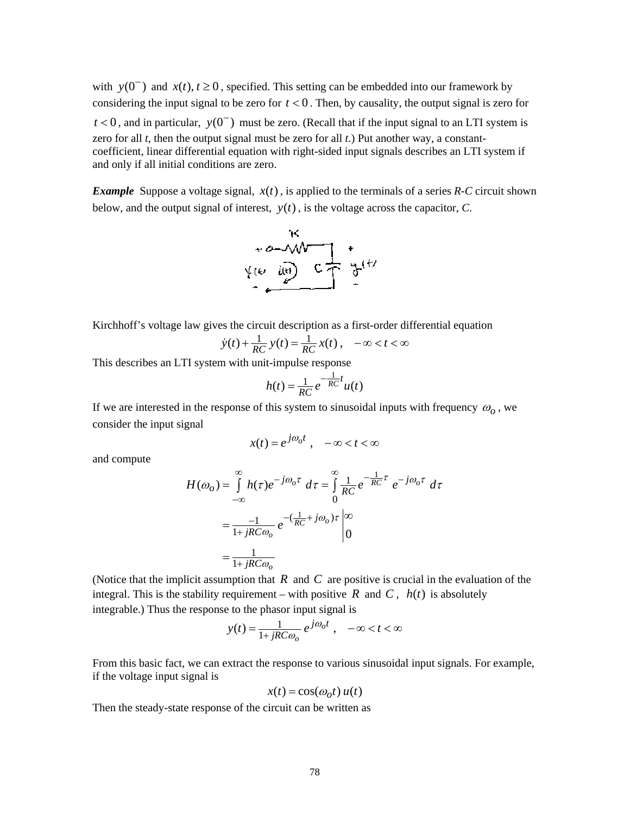with  $y(0^-)$  and  $x(t), t \ge 0$ , specified. This setting can be embedded into our framework by considering the input signal to be zero for  $t < 0$ . Then, by causality, the output signal is zero for  $t < 0$ , and in particular,  $y(0^-)$  must be zero. (Recall that if the input signal to an LTI system is zero for all *t*, then the output signal must be zero for all *t*.) Put another way, a constantcoefficient, linear differential equation with right-sided input signals describes an LTI system if and only if all initial conditions are zero.

*Example* Suppose a voltage signal,  $x(t)$ , is applied to the terminals of a series  $R$ -C circuit shown below, and the output signal of interest,  $y(t)$ , is the voltage across the capacitor,  $C$ .



Kirchhoff's voltage law gives the circuit description as a first-order differential equation

$$
\dot{y}(t) + \frac{1}{RC} y(t) = \frac{1}{RC} x(t), \quad -\infty < t < \infty
$$

This describes an LTI system with unit-impulse response

$$
h(t) = \frac{1}{RC} e^{-\frac{1}{RC}t} u(t)
$$

If we are interested in the response of this system to sinusoidal inputs with frequency  $\omega$ <sub>o</sub>, we consider the input signal

$$
x(t) = e^{j\omega_0 t} , \quad -\infty < t < \infty
$$

and compute

$$
H(\omega_o) = \int_{-\infty}^{\infty} h(\tau)e^{-j\omega_o \tau} d\tau = \int_{0}^{\infty} \frac{1}{RC} e^{-\frac{1}{RC}\tau} e^{-j\omega_o \tau} d\tau
$$

$$
= \frac{-1}{1+jRC\omega_o} e^{-(\frac{1}{RC}+j\omega_o)\tau} \Big|_{0}^{\infty}
$$

$$
= \frac{1}{1+jRC\omega_o}
$$

(Notice that the implicit assumption that *R* and *C* are positive is crucial in the evaluation of the integral. This is the stability requirement – with positive  $R$  and  $C$ ,  $h(t)$  is absolutely integrable.) Thus the response to the phasor input signal is

$$
y(t) = \frac{1}{1 + jRC\omega_o} e^{j\omega_o t}, \quad -\infty < t < \infty
$$

From this basic fact, we can extract the response to various sinusoidal input signals. For example, if the voltage input signal is

$$
x(t) = \cos(\omega_0 t) u(t)
$$

Then the steady-state response of the circuit can be written as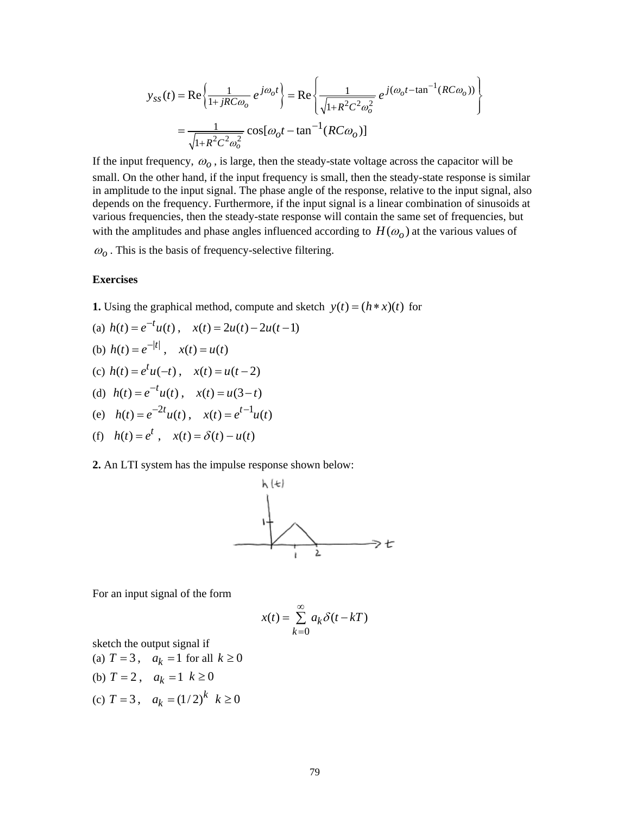$$
y_{ss}(t) = \text{Re}\left\{\frac{1}{1+jRC\omega_o}e^{j\omega_o t}\right\} = \text{Re}\left\{\frac{1}{\sqrt{1+R^2C^2\omega_o^2}}e^{j(\omega_o t - \tan^{-1}(RC\omega_o))}\right\}
$$

$$
= \frac{1}{\sqrt{1+R^2C^2\omega_o^2}}\cos[\omega_o t - \tan^{-1}(RC\omega_o)]
$$

If the input frequency,  $\omega_o$ , is large, then the steady-state voltage across the capacitor will be small. On the other hand, if the input frequency is small, then the steady-state response is similar in amplitude to the input signal. The phase angle of the response, relative to the input signal, also depends on the frequency. Furthermore, if the input signal is a linear combination of sinusoids at various frequencies, then the steady-state response will contain the same set of frequencies, but with the amplitudes and phase angles influenced according to  $H(\omega_o)$  at the various values of  $\omega$ <sub>o</sub>. This is the basis of frequency-selective filtering.

### **Exercises**

**1.** Using the graphical method, compute and sketch  $y(t) = (h * x)(t)$  for

(a) 
$$
h(t) = e^{-t}u(t)
$$
,  $x(t) = 2u(t) - 2u(t-1)$   
\n(b)  $h(t) = e^{-|t|}$ ,  $x(t) = u(t)$   
\n(c)  $h(t) = e^{t}u(-t)$ ,  $x(t) = u(t-2)$   
\n(d)  $h(t) = e^{-t}u(t)$ ,  $x(t) = u(3-t)$ 

(e) 
$$
h(t) = e^{-2t}u(t)
$$
,  $x(t) = e^{t-1}u(t)$ 

(f) 
$$
h(t) = e^t
$$
,  $x(t) = \delta(t) - u(t)$ 

# **2.** An LTI system has the impulse response shown below:



For an input signal of the form

$$
x(t) = \sum_{k=0}^{\infty} a_k \delta(t - kT)
$$

sketch the output signal if

- (a)  $T = 3$ ,  $a_k = 1$  for all  $k \ge 0$
- (b)  $T = 2$ ,  $a_k = 1$   $k \ge 0$
- (c)  $T = 3$ ,  $a_k = (1/2)^k$   $k \ge 0$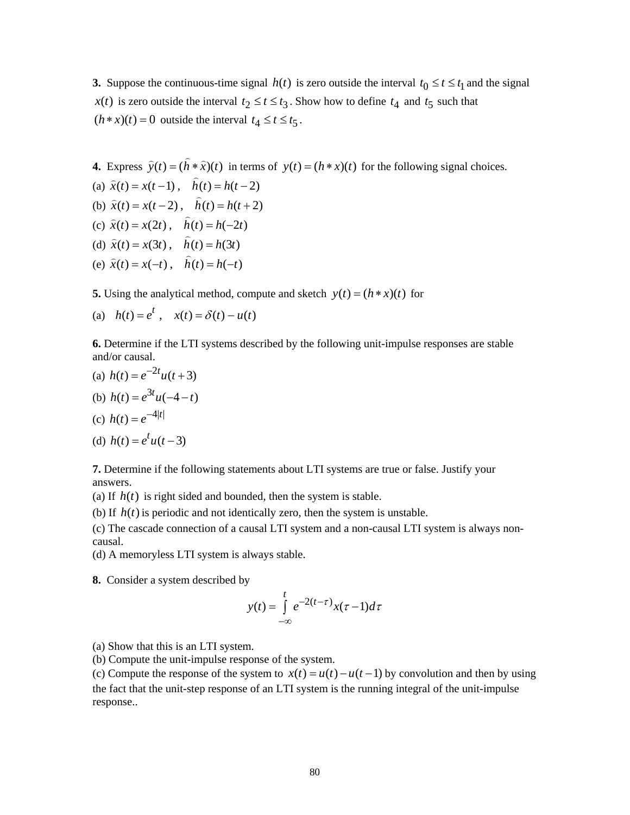**3.** Suppose the continuous-time signal  $h(t)$  is zero outside the interval  $t_0 \le t \le t_1$  and the signal *x*(*t*) is zero outside the interval  $t_2 \le t \le t_3$ . Show how to define  $t_4$  and  $t_5$  such that  $(h * x)(t) = 0$  outside the interval  $t_4 \le t \le t_5$ .

**4.** Express 
$$
\hat{y}(t) = (\hat{h} * \hat{x})(t)
$$
 in terms of  $y(t) = (h * x)(t)$  for the following signal choices.

(a) 
$$
\hat{x}(t) = x(t-1)
$$
,  $\hat{h}(t) = h(t-2)$ 

(b)  $\hat{x}(t) = x(t-2)$ ,  $\hat{h}(t) = h(t+2)$ 

(c) 
$$
\hat{x}(t) = x(2t)
$$
,  $\hat{h}(t) = h(-2t)$ 

- (d)  $\hat{x}(t) = x(3t)$ ,  $\hat{h}(t) = h(3t)$
- (e)  $\hat{x}(t) = x(-t)$ ,  $\hat{h}(t) = h(-t)$

**5.** Using the analytical method, compute and sketch  $y(t) = (h * x)(t)$  for

(a) 
$$
h(t) = e^t
$$
,  $x(t) = \delta(t) - u(t)$ 

**6.** Determine if the LTI systems described by the following unit-impulse responses are stable and/or causal.

(a)  $h(t) = e^{-2t}u(t+3)$  $h(t) = e^{\int_0^t t} h(t - t)$ 

(b) 
$$
h(t) = e^{3t}u(-4-t)
$$

(c) 
$$
h(t) = e^{-4|t|}
$$

(d) 
$$
h(t) = e^t u(t-3)
$$

**7.** Determine if the following statements about LTI systems are true or false. Justify your answers.

(a) If  $h(t)$  is right sided and bounded, then the system is stable.

(b) If  $h(t)$  is periodic and not identically zero, then the system is unstable.

(c) The cascade connection of a causal LTI system and a non-causal LTI system is always noncausal.

(d) A memoryless LTI system is always stable.

**8.** Consider a system described by

$$
y(t) = \int_{-\infty}^{t} e^{-2(t-\tau)} x(\tau - 1) d\tau
$$

(a) Show that this is an LTI system.

(b) Compute the unit-impulse response of the system.

(c) Compute the response of the system to  $x(t) = u(t) - u(t-1)$  by convolution and then by using the fact that the unit-step response of an LTI system is the running integral of the unit-impulse response..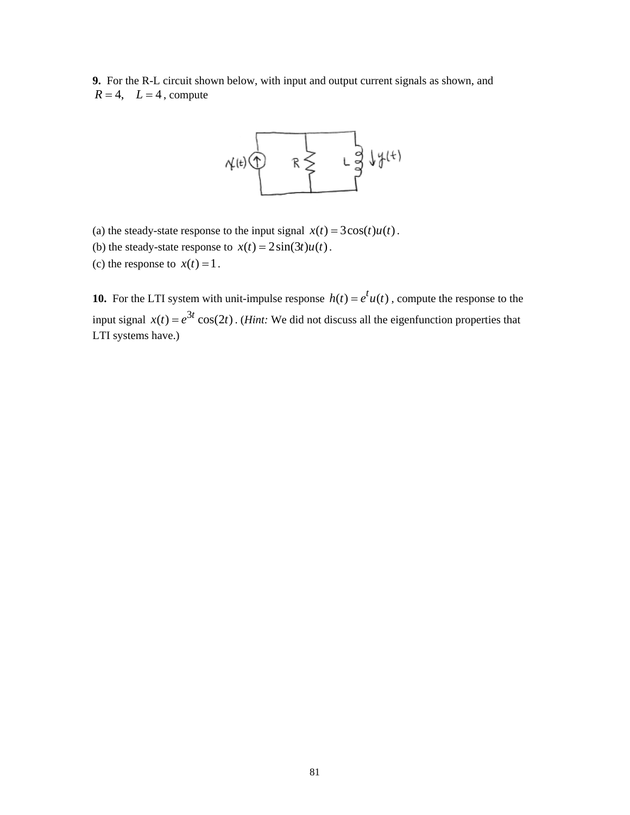**9.** For the R-L circuit shown below, with input and output current signals as shown, and  $R = 4$ ,  $L = 4$ , compute



- (a) the steady-state response to the input signal  $x(t) = 3\cos(t)u(t)$ .
- (b) the steady-state response to  $x(t) = 2\sin(3t)u(t)$ .
- (c) the response to  $x(t) = 1$ .

**10.** For the LTI system with unit-impulse response  $h(t) = e^t u(t)$ , compute the response to the input signal  $x(t) = e^{3t} \cos(2t)$ . (*Hint*: We did not discuss all the eigenfunction properties that LTI systems have.)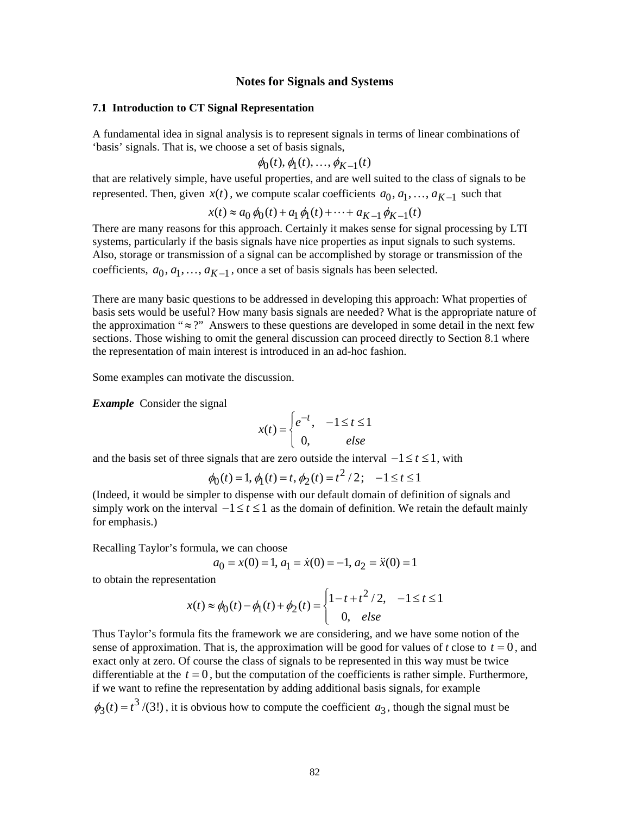# **Notes for Signals and Systems**

### **7.1 Introduction to CT Signal Representation**

A fundamental idea in signal analysis is to represent signals in terms of linear combinations of 'basis' signals. That is, we choose a set of basis signals,

$$
\phi_0(t), \phi_1(t), \ldots, \phi_{K-1}(t)
$$

that are relatively simple, have useful properties, and are well suited to the class of signals to be represented. Then, given  $x(t)$ , we compute scalar coefficients  $a_0, a_1, \ldots, a_{K-1}$  such that

$$
x(t) \approx a_0 \phi_0(t) + a_1 \phi_1(t) + \dots + a_{K-1} \phi_{K-1}(t)
$$

There are many reasons for this approach. Certainly it makes sense for signal processing by LTI systems, particularly if the basis signals have nice properties as input signals to such systems. Also, storage or transmission of a signal can be accomplished by storage or transmission of the coefficients,  $a_0, a_1, \ldots, a_{K-1}$ , once a set of basis signals has been selected.

There are many basic questions to be addressed in developing this approach: What properties of basis sets would be useful? How many basis signals are needed? What is the appropriate nature of the approximation " $\approx$ ?" Answers to these questions are developed in some detail in the next few sections. Those wishing to omit the general discussion can proceed directly to Section 8.1 where the representation of main interest is introduced in an ad-hoc fashion.

Some examples can motivate the discussion.

*Example* Consider the signal

$$
x(t) = \begin{cases} e^{-t}, & -1 \le t \le 1 \\ 0, & else \end{cases}
$$

and the basis set of three signals that are zero outside the interval  $-1 \le t \le 1$ , with

$$
\phi_0(t) = 1, \phi_1(t) = t, \phi_2(t) = t^2 / 2; -1 \le t \le 1
$$

(Indeed, it would be simpler to dispense with our default domain of definition of signals and simply work on the interval  $-1 \le t \le 1$  as the domain of definition. We retain the default mainly for emphasis.)

Recalling Taylor's formula, we can choose

$$
a_0 = x(0) = 1, a_1 = \dot{x}(0) = -1, a_2 = \ddot{x}(0) = 1
$$

to obtain the representation

$$
x(t) \approx \phi_0(t) - \phi_1(t) + \phi_2(t) = \begin{cases} 1 - t + t^2 / 2, & -1 \le t \le 1 \\ 0, & else \end{cases}
$$

Thus Taylor's formula fits the framework we are considering, and we have some notion of the sense of approximation. That is, the approximation will be good for values of  $t$  close to  $t = 0$ , and exact only at zero. Of course the class of signals to be represented in this way must be twice differentiable at the  $t = 0$ , but the computation of the coefficients is rather simple. Furthermore, if we want to refine the representation by adding additional basis signals, for example  $\phi_3(t) = t^3/(3!)$ , it is obvious how to compute the coefficient  $a_3$ , though the signal must be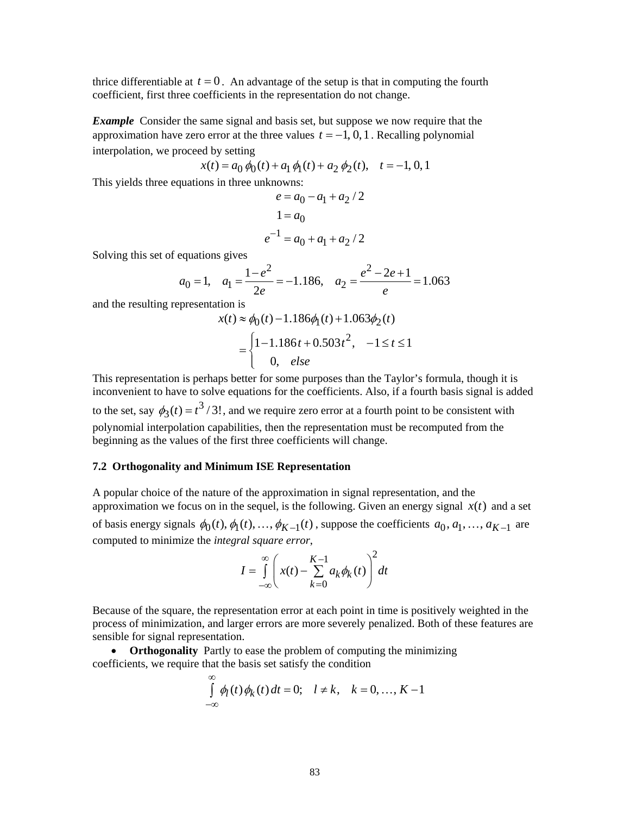thrice differentiable at  $t = 0$ . An advantage of the setup is that in computing the fourth coefficient, first three coefficients in the representation do not change.

*Example* Consider the same signal and basis set, but suppose we now require that the approximation have zero error at the three values  $t = -1, 0, 1$ . Recalling polynomial interpolation, we proceed by setting

$$
x(t) = a_0 \phi_0(t) + a_1 \phi_1(t) + a_2 \phi_2(t), \quad t = -1, 0, 1
$$

This yields three equations in three unknowns:

$$
e = a_0 - a_1 + a_2 / 2
$$
  
1 = a<sub>0</sub>  

$$
e^{-1} = a_0 + a_1 + a_2 / 2
$$

Solving this set of equations gives

$$
a_0 = 1
$$
,  $a_1 = \frac{1 - e^2}{2e} = -1.186$ ,  $a_2 = \frac{e^2 - 2e + 1}{e} = 1.063$ 

and the resulting representation is

$$
x(t) \approx \phi_0(t) - 1.186\phi_1(t) + 1.063\phi_2(t)
$$
  
= 
$$
\begin{cases} 1 - 1.186t + 0.503t^2, & -1 \le t \le 1 \\ 0, & else \end{cases}
$$

This representation is perhaps better for some purposes than the Taylor's formula, though it is inconvenient to have to solve equations for the coefficients. Also, if a fourth basis signal is added to the set, say  $\phi_3(t) = t^3/3!$ , and we require zero error at a fourth point to be consistent with polynomial interpolation capabilities, then the representation must be recomputed from the beginning as the values of the first three coefficients will change.

# **7.2 Orthogonality and Minimum ISE Representation**

A popular choice of the nature of the approximation in signal representation, and the approximation we focus on in the sequel, is the following. Given an energy signal  $x(t)$  and a set of basis energy signals  $\phi_0(t), \phi_1(t), \ldots, \phi_{K-1}(t)$ , suppose the coefficients  $a_0, a_1, \ldots, a_{K-1}$  are computed to minimize the *integral square error*,

$$
I=\int\limits_{-\infty}^{\infty}\left(x(t)-\sum\limits_{k=0}^{K-1}a_{k}\phi_{k}(t)\right)^{2}dt
$$

Because of the square, the representation error at each point in time is positively weighted in the process of minimization, and larger errors are more severely penalized. Both of these features are sensible for signal representation.

• **Orthogonality** Partly to ease the problem of computing the minimizing coefficients, we require that the basis set satisfy the condition

$$
\int_{-\infty}^{\infty} \phi_l(t) \phi_k(t) dt = 0; \quad l \neq k, \quad k = 0, ..., K-1
$$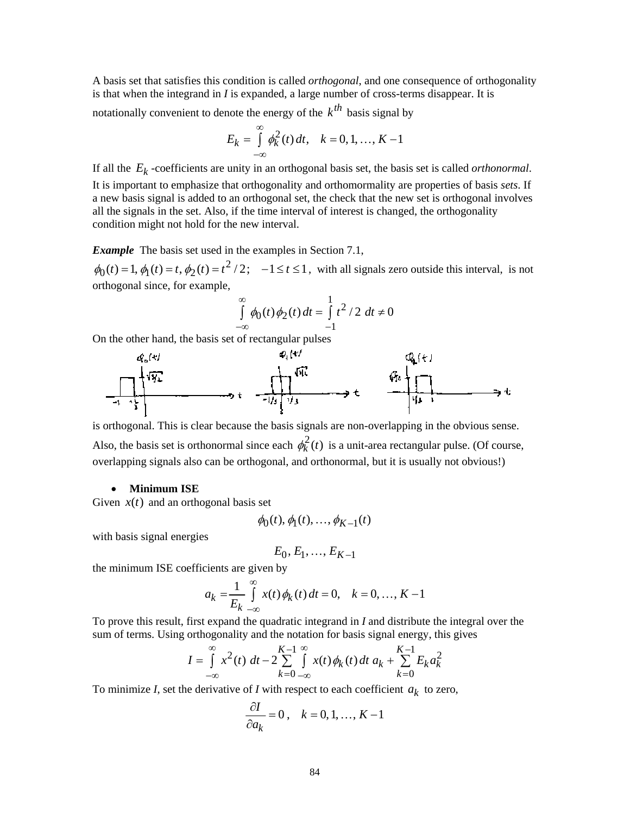A basis set that satisfies this condition is called *orthogonal*, and one consequence of orthogonality is that when the integrand in *I* is expanded, a large number of cross-terms disappear. It is

notationally convenient to denote the energy of the  $k^{th}$  basis signal by

$$
E_k = \int_{-\infty}^{\infty} \phi_k^2(t) \, dt, \quad k = 0, 1, \dots, K - 1
$$

If all the *Ek* -coefficients are unity in an orthogonal basis set, the basis set is called *orthonormal*. It is important to emphasize that orthogonality and orthomormality are properties of basis *sets*. If a new basis signal is added to an orthogonal set, the check that the new set is orthogonal involves all the signals in the set. Also, if the time interval of interest is changed, the orthogonality condition might not hold for the new interval.

*Example* The basis set used in the examples in Section 7.1,

 $\phi_0(t) = 1$ ,  $\phi_1(t) = t$ ,  $\phi_2(t) = t^2/2$ ;  $-1 \le t \le 1$ , with all signals zero outside this interval, is not orthogonal since, for example,

$$
\int_{-\infty}^{\infty} \phi_0(t) \phi_2(t) dt = \int_{-1}^{1} t^2 / 2 dt \neq 0
$$

On the other hand, the basis set of rectangular pulses



is orthogonal. This is clear because the basis signals are non-overlapping in the obvious sense. Also, the basis set is orthonormal since each  $\phi_k^2(t)$  is a unit-area rectangular pulse. (Of course, overlapping signals also can be orthogonal, and orthonormal, but it is usually not obvious!)

#### • **Minimum ISE**

Given  $x(t)$  and an orthogonal basis set

$$
\phi_0(t), \phi_1(t), \ldots, \phi_{K-1}(t)
$$

with basis signal energies

$$
E_0, E_1, \ldots, E_{K-1}
$$

the minimum ISE coefficients are given by

$$
a_k = \frac{1}{E_k} \int_{-\infty}^{\infty} x(t) \phi_k(t) dt = 0, \quad k = 0, ..., K - 1
$$

To prove this result, first expand the quadratic integrand in *I* and distribute the integral over the sum of terms. Using orthogonality and the notation for basis signal energy, this gives

$$
I = \int_{-\infty}^{\infty} x^2(t) \, dt - 2 \sum_{k=0}^{K-1} \int_{-\infty}^{\infty} x(t) \, \phi_k(t) \, dt \, a_k + \sum_{k=0}^{K-1} E_k a_k^2
$$

To minimize *I*, set the derivative of *I* with respect to each coefficient  $a_k$  to zero,

$$
\frac{\partial I}{\partial a_k} = 0, \quad k = 0, 1, \dots, K - 1
$$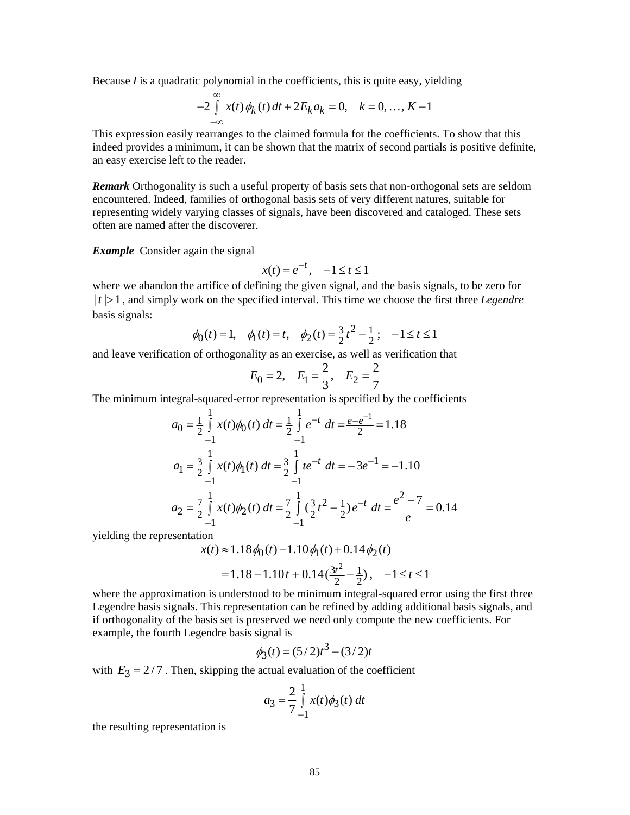Because *I* is a quadratic polynomial in the coefficients, this is quite easy, yielding

$$
-2\int_{-\infty}^{\infty} x(t)\phi_k(t) dt + 2E_k a_k = 0, \quad k = 0, ..., K-1
$$

This expression easily rearranges to the claimed formula for the coefficients. To show that this indeed provides a minimum, it can be shown that the matrix of second partials is positive definite, an easy exercise left to the reader.

*Remark* Orthogonality is such a useful property of basis sets that non-orthogonal sets are seldom encountered. Indeed, families of orthogonal basis sets of very different natures, suitable for representing widely varying classes of signals, have been discovered and cataloged. These sets often are named after the discoverer.

*Example* Consider again the signal

$$
x(t) = e^{-t}, \quad -1 \le t \le 1
$$

where we abandon the artifice of defining the given signal, and the basis signals, to be zero for  $|t| > 1$ , and simply work on the specified interval. This time we choose the first three *Legendre* basis signals:

$$
\phi_0(t) = 1
$$
,  $\phi_1(t) = t$ ,  $\phi_2(t) = \frac{3}{2}t^2 - \frac{1}{2}$ ;  $-1 \le t \le 1$ 

and leave verification of orthogonality as an exercise, as well as verification that

$$
E_0 = 2
$$
,  $E_1 = \frac{2}{3}$ ,  $E_2 = \frac{2}{7}$ 

The minimum integral-squared-error representation is specified by the coefficients

$$
a_0 = \frac{1}{2} \int_{-1}^{1} x(t) \phi_0(t) dt = \frac{1}{2} \int_{-1}^{1} e^{-t} dt = \frac{e - e^{-1}}{2} = 1.18
$$
  
\n
$$
a_1 = \frac{3}{2} \int_{-1}^{1} x(t) \phi_1(t) dt = \frac{3}{2} \int_{-1}^{1} t e^{-t} dt = -3e^{-1} = -1.10
$$
  
\n
$$
a_2 = \frac{7}{2} \int_{-1}^{1} x(t) \phi_2(t) dt = \frac{7}{2} \int_{-1}^{1} (\frac{3}{2}t^2 - \frac{1}{2}) e^{-t} dt = \frac{e^2 - 7}{e} = 0.14
$$

yielding the representation

$$
x(t) \approx 1.18 \phi_0(t) - 1.10 \phi_1(t) + 0.14 \phi_2(t)
$$
  
= 1.18 - 1.10t + 0.14( $\frac{3t^2}{2} - \frac{1}{2}$ ), -1 \le t \le 1

where the approximation is understood to be minimum integral-squared error using the first three Legendre basis signals. This representation can be refined by adding additional basis signals, and if orthogonality of the basis set is preserved we need only compute the new coefficients. For example, the fourth Legendre basis signal is

$$
\phi_3(t) = (5/2)t^3 - (3/2)t
$$

with  $E_3 = 2/7$ . Then, skipping the actual evaluation of the coefficient

$$
a_3 = \frac{2}{7} \int_{-1}^{1} x(t) \phi_3(t) dt
$$

the resulting representation is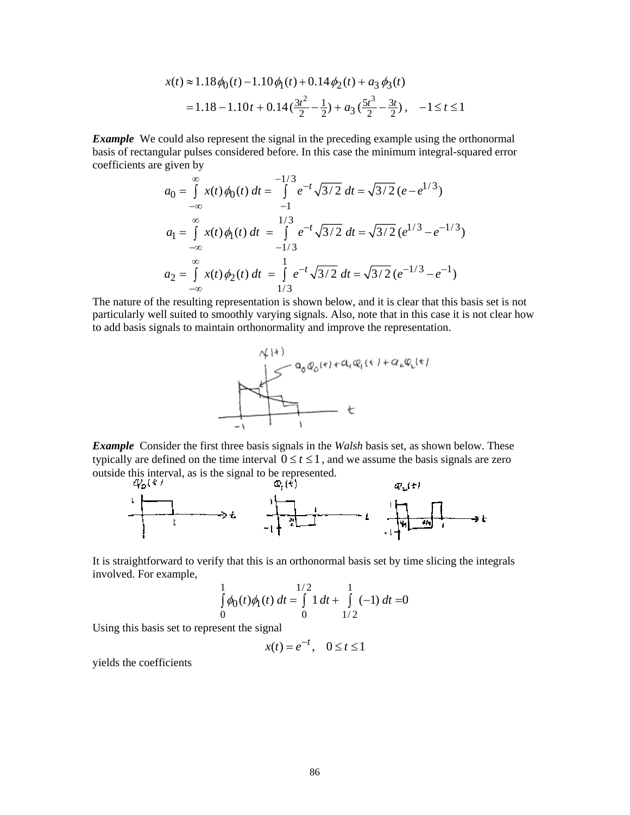$$
x(t) \approx 1.18 \phi_0(t) - 1.10 \phi_1(t) + 0.14 \phi_2(t) + a_3 \phi_3(t)
$$
  
= 1.18 - 1.10t + 0.14  $\left(\frac{3t^2}{2} - \frac{1}{2}\right) + a_3 \left(\frac{5t^3}{2} - \frac{3t}{2}\right), -1 \le t \le 1$ 

**Example** We could also represent the signal in the preceding example using the orthonormal basis of rectangular pulses considered before. In this case the minimum integral-squared error coefficients are given by

$$
a_0 = \int_{-\infty}^{\infty} x(t) \phi_0(t) dt = \int_{-1}^{-1/3} e^{-t} \sqrt{3/2} dt = \sqrt{3/2} (e - e^{1/3})
$$
  
\n
$$
a_1 = \int_{-\infty}^{\infty} x(t) \phi_1(t) dt = \int_{-1/3}^{1/3} e^{-t} \sqrt{3/2} dt = \sqrt{3/2} (e^{1/3} - e^{-1/3})
$$
  
\n
$$
a_2 = \int_{-\infty}^{\infty} x(t) \phi_2(t) dt = \int_{1/3}^{1} e^{-t} \sqrt{3/2} dt = \sqrt{3/2} (e^{-1/3} - e^{-1})
$$

The nature of the resulting representation is shown below, and it is clear that this basis set is not particularly well suited to smoothly varying signals. Also, note that in this case it is not clear how to add basis signals to maintain orthonormality and improve the representation.



*Example* Consider the first three basis signals in the *Walsh* basis set, as shown below. These typically are defined on the time interval  $0 \le t \le 1$ , and we assume the basis signals are zero outside this interval, as is the signal to be represented.<br>  $\mathcal{L}_{b}(\mathbf{k})$ 



It is straightforward to verify that this is an orthonormal basis set by time slicing the integrals involved. For example,

$$
\int_{0}^{1} \phi_0(t)\phi_1(t) dt = \int_{0}^{1/2} 1 dt + \int_{1/2}^{1} (-1) dt = 0
$$

Using this basis set to represent the signal

 $x(t) = e^{-t}, \quad 0 \le t \le 1$ 

yields the coefficients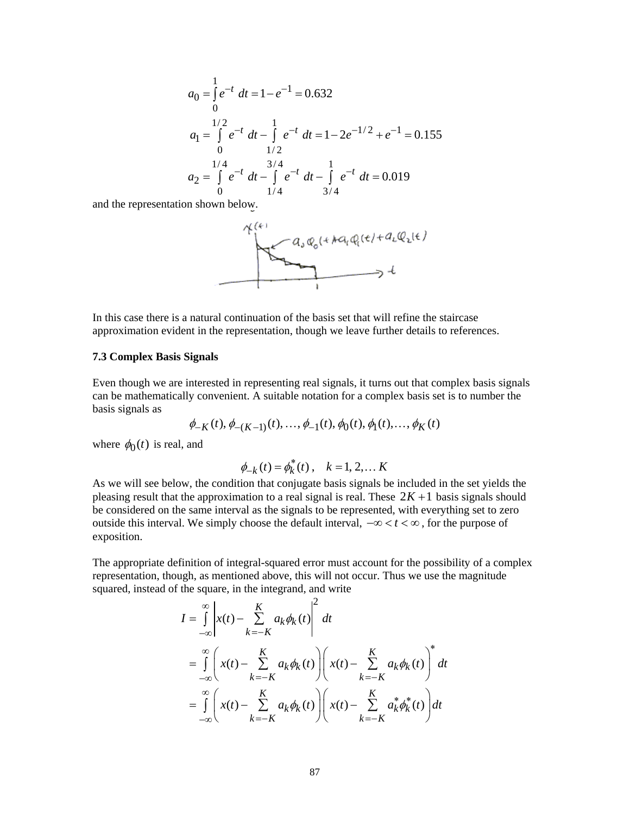$$
a_0 = \int_0^1 e^{-t} dt = 1 - e^{-1} = 0.632
$$
  
\n
$$
a_1 = \int_0^{1/2} e^{-t} dt - \int_1^1 e^{-t} dt = 1 - 2e^{-1/2} + e^{-1} = 0.155
$$
  
\n
$$
a_2 = \int_0^{1/4} e^{-t} dt - \int_1^1 e^{-t} dt - \int_1^1 e^{-t} dt = 0.019
$$
  
\n
$$
a_3/4
$$

and the representation shown below.



In this case there is a natural continuation of the basis set that will refine the staircase approximation evident in the representation, though we leave further details to references.

# **7.3 Complex Basis Signals**

Even though we are interested in representing real signals, it turns out that complex basis signals can be mathematically convenient. A suitable notation for a complex basis set is to number the basis signals as

$$
\phi_{-K}(t), \phi_{-(K-1)}(t), \ldots, \phi_{-1}(t), \phi_0(t), \phi_1(t), \ldots, \phi_K(t)
$$

where  $\phi_0(t)$  is real, and

$$
\phi_{-k}(t) = \phi_k^*(t), \quad k = 1, 2, \dots K
$$

As we will see below, the condition that conjugate basis signals be included in the set yields the pleasing result that the approximation to a real signal is real. These  $2K + 1$  basis signals should be considered on the same interval as the signals to be represented, with everything set to zero outside this interval. We simply choose the default interval,  $-\infty < t < \infty$ , for the purpose of exposition.

The appropriate definition of integral-squared error must account for the possibility of a complex representation, though, as mentioned above, this will not occur. Thus we use the magnitude squared, instead of the square, in the integrand, and write

$$
I = \int_{-\infty}^{\infty} \left| x(t) - \sum_{k=-K}^{K} a_k \phi_k(t) \right|^2 dt
$$
  
\n
$$
= \int_{-\infty}^{\infty} \left( x(t) - \sum_{k=-K}^{K} a_k \phi_k(t) \right) \left( x(t) - \sum_{k=-K}^{K} a_k \phi_k(t) \right)^* dt
$$
  
\n
$$
= \int_{-\infty}^{\infty} \left( x(t) - \sum_{k=-K}^{K} a_k \phi_k(t) \right) \left( x(t) - \sum_{k=-K}^{K} a_k^* \phi_k^*(t) \right) dt
$$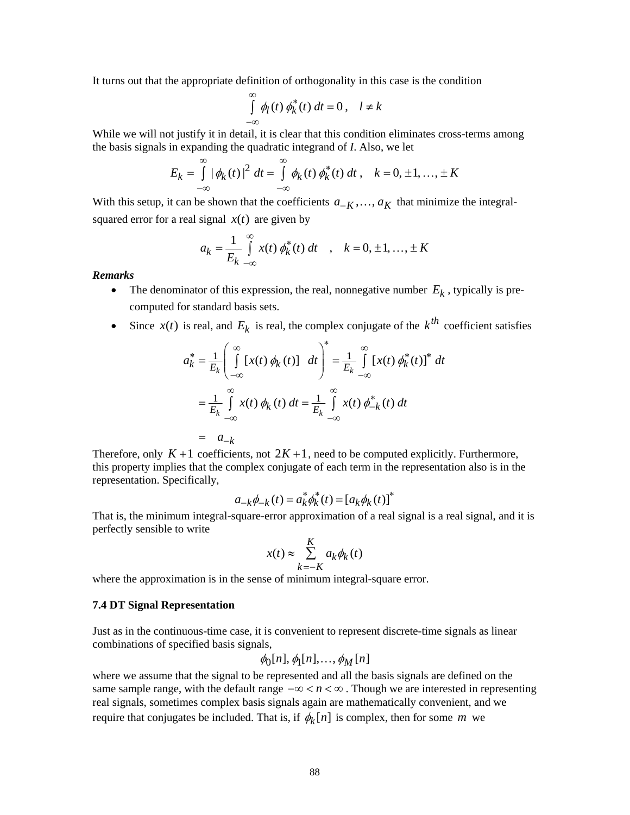It turns out that the appropriate definition of orthogonality in this case is the condition

$$
\int_{-\infty}^{\infty} \phi_l(t) \phi_k^*(t) dt = 0, \quad l \neq k
$$

While we will not justify it in detail, it is clear that this condition eliminates cross-terms among the basis signals in expanding the quadratic integrand of *I*. Also, we let

$$
E_k = \int_{-\infty}^{\infty} |\phi_k(t)|^2 dt = \int_{-\infty}^{\infty} \phi_k(t) \phi_k^*(t) dt, \quad k = 0, \pm 1, ..., \pm K
$$

With this setup, it can be shown that the coefficients  $a_{-K}$ , ...,  $a_K$  that minimize the integralsquared error for a real signal  $x(t)$  are given by

$$
a_k = \frac{1}{E_k} \int_{-\infty}^{\infty} x(t) \, \phi_k^*(t) \, dt \quad , \quad k = 0, \pm 1, \dots, \pm K
$$

*Remarks*

- The denominator of this expression, the real, nonnegative number  $E_k$ , typically is precomputed for standard basis sets.
- Since  $x(t)$  is real, and  $E_k$  is real, the complex conjugate of the  $k^{th}$  coefficient satisfies

$$
a_k^* = \frac{1}{E_k} \left( \int_{-\infty}^{\infty} \left[ x(t) \phi_k(t) \right] dt \right)^* = \frac{1}{E_k} \int_{-\infty}^{\infty} \left[ x(t) \phi_k^*(t) \right]^* dt
$$
  

$$
= \frac{1}{E_k} \int_{-\infty}^{\infty} x(t) \phi_k(t) dt = \frac{1}{E_k} \int_{-\infty}^{\infty} x(t) \phi_{-k}^*(t) dt
$$
  

$$
= a_{-k}
$$

Therefore, only  $K + 1$  coefficients, not  $2K + 1$ , need to be computed explicitly. Furthermore, this property implies that the complex conjugate of each term in the representation also is in the representation. Specifically,

$$
a_{-k} \phi_{-k}(t) = a_k^* \phi_k^*(t) = [a_k \phi_k(t)]^*
$$

That is, the minimum integral-square-error approximation of a real signal is a real signal, and it is perfectly sensible to write

$$
x(t) \approx \sum_{k=-K}^{K} a_k \phi_k(t)
$$

where the approximation is in the sense of minimum integral-square error.

## **7.4 DT Signal Representation**

Just as in the continuous-time case, it is convenient to represent discrete-time signals as linear combinations of specified basis signals,

$$
\phi_0[n], \phi_1[n], \ldots, \phi_M[n]
$$

where we assume that the signal to be represented and all the basis signals are defined on the same sample range, with the default range  $-\infty < n < \infty$ . Though we are interested in representing real signals, sometimes complex basis signals again are mathematically convenient, and we require that conjugates be included. That is, if  $\phi_k[n]$  is complex, then for some *m* we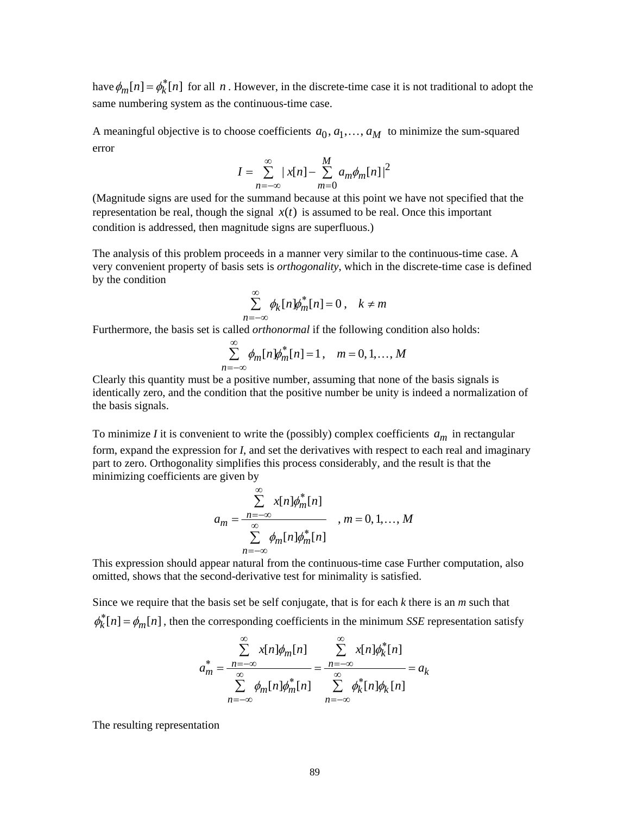have  $\phi_m[n] = \phi_k^*[n]$  for all *n*. However, in the discrete-time case it is not traditional to adopt the same numbering system as the continuous-time case.

A meaningful objective is to choose coefficients  $a_0, a_1, \ldots, a_M$  to minimize the sum-squared error

$$
I = \sum_{n=-\infty}^{\infty} |x[n] - \sum_{m=0}^{M} a_m \phi_m[n]|^2
$$

(Magnitude signs are used for the summand because at this point we have not specified that the representation be real, though the signal  $x(t)$  is assumed to be real. Once this important condition is addressed, then magnitude signs are superfluous.)

The analysis of this problem proceeds in a manner very similar to the continuous-time case. A very convenient property of basis sets is *orthogonality*, which in the discrete-time case is defined by the condition

$$
\sum_{n=-\infty}^{\infty} \phi_k[n] \phi_m^*[n] = 0, \quad k \neq m
$$

Furthermore, the basis set is called *orthonormal* if the following condition also holds:

$$
\sum_{n=-\infty}^{\infty} \phi_m[n] \phi_m^*[n] = 1, \quad m = 0, 1, \dots, M
$$

Clearly this quantity must be a positive number, assuming that none of the basis signals is identically zero, and the condition that the positive number be unity is indeed a normalization of the basis signals.

To minimize *I* it is convenient to write the (possibly) complex coefficients  $a_m$  in rectangular form, expand the expression for *I*, and set the derivatives with respect to each real and imaginary part to zero. Orthogonality simplifies this process considerably, and the result is that the minimizing coefficients are given by

$$
a_m = \frac{\sum_{n=-\infty}^{\infty} x[n] \phi_m^*[n]}{\sum_{n=-\infty}^{\infty} \phi_m[n] \phi_m^*[n]}, \quad m = 0, 1, ..., M
$$

This expression should appear natural from the continuous-time case Further computation, also omitted, shows that the second-derivative test for minimality is satisfied.

Since we require that the basis set be self conjugate, that is for each *k* there is an *m* such that  $\phi_k^*$   $[n] = \phi_m[n]$ , then the corresponding coefficients in the minimum *SSE* representation satisfy

$$
a_m^* = \frac{\sum_{n=-\infty}^{\infty} x[n]\phi_m[n]}{\sum_{n=-\infty}^{\infty} \phi_m[n]\phi_m^*[n]} = \frac{\sum_{n=-\infty}^{\infty} x[n]\phi_k^*[n]}{\sum_{n=-\infty}^{\infty} \phi_k^*[n]\phi_k[n]} = a_k
$$

The resulting representation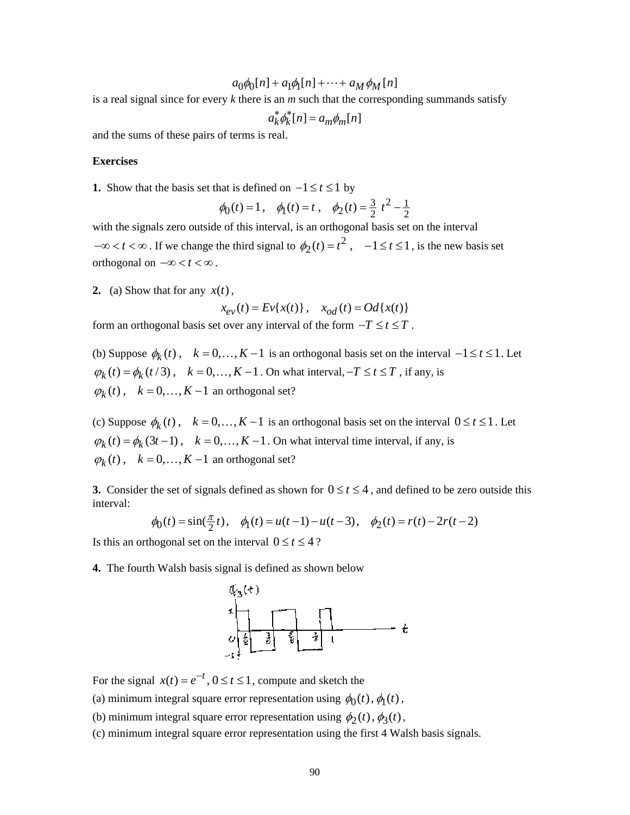$$
a_0\phi_0[n] + a_1\phi_1[n] + \cdots + a_M\phi_M[n]
$$

is a real signal since for every *k* there is an *m* such that the corresponding summands satisfy

$$
a_k^* \phi_k^* [n] = a_m \phi_m [n]
$$

and the sums of these pairs of terms is real.

#### **Exercises**

**1.** Show that the basis set that is defined on  $-1 \le t \le 1$  by

$$
\phi_0(t) = 1
$$
,  $\phi_1(t) = t$ ,  $\phi_2(t) = \frac{3}{2}t^2 - \frac{1}{2}$ 

with the signals zero outside of this interval, is an orthogonal basis set on the interval  $-\infty < t < \infty$ . If we change the third signal to  $\phi_2(t) = t^2$ ,  $-1 \le t \le 1$ , is the new basis set orthogonal on  $-\infty < t < \infty$ .

**2.** (a) Show that for any  $x(t)$ ,

$$
x_{ev}(t) = Ev{x(t)}, \quad x_{od}(t) = Od{x(t)}
$$

form an orthogonal basis set over any interval of the form  $-T \le t \le T$ .

(b) Suppose  $\phi_k(t)$ ,  $k = 0,..., K-1$  is an orthogonal basis set on the interval  $-1 \le t \le 1$ . Let  $\varphi_k(t) = \varphi_k(t/3)$ ,  $k = 0,..., K-1$ . On what interval,  $-T \le t \le T$ , if any, is  $\varphi_k(t)$ ,  $k = 0, \ldots, K-1$  an orthogonal set?

(c) Suppose  $\phi_k(t)$ ,  $k = 0, ..., K-1$  is an orthogonal basis set on the interval  $0 \le t \le 1$ . Let  $\varphi_k(t) = \varphi_k(3t-1)$ ,  $k = 0,..., K-1$ . On what interval time interval, if any, is  $\varphi_k(t)$ ,  $k = 0, \ldots, K-1$  an orthogonal set?

**3.** Consider the set of signals defined as shown for  $0 \le t \le 4$ , and defined to be zero outside this interval:

$$
\phi_0(t) = \sin(\frac{\pi}{2}t), \quad \phi_1(t) = u(t-1) - u(t-3), \quad \phi_2(t) = r(t) - 2r(t-2)
$$

Is this an orthogonal set on the interval  $0 \le t \le 4$ ?

**4.** The fourth Walsh basis signal is defined as shown below



For the signal  $x(t) = e^{-t}$ ,  $0 \le t \le 1$ , compute and sketch the

(a) minimum integral square error representation using  $\phi_0(t)$ ,  $\phi_1(t)$ ,

(b) minimum integral square error representation using  $\phi_2(t)$ ,  $\phi_3(t)$ ,

(c) minimum integral square error representation using the first 4 Walsh basis signals.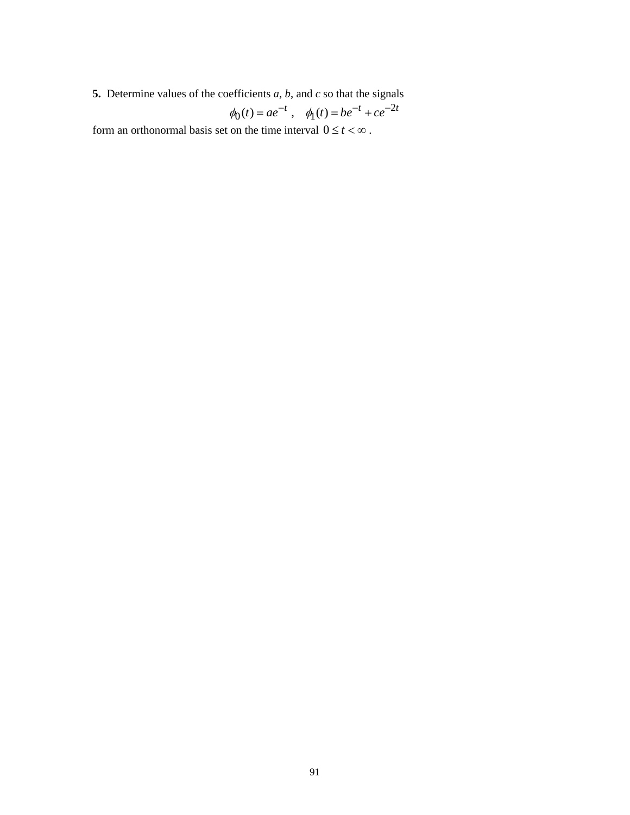**5.** Determine values of the coefficients *a*, *b*, and *c* so that the signals

$$
\phi_0(t) = ae^{-t}
$$
,  $\phi_1(t) = be^{-t} + ce^{-2t}$ 

form an orthonormal basis set on the time interval  $0 \le t < \infty$ .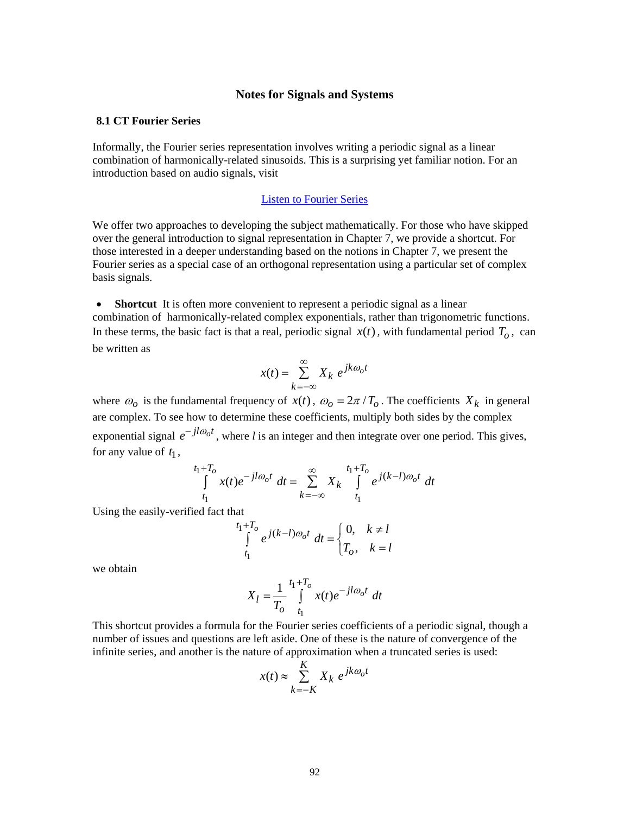### **Notes for Signals and Systems**

# **8.1 CT Fourier Series**

Informally, the Fourier series representation involves writing a periodic signal as a linear combination of harmonically-related sinusoids. This is a surprising yet familiar notion. For an introduction based on audio signals, visit

# [Listen to Fourier Series](http://www.jhu.edu/~signals/listen-new/listen-newindex.htm)

We offer two approaches to developing the subject mathematically. For those who have skipped over the general introduction to signal representation in Chapter 7, we provide a shortcut. For those interested in a deeper understanding based on the notions in Chapter 7, we present the Fourier series as a special case of an orthogonal representation using a particular set of complex basis signals.

• **Shortcut** It is often more convenient to represent a periodic signal as a linear combination of harmonically-related complex exponentials, rather than trigonometric functions. In these terms, the basic fact is that a real, periodic signal  $x(t)$ , with fundamental period  $T<sub>o</sub>$ , can be written as

$$
x(t) = \sum_{k=-\infty}^{\infty} X_k e^{jk\omega_0 t}
$$

where  $\omega_o$  is the fundamental frequency of  $x(t)$ ,  $\omega_o = 2\pi/T_o$ . The coefficients  $X_k$  in general are complex. To see how to determine these coefficients, multiply both sides by the complex exponential signal  $e^{-jl\omega_0 t}$ , where *l* is an integer and then integrate over one period. This gives, for any value of  $t_1$ ,

$$
\int_{t_1}^{t_1+T_o} x(t)e^{-jl\omega_o t} dt = \sum_{k=-\infty}^{\infty} X_k \int_{t_1}^{t_1+T_o} e^{j(k-l)\omega_o t} dt
$$

Using the easily-verified fact that

$$
\int_{t_1}^{t_1+T_o} e^{j(k-l)\omega_o t} dt = \begin{cases} 0, & k \neq l \\ T_o, & k = l \end{cases}
$$

we obtain

$$
X_{l} = \frac{1}{T_{o}} \int_{t_{1}}^{t_{1}+T_{o}} x(t)e^{-jl\omega_{o}t} dt
$$

This shortcut provides a formula for the Fourier series coefficients of a periodic signal, though a number of issues and questions are left aside. One of these is the nature of convergence of the infinite series, and another is the nature of approximation when a truncated series is used:

$$
x(t) \approx \sum_{k=-K}^{K} X_k e^{jk\omega_0 t}
$$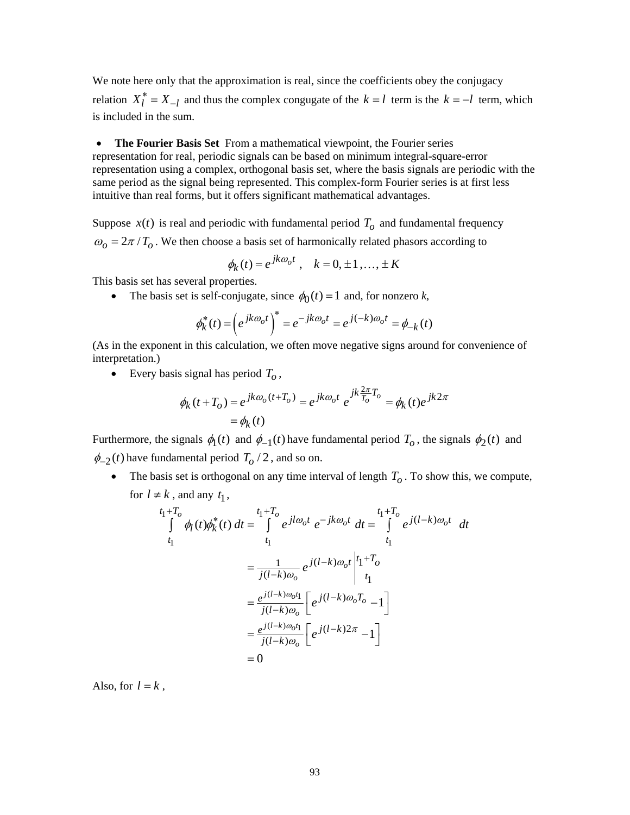We note here only that the approximation is real, since the coefficients obey the conjugacy relation  $X_l^* = X_{-l}$  and thus the complex congugate of the  $k = l$  term is the  $k = -l$  term, which is included in the sum.

• **The Fourier Basis Set** From a mathematical viewpoint, the Fourier series representation for real, periodic signals can be based on minimum integral-square-error representation using a complex, orthogonal basis set, where the basis signals are periodic with the same period as the signal being represented. This complex-form Fourier series is at first less intuitive than real forms, but it offers significant mathematical advantages.

Suppose  $x(t)$  is real and periodic with fundamental period  $T<sub>o</sub>$  and fundamental frequency  $\omega_0 = 2\pi / T_0$ . We then choose a basis set of harmonically related phasors according to

$$
\phi_k(t) = e^{jk\omega_0 t}, \quad k = 0, \pm 1, \dots, \pm K
$$

This basis set has several properties.

• The basis set is self-conjugate, since  $\phi_0(t) = 1$  and, for nonzero *k*,

$$
\phi_k^*(t) = (e^{jk\omega_0 t})^* = e^{-jk\omega_0 t} = e^{j(-k)\omega_0 t} = \phi_{-k}(t)
$$

(As in the exponent in this calculation, we often move negative signs around for convenience of interpretation.)

• Every basis signal has period  $T<sub>o</sub>$ ,

$$
\phi_k(t+T_o) = e^{jk\omega_o(t+T_o)} = e^{jk\omega_o t} e^{jk\frac{2\pi}{T_o}T_o} = \phi_k(t)e^{jk2\pi}
$$

$$
= \phi_k(t)
$$

Furthermore, the signals  $\phi_1(t)$  and  $\phi_{-1}(t)$  have fundamental period  $T_o$ , the signals  $\phi_2(t)$  and  $\phi_{-2}(t)$  have fundamental period  $T_0/2$ , and so on.

• The basis set is orthogonal on any time interval of length  $T<sub>o</sub>$ . To show this, we compute, for  $l \neq k$ , and any  $t_1$ ,

$$
t_{1}+T_{o}
$$
\n
$$
\int_{t_{1}}^{t_{1}+T_{o}} \phi_{l}(t)\phi_{k}^{*}(t) dt = \int_{t_{1}}^{t_{1}+T_{o}} e^{jl\omega_{o}t} e^{-jk\omega_{o}t} dt = \int_{t_{1}}^{t_{1}+T_{o}} e^{j(l-k)\omega_{o}t} dt
$$
\n
$$
= \frac{1}{j(l-k)\omega_{o}} e^{j(l-k)\omega_{o}t} \begin{vmatrix} t_{1}+T_{o} \\ t_{1} \end{vmatrix}
$$
\n
$$
= \frac{e^{j(l-k)\omega_{o}t_{1}}}{j(l-k)\omega_{o}} \begin{bmatrix} e^{j(l-k)\omega_{o}T_{o}} - 1 \end{bmatrix}
$$
\n
$$
= \frac{e^{j(l-k)\omega_{o}t_{1}}}{j(l-k)\omega_{o}} \begin{bmatrix} e^{j(l-k)2\pi} - 1 \end{bmatrix}
$$
\n
$$
= 0
$$

Also, for  $l = k$ ,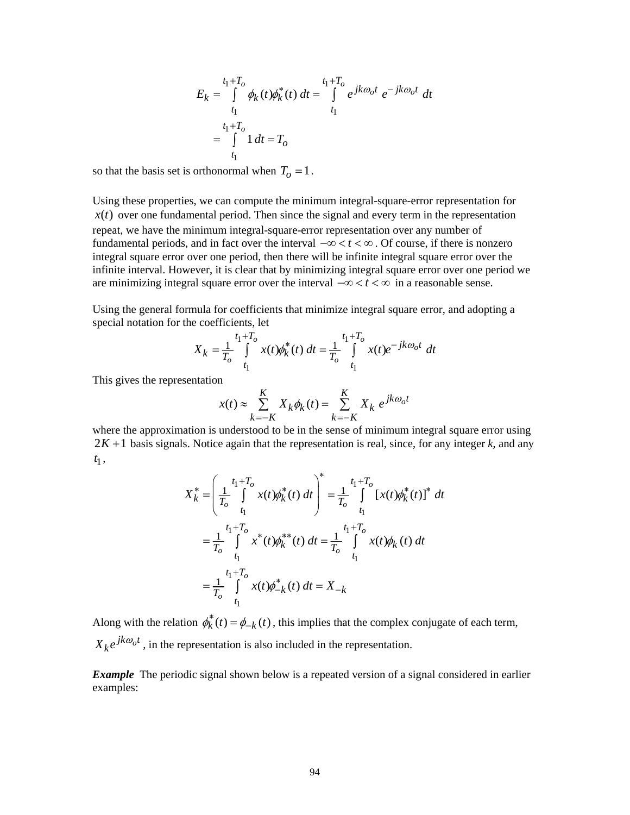$$
E_k = \int_{t_1}^{t_1 + T_o} \phi_k(t) \phi_k^*(t) dt = \int_{t_1}^{t_1 + T_o} e^{jk\omega_0 t} e^{-jk\omega_0 t} dt
$$
  

$$
= \int_{t_1}^{t_1 + T_o} 1 dt = T_o
$$

so that the basis set is orthonormal when  $T_0 = 1$ .

Using these properties, we can compute the minimum integral-square-error representation for  $x(t)$  over one fundamental period. Then since the signal and every term in the representation repeat, we have the minimum integral-square-error representation over any number of fundamental periods, and in fact over the interval −∞< <∞ *t* . Of course, if there is nonzero integral square error over one period, then there will be infinite integral square error over the infinite interval. However, it is clear that by minimizing integral square error over one period we are minimizing integral square error over the interval  $-\infty < t < \infty$  in a reasonable sense.

Using the general formula for coefficients that minimize integral square error, and adopting a special notation for the coefficients, let

$$
X_k = \frac{1}{T_o} \int_{t_1}^{t_1+T_o} x(t) \phi_k^*(t) dt = \frac{1}{T_o} \int_{t_1}^{t_1+T_o} x(t) e^{-jk\omega_o t} dt
$$

This gives the representation

$$
x(t) \approx \sum_{k=-K}^{K} X_k \phi_k(t) = \sum_{k=-K}^{K} X_k e^{jk\omega_0 t}
$$

where the approximation is understood to be in the sense of minimum integral square error using  $2K+1$  basis signals. Notice again that the representation is real, since, for any integer  $k$ , and any  $t_1$ ,

$$
X_{k}^{*} = \left(\frac{1}{T_{o}} \int_{t_{1}}^{t_{1}+T_{o}} x(t) \phi_{k}^{*}(t) dt\right)^{*} = \frac{1}{T_{o}} \int_{t_{1}}^{t_{1}+T_{o}} [x(t) \phi_{k}^{*}(t)]^{*} dt
$$
  

$$
= \frac{1}{T_{o}} \int_{t_{1}}^{t_{1}+T_{o}} x^{*}(t) \phi_{k}^{**}(t) dt = \frac{1}{T_{o}} \int_{t_{1}}^{t_{1}+T_{o}} x(t) \phi_{k}(t) dt
$$
  

$$
= \frac{1}{T_{o}} \int_{t_{1}}^{t_{1}+T_{o}} x(t) \phi_{-k}^{*}(t) dt = X_{-k}
$$

Along with the relation  $\phi_k^*(t) = \phi_{-k}(t)$ , this implies that the complex conjugate of each term,  $X_k e^{jk\omega_0 t}$ , in the representation is also included in the representation.

*Example* The periodic signal shown below is a repeated version of a signal considered in earlier examples: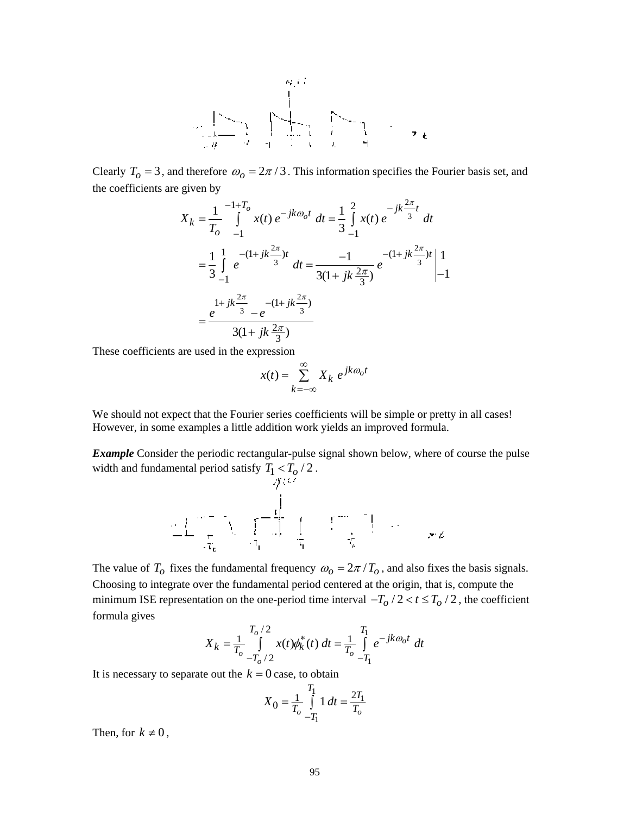

Clearly  $T_0 = 3$ , and therefore  $\omega_0 = 2\pi/3$ . This information specifies the Fourier basis set, and the coefficients are given by

$$
X_{k} = \frac{1}{T_{o}} \int_{-1}^{-1+T_{o}} x(t) e^{-jk\omega_{o}t} dt = \frac{1}{3} \int_{-1}^{2} x(t) e^{-jk\frac{2\pi}{3}t} dt
$$
  

$$
= \frac{1}{3} \int_{-1}^{1} e^{-(1+jk\frac{2\pi}{3})t} dt = \frac{-1}{3(1+jk\frac{2\pi}{3})} e^{-(1+jk\frac{2\pi}{3})t} \Big|_{-1}^{1}
$$
  

$$
= \frac{e^{1+jk\frac{2\pi}{3}} - e^{-(1+jk\frac{2\pi}{3})}}{3(1+jk\frac{2\pi}{3})}
$$

These coefficients are used in the expression

$$
x(t) = \sum_{k=-\infty}^{\infty} X_k e^{jk\omega_0 t}
$$

We should not expect that the Fourier series coefficients will be simple or pretty in all cases! However, in some examples a little addition work yields an improved formula.

**Example** Consider the periodic rectangular-pulse signal shown below, where of course the pulse width and fundamental period satisfy  $T_1 < T_0 / 2$ .

$$
\frac{1}{\sqrt{2}}\left[\frac{1}{\sqrt{2}}\right]_{\mathcal{L}_{\mathcal{L}_{\mathcal{L}}}}=\frac{1}{\sqrt{2}}\left[\frac{1}{\sqrt{2}}\right]_{\mathcal{L}_{\mathcal{L}_{\mathcal{L}}}}=\frac{1}{\sqrt{2}}\left[\frac{1}{\sqrt{2}}\right]_{\mathcal{L}_{\mathcal{L}_{\mathcal{L}}}}=\frac{1}{\sqrt{2}}\left[\frac{1}{\sqrt{2}}\right]_{\mathcal{L}_{\mathcal{L}_{\mathcal{L}}}}=\frac{1}{\sqrt{2}}\frac{1}{\sqrt{2}}\frac{1}{\sqrt{2}}\frac{1}{\sqrt{2}}\frac{1}{\sqrt{2}}\frac{1}{\sqrt{2}}\frac{1}{\sqrt{2}}\frac{1}{\sqrt{2}}\frac{1}{\sqrt{2}}\frac{1}{\sqrt{2}}\frac{1}{\sqrt{2}}\frac{1}{\sqrt{2}}\frac{1}{\sqrt{2}}\frac{1}{\sqrt{2}}\frac{1}{\sqrt{2}}\frac{1}{\sqrt{2}}\frac{1}{\sqrt{2}}\frac{1}{\sqrt{2}}\frac{1}{\sqrt{2}}\frac{1}{\sqrt{2}}\frac{1}{\sqrt{2}}\frac{1}{\sqrt{2}}\frac{1}{\sqrt{2}}\frac{1}{\sqrt{2}}\frac{1}{\sqrt{2}}\frac{1}{\sqrt{2}}\frac{1}{\sqrt{2}}\frac{1}{\sqrt{2}}\frac{1}{\sqrt{2}}\frac{1}{\sqrt{2}}\frac{1}{\sqrt{2}}\frac{1}{\sqrt{2}}\frac{1}{\sqrt{2}}\frac{1}{\sqrt{2}}\frac{1}{\sqrt{2}}\frac{1}{\sqrt{2}}\frac{1}{\sqrt{2}}\frac{1}{\sqrt{2}}\frac{1}{\sqrt{2}}\frac{1}{\sqrt{2}}\frac{1}{\sqrt{2}}\frac{1}{\sqrt{2}}\frac{1}{\sqrt{2}}\frac{1}{\sqrt{2}}\frac{1}{\sqrt{2}}\frac{1}{\sqrt{2}}\frac{1}{\sqrt{2}}\frac{1}{\sqrt{2}}\frac{1}{\sqrt{2}}\frac{1}{\sqrt{2}}\frac{1}{\sqrt{2}}\frac{1}{\sqrt{2}}\frac{1}{\sqrt{2}}\frac{1}{\sqrt{2}}\frac{1}{\sqrt{2}}\frac{1}{\sqrt{2}}\frac{1}{\sqrt{2}}\frac{1}{\sqrt{2}}
$$

The value of  $T_o$  fixes the fundamental frequency  $\omega_o = 2\pi / T_o$ , and also fixes the basis signals. Choosing to integrate over the fundamental period centered at the origin, that is, compute the minimum ISE representation on the one-period time interval  $-T_0/2 < t \leq T_0/2$ , the coefficient formula gives

$$
X_k = \frac{1}{T_o} \int_{-T_o/2}^{T_o/2} x(t) \phi_k^*(t) dt = \frac{1}{T_o} \int_{-T_1}^{T_1} e^{-jk\omega_0 t} dt
$$

It is necessary to separate out the  $k = 0$  case, to obtain

$$
X_0 = \frac{1}{T_o} \int_{-T_1}^{T_1} 1 \, dt = \frac{2T_1}{T_o}
$$

Then, for  $k \neq 0$ ,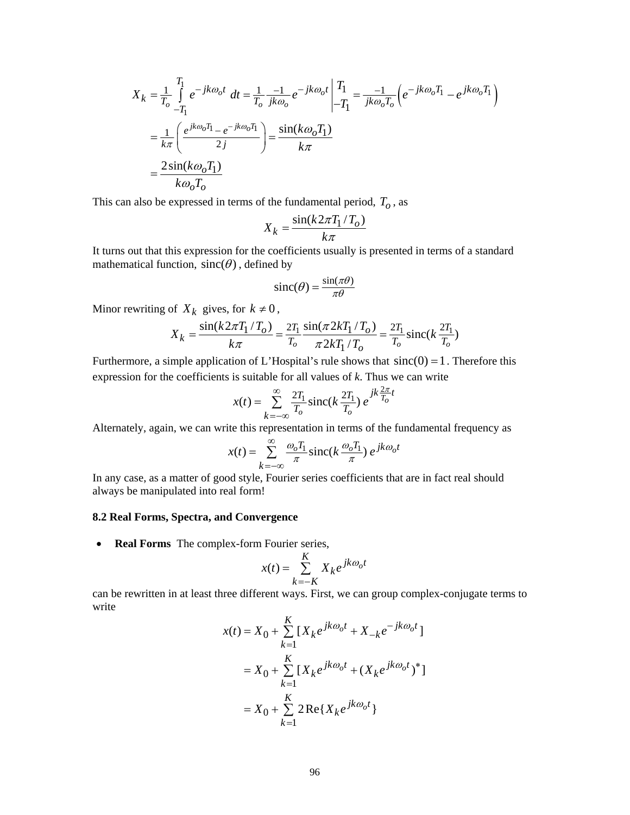$$
X_k = \frac{1}{T_o} \int_{-T_1}^{T_1} e^{-jk\omega_0 t} dt = \frac{1}{T_o} \frac{-1}{jk\omega_0} e^{-jk\omega_0 t} \begin{vmatrix} T_1 \\ -T_1 \end{vmatrix} = \frac{-1}{jk\omega_0 T_o} \left( e^{-jk\omega_0 T_1} - e^{jk\omega_0 T_1} \right)
$$
  
= 
$$
\frac{1}{k\pi} \left( \frac{e^{jk\omega_0 T_1} - e^{-jk\omega_0 T_1}}{2j} \right) = \frac{\sin(k\omega_0 T_1)}{k\pi}
$$
  
= 
$$
\frac{2\sin(k\omega_0 T_1)}{k\omega_0 T_o}
$$

This can also be expressed in terms of the fundamental period,  $T<sub>o</sub>$ , as

$$
X_k = \frac{\sin(k2\pi T_1/T_0)}{k\pi}
$$

It turns out that this expression for the coefficients usually is presented in terms of a standard mathematical function,  $sinc(\theta)$ , defined by

$$
\text{sinc}(\theta) = \frac{\sin(\pi\theta)}{\pi\theta}
$$

Minor rewriting of  $X_k$  gives, for  $k \neq 0$ ,

$$
X_k = \frac{\sin(k2\pi T_1/T_0)}{k\pi} = \frac{2T_1}{T_0} \frac{\sin(\pi 2kT_1/T_0)}{\pi 2kT_1/T_0} = \frac{2T_1}{T_0} \text{sinc}(k\frac{2T_1}{T_0})
$$

Furthermore, a simple application of L'Hospital's rule shows that  $sinc(0) = 1$ . Therefore this expression for the coefficients is suitable for all values of *k*. Thus we can write

$$
x(t) = \sum_{k=-\infty}^{\infty} \frac{2T_1}{T_o} \operatorname{sinc}(k \frac{2T_1}{T_o}) e^{jk \frac{2\pi}{T_o}t}
$$

Alternately, again, we can write this representation in terms of the fundamental frequency as

$$
x(t) = \sum_{k=-\infty}^{\infty} \frac{\omega_o T_1}{\pi} \operatorname{sinc}(k \frac{\omega_o T_1}{\pi}) e^{jk \omega_o t}
$$

In any case, as a matter of good style, Fourier series coefficients that are in fact real should always be manipulated into real form!

# **8.2 Real Forms, Spectra, and Convergence**

• **Real Forms** The complex-form Fourier series,

$$
x(t) = \sum_{k=-K}^{K} X_k e^{jk\omega_0 t}
$$

can be rewritten in at least three different ways. First, we can group complex-conjugate terms to write

$$
x(t) = X_0 + \sum_{k=1}^{K} [X_k e^{jk\omega_0 t} + X_{-k} e^{-jk\omega_0 t}]
$$
  
=  $X_0 + \sum_{k=1}^{K} [X_k e^{jk\omega_0 t} + (X_k e^{jk\omega_0 t})^*]$   
=  $X_0 + \sum_{k=1}^{K} 2 \text{Re}\{X_k e^{jk\omega_0 t}\}$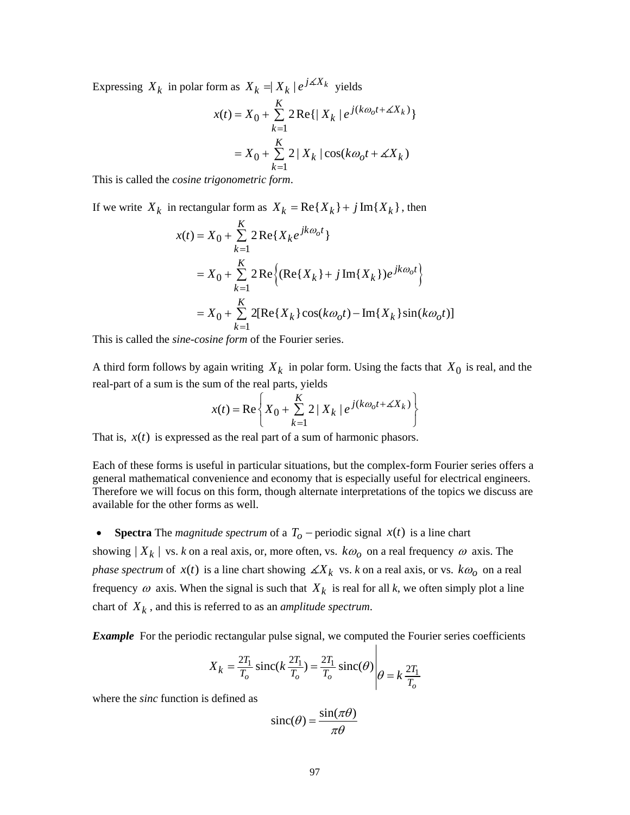Expressing  $X_k$  in polar form as  $X_k = | X_k | e^{j \angle X_k}$  yields

$$
x(t) = X_0 + \sum_{k=1}^{K} 2 \operatorname{Re}\{|X_k| e^{j(k\omega_0 t + \measuredangle X_k)}\}
$$
  
=  $X_0 + \sum_{k=1}^{K} 2 |X_k| \cos(k\omega_0 t + \measuredangle X_k)$ 

This is called the *cosine trigonometric form*.

If we write  $X_k$  in rectangular form as  $X_k = \text{Re}\{X_k\} + j\text{Im}\{X_k\}$ , then

$$
x(t) = X_0 + \sum_{k=1}^{K} 2 \operatorname{Re} \{ X_k e^{jk\omega_0 t} \}
$$
  
=  $X_0 + \sum_{k=1}^{K} 2 \operatorname{Re} \{ (\operatorname{Re} \{ X_k \} + j \operatorname{Im} \{ X_k \}) e^{jk\omega_0 t} \}$   
=  $X_0 + \sum_{k=1}^{K} 2 [\operatorname{Re} \{ X_k \} \cos(k\omega_0 t) - \operatorname{Im} \{ X_k \} \sin(k\omega_0 t) ]$ 

This is called the *sine-cosine form* of the Fourier series.

A third form follows by again writing  $X_k$  in polar form. Using the facts that  $X_0$  is real, and the real-part of a sum is the sum of the real parts, yields

$$
x(t) = \text{Re}\left\{X_0 + \sum_{k=1}^K 2 \mid X_k \mid e^{j(k\omega_0 t + \measuredangle X_k)}\right\}
$$

That is,  $x(t)$  is expressed as the real part of a sum of harmonic phasors.

Each of these forms is useful in particular situations, but the complex-form Fourier series offers a general mathematical convenience and economy that is especially useful for electrical engineers. Therefore we will focus on this form, though alternate interpretations of the topics we discuss are available for the other forms as well.

• **Spectra** The *magnitude spectrum* of a  $T<sub>o</sub>$  – periodic signal  $x(t)$  is a line chart showing  $|X_k|$  vs. *k* on a real axis, or, more often, vs.  $k\omega_0$  on a real frequency  $\omega$  axis. The *phase spectrum* of  $x(t)$  is a line chart showing  $\angle X_k$  vs. *k* on a real axis, or vs.  $k\omega_0$  on a real frequency  $\omega$  axis. When the signal is such that  $X_k$  is real for all k, we often simply plot a line chart of  $X_k$ , and this is referred to as an *amplitude spectrum*.

**Example** For the periodic rectangular pulse signal, we computed the Fourier series coefficients

$$
X_k = \frac{2T_1}{T_o} \operatorname{sinc}(k \frac{2T_1}{T_o}) = \frac{2T_1}{T_o} \operatorname{sinc}(\theta) \middle| \theta = k \frac{2T_1}{T_o}
$$

 $\mathbf{I}$ 

where the *sinc* function is defined as

$$
\operatorname{sinc}(\theta) = \frac{\sin(\pi\theta)}{\pi\theta}
$$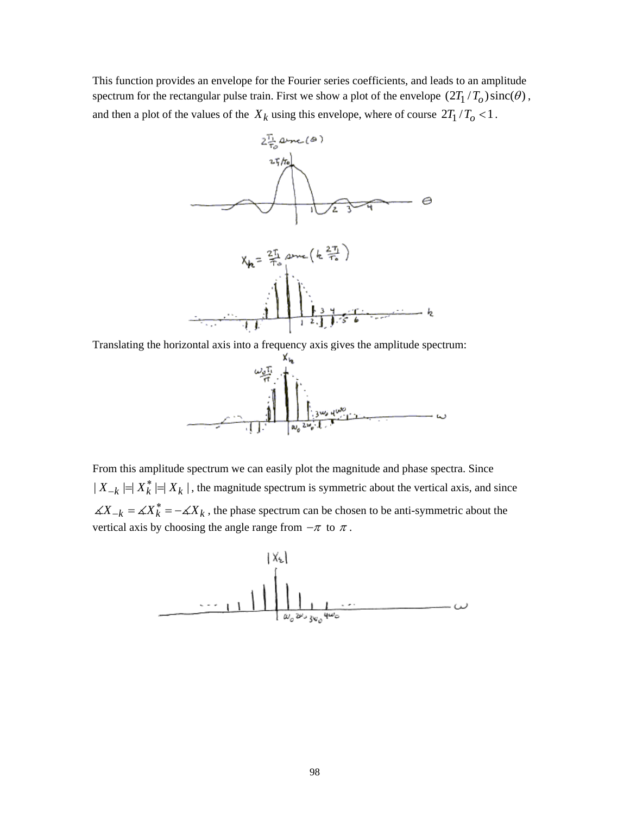This function provides an envelope for the Fourier series coefficients, and leads to an amplitude spectrum for the rectangular pulse train. First we show a plot of the envelope  $(2T_1 / T_0) \operatorname{sinc}(\theta)$ , and then a plot of the values of the  $X_k$  using this envelope, where of course  $2T_1/T_0 < 1$ .



Translating the horizontal axis into a frequency axis gives the amplitude spectrum:



From this amplitude spectrum we can easily plot the magnitude and phase spectra. Since  $|X_{-k}| = |X_k^*| = |X_k|$ , the magnitude spectrum is symmetric about the vertical axis, and since  $\angle X_k = \angle X_k^* = -\angle X_k$ , the phase spectrum can be chosen to be anti-symmetric about the vertical axis by choosing the angle range from  $-\pi$  to  $\pi$ .

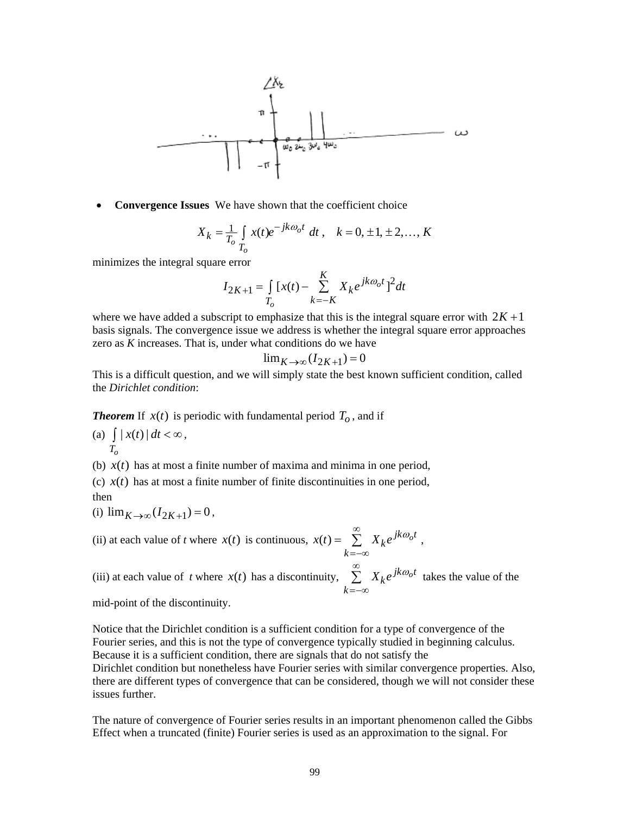$$
\begin{array}{c}\n\begin{array}{c}\n\sqrt{1/2} \\
\hline\n\end{array} \\
\hline\n\end{array}
$$

• **Convergence Issues** We have shown that the coefficient choice

$$
X_k = \frac{1}{T_o} \int_{T_o} x(t)e^{-jk\omega_0 t} dt, \quad k = 0, \pm 1, \pm 2, ..., K
$$

minimizes the integral square error

$$
I_{2K+1} = \int_{T_o} [x(t) - \sum_{k=-K}^{K} X_k e^{jk\omega_o t}]^2 dt
$$

where we have added a subscript to emphasize that this is the integral square error with  $2K + 1$ basis signals. The convergence issue we address is whether the integral square error approaches zero as *K* increases. That is, under what conditions do we have

$$
\lim_{K \to \infty} (I_{2K+1}) = 0
$$

This is a difficult question, and we will simply state the best known sufficient condition, called the *Dirichlet condition*:

**Theorem** If  $x(t)$  is periodic with fundamental period  $T<sub>o</sub>$ , and if

(a)  $\int |x(t)| dt < \infty$ ,  $T_{\alpha}$ 

(b)  $x(t)$  has at most a finite number of maxima and minima in one period,

(c)  $x(t)$  has at most a finite number of finite discontinuities in one period, then

(i)  $\lim_{K \to \infty} (I_{2K+1}) = 0$ ,

(ii) at each value of *t* where  $x(t)$  is continuous,  $x(t) = \sum_{k=0}^{\infty} X_k e^{jk\omega_0 t}$ *k*  $x(t) = \sum_{k=0}^{\infty} X_k e^{jk\omega_k}$ =−∞  $= \sum X_k e^{j \kappa \omega_o t}$ ,

(iii) at each value of *t* where  $x(t)$  has a discontinuity,  $\sum_{k=1}^{\infty} X_k e^{jk\omega_0 t}$ *k*  $\sum_{k=1}^{\infty} X_k e^{j k \omega_k}$ =−∞  $\sum X_k e^{j \kappa \omega_o t}$  takes the value of the

mid-point of the discontinuity.

Notice that the Dirichlet condition is a sufficient condition for a type of convergence of the Fourier series, and this is not the type of convergence typically studied in beginning calculus. Because it is a sufficient condition, there are signals that do not satisfy the

Dirichlet condition but nonetheless have Fourier series with similar convergence properties. Also, there are different types of convergence that can be considered, though we will not consider these issues further.

The nature of convergence of Fourier series results in an important phenomenon called the Gibbs Effect when a truncated (finite) Fourier series is used as an approximation to the signal. For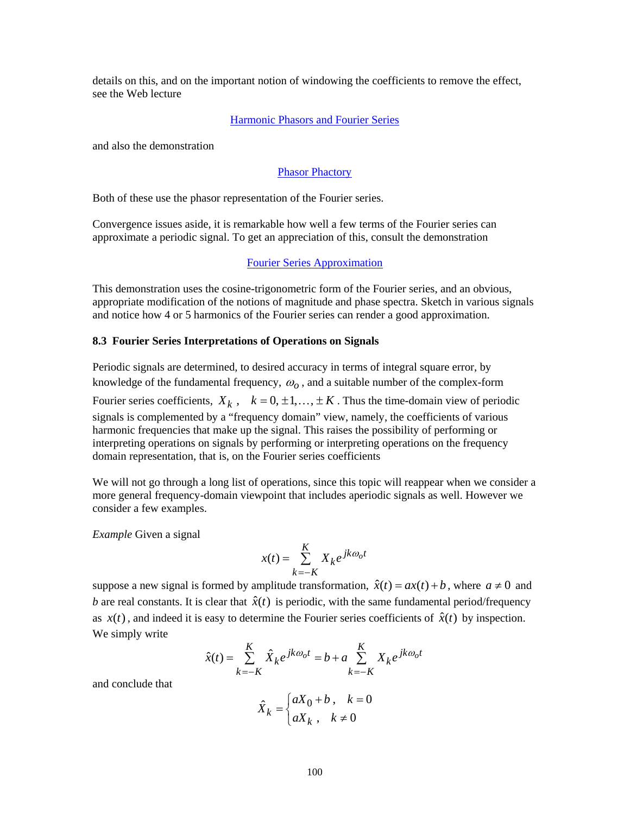details on this, and on the important notion of windowing the coefficients to remove the effect, see the Web lecture

## [Harmonic Phasors and Fourier Series](http://www.jhu.edu/~signals/phasorlecture2/indexphasorlect2.htm)

and also the demonstration

## [Phasor Phactory](http://www.jhu.edu/~signals/phasorapplet2/phasorappletindex.htm)

Both of these use the phasor representation of the Fourier series.

Convergence issues aside, it is remarkable how well a few terms of the Fourier series can approximate a periodic signal. To get an appreciation of this, consult the demonstration

## [Fourier Series Approximation](http://www.jhu.edu/~signals/fourier2/index.html)

This demonstration uses the cosine-trigonometric form of the Fourier series, and an obvious, appropriate modification of the notions of magnitude and phase spectra. Sketch in various signals and notice how 4 or 5 harmonics of the Fourier series can render a good approximation.

### **8.3 Fourier Series Interpretations of Operations on Signals**

Periodic signals are determined, to desired accuracy in terms of integral square error, by knowledge of the fundamental frequency,  $\omega_0$ , and a suitable number of the complex-form Fourier series coefficients,  $X_k$ ,  $k = 0, \pm 1, \ldots, \pm K$ . Thus the time-domain view of periodic signals is complemented by a "frequency domain" view, namely, the coefficients of various harmonic frequencies that make up the signal. This raises the possibility of performing or interpreting operations on signals by performing or interpreting operations on the frequency domain representation, that is, on the Fourier series coefficients

We will not go through a long list of operations, since this topic will reappear when we consider a more general frequency-domain viewpoint that includes aperiodic signals as well. However we consider a few examples.

*Example* Given a signal

$$
x(t) = \sum_{k=-K}^{K} X_k e^{jk\omega_0 t}
$$

suppose a new signal is formed by amplitude transformation,  $\hat{x}(t) = ax(t) + b$ , where  $a \neq 0$  and *b* are real constants. It is clear that  $\hat{x}(t)$  is periodic, with the same fundamental period/frequency as  $x(t)$ , and indeed it is easy to determine the Fourier series coefficients of  $\hat{x}(t)$  by inspection. We simply write

$$
\hat{x}(t) = \sum_{k=-K}^{K} \hat{X}_k e^{jk\omega_0 t} = b + a \sum_{k=-K}^{K} X_k e^{jk\omega_0 t}
$$

and conclude that

$$
\hat{X}_k = \begin{cases} aX_0 + b, & k = 0 \\ aX_k, & k \neq 0 \end{cases}
$$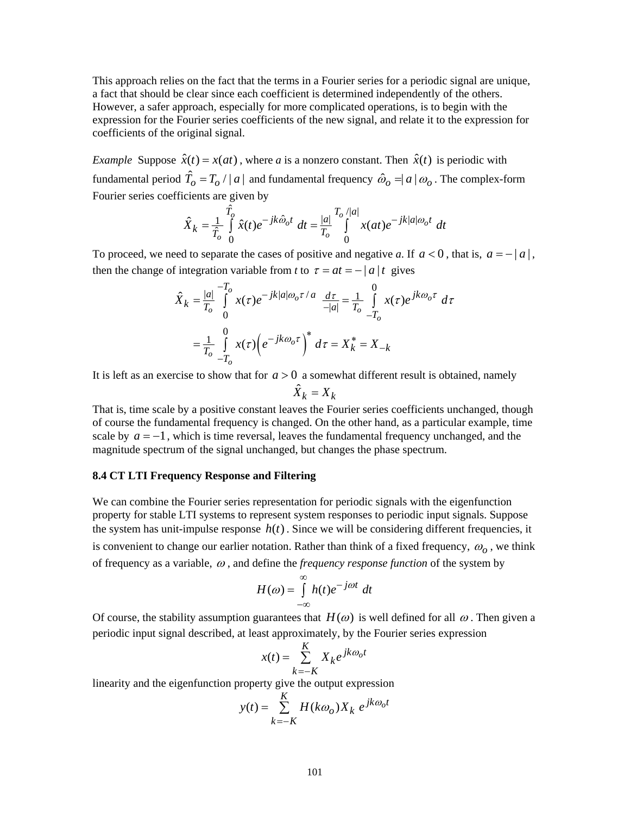This approach relies on the fact that the terms in a Fourier series for a periodic signal are unique, a fact that should be clear since each coefficient is determined independently of the others. However, a safer approach, especially for more complicated operations, is to begin with the expression for the Fourier series coefficients of the new signal, and relate it to the expression for coefficients of the original signal.

*Example Suppose*  $\hat{x}(t) = x(at)$ , where *a* is a nonzero constant. Then  $\hat{x}(t)$  is periodic with fundamental period  $\hat{T}_o = T_o / |a|$  and fundamental frequency  $\hat{\omega}_o = |a| \omega_o$ . The complex-form Fourier series coefficients are given by

$$
\hat{X}_k = \frac{1}{\hat{T}_o} \int\limits_0^{\hat{T}_o} \hat{x}(t) e^{-jk\hat{\omega}_o t} dt = \frac{|a|}{T_o} \int\limits_0^{T_o/|a|} x(at) e^{-jk|a|\omega_o t} dt
$$

To proceed, we need to separate the cases of positive and negative *a*. If  $a < 0$ , that is,  $a = -|a|$ , then the change of integration variable from *t* to  $\tau = at = - |a|t$  gives

$$
\hat{X}_k = \frac{|a|}{T_o} \int_0^{-T_o} x(\tau) e^{-jk|a|\omega_o \tau/a} \frac{d\tau}{-|a|} = \frac{1}{T_o} \int_{-T_o}^{0} x(\tau) e^{jk\omega_o \tau} d\tau
$$

$$
= \frac{1}{T_o} \int_{-T_o}^{0} x(\tau) \left(e^{-jk\omega_o \tau}\right)^* d\tau = X_k^* = X_{-k}
$$

It is left as an exercise to show that for  $a > 0$  a somewhat different result is obtained, namely

$$
\hat{X}_k = X_k
$$

That is, time scale by a positive constant leaves the Fourier series coefficients unchanged, though of course the fundamental frequency is changed. On the other hand, as a particular example, time scale by  $a = -1$ , which is time reversal, leaves the fundamental frequency unchanged, and the magnitude spectrum of the signal unchanged, but changes the phase spectrum.

# **8.4 CT LTI Frequency Response and Filtering**

We can combine the Fourier series representation for periodic signals with the eigenfunction property for stable LTI systems to represent system responses to periodic input signals. Suppose the system has unit-impulse response  $h(t)$ . Since we will be considering different frequencies, it is convenient to change our earlier notation. Rather than think of a fixed frequency,  $\omega$ <sub>o</sub>, we think of frequency as a variable, <sup>ω</sup> , and define the *frequency response function* of the system by

$$
H(\omega) = \int_{-\infty}^{\infty} h(t)e^{-j\omega t} dt
$$

Of course, the stability assumption guarantees that  $H(\omega)$  is well defined for all  $\omega$ . Then given a periodic input signal described, at least approximately, by the Fourier series expression

$$
x(t) = \sum_{k=-K}^{K} X_k e^{jk\omega_0 t}
$$

linearity and the eigenfunction property give the output expression

$$
y(t) = \sum_{k=-K}^{K} H(k\omega_o) X_k e^{jk\omega_o t}
$$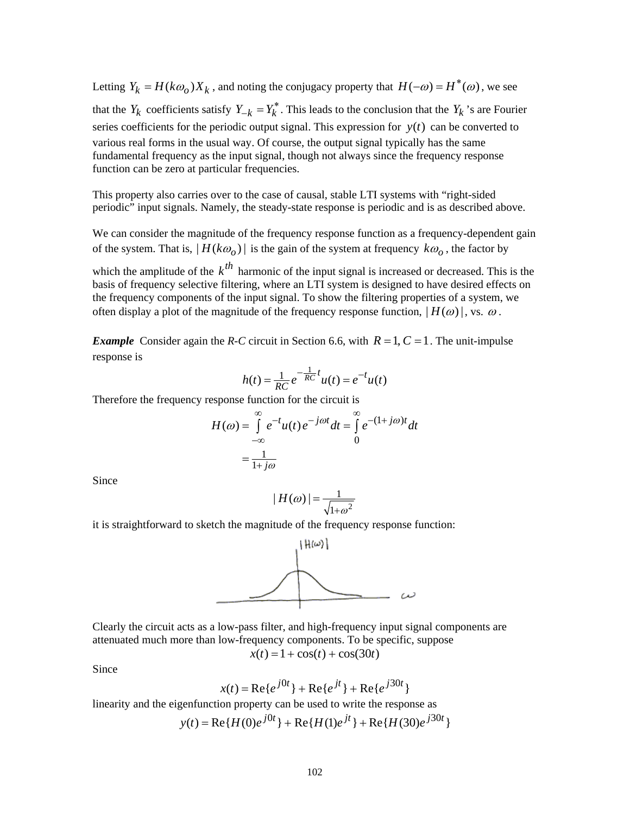Letting  $Y_k = H(k\omega_0) X_k$ , and noting the conjugacy property that  $H(-\omega) = H^*(\omega)$ , we see that the *Y<sub>k</sub>* coefficients satisfy  $Y_{-k} = Y_k^*$ . This leads to the conclusion that the  $Y_k$ 's are Fourier series coefficients for the periodic output signal. This expression for  $y(t)$  can be converted to various real forms in the usual way. Of course, the output signal typically has the same fundamental frequency as the input signal, though not always since the frequency response function can be zero at particular frequencies.

This property also carries over to the case of causal, stable LTI systems with "right-sided periodic" input signals. Namely, the steady-state response is periodic and is as described above.

We can consider the magnitude of the frequency response function as a frequency-dependent gain of the system. That is,  $|H(k\omega_0)|$  is the gain of the system at frequency  $k\omega_0$ , the factor by which the amplitude of the  $k^{th}$  harmonic of the input signal is increased or decreased. This is the basis of frequency selective filtering, where an LTI system is designed to have desired effects on the frequency components of the input signal. To show the filtering properties of a system, we

often display a plot of the magnitude of the frequency response function,  $|H(\omega)|$ , vs.  $\omega$ .

*Example* Consider again the *R-C* circuit in Section 6.6, with  $R = 1$ ,  $C = 1$ . The unit-impulse response is

$$
h(t) = \frac{1}{RC} e^{-\frac{1}{RC}t} u(t) = e^{-t} u(t)
$$

Therefore the frequency response function for the circuit is

$$
H(\omega) = \int_{-\infty}^{\infty} e^{-t} u(t) e^{-j\omega t} dt = \int_{0}^{\infty} e^{-(1+j\omega)t} dt
$$

$$
= \frac{1}{1+j\omega}
$$

Since

$$
|H(\omega)| = \frac{1}{\sqrt{1+\omega^2}}
$$

it is straightforward to sketch the magnitude of the frequency response function:



Clearly the circuit acts as a low-pass filter, and high-frequency input signal components are attenuated much more than low-frequency components. To be specific, suppose  $x(t) = 1 + \cos(t) + \cos(30t)$ 

Since

$$
x(t) = \text{Re}\{e^{j0t}\} + \text{Re}\{e^{jt}\} + \text{Re}\{e^{j30t}\}
$$

linearity and the eigenfunction property can be used to write the response as

$$
y(t) = \text{Re}\{H(0)e^{j0t}\} + \text{Re}\{H(1)e^{jt}\} + \text{Re}\{H(30)e^{j30t}\}
$$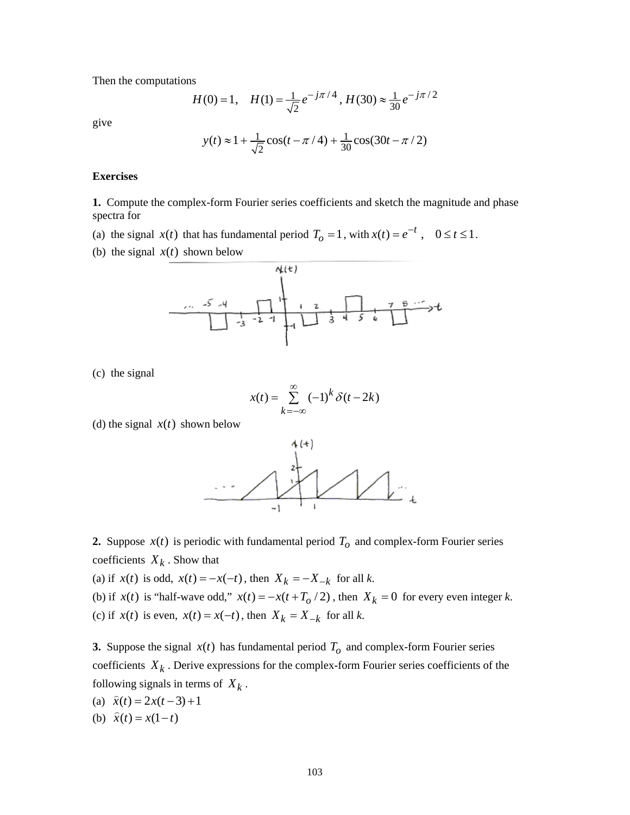Then the computations

$$
H(0) = 1, \quad H(1) = \frac{1}{\sqrt{2}} e^{-j\pi/4}, \quad H(30) \approx \frac{1}{30} e^{-j\pi/2}
$$

give

$$
y(t) \approx 1 + \frac{1}{\sqrt{2}} \cos(t - \pi/4) + \frac{1}{30} \cos(30t - \pi/2)
$$

#### **Exercises**

**1.** Compute the complex-form Fourier series coefficients and sketch the magnitude and phase spectra for

- (a) the signal  $x(t)$  that has fundamental period  $T_o = 1$ , with  $x(t) = e^{-t}$ ,  $0 \le t \le 1$ .
- (b) the signal  $x(t)$  shown below



(c) the signal

$$
x(t) = \sum_{k=-\infty}^{\infty} (-1)^k \delta(t - 2k)
$$

(d) the signal  $x(t)$  shown below



**2.** Suppose  $x(t)$  is periodic with fundamental period  $T<sub>o</sub>$  and complex-form Fourier series coefficients  $X_k$ . Show that

(a) if  $x(t)$  is odd,  $x(t) = -x(-t)$ , then  $X_k = -X_{-k}$  for all *k*.

(b) if  $x(t)$  is "half-wave odd,"  $x(t) = -x(t + T_0/2)$ , then  $X_k = 0$  for every even integer k. (c) if  $x(t)$  is even,  $x(t) = x(-t)$ , then  $X_k = X_{-k}$  for all k.

**3.** Suppose the signal  $x(t)$  has fundamental period  $T<sub>o</sub>$  and complex-form Fourier series coefficients  $X_k$ . Derive expressions for the complex-form Fourier series coefficients of the following signals in terms of  $X_k$ .

- (a)  $\hat{x}(t) = 2x(t-3)+1$
- (b)  $\hat{x}(t) = x(1-t)$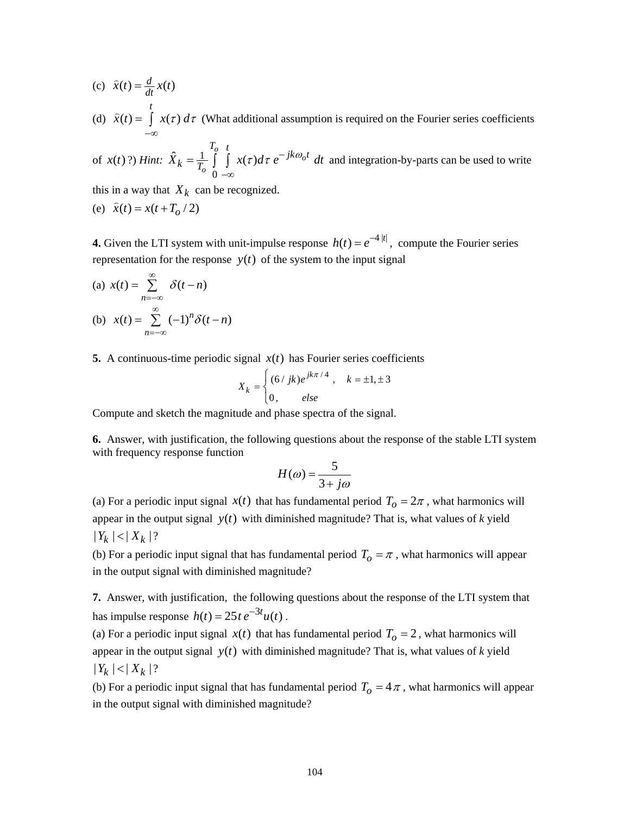- (c)  $\hat{x}(t) = \frac{d}{dt}x(t)$ *t*
- (d)  $\hat{x}(t) = \int x(\tau)$  $\widehat{x}(t) = \int x(\tau) d\tau$ −∞  $\hat{x}(t) = \int x(\tau) d\tau$  (What additional assumption is required on the Fourier series coefficients

of 
$$
x(t)
$$
?) *Hint:*  $\hat{X}_k = \frac{1}{T_o} \int_0^{T_o} \int_0^t x(\tau) d\tau e^{-jk\omega_0 t} dt$  and integration-by-parts can be used to write

this in a way that  $X_k$  can be recognized.

(e) 
$$
\hat{x}(t) = x(t + T_o / 2)
$$

**4.** Given the LTI system with unit-impulse response  $h(t) = e^{-4|t|}$ , compute the Fourier series representation for the response  $y(t)$  of the system to the input signal

(a) 
$$
x(t) = \sum_{n=-\infty}^{\infty} \delta(t-n)
$$
  
\n(b)  $x(t) = \sum_{n=-\infty}^{\infty} (-1)^n \delta(t-n)$ 

**5.** A continuous-time periodic signal  $x(t)$  has Fourier series coefficients

$$
X_k = \begin{cases} (6/ jk)e^{jk\pi/4}, & k = \pm 1, \pm 3 \\ 0, & else \end{cases}
$$

Compute and sketch the magnitude and phase spectra of the signal.

**6.** Answer, with justification, the following questions about the response of the stable LTI system with frequency response function

$$
H(\omega) = \frac{5}{3 + j\omega}
$$

(a) For a periodic input signal  $x(t)$  that has fundamental period  $T_0 = 2\pi$ , what harmonics will appear in the output signal  $y(t)$  with diminished magnitude? That is, what values of  $k$  yield  $|Y_k| < |X_k|$ ?

(b) For a periodic input signal that has fundamental period  $T<sub>o</sub> = \pi$ , what harmonics will appear in the output signal with diminished magnitude?

**7.** Answer, with justification, the following questions about the response of the LTI system that has impulse response  $h(t) = 25 t e^{-3t} u(t)$ .

(a) For a periodic input signal  $x(t)$  that has fundamental period  $T_0 = 2$ , what harmonics will appear in the output signal  $y(t)$  with diminished magnitude? That is, what values of *k* yield  $|Y_k| < |X_k|$ ?

(b) For a periodic input signal that has fundamental period  $T_0 = 4\pi$ , what harmonics will appear in the output signal with diminished magnitude?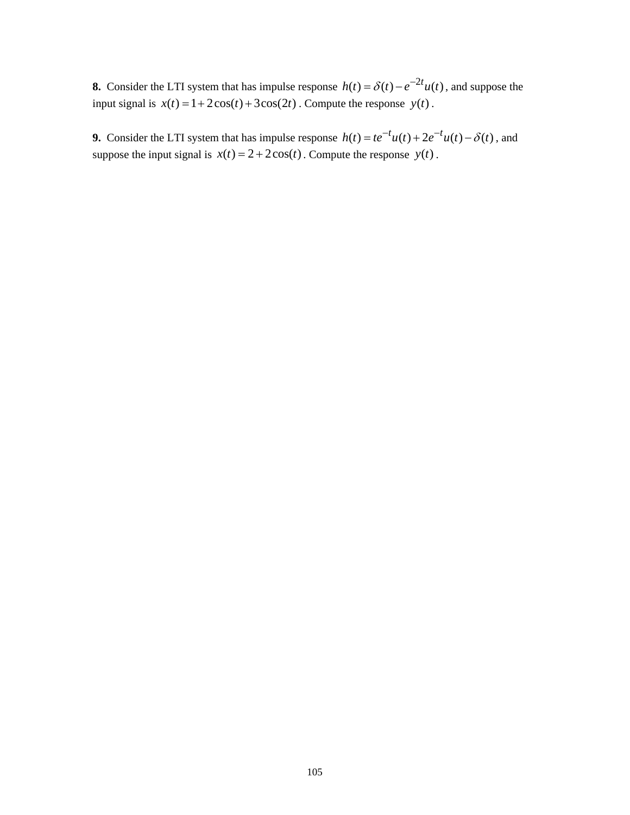**8.** Consider the LTI system that has impulse response  $h(t) = \delta(t) - e^{-2t}u(t)$ , and suppose the input signal is  $x(t) = 1 + 2\cos(t) + 3\cos(2t)$ . Compute the response  $y(t)$ .

**9.** Consider the LTI system that has impulse response  $h(t) = te^{-t}u(t) + 2e^{-t}u(t) - \delta(t)$ , and suppose the input signal is  $x(t) = 2 + 2\cos(t)$ . Compute the response  $y(t)$ .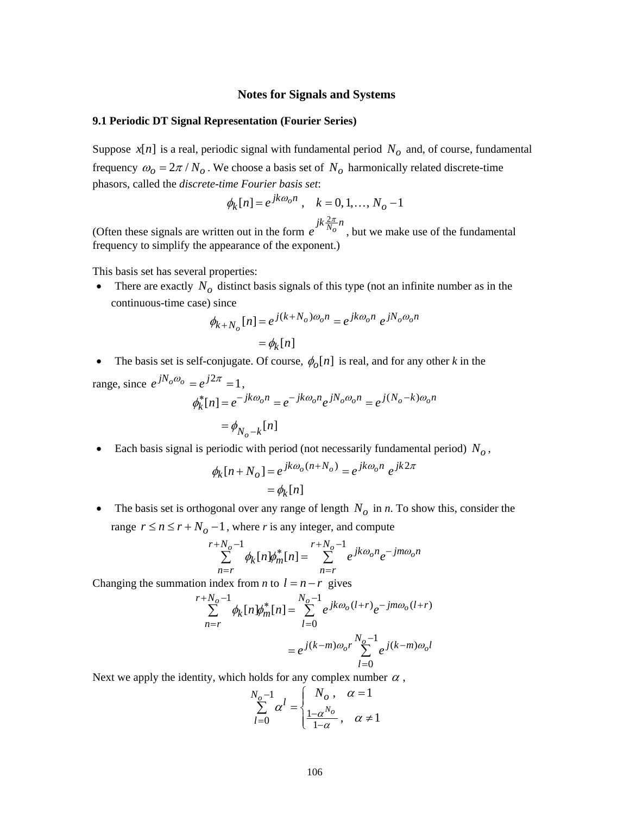#### **Notes for Signals and Systems**

## **9.1 Periodic DT Signal Representation (Fourier Series)**

Suppose  $x[n]$  is a real, periodic signal with fundamental period  $N<sub>o</sub>$  and, of course, fundamental frequency  $\omega_0 = 2\pi / N_o$ . We choose a basis set of  $N_o$  harmonically related discrete-time phasors, called the *discrete-time Fourier basis set*:

$$
\phi_k[n] = e^{jk\omega_0 n}
$$
,  $k = 0, 1, ..., N_0 - 1$ 

(Often these signals are written out in the form  $e^{jk\frac{2\pi}{N_o}n}$ , but we make use of the fundamental frequency to simplify the appearance of the exponent.)

This basis set has several properties:

• There are exactly  $N<sub>o</sub>$  distinct basis signals of this type (not an infinite number as in the continuous-time case) since

$$
\phi_{k+N_o}[n] = e^{j(k+N_o)\omega_o n} = e^{jk\omega_o n} e^{jN_o\omega_o n}
$$

$$
= \phi_k[n]
$$

• The basis set is self-conjugate. Of course,  $\phi_o[n]$  is real, and for any other *k* in the range, since  $e^{jN_o\omega_o} = e^{j2\pi} = 1$ ,

$$
\phi_k^*[n] = e^{-jk\omega_0 n} = e^{-jk\omega_0 n} e^{jN_0 \omega_0 n} = e^{j(N_0 - k)\omega_0 n}
$$

$$
= \phi_{N_0 - k}[n]
$$

• Each basis signal is periodic with period (not necessarily fundamental period)  $N<sub>o</sub>$ ,

$$
\phi_k[n+N_o] = e^{jk\omega_o(n+N_o)} = e^{jk\omega_o n} e^{jk2\pi}
$$

$$
= \phi_k[n]
$$

• The basis set is orthogonal over any range of length  $N<sub>o</sub>$  in *n*. To show this, consider the range  $r \le n \le r + N_o - 1$ , where *r* is any integer, and compute

$$
\sum_{n=r}^{r+N_o-1} \phi_k[n] \phi_m^*[n] = \sum_{n=r}^{r+N_o-1} e^{jk\omega_o n} e^{-jm\omega_o n}
$$

Changing the summation index from *n* to  $l = n - r$  gives

$$
\sum_{n=r}^{r+N_o-1} \phi_k[n] \phi_m^*[n] = \sum_{l=0}^{N_o-1} e^{jk\omega_o(l+r)} e^{-jm\omega_o(l+r)}
$$

$$
= e^{j(k-m)\omega_o r} \sum_{l=0}^{N_o-1} e^{j(k-m)\omega_o l}
$$

Next we apply the identity, which holds for any complex number  $\alpha$  ,

$$
\sum_{l=0}^{N_o-1} \alpha^l = \begin{cases} N_o, & \alpha = 1 \\ \frac{1-\alpha^{N_o}}{1-\alpha}, & \alpha \neq 1 \end{cases}
$$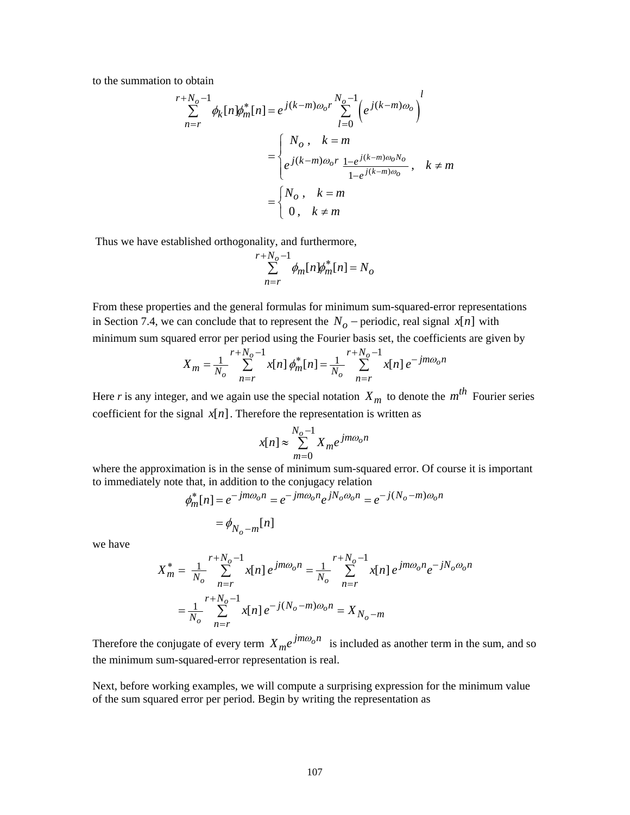to the summation to obtain

$$
\sum_{n=r}^{r+N_o-1} \phi_k[n] \phi_m^*[n] = e^{j(k-m)\omega_o r} \sum_{l=0}^{N_o-1} \left( e^{j(k-m)\omega_o} \right)^l
$$

$$
= \begin{cases} N_o, & k=m\\ e^{j(k-m)\omega_o r} \frac{1 - e^{j(k-m)\omega_o N_o}}{1 - e^{j(k-m)\omega_o}}, & k \neq m \end{cases}
$$

$$
= \begin{cases} N_o, & k=m\\ 0, & k \neq m \end{cases}
$$

Thus we have established orthogonality, and furthermore,

$$
\sum_{n=r}^{r+N_o-1} \phi_m[n] \phi_m^*[n] = N_o
$$

From these properties and the general formulas for minimum sum-squared-error representations in Section 7.4, we can conclude that to represent the  $N<sub>o</sub>$  − periodic, real signal *x*[*n*] with minimum sum squared error per period using the Fourier basis set, the coefficients are given by

$$
X_m = \frac{1}{N_o} \sum_{n=r}^{r+N_o-1} x[n] \phi_m^*[n] = \frac{1}{N_o} \sum_{n=r}^{r+N_o-1} x[n] e^{-jm\omega_0 n}
$$

Here *r* is any integer, and we again use the special notation  $X_m$  to denote the  $m^{th}$  Fourier series coefficient for the signal  $x[n]$ . Therefore the representation is written as

$$
x[n] \approx \sum_{m=0}^{N_o - 1} X_m e^{jm\omega_o n}
$$

where the approximation is in the sense of minimum sum-squared error. Of course it is important to immediately note that, in addition to the conjugacy relation

$$
\phi_m^*[n] = e^{-jm\omega_0 n} = e^{-jm\omega_0 n} e^{jN_0 \omega_0 n} = e^{-j(N_0 - m)\omega_0 n}
$$

$$
= \phi_{N_0 - m}[n]
$$

we have

$$
X_{m}^{*} = \frac{1}{N_o} \sum_{n=r}^{r+N_o-1} x[n] e^{jm\omega_0 n} = \frac{1}{N_o} \sum_{n=r}^{r+N_o-1} x[n] e^{jm\omega_0 n} e^{-jN_o\omega_0 n}
$$

$$
= \frac{1}{N_o} \sum_{n=r}^{r+N_o-1} x[n] e^{-j(N_o-m)\omega_0 n} = X_{N_o-m}
$$

Therefore the conjugate of every term  $X_{me}e^{jm\omega_0 n}$  is included as another term in the sum, and so the minimum sum-squared-error representation is real.

Next, before working examples, we will compute a surprising expression for the minimum value of the sum squared error per period. Begin by writing the representation as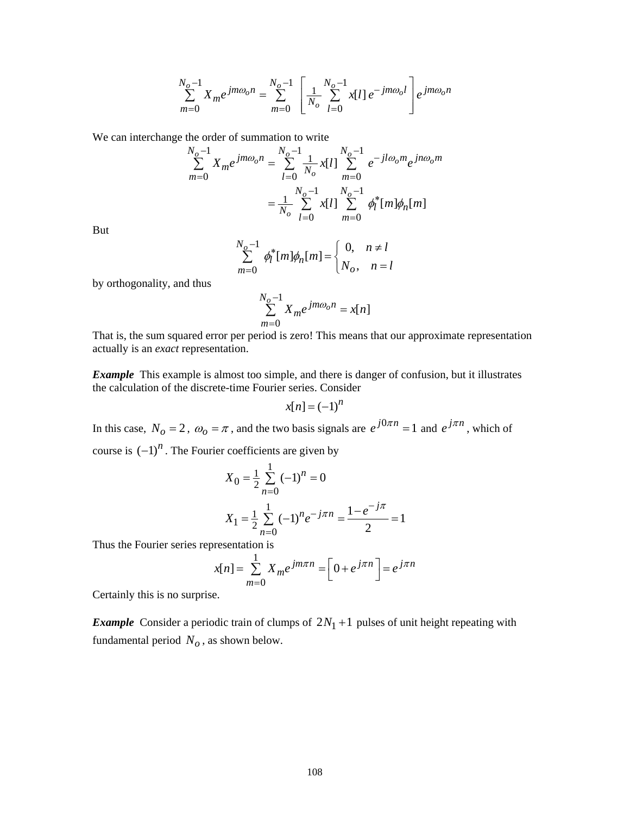$$
\sum_{m=0}^{N_o-1} X_m e^{jm\omega_o n} = \sum_{m=0}^{N_o-1} \left[ \frac{1}{N_o} \sum_{l=0}^{N_o-1} x[l] e^{-jm\omega_o l} \right] e^{jm\omega_o n}
$$

We can interchange the order of summation to write

$$
\sum_{m=0}^{N_o-1} X_m e^{jm\omega_0 n} = \sum_{l=0}^{N_o-1} \frac{1}{N_o} x[l] \sum_{m=0}^{N_o-1} e^{-jl\omega_0 m} e^{jn\omega_0 m}
$$

$$
= \frac{1}{N_o} \sum_{l=0}^{N_o-1} x[l] \sum_{m=0}^{N_o-1} \phi_l^* [m] \phi_n[m]
$$

But

$$
\sum_{m=0}^{N_o-1} \phi_l^* [m] \phi_n[m] = \begin{cases} 0, & n \neq l \\ N_o, & n = l \end{cases}
$$

by orthogonality, and thus

$$
\sum_{m=0}^{N_o-1} X_m e^{jm\omega_o n} = x[n]
$$

That is, the sum squared error per period is zero! This means that our approximate representation actually is an *exact* representation.

*Example* This example is almost too simple, and there is danger of confusion, but it illustrates the calculation of the discrete-time Fourier series. Consider

$$
x[n]=(-1)^n
$$

In this case,  $N_o = 2$ ,  $\omega_o = \pi$ , and the two basis signals are  $e^{j0\pi n} = 1$  and  $e^{j\pi n}$ , which of  $\lambda_c$  (  $1$ )<sup>*n*</sup>  $\Gamma$ <sub>1</sub> . To  $\Gamma$  . The fourier coefficients are given

course is 
$$
(-1)^n
$$
. The Fourier coefficients are given by

$$
X_0 = \frac{1}{2} \sum_{n=0}^{1} (-1)^n = 0
$$
  

$$
X_1 = \frac{1}{2} \sum_{n=0}^{1} (-1)^n e^{-j\pi n} = \frac{1 - e^{-j\pi}}{2} = 1
$$

Thus the Fourier series representation is

$$
x[n] = \sum_{m=0}^{1} X_m e^{jm\pi n} = \left[0 + e^{j\pi n}\right] = e^{j\pi n}
$$

Certainly this is no surprise.

*Example* Consider a periodic train of clumps of  $2N_1 + 1$  pulses of unit height repeating with fundamental period  $N<sub>o</sub>$ , as shown below.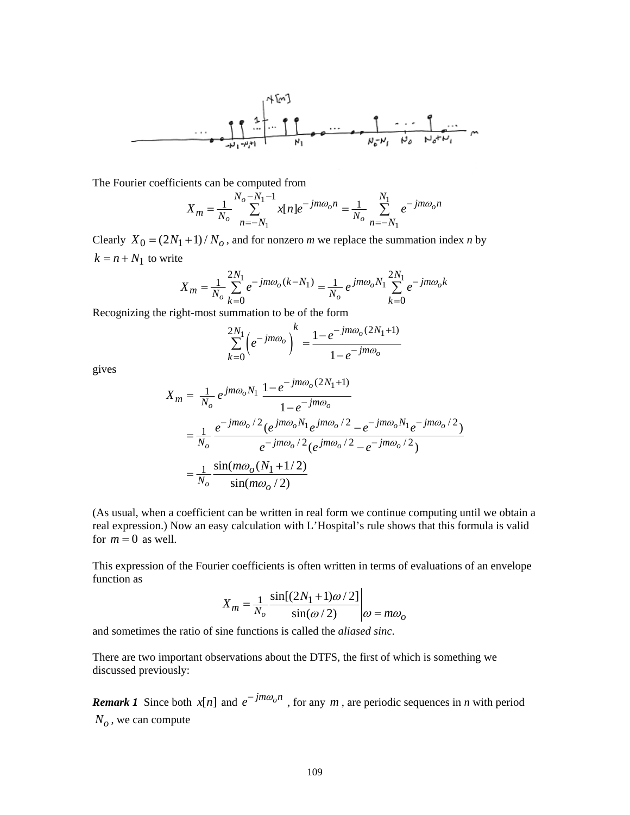$$
\frac{1}{\sqrt{2}}\begin{bmatrix} 1 & 1 \\ 1 & 1 \\ 1 & 1 \\ 1 & 1 \\ 1 & 1 \\ 1 & 1 \\ 1 & 1 \\ 1 & 1 \\ 1 & 1 \\ 1 & 1 \\ 1 & 1 \\ 1 & 1 \\ 1 & 1 \\ 1 & 1 \\ 1 & 1 \\ 1 & 1 \\ 1 & 1 \\ 1 & 1 \\ 1 & 1 \\ 1 & 1 \\ 1 & 1 \\ 1 & 1 \\ 1 & 1 \\ 1 & 1 \\ 1 & 1 \\ 1 & 1 \\ 1 & 1 \\ 1 & 1 \\ 1 & 1 \\ 1 & 1 \\ 1 & 1 \\ 1 & 1 \\ 1 & 1 \\ 1 & 1 \\ 1 & 1 \\ 1 & 1 \\ 1 & 1 \\ 1 & 1 \\ 1 & 1 \\ 1 & 1 \\ 1 & 1 \\ 1 & 1 \\ 1 & 1 \\ 1 & 1 \\ 1 & 1 \\ 1 & 1 \\ 1 & 1 \\ 1 & 1 \\ 1 & 1 \\ 1 & 1 \\ 1 & 1 \\ 1 & 1 \\ 1 & 1 \\ 1 & 1 \\ 1 & 1 \\ 1 & 1 \\ 1 & 1 \\ 1 & 1 \\ 1 & 1 \\ 1 & 1 \\ 1 & 1 \\ 1 & 1 \\ 1 & 1 \\ 1 & 1 \\ 1 & 1 \\ 1 & 1 \\ 1 & 1 \\ 1 & 1 \\ 1 & 1 \\ 1 & 1 \\ 1 & 1 \\ 1 & 1 \\ 1 & 1 \\ 1 & 1 \\ 1 & 1 \\ 1 & 1 \\ 1 & 1 \\ 1 & 1 \\ 1 & 1 \\ 1 & 1 \\ 1 & 1 \\ 1 & 1 \\ 1 & 1 \\ 1 & 1 \\ 1 & 1 \\ 1 & 1 \\ 1 & 1 \\ 1 & 1 \\ 1 & 1 \\ 1 & 1 \\ 1 & 1 \\ 1 & 1 \\ 1 & 1 \\ 1 & 1 \\ 1 & 1 \\ 1 & 1 \\ 1 & 1 \\ 1 & 1 \\ 1 & 1 \\ 1 & 1 \\ 1 & 1 \\ 1 & 1 \\ 1 & 1 \\ 1 & 1 \\ 1 & 1 \\ 1 & 1 \\ 1 & 1 \\ 1 & 1 \\ 1 & 1 \\ 1 & 1 \\ 1 & 1 \\ 1 & 1 \\ 1 & 1 \\ 1 & 1 \\ 1 & 1 \\ 1 & 1 \\ 1 & 1 \\ 1 & 1 \\ 1 & 1 \\ 1 & 1 \\ 1 & 1 \\ 1 & 1 \\ 1 & 1 \\ 1 & 1 \\
$$

The Fourier coefficients can be computed from

$$
X_m = \frac{1}{N_o} \sum_{n=-N_1}^{N_o - N_1 - 1} x[n] e^{-jm\omega_0 n} = \frac{1}{N_o} \sum_{n=-N_1}^{N_1} e^{-jm\omega_0 n}
$$

Clearly  $X_0 = (2N_1 + 1) / N_o$ , and for nonzero *m* we replace the summation index *n* by  $k = n + N_1$  to write

$$
X_m = \frac{1}{N_o} \sum_{k=0}^{2N_1} e^{-jm\omega_o(k - N_1)} = \frac{1}{N_o} e^{jm\omega_o N_1} \sum_{k=0}^{2N_1} e^{-jm\omega_o k}
$$

Recognizing the right-most summation to be of the form

$$
\sum_{k=0}^{2N_1} \left( e^{-jm\omega_o} \right)^k = \frac{1 - e^{-jm\omega_o(2N_1+1)}}{1 - e^{-jm\omega_o}}
$$

gives

$$
X_m = \frac{1}{N_o} e^{jm\omega_o N_1} \frac{1 - e^{-jm\omega_o (2N_1 + 1)}}{1 - e^{-jm\omega_o}}
$$
  
= 
$$
\frac{1}{N_o} \frac{e^{-jm\omega_o/2} (e^{jm\omega_o N_1} e^{jm\omega_o/2} - e^{-jm\omega_o N_1} e^{-jm\omega_o/2})}{e^{-jm\omega_o/2} (e^{jm\omega_o/2} - e^{-jm\omega_o/2})}
$$
  
= 
$$
\frac{1}{N_o} \frac{\sin(m\omega_o (N_1 + 1/2))}{\sin(m\omega_o/2)}
$$

(As usual, when a coefficient can be written in real form we continue computing until we obtain a real expression.) Now an easy calculation with L'Hospital's rule shows that this formula is valid for  $m = 0$  as well.

This expression of the Fourier coefficients is often written in terms of evaluations of an envelope function as

$$
X_m = \frac{1}{N_o} \frac{\sin[(2N_1 + 1)\omega/2]}{\sin(\omega/2)} \bigg|_{\omega = m\omega_0}
$$

and sometimes the ratio of sine functions is called the *aliased sinc*.

There are two important observations about the DTFS, the first of which is something we discussed previously:

*Remark 1* Since both  $x[n]$  and  $e^{-jm\omega_0 n}$ , for any *m*, are periodic sequences in *n* with period  $N<sub>o</sub>$ , we can compute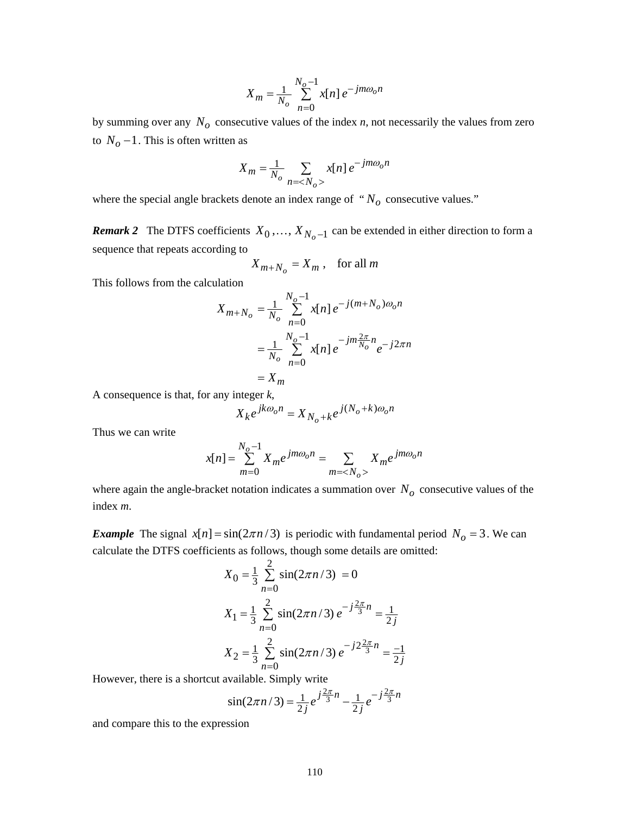$$
X_m = \frac{1}{N_o} \sum_{n=0}^{N_o - 1} x[n] e^{-jm\omega_0 n}
$$

by summing over any  $N<sub>o</sub>$  consecutive values of the index  $n$ , not necessarily the values from zero to  $N<sub>o</sub> - 1$ . This is often written as

$$
X_m = \frac{1}{N_o} \sum_{n = \langle N_o \rangle} x[n] e^{-jm\omega_o n}
$$

where the special angle brackets denote an index range of  $" N<sub>o</sub>$  consecutive values."

*Remark 2* The DTFS coefficients  $X_0, \ldots, X_{N_o-1}$  can be extended in either direction to form a sequence that repeats according to

$$
X_{m+N_o} = X_m , \text{ for all } m
$$

This follows from the calculation

$$
X_{m+N_o} = \frac{1}{N_o} \sum_{n=0}^{N_o - 1} x[n] e^{-j(m+N_o)\omega_o n}
$$
  
= 
$$
\frac{1}{N_o} \sum_{n=0}^{N_o - 1} x[n] e^{-jm\frac{2\pi}{N_o}n} e^{-j2\pi n}
$$
  
= 
$$
X_m
$$

A consequence is that, for any integer *k*,

$$
X_k e^{jk\omega_0 n} = X_{N_0 + k} e^{j(N_0 + k)\omega_0 n}
$$

Thus we can write

$$
x[n] = \sum_{m=0}^{N_o - 1} X_m e^{jm\omega_o n} = \sum_{m=} X_m e^{jm\omega_o n}
$$

where again the angle-bracket notation indicates a summation over  $N<sub>o</sub>$  consecutive values of the index *m*.

*Example* The signal  $x[n] = \frac{\sin(2\pi n/3)}{3}$  is periodic with fundamental period  $N_o = 3$ . We can calculate the DTFS coefficients as follows, though some details are omitted:

$$
X_0 = \frac{1}{3} \sum_{n=0}^{2} \sin(2\pi n/3) = 0
$$
  
\n
$$
X_1 = \frac{1}{3} \sum_{n=0}^{2} \sin(2\pi n/3) e^{-j\frac{2\pi}{3}n} = \frac{1}{2j}
$$
  
\n
$$
X_2 = \frac{1}{3} \sum_{n=0}^{2} \sin(2\pi n/3) e^{-j2\frac{2\pi}{3}n} = \frac{-1}{2j}
$$

However, there is a shortcut available. Simply write

$$
\sin(2\pi n/3) = \frac{1}{2j} e^{j\frac{2\pi}{3}n} - \frac{1}{2j} e^{-j\frac{2\pi}{3}n}
$$

and compare this to the expression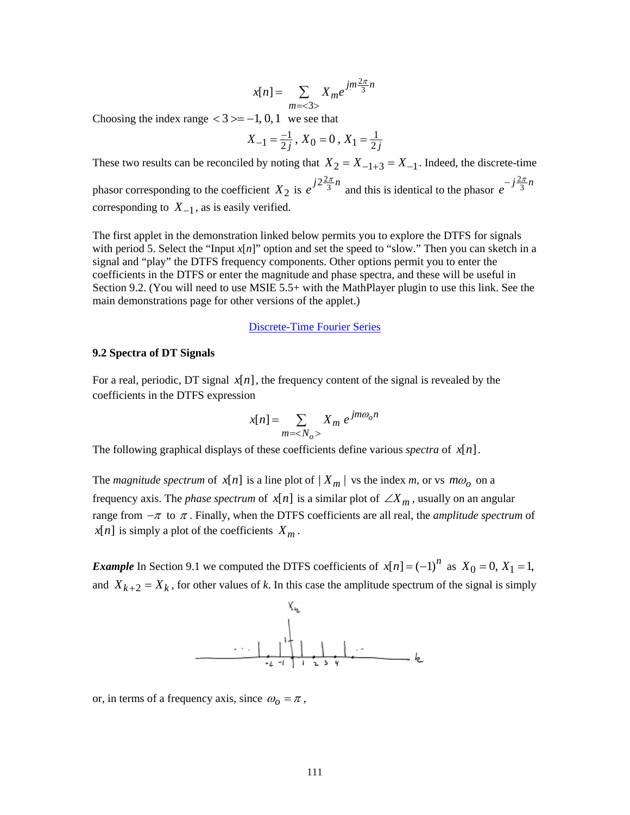$$
x[n] = \sum_{m=<3>} X_m e^{jm\frac{2\pi}{3}n}
$$

Choosing the index range  $<$  3 > = -1, 0, 1 we see that

$$
X_{-1} = \frac{-1}{2j}, X_0 = 0, X_1 = \frac{1}{2j}
$$

These two results can be reconciled by noting that  $X_2 = X_{-1+3} = X_{-1}$ . Indeed, the discrete-time phasor corresponding to the coefficient  $X_2$  is  $e^{j2\frac{2\pi}{3}n}$  and this is identical to the phasor  $e^{-j\frac{2\pi}{3}n}$ corresponding to  $X_{-1}$ , as is easily verified.

The first applet in the demonstration linked below permits you to explore the DTFS for signals with period 5. Select the "Input  $x[n]$ " option and set the speed to "slow." Then you can sketch in a signal and "play" the DTFS frequency components. Other options permit you to enter the coefficients in the DTFS or enter the magnitude and phase spectra, and these will be useful in Section 9.2. (You will need to use MSIE 5.5+ with the MathPlayer plugin to use this link. See the main demonstrations page for other versions of the applet.)

### [Discrete-Time Fourier Series](http://www.jhu.edu/~signals/dtfs-mathml4/newindex.htm)

### **9.2 Spectra of DT Signals**

For a real, periodic, DT signal  $x[n]$ , the frequency content of the signal is revealed by the coefficients in the DTFS expression

$$
x[n] = \sum_{m = \langle N_o \rangle} X_m e^{jm\omega_o n}
$$

The following graphical displays of these coefficients define various *spectra* of  $x[n]$ .

The *magnitude spectrum* of  $x[n]$  is a line plot of  $|X_m|$  vs the index *m*, or vs  $m\omega$ <sup>0</sup> on a frequency axis. The *phase spectrum* of  $x[n]$  is a similar plot of  $\angle X_m$ , usually on an angular range from  $-\pi$  to  $\pi$ . Finally, when the DTFS coefficients are all real, the *amplitude spectrum* of  $x[n]$  is simply a plot of the coefficients  $X_m$ .

*Example* In Section 9.1 we computed the DTFS coefficients of  $x[n] = (-1)^n$  as  $X_0 = 0$ ,  $X_1 = 1$ , and  $X_{k+2} = X_k$ , for other values of k. In this case the amplitude spectrum of the signal is simply



or, in terms of a frequency axis, since  $\omega_0 = \pi$ ,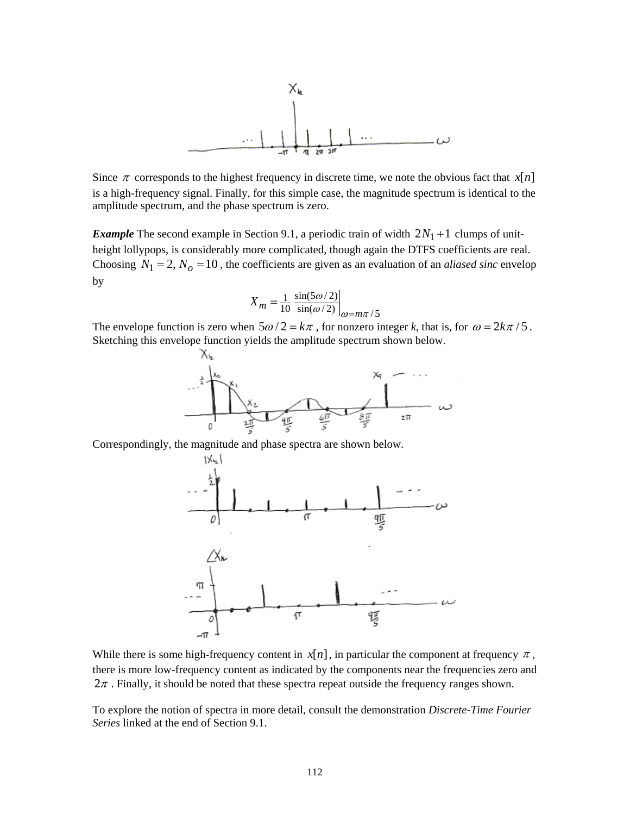

Since  $\pi$  corresponds to the highest frequency in discrete time, we note the obvious fact that  $x[n]$ is a high-frequency signal. Finally, for this simple case, the magnitude spectrum is identical to the amplitude spectrum, and the phase spectrum is zero.

*Example* The second example in Section 9.1, a periodic train of width  $2N_1 + 1$  clumps of unitheight lollypops, is considerably more complicated, though again the DTFS coefficients are real. Choosing  $N_1 = 2$ ,  $N_0 = 10$ , the coefficients are given as an evaluation of an *aliased sinc* envelop by

$$
X_m = \frac{1}{10} \frac{\sin(5\omega/2)}{\sin(\omega/2)}\bigg|_{\omega = m\pi/5}
$$

The envelope function is zero when  $5\omega/2 = k\pi$ , for nonzero integer *k*, that is, for  $\omega = 2k\pi/5$ . Sketching this envelope function yields the amplitude spectrum shown below.



Correspondingly, the magnitude and phase spectra are shown below.



While there is some high-frequency content in  $x[n]$ , in particular the component at frequency  $\pi$ , there is more low-frequency content as indicated by the components near the frequencies zero and  $2\pi$ . Finally, it should be noted that these spectra repeat outside the frequency ranges shown.

To explore the notion of spectra in more detail, consult the demonstration *Discrete-Time Fourier Series* linked at the end of Section 9.1.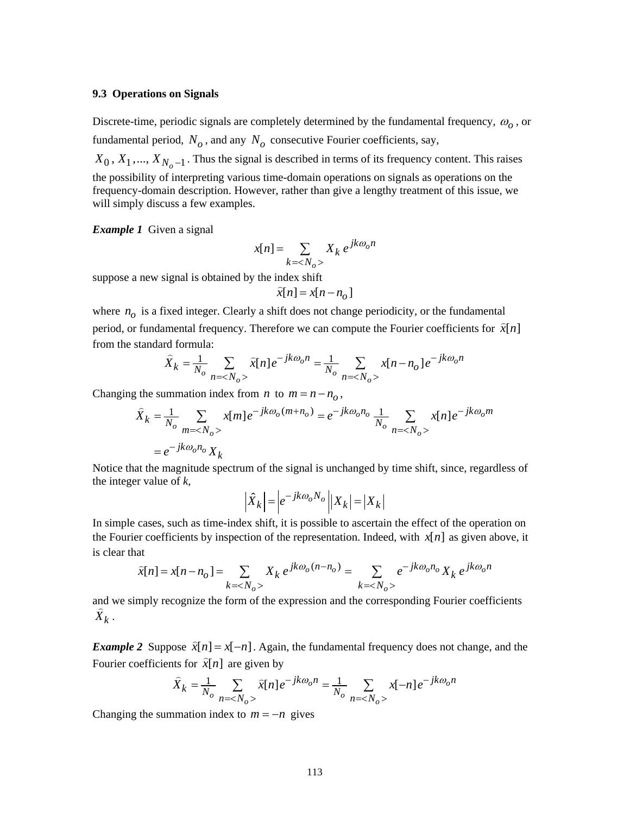### **9.3 Operations on Signals**

Discrete-time, periodic signals are completely determined by the fundamental frequency, <sup>ω</sup>*o* , or fundamental period,  $N<sub>o</sub>$ , and any  $N<sub>o</sub>$  consecutive Fourier coefficients, say,  $X_0, X_1, \ldots, X_{N_o-1}$ . Thus the signal is described in terms of its frequency content. This raises

the possibility of interpreting various time-domain operations on signals as operations on the frequency-domain description. However, rather than give a lengthy treatment of this issue, we will simply discuss a few examples.

*Example 1* Given a signal

$$
x[n] = \sum_{k=} X_k e^{jk\omega_o n}
$$

suppose a new signal is obtained by the index shift

$$
\widehat{x}[n] = x[n - n_o]
$$

where  $n<sub>o</sub>$  is a fixed integer. Clearly a shift does not change periodicity, or the fundamental period, or fundamental frequency. Therefore we can compute the Fourier coefficients for  $\hat{x}[n]$ from the standard formula:

$$
\hat{X}_k = \frac{1}{N_o} \sum_{n = \langle N_o \rangle} \hat{x}[n] e^{-jk\omega_0 n} = \frac{1}{N_o} \sum_{n = \langle N_o \rangle} x[n - n_o] e^{-jk\omega_0 n}
$$

Changing the summation index from *n* to  $m = n - n<sub>o</sub>$ ,

$$
\hat{X}_k = \frac{1}{N_o} \sum_{m = \langle N_o \rangle} x[m] e^{-jk\omega_o(m+n_o)} = e^{-jk\omega_o n_o} \frac{1}{N_o} \sum_{n = \langle N_o \rangle} x[n] e^{-jk\omega_o m}
$$

$$
= e^{-jk\omega_o n_o} X_k
$$

Notice that the magnitude spectrum of the signal is unchanged by time shift, since, regardless of the integer value of *k*,

$$
\left| \hat{X}_k \right| = \left| e^{-jk\omega_o N_o} \right| \left| X_k \right| = \left| X_k \right|
$$

In simple cases, such as time-index shift, it is possible to ascertain the effect of the operation on the Fourier coefficients by inspection of the representation. Indeed, with  $x[n]$  as given above, it is clear that

$$
\hat{x}[n] = x[n - n_o] = \sum_{k = \langle N_o \rangle} X_k e^{jk\omega_o(n - n_o)} = \sum_{k = \langle N_o \rangle} e^{-jk\omega_o n_o} X_k e^{jk\omega_o n}
$$

and we simply recognize the form of the expression and the corresponding Fourier coefficients  $\hat{X}_k$  .

*Example 2* Suppose  $\hat{x}[n] = x[-n]$ . Again, the fundamental frequency does not change, and the Fourier coefficients for  $\hat{x}[n]$  are given by

$$
\hat{X}_k = \frac{1}{N_o} \sum_{n = \langle N_o \rangle} \hat{x}[n] e^{-jk\omega_0 n} = \frac{1}{N_o} \sum_{n = \langle N_o \rangle} x[-n] e^{-jk\omega_0 n}
$$

Changing the summation index to  $m = -n$  gives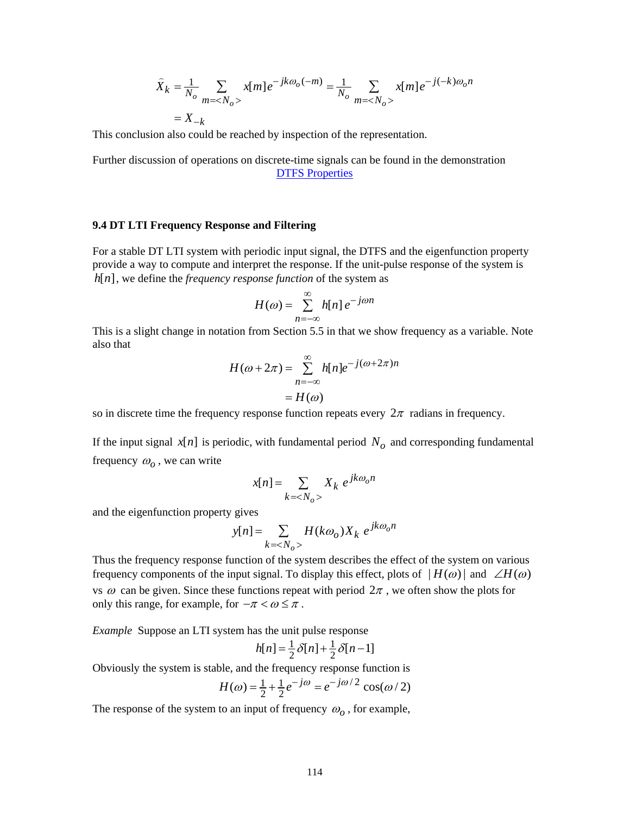$$
\hat{X}_k = \frac{1}{N_o} \sum_{m = \langle N_o \rangle} x[m] e^{-jk\omega_o(-m)} = \frac{1}{N_o} \sum_{m = \langle N_o \rangle} x[m] e^{-j(-k)\omega_o n}
$$

$$
= X_{-k}
$$

This conclusion also could be reached by inspection of the representation.

Further discussion of operations on discrete-time signals can be found in the demonstration [DTFS Properties](http://www.jhu.edu/~signals/dtfsproperties2/indexdtfsprops2.htm)

### **9.4 DT LTI Frequency Response and Filtering**

For a stable DT LTI system with periodic input signal, the DTFS and the eigenfunction property provide a way to compute and interpret the response. If the unit-pulse response of the system is  $h[n]$ , we define the *frequency response function* of the system as

$$
H(\omega) = \sum_{n=-\infty}^{\infty} h[n] e^{-j\omega n}
$$

This is a slight change in notation from Section 5.5 in that we show frequency as a variable. Note also that

$$
H(\omega + 2\pi) = \sum_{n=-\infty}^{\infty} h[n]e^{-j(\omega + 2\pi)n}
$$

$$
= H(\omega)
$$

so in discrete time the frequency response function repeats every  $2\pi$  radians in frequency.

If the input signal  $x[n]$  is periodic, with fundamental period  $N<sub>o</sub>$  and corresponding fundamental frequency  $\omega$ <sub>o</sub>, we can write

$$
x[n] = \sum_{k=} X_k e^{jk\omega_o n}
$$

and the eigenfunction property gives

$$
y[n] = \sum_{k = \langle N_o \rangle} H(k\omega_o) X_k e^{jk\omega_o n}
$$

Thus the frequency response function of the system describes the effect of the system on various frequency components of the input signal. To display this effect, plots of  $|H(\omega)|$  and  $\angle H(\omega)$ vs  $\omega$  can be given. Since these functions repeat with period  $2\pi$ , we often show the plots for only this range, for example, for  $-\pi < \omega \leq \pi$ .

*Example* Suppose an LTI system has the unit pulse response

$$
h[n] = \frac{1}{2}\delta[n] + \frac{1}{2}\delta[n-1]
$$

Obviously the system is stable, and the frequency response function is

$$
H(\omega) = \frac{1}{2} + \frac{1}{2}e^{-j\omega} = e^{-j\omega/2}\cos(\omega/2)
$$

The response of the system to an input of frequency  $\omega_0$ , for example,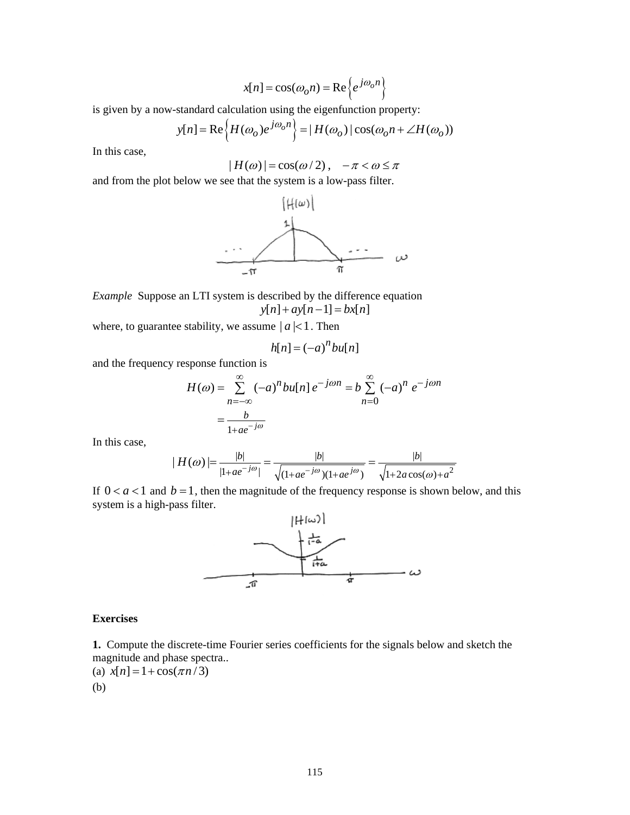$$
x[n] = \cos(\omega_o n) = \text{Re}\left\{e^{j\omega_o n}\right\}
$$

is given by a now-standard calculation using the eigenfunction property:

$$
y[n] = \text{Re}\left\{H(\omega_o)e^{j\omega_o n}\right\} = |H(\omega_o)|\cos(\omega_o n + \angle H(\omega_o))
$$

In this case,

$$
|H(\omega)| = \cos(\omega/2), \quad -\pi < \omega \le \pi
$$

and from the plot below we see that the system is a low-pass filter.



*Example* Suppose an LTI system is described by the difference equation  $y[n] + ay[n-1] = bx[n]$ 

where, to guarantee stability, we assume  $|a|$  < 1. Then

$$
h[n] = (-a)^n bu[n]
$$

and the frequency response function is

$$
H(\omega) = \sum_{n=-\infty}^{\infty} (-a)^n b u[n] e^{-j\omega n} = b \sum_{n=0}^{\infty} (-a)^n e^{-j\omega n}
$$

$$
= \frac{b}{1 + ae^{-j\omega}}
$$

In this case,

$$
|H(\omega)| = \frac{|b|}{|1 + ae^{-j\omega}|} = \frac{|b|}{\sqrt{(1 + ae^{-j\omega})(1 + ae^{j\omega})}} = \frac{|b|}{\sqrt{1 + 2a\cos(\omega) + a^2}}
$$

If  $0 < a < 1$  and  $b = 1$ , then the magnitude of the frequency response is shown below, and this system is a high-pass filter.



### **Exercises**

**1.** Compute the discrete-time Fourier series coefficients for the signals below and sketch the magnitude and phase spectra...  $rac{1}{\cos(\pi n/3)}$ 

(a) 
$$
x[n] = 1 + \cos(\pi n/3)
$$
  
(b)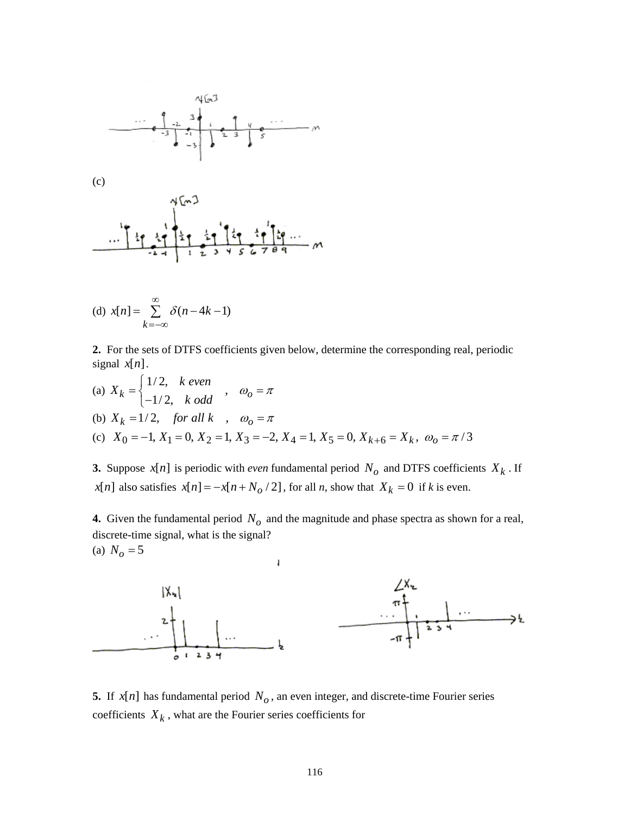

(d) 
$$
x[n] = \sum_{k=-\infty}^{\infty} \delta(n-4k-1)
$$

**2.** For the sets of DTFS coefficients given below, determine the corresponding real, periodic signal  $x[n]$ .

(a) 
$$
X_k = \begin{cases} 1/2, & k \text{ even} \\ -1/2, & k \text{ odd} \end{cases}
$$
,  $\omega_0 = \pi$   
\n(b)  $X_k = 1/2$ , for all  $k$ ,  $\omega_0 = \pi$   
\n(c)  $X_0 = -1, X_1 = 0, X_2 = 1, X_3 = -2, X_4 = 1, X_5 = 0, X_{k+6} = X_k, \omega_0 = \pi/3$ 

**3.** Suppose  $x[n]$  is periodic with *even* fundamental period  $N_o$  and DTFS coefficients  $X_k$ . If *x*[*n*] also satisfies  $x[n] = -x[n + N_0/2]$ , for all *n*, show that  $X_k = 0$  if *k* is even.

**4.** Given the fundamental period  $N<sub>o</sub>$  and the magnitude and phase spectra as shown for a real, discrete-time signal, what is the signal? (a)  $N_o = 5$ 



**5.** If  $x[n]$  has fundamental period  $N<sub>o</sub>$ , an even integer, and discrete-time Fourier series coefficients  $X_k$ , what are the Fourier series coefficients for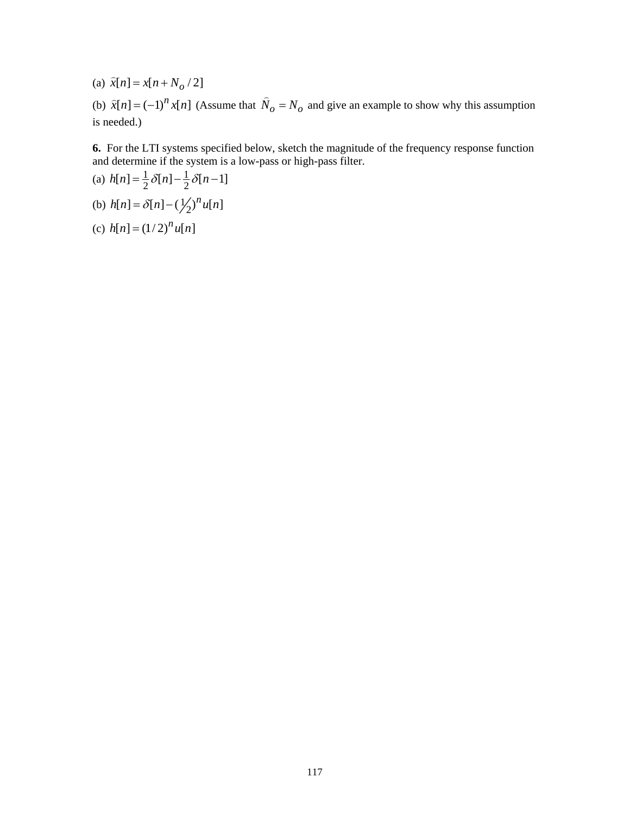(a)  $\hat{x}[n] = x[n + N_o / 2]$ 

(b)  $\hat{x}[n] = (-1)^n x[n]$  (Assume that  $\hat{N}_o = N_o$  and give an example to show why this assumption is needed.)

**6.** For the LTI systems specified below, sketch the magnitude of the frequency response function and determine if the system is a low-pass or high-pass filter.

(a) 
$$
h[n] = \frac{1}{2} \delta[n] - \frac{1}{2} \delta[n-1]
$$

- (b)  $h[n] = \delta[n] (\frac{1}{2})^n u[n]$
- (c)  $h[n] = (1/2)^n u[n]$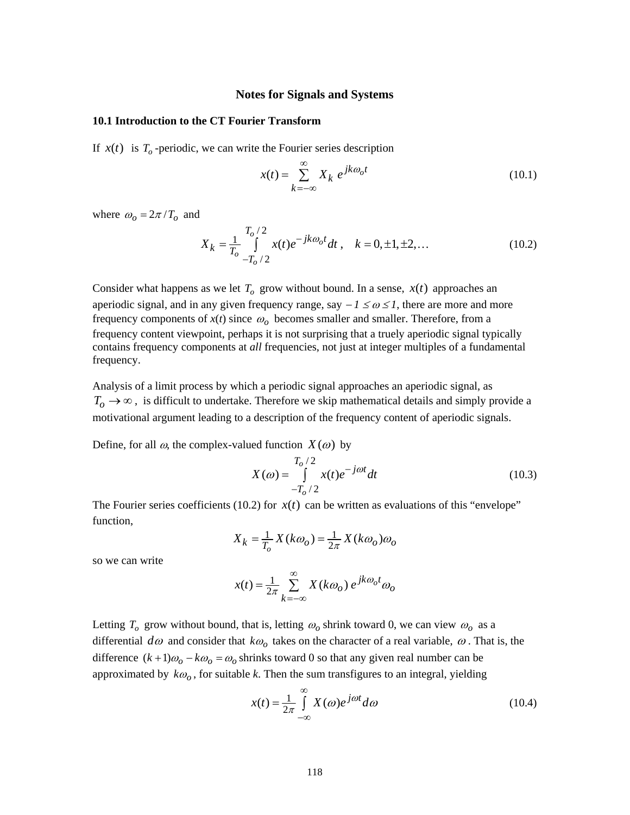### **Notes for Signals and Systems**

## <span id="page-117-0"></span>**10.1 Introduction to the CT Fourier Transform**

If  $x(t)$  is  $T<sub>o</sub>$ -periodic, we can write the Fourier series description

$$
x(t) = \sum_{k=-\infty}^{\infty} X_k e^{jk\omega_0 t}
$$
 (10.1)

where  $\omega_o = 2\pi / T_o$  and

$$
X_k = \frac{1}{T_o} \int_{-T_o/2}^{T_o/2} x(t)e^{-jk\omega_o t} dt, \quad k = 0, \pm 1, \pm 2, \dots
$$
 (10.2)

Consider what happens as we let  $T<sub>o</sub>$  grow without bound. In a sense,  $x(t)$  approaches an aperiodic signal, and in any given frequency range, say  $-1 \le \omega \le 1$ , there are more and more frequency components of  $x(t)$  since  $\omega_0$  becomes smaller and smaller. Therefore, from a frequency content viewpoint, perhaps it is not surprising that a truely aperiodic signal typically contains frequency components at *all* frequencies, not just at integer multiples of a fundamental frequency.

Analysis of a limit process by which a periodic signal approaches an aperiodic signal, as  $T_0 \rightarrow \infty$ , is difficult to undertake. Therefore we skip mathematical details and simply provide a motivational argument leading to a description of the frequency content of aperiodic signals.

Define, for all  $\omega$ , the complex-valued function  $X(\omega)$  by

$$
X(\omega) = \int_{-T_0/2}^{T_0/2} x(t)e^{-j\omega t}dt
$$
 (10.3)

The Fourier series coefficients [\(10.2\)](#page-117-0) for  $x(t)$  can be written as evaluations of this "envelope" function,

$$
X_k = \frac{1}{T_o} X(k\omega_o) = \frac{1}{2\pi} X(k\omega_o)\omega_o
$$

so we can write

$$
x(t) = \frac{1}{2\pi} \sum_{k=-\infty}^{\infty} X(k\omega_o) e^{jk\omega_o t} \omega_o
$$

Letting  $T_o$  grow without bound, that is, letting  $\omega_o$  shrink toward 0, we can view  $\omega_o$  as a differential  $d\omega$  and consider that  $k\omega_0$  takes on the character of a real variable,  $\omega$ . That is, the difference  $(k+1)\omega_0 - k\omega_0 = \omega_0$  shrinks toward 0 so that any given real number can be approximated by  $k\omega$ , for suitable *k*. Then the sum transfigures to an integral, yielding

$$
x(t) = \frac{1}{2\pi} \int_{-\infty}^{\infty} X(\omega)e^{j\omega t} d\omega
$$
 (10.4)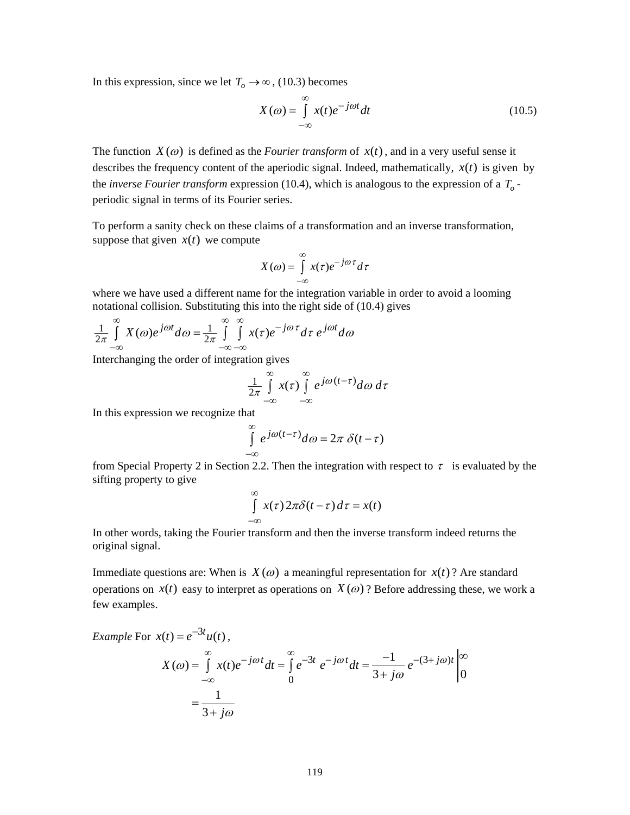In this expression, since we let  $T_o \rightarrow \infty$ , [\(10.3\)](#page-117-0) becomes

$$
X(\omega) = \int_{-\infty}^{\infty} x(t)e^{-j\omega t}dt
$$
 (10.5)

The function  $X(\omega)$  is defined as the *Fourier transform* of  $x(t)$ , and in a very useful sense it describes the frequency content of the aperiodic signal. Indeed, mathematically,  $x(t)$  is given by the *inverse Fourier transform* expression [\(10.4\)](#page-117-0), which is analogous to the expression of a *To* periodic signal in terms of its Fourier series.

To perform a sanity check on these claims of a transformation and an inverse transformation, suppose that given  $x(t)$  we compute

$$
X(\omega) = \int_{-\infty}^{\infty} x(\tau) e^{-j\omega \tau} d\tau
$$

where we have used a different name for the integration variable in order to avoid a looming notational collision. Substituting this into the right side of [\(10.4\)](#page-117-0) gives

$$
\frac{1}{2\pi} \int_{-\infty}^{\infty} X(\omega) e^{j\omega t} d\omega = \frac{1}{2\pi} \int_{-\infty}^{\infty} \int_{-\infty}^{\infty} x(\tau) e^{-j\omega \tau} d\tau \ e^{j\omega t} d\omega
$$

Interchanging the order of integration gives

$$
\frac{1}{2\pi}\int\limits_{-\infty}^{\infty}x(\tau)\int\limits_{-\infty}^{\infty}e^{j\omega(t-\tau)}d\omega\,d\tau
$$

In this expression we recognize that

$$
\int_{-\infty}^{\infty} e^{j\omega(t-\tau)} d\omega = 2\pi \delta(t-\tau)
$$

from Special Property 2 in Section 2.2. Then the integration with respect to  $\tau$  is evaluated by the sifting property to give

$$
\int_{-\infty}^{\infty} x(\tau) 2\pi \delta(t-\tau) d\tau = x(t)
$$

In other words, taking the Fourier transform and then the inverse transform indeed returns the original signal.

Immediate questions are: When is  $X(\omega)$  a meaningful representation for  $x(t)$ ? Are standard operations on  $x(t)$  easy to interpret as operations on  $X(\omega)$ ? Before addressing these, we work a few examples.

Example For 
$$
x(t) = e^{-3t}u(t)
$$
,  
\n
$$
X(\omega) = \int_{-\infty}^{\infty} x(t)e^{-j\omega t}dt = \int_{0}^{\infty} e^{-3t}e^{-j\omega t}dt = \frac{-1}{3+j\omega}e^{-(3+j\omega)t}\Big|_{0}^{\infty}
$$
\n
$$
= \frac{1}{3+j\omega}
$$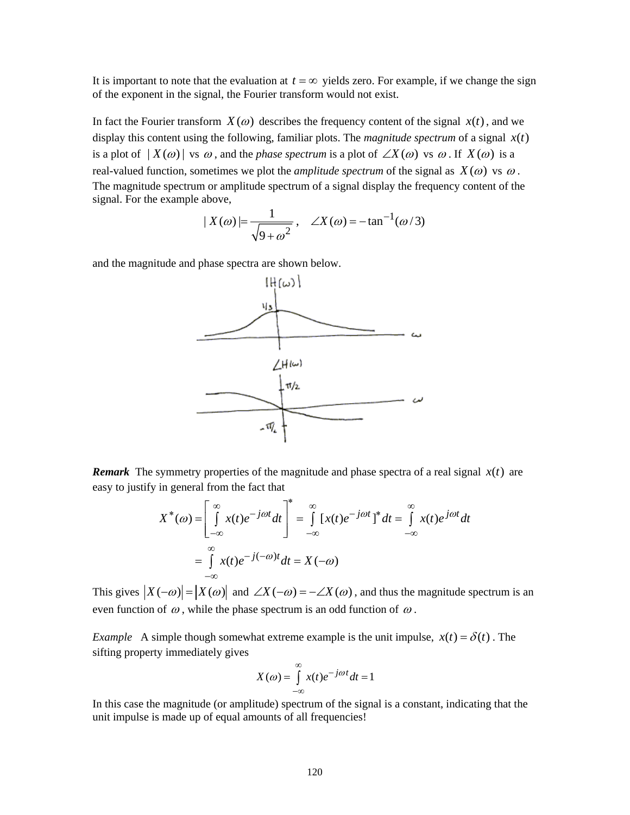It is important to note that the evaluation at  $t = \infty$  yields zero. For example, if we change the sign of the exponent in the signal, the Fourier transform would not exist.

In fact the Fourier transform  $X(\omega)$  describes the frequency content of the signal  $x(t)$ , and we display this content using the following, familiar plots. The *magnitude spectrum* of a signal  $x(t)$ is a plot of  $| X(\omega) |$  vs  $\omega$ , and the *phase spectrum* is a plot of  $\angle X(\omega)$  vs  $\omega$ . If  $X(\omega)$  is a real-valued function, sometimes we plot the *amplitude spectrum* of the signal as  $X(\omega)$  vs  $\omega$ . The magnitude spectrum or amplitude spectrum of a signal display the frequency content of the signal. For the example above,

$$
|X(\omega)| = \frac{1}{\sqrt{9 + \omega^2}}, \quad \angle X(\omega) = -\tan^{-1}(\omega/3)
$$

and the magnitude and phase spectra are shown below.



*Remark* The symmetry properties of the magnitude and phase spectra of a real signal  $x(t)$  are easy to justify in general from the fact that

$$
X^*(\omega) = \left[\int_{-\infty}^{\infty} x(t)e^{-j\omega t}dt\right]^* = \int_{-\infty}^{\infty} \left[x(t)e^{-j\omega t}\right]^* dt = \int_{-\infty}^{\infty} x(t)e^{j\omega t}dt
$$

$$
= \int_{-\infty}^{\infty} x(t)e^{-j(-\omega)t}dt = X(-\omega)
$$

This gives  $|X(-\omega)| = |X(\omega)|$  and  $\angle X(-\omega) = -\angle X(\omega)$ , and thus the magnitude spectrum is an even function of  $\omega$ , while the phase spectrum is an odd function of  $\omega$ .

*Example* A simple though somewhat extreme example is the unit impulse,  $x(t) = \delta(t)$ . The sifting property immediately gives

$$
X(\omega) = \int_{-\infty}^{\infty} x(t)e^{-j\omega t}dt = 1
$$

In this case the magnitude (or amplitude) spectrum of the signal is a constant, indicating that the unit impulse is made up of equal amounts of all frequencies!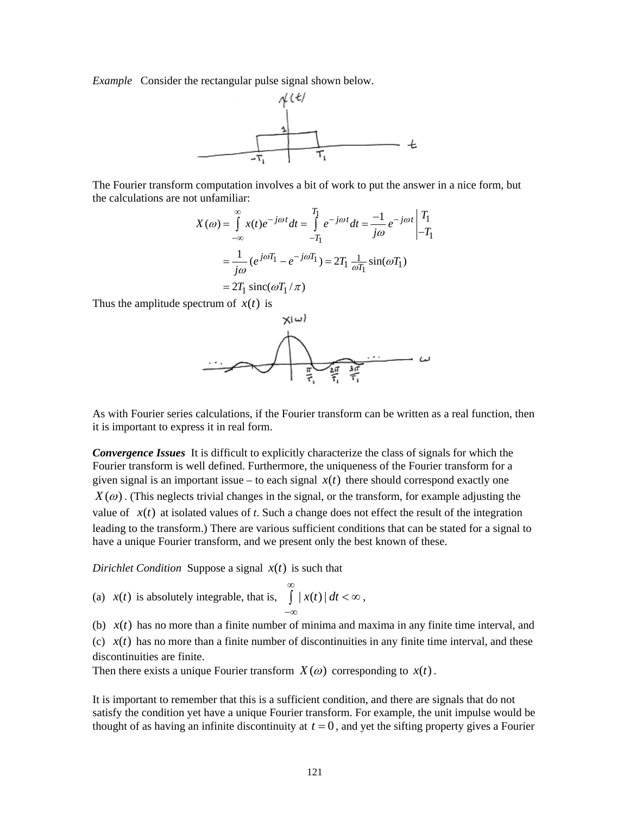*Example* Consider the rectangular pulse signal shown below.



The Fourier transform computation involves a bit of work to put the answer in a nice form, but the calculations are not unfamiliar:

$$
X(\omega) = \int_{-\infty}^{\infty} x(t)e^{-j\omega t}dt = \int_{-T_1}^{T_1} e^{-j\omega t}dt = \frac{-1}{j\omega}e^{-j\omega t} \begin{vmatrix} T_1 \\ -T_1 \end{vmatrix}
$$

$$
= \frac{1}{j\omega} (e^{j\omega T_1} - e^{-j\omega T_1}) = 2T_1 \frac{1}{\omega T_1} \sin(\omega T_1)
$$

$$
= 2T_1 \operatorname{sinc}(\omega T_1/\pi)
$$

Thus the amplitude spectrum of  $x(t)$  is



As with Fourier series calculations, if the Fourier transform can be written as a real function, then it is important to express it in real form.

*Convergence Issues* It is difficult to explicitly characterize the class of signals for which the Fourier transform is well defined. Furthermore, the uniqueness of the Fourier transform for a given signal is an important issue – to each signal  $x(t)$  there should correspond exactly one  $X(\omega)$ . (This neglects trivial changes in the signal, or the transform, for example adjusting the value of  $x(t)$  at isolated values of *t*. Such a change does not effect the result of the integration leading to the transform.) There are various sufficient conditions that can be stated for a signal to have a unique Fourier transform, and we present only the best known of these.

*Dirichlet Condition* Suppose a signal  $x(t)$  is such that

(a)  $x(t)$  is absolutely integrable, that is,  $\int |x(t)| dt$ ∞ −∞  $\int |x(t)| dt < \infty$ ,

(b)  $x(t)$  has no more than a finite number of minima and maxima in any finite time interval, and (c)  $x(t)$  has no more than a finite number of discontinuities in any finite time interval, and these discontinuities are finite.

Then there exists a unique Fourier transform  $X(\omega)$  corresponding to  $x(t)$ .

It is important to remember that this is a sufficient condition, and there are signals that do not satisfy the condition yet have a unique Fourier transform. For example, the unit impulse would be thought of as having an infinite discontinuity at  $t = 0$ , and yet the sifting property gives a Fourier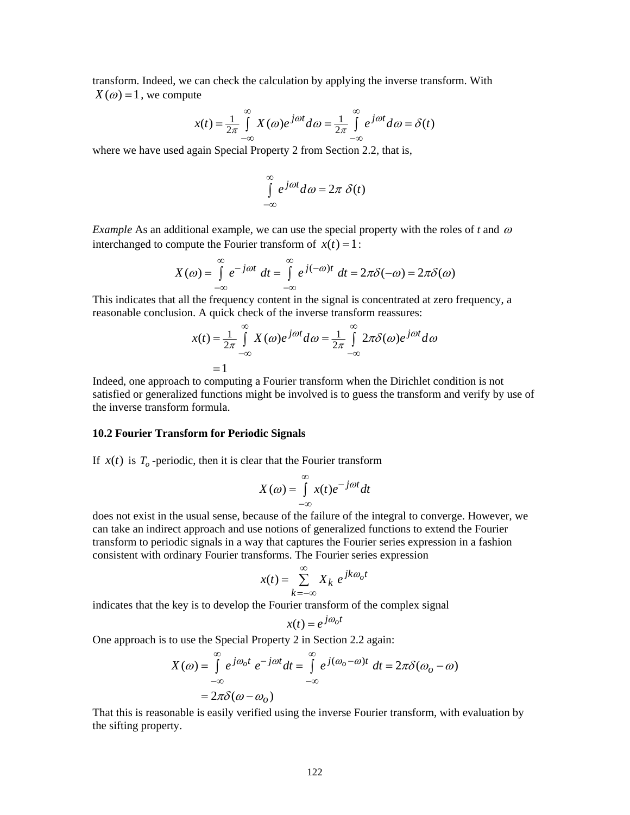transform. Indeed, we can check the calculation by applying the inverse transform. With  $X(\omega) = 1$ , we compute

$$
x(t) = \frac{1}{2\pi} \int_{-\infty}^{\infty} X(\omega) e^{j\omega t} d\omega = \frac{1}{2\pi} \int_{-\infty}^{\infty} e^{j\omega t} d\omega = \delta(t)
$$

where we have used again Special Property 2 from Section 2.2, that is,

$$
\int_{-\infty}^{\infty} e^{j\omega t} d\omega = 2\pi \delta(t)
$$

*Example* As an additional example, we can use the special property with the roles of t and  $\omega$ interchanged to compute the Fourier transform of  $x(t) = 1$ :

$$
X(\omega) = \int_{-\infty}^{\infty} e^{-j\omega t} dt = \int_{-\infty}^{\infty} e^{j(-\omega)t} dt = 2\pi \delta(-\omega) = 2\pi \delta(\omega)
$$

This indicates that all the frequency content in the signal is concentrated at zero frequency, a reasonable conclusion. A quick check of the inverse transform reassures:

$$
x(t) = \frac{1}{2\pi} \int_{-\infty}^{\infty} X(\omega)e^{j\omega t} d\omega = \frac{1}{2\pi} \int_{-\infty}^{\infty} 2\pi \delta(\omega)e^{j\omega t} d\omega
$$

$$
= 1
$$

Indeed, one approach to computing a Fourier transform when the Dirichlet condition is not satisfied or generalized functions might be involved is to guess the transform and verify by use of the inverse transform formula.

### **10.2 Fourier Transform for Periodic Signals**

If  $x(t)$  is  $T<sub>o</sub>$ -periodic, then it is clear that the Fourier transform

$$
X(\omega) = \int_{-\infty}^{\infty} x(t)e^{-j\omega t}dt
$$

does not exist in the usual sense, because of the failure of the integral to converge. However, we can take an indirect approach and use notions of generalized functions to extend the Fourier transform to periodic signals in a way that captures the Fourier series expression in a fashion consistent with ordinary Fourier transforms. The Fourier series expression

$$
x(t) = \sum_{k=-\infty}^{\infty} X_k e^{jk\omega_0 t}
$$

indicates that the key is to develop the Fourier transform of the complex signal

$$
x(t) = e^{j\omega_0 t}
$$

One approach is to use the Special Property 2 in Section 2.2 again:

$$
X(\omega) = \int_{-\infty}^{\infty} e^{j\omega_0 t} e^{-j\omega t} dt = \int_{-\infty}^{\infty} e^{j(\omega_0 - \omega)t} dt = 2\pi \delta(\omega_0 - \omega)
$$

$$
= 2\pi \delta(\omega - \omega_0)
$$

That this is reasonable is easily verified using the inverse Fourier transform, with evaluation by the sifting property.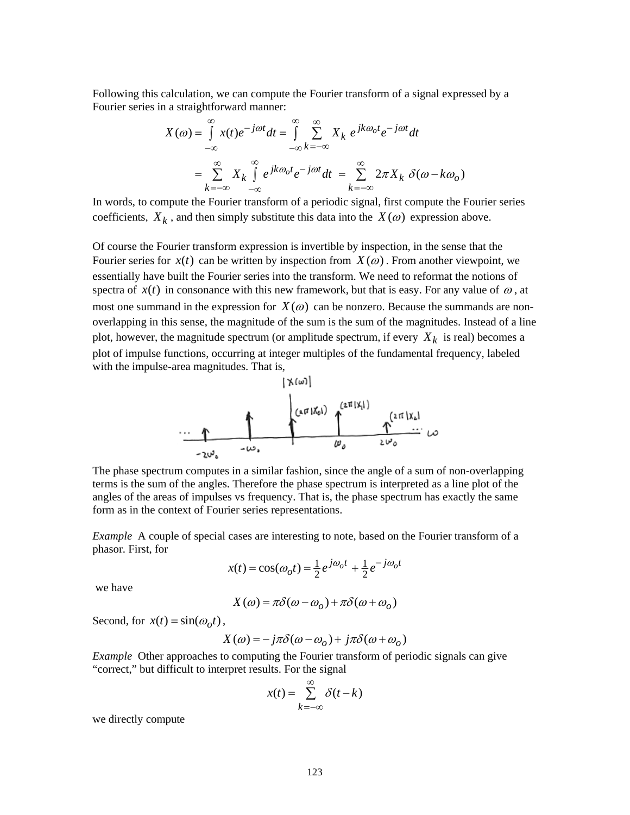Following this calculation, we can compute the Fourier transform of a signal expressed by a Fourier series in a straightforward manner:

$$
X(\omega) = \int_{-\infty}^{\infty} x(t)e^{-j\omega t}dt = \int_{-\infty}^{\infty} \sum_{k=-\infty}^{\infty} X_k e^{jk\omega_0 t}e^{-j\omega t}dt
$$

$$
= \sum_{k=-\infty}^{\infty} X_k \int_{-\infty}^{\infty} e^{jk\omega_0 t}e^{-j\omega t}dt = \sum_{k=-\infty}^{\infty} 2\pi X_k \delta(\omega - k\omega_0)
$$

In words, to compute the Fourier transform of a periodic signal, first compute the Fourier series coefficients,  $X_k$ , and then simply substitute this data into the  $X(\omega)$  expression above.

Of course the Fourier transform expression is invertible by inspection, in the sense that the Fourier series for  $x(t)$  can be written by inspection from  $X(\omega)$ . From another viewpoint, we essentially have built the Fourier series into the transform. We need to reformat the notions of spectra of  $x(t)$  in consonance with this new framework, but that is easy. For any value of  $\omega$ , at most one summand in the expression for  $X(\omega)$  can be nonzero. Because the summands are nonoverlapping in this sense, the magnitude of the sum is the sum of the magnitudes. Instead of a line plot, however, the magnitude spectrum (or amplitude spectrum, if every  $X_k$  is real) becomes a plot of impulse functions, occurring at integer multiples of the fundamental frequency, labeled with the impulse-area magnitudes. That is,



The phase spectrum computes in a similar fashion, since the angle of a sum of non-overlapping terms is the sum of the angles. Therefore the phase spectrum is interpreted as a line plot of the angles of the areas of impulses vs frequency. That is, the phase spectrum has exactly the same form as in the context of Fourier series representations.

*Example* A couple of special cases are interesting to note, based on the Fourier transform of a phasor. First, for

$$
x(t) = \cos(\omega_0 t) = \frac{1}{2}e^{j\omega_0 t} + \frac{1}{2}e^{-j\omega_0 t}
$$

we have

$$
X(\omega) = \pi \delta(\omega - \omega_o) + \pi \delta(\omega + \omega_o)
$$

Second, for  $x(t) = \sin(\omega_o t)$ ,

$$
X(\omega) = -j\pi \delta(\omega - \omega_o) + j\pi \delta(\omega + \omega_o)
$$

*Example* Other approaches to computing the Fourier transform of periodic signals can give "correct," but difficult to interpret results. For the signal

$$
x(t) = \sum_{k=-\infty}^{\infty} \delta(t - k)
$$

we directly compute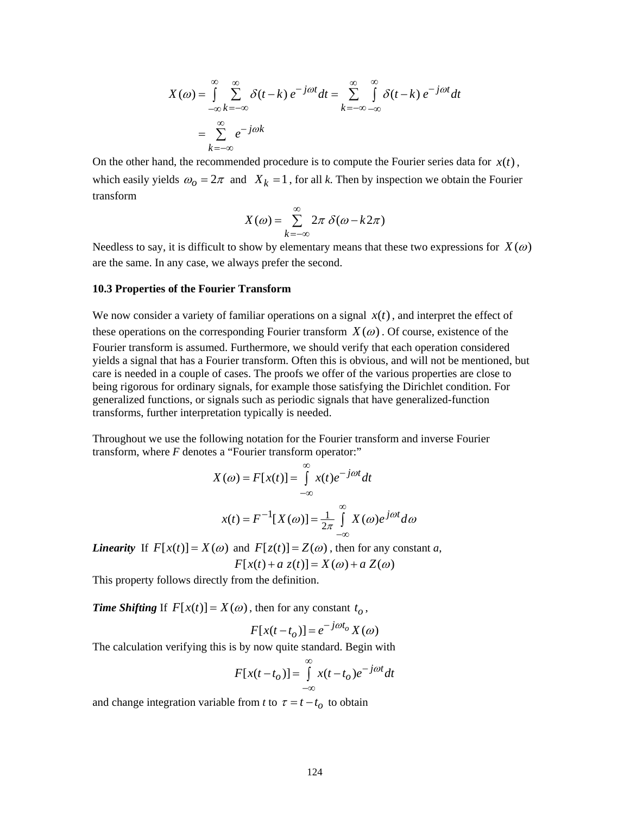$$
X(\omega) = \int_{-\infty}^{\infty} \sum_{k=-\infty}^{\infty} \delta(t-k) e^{-j\omega t} dt = \sum_{k=-\infty}^{\infty} \int_{-\infty}^{\infty} \delta(t-k) e^{-j\omega t} dt
$$

$$
= \sum_{k=-\infty}^{\infty} e^{-j\omega k}
$$

On the other hand, the recommended procedure is to compute the Fourier series data for  $x(t)$ , which easily yields  $\omega_0 = 2\pi$  and  $X_k = 1$ , for all *k*. Then by inspection we obtain the Fourier transform

$$
X(\omega) = \sum_{k=-\infty}^{\infty} 2\pi \delta(\omega - k2\pi)
$$

Needless to say, it is difficult to show by elementary means that these two expressions for  $X(\omega)$ are the same. In any case, we always prefer the second.

### **10.3 Properties of the Fourier Transform**

We now consider a variety of familiar operations on a signal  $x(t)$ , and interpret the effect of these operations on the corresponding Fourier transform  $X(\omega)$ . Of course, existence of the Fourier transform is assumed. Furthermore, we should verify that each operation considered yields a signal that has a Fourier transform. Often this is obvious, and will not be mentioned, but care is needed in a couple of cases. The proofs we offer of the various properties are close to being rigorous for ordinary signals, for example those satisfying the Dirichlet condition. For generalized functions, or signals such as periodic signals that have generalized-function transforms, further interpretation typically is needed.

Throughout we use the following notation for the Fourier transform and inverse Fourier transform, where *F* denotes a "Fourier transform operator:"

$$
X(\omega) = F[x(t)] = \int_{-\infty}^{\infty} x(t)e^{-j\omega t}dt
$$

$$
x(t) = F^{-1}[X(\omega)] = \frac{1}{2\pi} \int_{-\infty}^{\infty} X(\omega)e^{j\omega t}d\omega
$$

*Linearity* If  $F[x(t)] = X(\omega)$  and  $F[z(t)] = Z(\omega)$ , then for any constant *a*,  $F[x(t) + a z(t)] = X(\omega) + a Z(\omega)$ 

This property follows directly from the definition.

*Time Shifting* If  $F[x(t)] = X(\omega)$ , then for any constant  $t_{\alpha}$ ,

$$
F[x(t - t_o)] = e^{-j\omega t_o} X(\omega)
$$

The calculation verifying this is by now quite standard. Begin with

$$
F[x(t - t_o)] = \int_{-\infty}^{\infty} x(t - t_o)e^{-j\omega t}dt
$$

and change integration variable from *t* to  $\tau = t - t_o$  to obtain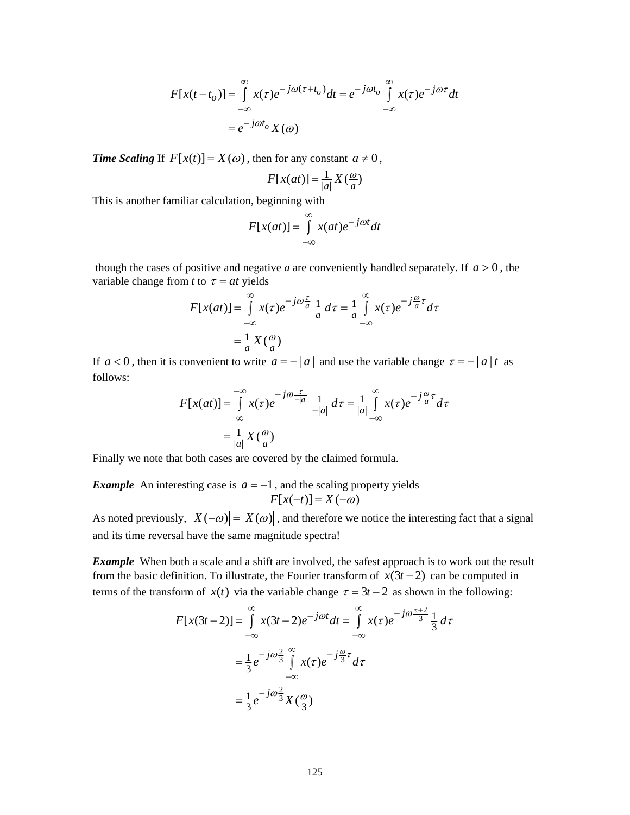$$
F[x(t-to)] = \int_{-\infty}^{\infty} x(\tau)e^{-j\omega(\tau+to)}dt = e^{-j\omega to} \int_{-\infty}^{\infty} x(\tau)e^{-j\omega \tau}dt
$$

$$
= e^{-j\omega to}X(\omega)
$$

*Time Scaling* If  $F[x(t)] = X(\omega)$ , then for any constant  $a \neq 0$ ,

$$
F[x(at)] = \frac{1}{|a|} X(\frac{a}{a})
$$

This is another familiar calculation, beginning with

$$
F[x(at)] = \int_{-\infty}^{\infty} x(at)e^{-j\omega t}dt
$$

though the cases of positive and negative *a* are conveniently handled separately. If  $a > 0$ , the variable change from *t* to  $\tau = at$  yields

$$
F[x(at)] = \int_{-\infty}^{\infty} x(\tau)e^{-j\omega \frac{\tau}{a}} \frac{1}{a} d\tau = \frac{1}{a} \int_{-\infty}^{\infty} x(\tau)e^{-j\frac{\omega}{a}\tau} d\tau
$$

$$
= \frac{1}{a}X(\frac{\omega}{a})
$$

If  $a < 0$ , then it is convenient to write  $a = -|a|$  and use the variable change  $\tau = -|a|t$  as follows:

$$
F[x(at)] = \int_{-\infty}^{-\infty} x(\tau)e^{-j\omega \frac{\tau}{-|a|}} \frac{1}{-|a|} d\tau = \frac{1}{|a|} \int_{-\infty}^{\infty} x(\tau)e^{-j\frac{\omega}{a}\tau} d\tau
$$

$$
= \frac{1}{|a|} X(\frac{\omega}{a})
$$

Finally we note that both cases are covered by the claimed formula.

*Example* An interesting case is  $a = -1$ , and the scaling property yields  $F[x(-t)] = X(-\omega)$ 

As noted previously,  $|X(-\omega)| = |X(\omega)|$ , and therefore we notice the interesting fact that a signal and its time reversal have the same magnitude spectra!

*Example* When both a scale and a shift are involved, the safest approach is to work out the result from the basic definition. To illustrate, the Fourier transform of  $x(3t - 2)$  can be computed in terms of the transform of  $x(t)$  via the variable change  $\tau = 3t - 2$  as shown in the following:

$$
F[x(3t-2)] = \int_{-\infty}^{\infty} x(3t-2)e^{-j\omega t}dt = \int_{-\infty}^{\infty} x(\tau)e^{-j\omega \frac{\tau+2}{3}}\frac{1}{3}d\tau
$$

$$
= \frac{1}{3}e^{-j\omega \frac{2}{3}} \int_{-\infty}^{\infty} x(\tau)e^{-j\frac{\omega}{3}\tau}d\tau
$$

$$
= \frac{1}{3}e^{-j\omega \frac{2}{3}}X(\frac{\omega}{3})
$$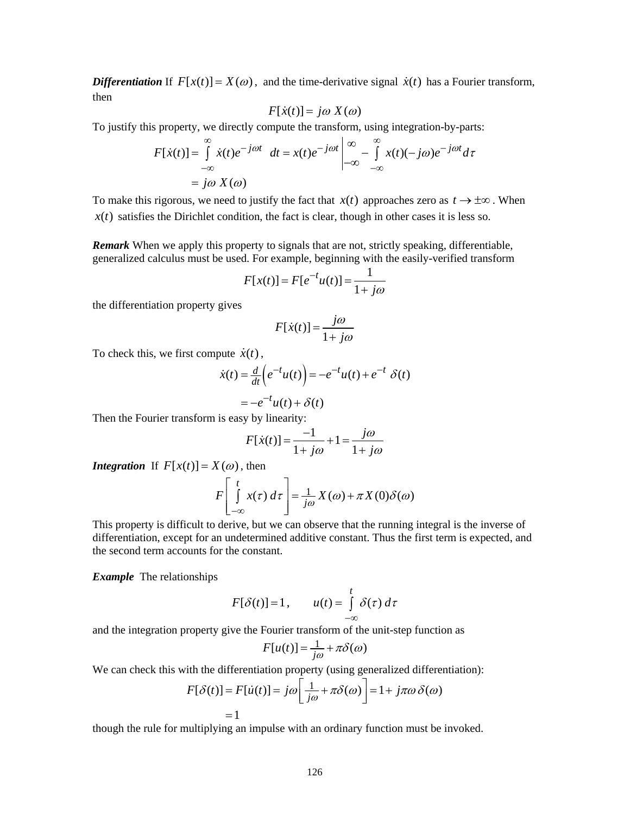*Differentiation* If  $F[x(t)] = X(\omega)$ , and the time-derivative signal  $\dot{x}(t)$  has a Fourier transform, then

$$
F[\dot{x}(t)] = j\omega X(\omega)
$$

To justify this property, we directly compute the transform, using integration-by-parts:

$$
F[\dot{x}(t)] = \int_{-\infty}^{\infty} \dot{x}(t)e^{-j\omega t} dt = x(t)e^{-j\omega t}\begin{vmatrix} \infty & \infty \\ -\infty & -\int_{-\infty}^{\infty} x(t)(-j\omega)e^{-j\omega t} d\tau \\ -\infty & -\infty \end{vmatrix}
$$

$$
= j\omega X(\omega)
$$

To make this rigorous, we need to justify the fact that  $x(t)$  approaches zero as  $t \to \pm \infty$ . When  $x(t)$  satisfies the Dirichlet condition, the fact is clear, though in other cases it is less so.

*Remark* When we apply this property to signals that are not, strictly speaking, differentiable, generalized calculus must be used. For example, beginning with the easily-verified transform

$$
F[x(t)] = F[e^{-t}u(t)] = \frac{1}{1 + j\omega}
$$

the differentiation property gives

$$
F[\dot{x}(t)] = \frac{j\omega}{1 + j\omega}
$$

To check this, we first compute  $\dot{x}(t)$ ,

$$
\dot{x}(t) = \frac{d}{dt} \left( e^{-t} u(t) \right) = -e^{-t} u(t) + e^{-t} \delta(t)
$$

$$
= -e^{-t} u(t) + \delta(t)
$$

Then the Fourier transform is easy by linearity:

$$
F[\dot{x}(t)] = \frac{-1}{1 + j\omega} + 1 = \frac{j\omega}{1 + j\omega}
$$

*Integration* If  $F[x(t)] = X(\omega)$ , then

$$
F\left[\int\limits_{-\infty}^{t} x(\tau) d\tau\right] = \frac{1}{j\omega} X(\omega) + \pi X(0) \delta(\omega)
$$

This property is difficult to derive, but we can observe that the running integral is the inverse of differentiation, except for an undetermined additive constant. Thus the first term is expected, and the second term accounts for the constant.

*Example* The relationships

$$
F[\delta(t)] = 1, \qquad u(t) = \int_{-\infty}^{t} \delta(\tau) d\tau
$$

and the integration property give the Fourier transform of the unit-step function as

$$
F[u(t)] = \frac{1}{j\omega} + \pi \delta(\omega)
$$

We can check this with the differentiation property (using generalized differentiation):

$$
F[\delta(t)] = F[\dot{u}(t)] = j\omega \left[ \frac{1}{j\omega} + \pi \delta(\omega) \right] = 1 + j\pi\omega \delta(\omega)
$$

$$
= 1
$$

though the rule for multiplying an impulse with an ordinary function must be invoked.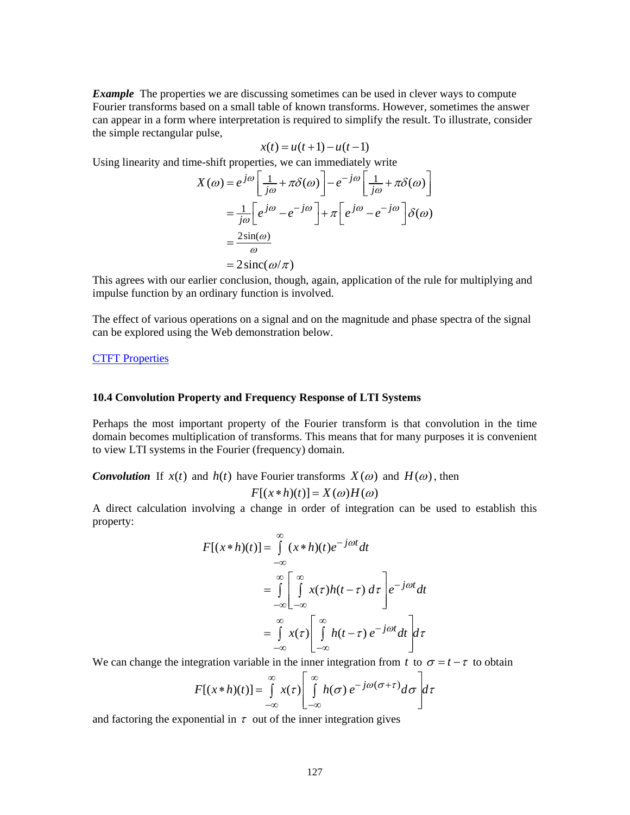*Example* The properties we are discussing sometimes can be used in clever ways to compute Fourier transforms based on a small table of known transforms. However, sometimes the answer can appear in a form where interpretation is required to simplify the result. To illustrate, consider the simple rectangular pulse,

$$
x(t) = u(t+1) - u(t-1)
$$

Using linearity and time-shift properties, we can immediately write

$$
X(\omega) = e^{j\omega} \left[ \frac{1}{j\omega} + \pi \delta(\omega) \right] - e^{-j\omega} \left[ \frac{1}{j\omega} + \pi \delta(\omega) \right]
$$

$$
= \frac{1}{j\omega} \left[ e^{j\omega} - e^{-j\omega} \right] + \pi \left[ e^{j\omega} - e^{-j\omega} \right] \delta(\omega)
$$

$$
= \frac{2\sin(\omega)}{\omega}
$$

$$
= 2\operatorname{sinc}(\omega/\pi)
$$

This agrees with our earlier conclusion, though, again, application of the rule for multiplying and impulse function by an ordinary function is involved.

The effect of various operations on a signal and on the magnitude and phase spectra of the signal can be explored using the Web demonstration below.

### [CTFT Properties](http://www.jhu.edu/~signals/ctftprops/indexCTFTprops.htm)

### **10.4 Convolution Property and Frequency Response of LTI Systems**

Perhaps the most important property of the Fourier transform is that convolution in the time domain becomes multiplication of transforms. This means that for many purposes it is convenient to view LTI systems in the Fourier (frequency) domain.

*Convolution* If  $x(t)$  and  $h(t)$  have Fourier transforms  $X(\omega)$  and  $H(\omega)$ , then

$$
F[(x * h)(t)] = X(\omega)H(\omega)
$$

A direct calculation involving a change in order of integration can be used to establish this property:

$$
F[(x * h)(t)] = \int_{-\infty}^{\infty} (x * h)(t)e^{-j\omega t}dt
$$
  

$$
= \int_{-\infty}^{\infty} \left[ \int_{-\infty}^{\infty} x(\tau)h(t-\tau) d\tau \right] e^{-j\omega t}dt
$$
  

$$
= \int_{-\infty}^{\infty} x(\tau) \left[ \int_{-\infty}^{\infty} h(t-\tau) e^{-j\omega t}dt \right] d\tau
$$

We can change the integration variable in the inner integration from *t* to  $\sigma = t - \tau$  to obtain

$$
F[(x*h)(t)] = \int_{-\infty}^{\infty} x(\tau) \left[ \int_{-\infty}^{\infty} h(\sigma) e^{-j\omega(\sigma+\tau)} d\sigma \right] d\tau
$$

and factoring the exponential in  $\tau$  out of the inner integration gives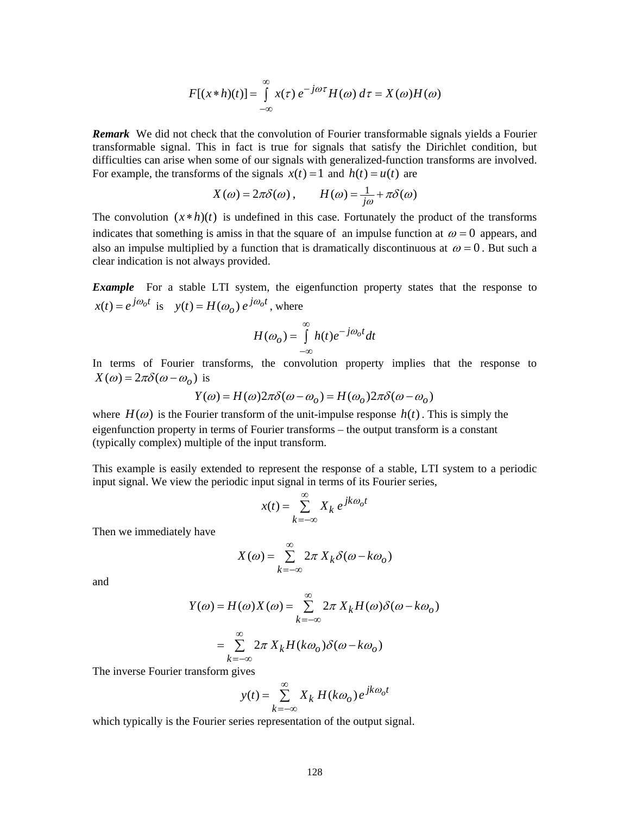$$
F[(x * h)(t)] = \int_{-\infty}^{\infty} x(\tau) e^{-j\omega \tau} H(\omega) d\tau = X(\omega)H(\omega)
$$

*Remark* We did not check that the convolution of Fourier transformable signals yields a Fourier transformable signal. This in fact is true for signals that satisfy the Dirichlet condition, but difficulties can arise when some of our signals with generalized-function transforms are involved. For example, the transforms of the signals  $x(t) = 1$  and  $h(t) = u(t)$  are

$$
X(\omega) = 2\pi \delta(\omega), \qquad H(\omega) = \frac{1}{j\omega} + \pi \delta(\omega)
$$

The convolution  $(x * h)(t)$  is undefined in this case. Fortunately the product of the transforms indicates that something is amiss in that the square of an impulse function at  $\omega = 0$  appears, and also an impulse multiplied by a function that is dramatically discontinuous at  $\omega = 0$ . But such a clear indication is not always provided.

*Example* For a stable LTI system, the eigenfunction property states that the response to  $x(t) = e^{j\omega_0 t}$  is  $y(t) = H(\omega_0) e^{j\omega_0 t}$ , where

$$
H(\omega_o) = \int_{-\infty}^{\infty} h(t)e^{-j\omega_o t}dt
$$

In terms of Fourier transforms, the convolution property implies that the response to  $X(\omega) = 2\pi \delta(\omega - \omega_o)$  is

$$
Y(\omega) = H(\omega)2\pi\delta(\omega - \omega_o) = H(\omega_o)2\pi\delta(\omega - \omega_o)
$$

where  $H(\omega)$  is the Fourier transform of the unit-impulse response  $h(t)$ . This is simply the eigenfunction property in terms of Fourier transforms – the output transform is a constant (typically complex) multiple of the input transform.

This example is easily extended to represent the response of a stable, LTI system to a periodic input signal. We view the periodic input signal in terms of its Fourier series,

$$
x(t) = \sum_{k=-\infty}^{\infty} X_k e^{jk\omega_0 t}
$$

Then we immediately have

$$
X(\omega) = \sum_{k=-\infty}^{\infty} 2\pi X_k \delta(\omega - k\omega_o)
$$

and

$$
Y(\omega) = H(\omega)X(\omega) = \sum_{k=-\infty}^{\infty} 2\pi X_k H(\omega)\delta(\omega - k\omega_o)
$$

$$
= \sum_{k=-\infty}^{\infty} 2\pi X_k H(k\omega_o)\delta(\omega - k\omega_o)
$$

The inverse Fourier transform gives

$$
y(t) = \sum_{k=-\infty}^{\infty} X_k H(k\omega_o) e^{jk\omega_o t}
$$

which typically is the Fourier series representation of the output signal.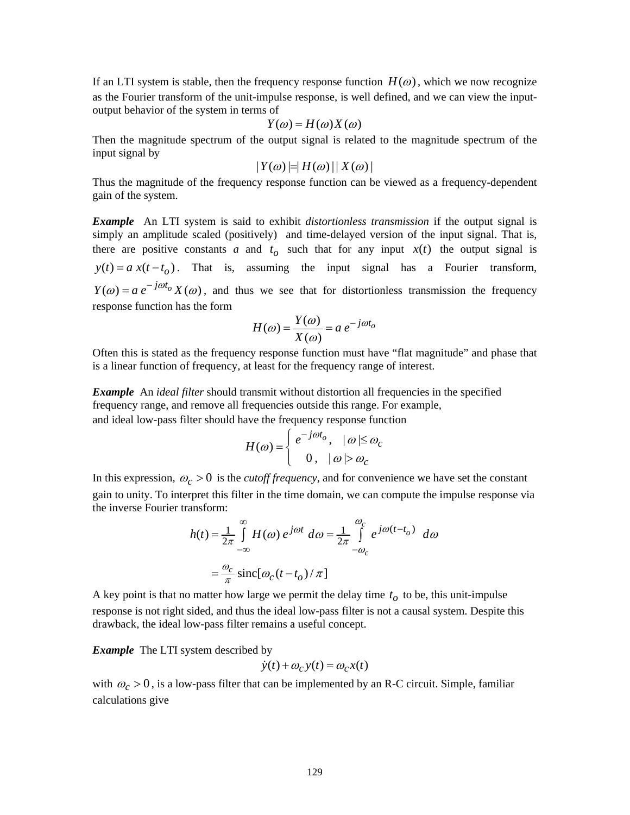If an LTI system is stable, then the frequency response function  $H(\omega)$ , which we now recognize as the Fourier transform of the unit-impulse response, is well defined, and we can view the inputoutput behavior of the system in terms of

$$
Y(\omega) = H(\omega)X(\omega)
$$

Then the magnitude spectrum of the output signal is related to the magnitude spectrum of the input signal by

$$
|Y(\omega)|=|H(\omega)||X(\omega)|
$$

Thus the magnitude of the frequency response function can be viewed as a frequency-dependent gain of the system.

*Example* An LTI system is said to exhibit *distortionless transmission* if the output signal is simply an amplitude scaled (positively) and time-delayed version of the input signal. That is, there are positive constants *a* and  $t_o$  such that for any input  $x(t)$  the output signal is  $y(t) = a x(t - t_0)$ . That is, assuming the input signal has a Fourier transform,  $Y(\omega) = a e^{-j\omega t_o} X(\omega)$ , and thus we see that for distortionless transmission the frequency response function has the form

$$
H(\omega) = \frac{Y(\omega)}{X(\omega)} = a e^{-j\omega t_o}
$$

Often this is stated as the frequency response function must have "flat magnitude" and phase that is a linear function of frequency, at least for the frequency range of interest.

*Example* An *ideal filter* should transmit without distortion all frequencies in the specified frequency range, and remove all frequencies outside this range. For example, and ideal low-pass filter should have the frequency response function

$$
H(\omega) = \begin{cases} e^{-j\omega t_o}, & |\omega| \le \omega_c \\ 0, & |\omega| > \omega_c \end{cases}
$$

In this expression,  $\omega_c > 0$  is the *cutoff frequency*, and for convenience we have set the constant gain to unity. To interpret this filter in the time domain, we can compute the impulse response via the inverse Fourier transform:

$$
h(t) = \frac{1}{2\pi} \int_{-\infty}^{\infty} H(\omega) e^{j\omega t} d\omega = \frac{1}{2\pi} \int_{-\omega_c}^{\omega_c} e^{j\omega(t - t_o)} d\omega
$$

$$
= \frac{\omega_c}{\pi} \operatorname{sinc}[\omega_c(t - t_o)/\pi]
$$

A key point is that no matter how large we permit the delay time  $t<sub>o</sub>$  to be, this unit-impulse response is not right sided, and thus the ideal low-pass filter is not a causal system. Despite this drawback, the ideal low-pass filter remains a useful concept.

**Example** The LTI system described by

$$
\dot{y}(t) + \omega_c y(t) = \omega_c x(t)
$$

with  $\omega_c > 0$ , is a low-pass filter that can be implemented by an R-C circuit. Simple, familiar calculations give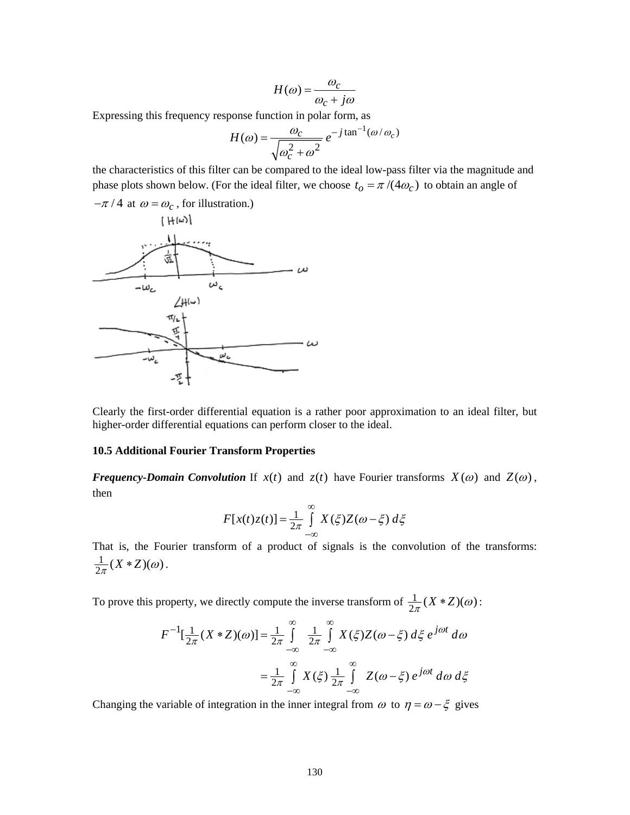$$
H(\omega) = \frac{\omega_c}{\omega_c + j\omega}
$$

Expressing this frequency response function in polar form, as

$$
H(\omega) = \frac{\omega_c}{\sqrt{\omega_c^2 + \omega^2}} e^{-j \tan^{-1}(\omega/\omega_c)}
$$

the characteristics of this filter can be compared to the ideal low-pass filter via the magnitude and phase plots shown below. (For the ideal filter, we choose  $t_o = \pi/(4\omega_c)$  to obtain an angle of



Clearly the first-order differential equation is a rather poor approximation to an ideal filter, but higher-order differential equations can perform closer to the ideal.

### **10.5 Additional Fourier Transform Properties**

*Frequency-Domain Convolution* If  $x(t)$  and  $z(t)$  have Fourier transforms  $X(\omega)$  and  $Z(\omega)$ , then

$$
F[x(t)z(t)] = \frac{1}{2\pi} \int_{-\infty}^{\infty} X(\xi)Z(\omega - \xi) d\xi
$$

That is, the Fourier transform of a product of signals is the convolution of the transforms:  $\frac{1}{2\pi}(X \cdot Z)(\omega).$ 

To prove this property, we directly compute the inverse transform of  $\frac{1}{2\pi}(X \cdot Z)(\omega)$ :

$$
F^{-1}[\frac{1}{2\pi}(X * Z)(\omega)] = \frac{1}{2\pi} \int_{-\infty}^{\infty} \frac{1}{2\pi} \int_{-\infty}^{\infty} X(\xi) Z(\omega - \xi) d\xi e^{j\omega t} d\omega
$$

$$
= \frac{1}{2\pi} \int_{-\infty}^{\infty} X(\xi) \frac{1}{2\pi} \int_{-\infty}^{\infty} Z(\omega - \xi) e^{j\omega t} d\omega d\xi
$$

Changing the variable of integration in the inner integral from  $\omega$  to  $\eta = \omega - \xi$  gives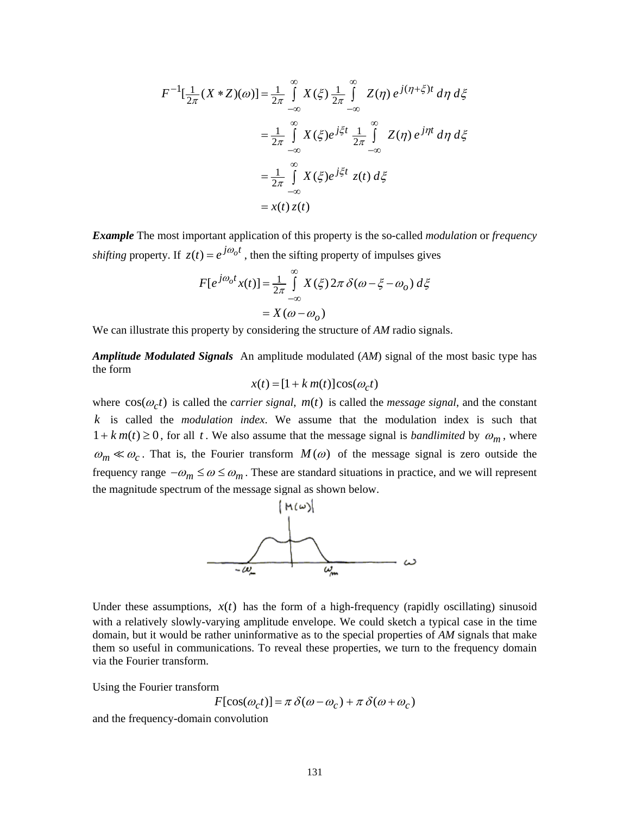$$
F^{-1}[\frac{1}{2\pi}(X * Z)(\omega)] = \frac{1}{2\pi} \int_{-\infty}^{\infty} X(\xi) \frac{1}{2\pi} \int_{-\infty}^{\infty} Z(\eta) e^{j(\eta + \xi)t} d\eta d\xi
$$
  

$$
= \frac{1}{2\pi} \int_{-\infty}^{\infty} X(\xi) e^{j\xi t} \frac{1}{2\pi} \int_{-\infty}^{\infty} Z(\eta) e^{j\eta t} d\eta d\xi
$$
  

$$
= \frac{1}{2\pi} \int_{-\infty}^{\infty} X(\xi) e^{j\xi t} z(t) d\xi
$$
  

$$
= x(t) z(t)
$$

*Example* The most important application of this property is the so-called *modulation* or *frequency shifting* property. If  $z(t) = e^{j\omega_0 t}$ , then the sifting property of impulses gives

$$
F[e^{j\omega_0 t}x(t)] = \frac{1}{2\pi} \int_{-\infty}^{\infty} X(\xi) 2\pi \delta(\omega - \xi - \omega_0) d\xi
$$

$$
= X(\omega - \omega_0)
$$

We can illustrate this property by considering the structure of *AM* radio signals.

*Amplitude Modulated Signals* An amplitude modulated (*AM*) signal of the most basic type has the form

$$
x(t) = [1 + k \, m(t)] \cos(\omega_c t)
$$

where  $cos(\omega_c t)$  is called the *carrier signal*,  $m(t)$  is called the *message signal*, and the constant *k* is called the *modulation index*. We assume that the modulation index is such that  $1 + k m(t) \ge 0$ , for all t. We also assume that the message signal is *bandlimited* by  $\omega_m$ , where  $\omega_m \ll \omega_c$ . That is, the Fourier transform  $M(\omega)$  of the message signal is zero outside the frequency range  $-\omega_m \le \omega \le \omega_m$ . These are standard situations in practice, and we will represent the magnitude spectrum of the message signal as shown below.



Under these assumptions,  $x(t)$  has the form of a high-frequency (rapidly oscillating) sinusoid with a relatively slowly-varying amplitude envelope. We could sketch a typical case in the time domain, but it would be rather uninformative as to the special properties of *AM* signals that make them so useful in communications. To reveal these properties, we turn to the frequency domain via the Fourier transform.

Using the Fourier transform

$$
F[\cos(\omega_c t)] = \pi \delta(\omega - \omega_c) + \pi \delta(\omega + \omega_c)
$$

and the frequency-domain convolution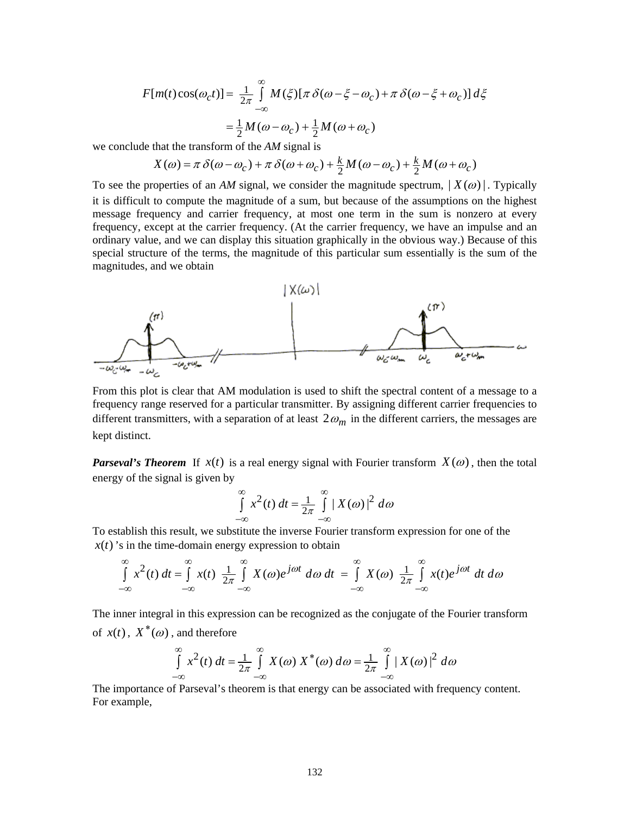1  $F[m(t)\cos(\omega_c t)] = \frac{1}{2\pi} \int M(\xi) [\pi \delta(\omega - \xi - \omega_c) + \pi \delta(\omega - \xi + \omega_c)] d\xi$  $\frac{1}{2}M(\omega-\omega)+\frac{1}{2}$  $=\frac{1}{2}M(\omega-\omega_c)+\frac{1}{2}M(\omega+\omega_c)$ ∞ −∞  $=\frac{1}{2\pi}\int M(\xi)[\pi \delta(\omega-\xi-\omega_c)+\pi \delta(\omega-\xi+\xi)]$ 

we conclude that the transform of the *AM* signal is

$$
X(\omega) = \pi \delta(\omega - \omega_c) + \pi \delta(\omega + \omega_c) + \frac{k}{2}M(\omega - \omega_c) + \frac{k}{2}M(\omega + \omega_c)
$$

To see the properties of an *AM* signal, we consider the magnitude spectrum,  $| X(\omega) |$ . Typically it is difficult to compute the magnitude of a sum, but because of the assumptions on the highest message frequency and carrier frequency, at most one term in the sum is nonzero at every frequency, except at the carrier frequency. (At the carrier frequency, we have an impulse and an ordinary value, and we can display this situation graphically in the obvious way.) Because of this special structure of the terms, the magnitude of this particular sum essentially is the sum of the magnitudes, and we obtain



From this plot is clear that AM modulation is used to shift the spectral content of a message to a frequency range reserved for a particular transmitter. By assigning different carrier frequencies to different transmitters, with a separation of at least  $2\omega_m$  in the different carriers, the messages are kept distinct.

*Parseval's Theorem* If  $x(t)$  is a real energy signal with Fourier transform  $X(\omega)$ , then the total energy of the signal is given by

$$
\int_{-\infty}^{\infty} x^2(t) dt = \frac{1}{2\pi} \int_{-\infty}^{\infty} |X(\omega)|^2 d\omega
$$

To establish this result, we substitute the inverse Fourier transform expression for one of the  $x(t)$ 's in the time-domain energy expression to obtain

$$
\int_{-\infty}^{\infty} x^2(t) dt = \int_{-\infty}^{\infty} x(t) \frac{1}{2\pi} \int_{-\infty}^{\infty} X(\omega) e^{j\omega t} d\omega dt = \int_{-\infty}^{\infty} X(\omega) \frac{1}{2\pi} \int_{-\infty}^{\infty} x(t) e^{j\omega t} dt d\omega
$$

The inner integral in this expression can be recognized as the conjugate of the Fourier transform of  $x(t)$ ,  $X^*(\omega)$ , and therefore

$$
\int_{-\infty}^{\infty} x^2(t) dt = \frac{1}{2\pi} \int_{-\infty}^{\infty} X(\omega) X^*(\omega) d\omega = \frac{1}{2\pi} \int_{-\infty}^{\infty} |X(\omega)|^2 d\omega
$$

The importance of Parseval's theorem is that energy can be associated with frequency content. For example,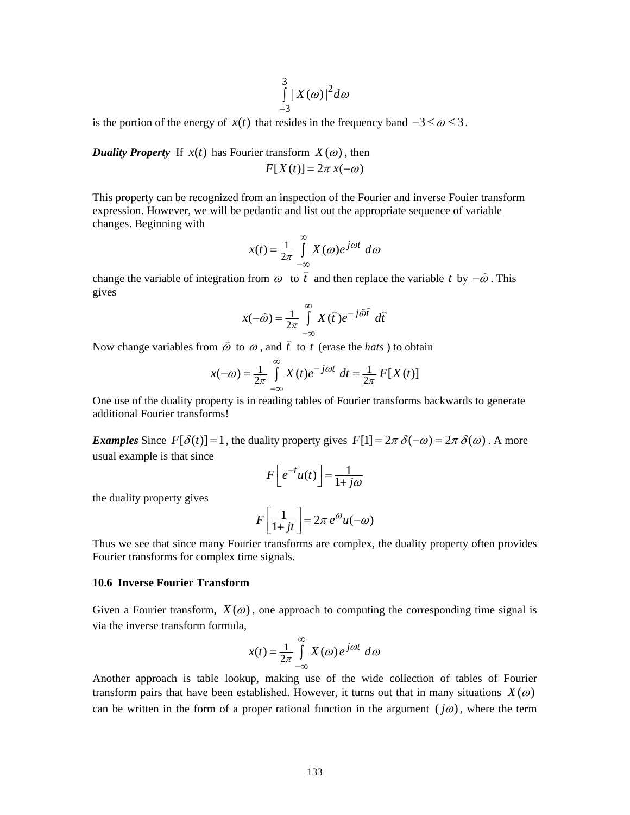$$
\int\limits_{-3}^{3} |X(\omega)|^2 d\omega
$$

is the portion of the energy of  $x(t)$  that resides in the frequency band  $-3 \le \omega \le 3$ .

*Duality Property* If  $x(t)$  has Fourier transform  $X(\omega)$ , then  $F[X(t)] = 2\pi x(-\omega)$ 

This property can be recognized from an inspection of the Fourier and inverse Fouier transform expression. However, we will be pedantic and list out the appropriate sequence of variable changes. Beginning with

$$
x(t) = \frac{1}{2\pi} \int_{-\infty}^{\infty} X(\omega) e^{j\omega t} d\omega
$$

change the variable of integration from  $\omega$  to  $\hat{t}$ and then replace the variable *t* by  $-\hat{\omega}$ . This gives

$$
x(-\widehat{\omega}) = \frac{1}{2\pi} \int_{-\infty}^{\infty} X(\widehat{t}) e^{-j\widehat{\omega}\widehat{t}} d\widehat{t}
$$

Now change variables from  $\hat{\omega}$  to  $\omega$ , and  $\hat{t}$ to *t* (erase the *hats* ) to obtain

$$
x(-\omega) = \frac{1}{2\pi} \int_{-\infty}^{\infty} X(t)e^{-j\omega t} dt = \frac{1}{2\pi} F[X(t)]
$$

One use of the duality property is in reading tables of Fourier transforms backwards to generate additional Fourier transforms!

*Examples* Since  $F[\delta(t)] = 1$ , the duality property gives  $F[1] = 2\pi \delta(-\omega) = 2\pi \delta(\omega)$ . A more usual example is that since

$$
F\left[e^{-t}u(t)\right] = \frac{1}{1+j\omega}
$$

the duality property gives

$$
F\left[\frac{1}{1+jt}\right] = 2\pi e^{\omega}u(-\omega)
$$

Thus we see that since many Fourier transforms are complex, the duality property often provides Fourier transforms for complex time signals.

### **10.6 Inverse Fourier Transform**

Given a Fourier transform,  $X(\omega)$ , one approach to computing the corresponding time signal is via the inverse transform formula,

$$
x(t) = \frac{1}{2\pi} \int_{-\infty}^{\infty} X(\omega) e^{j\omega t} d\omega
$$

Another approach is table lookup, making use of the wide collection of tables of Fourier transform pairs that have been established. However, it turns out that in many situations  $X(\omega)$ can be written in the form of a proper rational function in the argument ( $j\omega$ ), where the term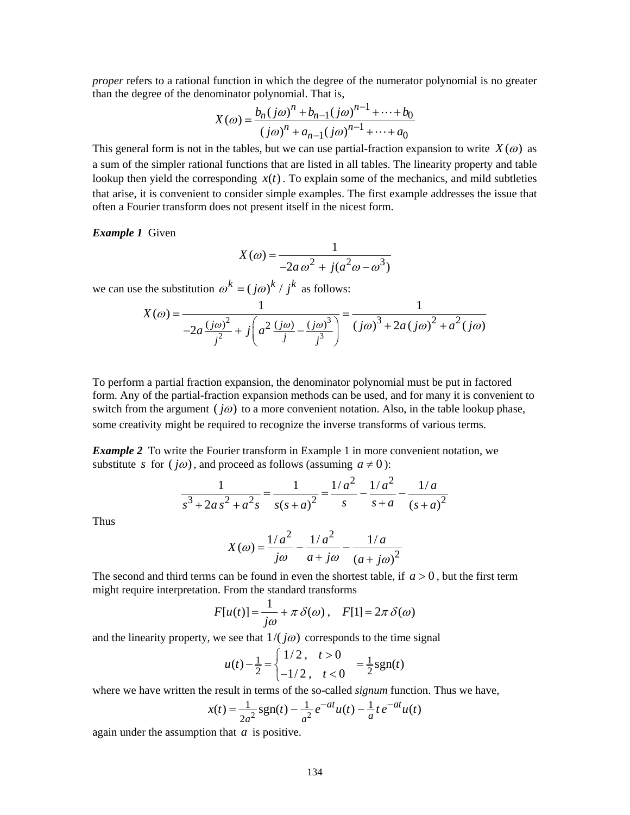*proper* refers to a rational function in which the degree of the numerator polynomial is no greater than the degree of the denominator polynomial. That is,

$$
X(\omega) = \frac{b_n(j\omega)^n + b_{n-1}(j\omega)^{n-1} + \dots + b_0}{(j\omega)^n + a_{n-1}(j\omega)^{n-1} + \dots + a_0}
$$

This general form is not in the tables, but we can use partial-fraction expansion to write  $X(\omega)$  as a sum of the simpler rational functions that are listed in all tables. The linearity property and table lookup then yield the corresponding  $x(t)$ . To explain some of the mechanics, and mild subtleties that arise, it is convenient to consider simple examples. The first example addresses the issue that often a Fourier transform does not present itself in the nicest form.

### *Example 1* Given

$$
X(\omega) = \frac{1}{-2a\omega^2 + j(a^2\omega - \omega^3)}
$$

we can use the substitution  $\omega^k = ( j \omega )^k / j^k$  as follows:

$$
X(\omega) = \frac{1}{-2a\frac{(j\omega)^2}{j^2} + j\left(a^2\frac{(j\omega)}{j} - \frac{(j\omega)^3}{j^3}\right)} = \frac{1}{(j\omega)^3 + 2a(j\omega)^2 + a^2(j\omega)}
$$

To perform a partial fraction expansion, the denominator polynomial must be put in factored form. Any of the partial-fraction expansion methods can be used, and for many it is convenient to switch from the argument ( $j\omega$ ) to a more convenient notation. Also, in the table lookup phase, some creativity might be required to recognize the inverse transforms of various terms.

*Example 2* To write the Fourier transform in Example 1 in more convenient notation, we substitute *s* for  $(j\omega)$ , and proceed as follows (assuming  $a \neq 0$ ):

$$
\frac{1}{s^3 + 2as^2 + a^2s} = \frac{1}{s(s+a)^2} = \frac{1/a^2}{s} - \frac{1/a^2}{s+a} - \frac{1/a}{(s+a)^2}
$$

Thus

$$
X(\omega) = \frac{1/a^2}{j\omega} - \frac{1/a^2}{a + j\omega} - \frac{1/a}{(a + j\omega)^2}
$$

The second and third terms can be found in even the shortest table, if  $a > 0$ , but the first term might require interpretation. From the standard transforms

$$
F[u(t)] = \frac{1}{j\omega} + \pi \delta(\omega), \quad F[1] = 2\pi \delta(\omega)
$$

and the linearity property, we see that  $1/(j\omega)$  corresponds to the time signal

$$
u(t) - \frac{1}{2} = \begin{cases} 1/2, & t > 0 \\ -1/2, & t < 0 \end{cases} = \frac{1}{2} \text{sgn}(t)
$$

where we have written the result in terms of the so-called *signum* function. Thus we have,

$$
x(t) = \frac{1}{2a^2}sgn(t) - \frac{1}{a^2}e^{-at}u(t) - \frac{1}{a}te^{-at}u(t)
$$

again under the assumption that *a* is positive.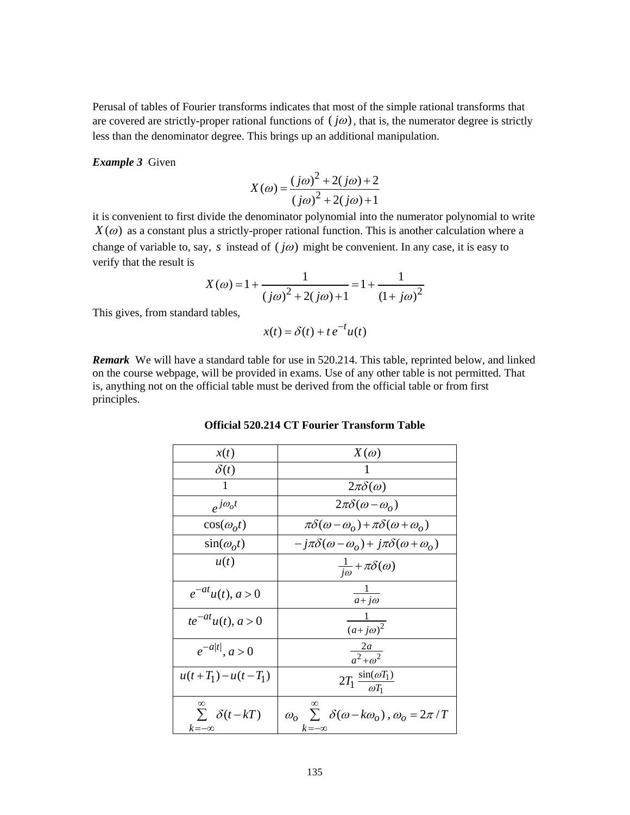Perusal of tables of Fourier transforms indicates that most of the simple rational transforms that are covered are strictly-proper rational functions of  $(j\omega)$ , that is, the numerator degree is strictly less than the denominator degree. This brings up an additional manipulation.

#### *Example 3* Given

$$
X(\omega) = \frac{(j\omega)^{2} + 2(j\omega) + 2}{(j\omega)^{2} + 2(j\omega) + 1}
$$

it is convenient to first divide the denominator polynomial into the numerator polynomial to write  $X(\omega)$  as a constant plus a strictly-proper rational function. This is another calculation where a change of variable to, say, *s* instead of  $(j\omega)$  might be convenient. In any case, it is easy to verify that the result is

$$
X(\omega) = 1 + \frac{1}{(j\omega)^2 + 2(j\omega) + 1} = 1 + \frac{1}{(1 + j\omega)^2}
$$

This gives, from standard tables,

$$
x(t) = \delta(t) + t e^{-t} u(t)
$$

*Remark* We will have a standard table for use in 520.214. This table, reprinted below, and linked on the course webpage, will be provided in exams. Use of any other table is not permitted. That is, anything not on the official table must be derived from the official table or from first principles.

## **Official 520.214 CT Fourier Transform Table**

| x(t)                                               | $X(\omega)$                                                                               |
|----------------------------------------------------|-------------------------------------------------------------------------------------------|
| $\delta(t)$                                        |                                                                                           |
| 1                                                  | $2\pi\delta(\omega)$                                                                      |
| $e^{j\omega_o t}$                                  | $2\pi\delta(\omega-\omega_o)$                                                             |
| $cos(\omega_0 t)$                                  | $\pi\delta(\omega-\omega_o)+\pi\delta(\omega+\omega_o)$                                   |
| $\sin(\omega_o t)$                                 | $-j\pi\delta(\omega-\omega_o) + j\pi\delta(\omega+\omega_o)$                              |
| u(t)                                               | $\frac{1}{i\omega} + \pi \delta(\omega)$                                                  |
| $e^{-at}u(t), a>0$                                 | $\frac{1}{a+j\omega}$                                                                     |
| $te^{-at}u(t), a > 0$                              | $\frac{1}{(a+i\omega)^2}$                                                                 |
| $e^{-a t }$ , $a > 0$                              | $\frac{2a}{a^2 + a^2}$                                                                    |
| $u(t+T_1)-u(t-T_1)$                                | $2T_1 \frac{\sin(\omega T_1)}{\omega T_1}$                                                |
| $\infty$<br>$\sum \delta(t - kT)$<br>$k = -\infty$ | ∞<br>$\omega_{o} \sum \delta(\omega - k\omega_{o}), \omega_{o} = 2\pi/T$<br>$k = -\infty$ |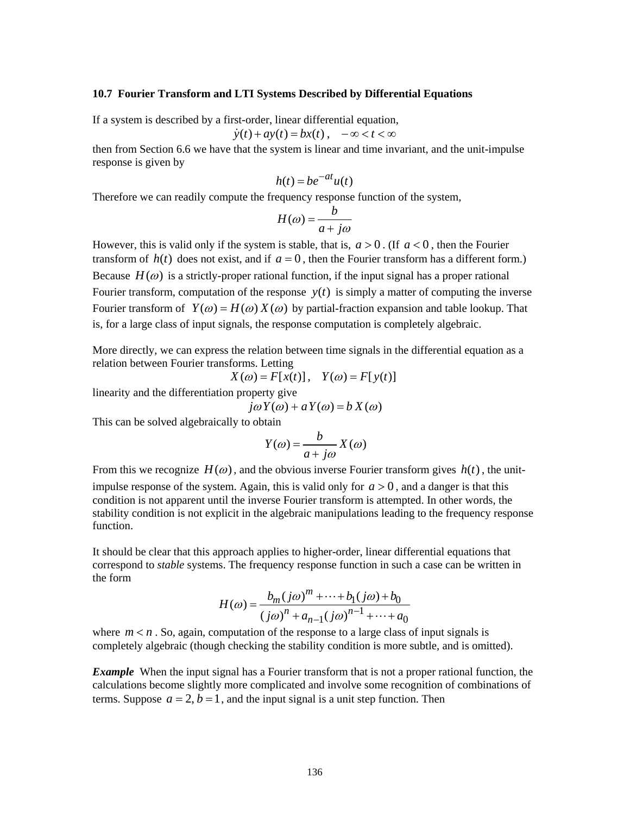## **10.7 Fourier Transform and LTI Systems Described by Differential Equations**

If a system is described by a first-order, linear differential equation,

$$
\dot{y}(t) + ay(t) = bx(t), \quad -\infty < t < \infty
$$

then from Section 6.6 we have that the system is linear and time invariant, and the unit-impulse response is given by

$$
h(t) = be^{-at}u(t)
$$

Therefore we can readily compute the frequency response function of the system,

$$
H(\omega) = \frac{b}{a + j\omega}
$$

However, this is valid only if the system is stable, that is,  $a > 0$ . (If  $a < 0$ , then the Fourier transform of  $h(t)$  does not exist, and if  $a = 0$ , then the Fourier transform has a different form.) Because  $H(\omega)$  is a strictly-proper rational function, if the input signal has a proper rational Fourier transform, computation of the response  $y(t)$  is simply a matter of computing the inverse Fourier transform of  $Y(\omega) = H(\omega) X(\omega)$  by partial-fraction expansion and table lookup. That is, for a large class of input signals, the response computation is completely algebraic.

More directly, we can express the relation between time signals in the differential equation as a relation between Fourier transforms. Letting

$$
X(\omega) = F[x(t)], \quad Y(\omega) = F[y(t)]
$$

linearity and the differentiation property give

$$
j\omega Y(\omega) + aY(\omega) = b X(\omega)
$$

This can be solved algebraically to obtain

$$
Y(\omega) = \frac{b}{a + j\omega} X(\omega)
$$

From this we recognize  $H(\omega)$ , and the obvious inverse Fourier transform gives  $h(t)$ , the unitimpulse response of the system. Again, this is valid only for  $a > 0$ , and a danger is that this condition is not apparent until the inverse Fourier transform is attempted. In other words, the stability condition is not explicit in the algebraic manipulations leading to the frequency response function.

It should be clear that this approach applies to higher-order, linear differential equations that correspond to *stable* systems. The frequency response function in such a case can be written in the form

$$
H(\omega) = \frac{b_m(j\omega)^m + \dots + b_1(j\omega) + b_0}{(j\omega)^n + a_{n-1}(j\omega)^{n-1} + \dots + a_0}
$$

where  $m < n$ . So, again, computation of the response to a large class of input signals is completely algebraic (though checking the stability condition is more subtle, and is omitted).

*Example* When the input signal has a Fourier transform that is not a proper rational function, the calculations become slightly more complicated and involve some recognition of combinations of terms. Suppose  $a = 2$ ,  $b = 1$ , and the input signal is a unit step function. Then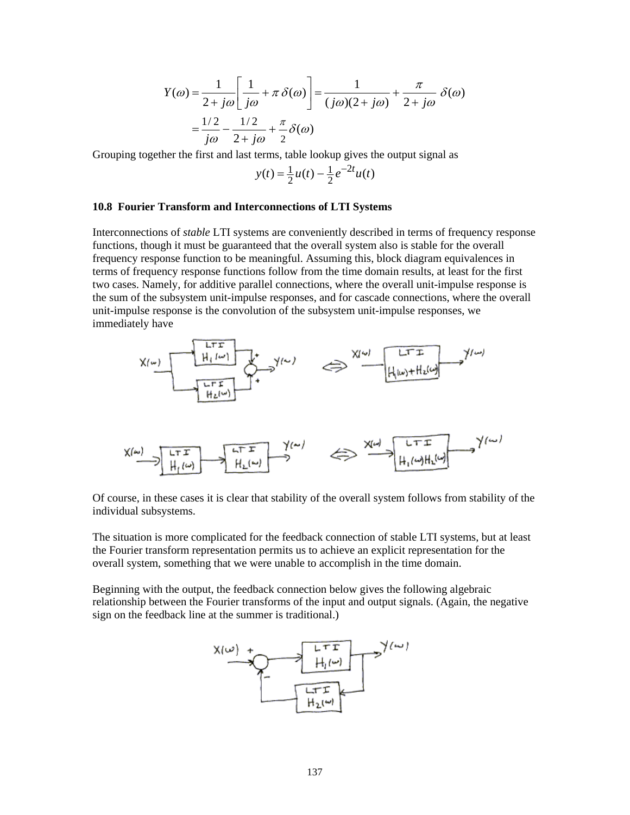$$
Y(\omega) = \frac{1}{2 + j\omega} \left[ \frac{1}{j\omega} + \pi \delta(\omega) \right] = \frac{1}{(j\omega)(2 + j\omega)} + \frac{\pi}{2 + j\omega} \delta(\omega)
$$

$$
= \frac{1/2}{j\omega} - \frac{1/2}{2 + j\omega} + \frac{\pi}{2} \delta(\omega)
$$

Grouping together the first and last terms, table lookup gives the output signal as

$$
y(t) = \frac{1}{2}u(t) - \frac{1}{2}e^{-2t}u(t)
$$

#### **10.8 Fourier Transform and Interconnections of LTI Systems**

Interconnections of *stable* LTI systems are conveniently described in terms of frequency response functions, though it must be guaranteed that the overall system also is stable for the overall frequency response function to be meaningful. Assuming this, block diagram equivalences in terms of frequency response functions follow from the time domain results, at least for the first two cases. Namely, for additive parallel connections, where the overall unit-impulse response is the sum of the subsystem unit-impulse responses, and for cascade connections, where the overall unit-impulse response is the convolution of the subsystem unit-impulse responses, we immediately have



Of course, in these cases it is clear that stability of the overall system follows from stability of the individual subsystems.

The situation is more complicated for the feedback connection of stable LTI systems, but at least the Fourier transform representation permits us to achieve an explicit representation for the overall system, something that we were unable to accomplish in the time domain.

Beginning with the output, the feedback connection below gives the following algebraic relationship between the Fourier transforms of the input and output signals. (Again, the negative sign on the feedback line at the summer is traditional.)

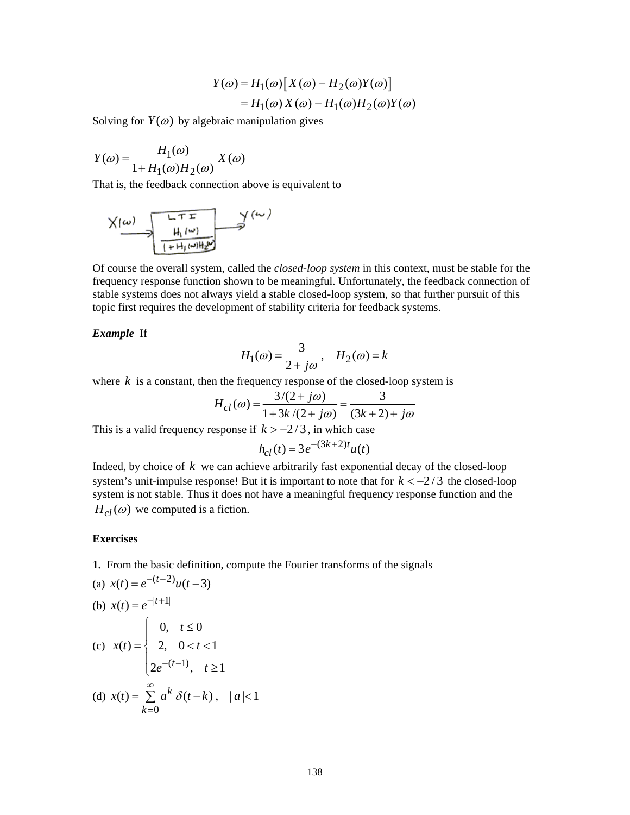$$
Y(\omega) = H_1(\omega) [X(\omega) - H_2(\omega)Y(\omega)]
$$
  
= H<sub>1</sub>(\omega) X(\omega) - H<sub>1</sub>(\omega)H<sub>2</sub>(\omega)Y(\omega)

Solving for  $Y(\omega)$  by algebraic manipulation gives

$$
Y(\omega) = \frac{H_1(\omega)}{1 + H_1(\omega)H_2(\omega)} X(\omega)
$$

That is, the feedback connection above is equivalent to

$$
\times \underbrace{\left(\omega\right)}_{\text{[+H}_i\left(\omega\right)\text{H}_i\nu}\xrightarrow{\text{LTT}}\text{V}\left(\omega\right)
$$

Of course the overall system, called the *closed-loop system* in this context, must be stable for the frequency response function shown to be meaningful. Unfortunately, the feedback connection of stable systems does not always yield a stable closed-loop system, so that further pursuit of this topic first requires the development of stability criteria for feedback systems.

*Example* If

$$
H_1(\omega) = \frac{3}{2 + j\omega}, \quad H_2(\omega) = k
$$

where  $k$  is a constant, then the frequency response of the closed-loop system is

$$
H_{cl}(\omega) = \frac{3/(2+j\omega)}{1+3k/(2+j\omega)} = \frac{3}{(3k+2)+j\omega}
$$

This is a valid frequency response if  $k > -2/3$ , in which case

$$
h_{cl}(t) = 3e^{-(3k+2)t}u(t)
$$

Indeed, by choice of  $k$  we can achieve arbitrarily fast exponential decay of the closed-loop system's unit-impulse response! But it is important to note that for  $k < -2/3$  the closed-loop system is not stable. Thus it does not have a meaningful frequency response function and the  $H_{cl}(\omega)$  we computed is a fiction.

## **Exercises**

**1.** From the basic definition, compute the Fourier transforms of the signals

(a) 
$$
x(t) = e^{-(t-2)}u(t-3)
$$
  
\n(b)  $x(t) = e^{-|t+1|}$   
\n(c)  $x(t) = \begin{cases} 0, & t \le 0 \\ 2, & 0 < t < 1 \\ 2e^{-(t-1)}, & t \ge 1 \end{cases}$   
\n(d)  $x(t) = \sum_{k=0}^{\infty} a^k \delta(t-k), \quad |a| < 1$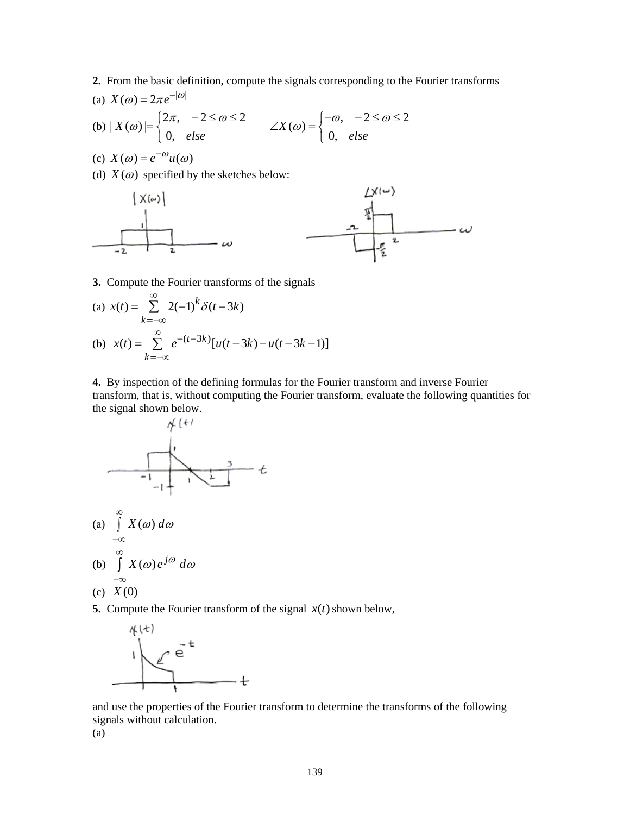**2.** From the basic definition, compute the signals corresponding to the Fourier transforms (a) | | *X e* () 2 <sup>ω</sup> <sup>ω</sup> <sup>π</sup> <sup>−</sup> =

(a) 
$$
X(\omega) = 2\pi e^{-|\omega|}
$$
  
\n(b)  $|X(\omega)| = \begin{cases} 2\pi, & -2 \le \omega \le 2 \\ 0, & else \end{cases}$   $\angle X(\omega) = \begin{cases} -\omega, & -2 \le \omega \le 2 \\ 0, & else \end{cases}$ 

(c) 
$$
X(\omega) = e^{-\omega}u(\omega)
$$

(d)  $X(\omega)$  specified by the sketches below:



# **3.** Compute the Fourier transforms of the signals

(a) 
$$
x(t) = \sum_{k=-\infty}^{\infty} 2(-1)^k \delta(t - 3k)
$$
  
\n(b)  $x(t) = \sum_{k=-\infty}^{\infty} e^{-(t-3k)} [u(t-3k) - u(t-3k-1)]$ 

**4.** By inspection of the defining formulas for the Fourier transform and inverse Fourier transform, that is, without computing the Fourier transform, evaluate the following quantities for the signal shown below.



**5.** Compute the Fourier transform of the signal  $x(t)$  shown below,



and use the properties of the Fourier transform to determine the transforms of the following signals without calculation.

(a)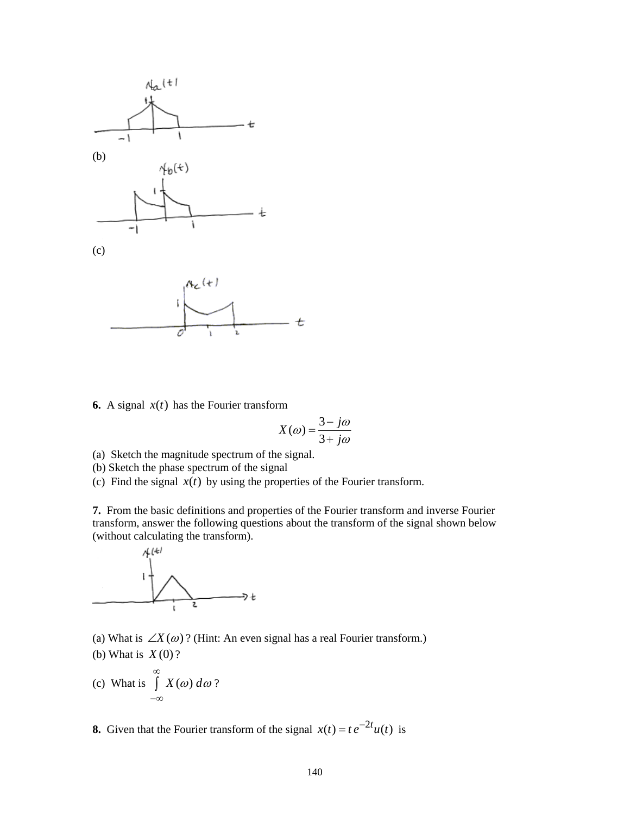

**6.** A signal  $x(t)$  has the Fourier transform

$$
X(\omega) = \frac{3 - j\omega}{3 + j\omega}
$$

- (a) Sketch the magnitude spectrum of the signal.
- (b) Sketch the phase spectrum of the signal

(c) Find the signal  $x(t)$  by using the properties of the Fourier transform.

**7.** From the basic definitions and properties of the Fourier transform and inverse Fourier transform, answer the following questions about the transform of the signal shown below (without calculating the transform).



(a) What is  $\angle X(\omega)$ ? (Hint: An even signal has a real Fourier transform.)

- (b) What is *X* (0) ?
- (c) What is  $\int X(\omega) d\omega$ ∞ −∞  $\int X(\omega) d\omega$  ?

**8.** Given that the Fourier transform of the signal  $x(t) = te^{-2t}u(t)$  is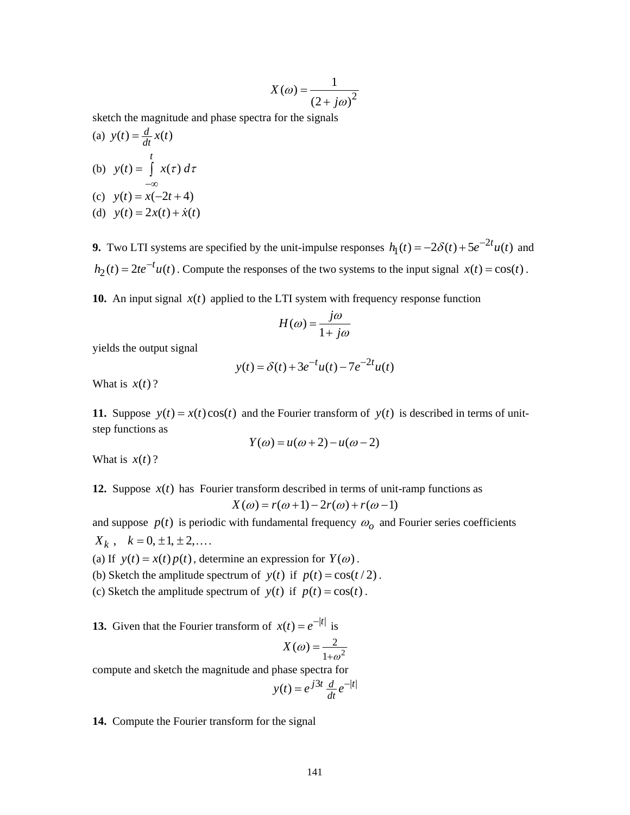$$
X(\omega) = \frac{1}{(2 + j\omega)^2}
$$

sketch the magnitude and phase spectra for the signals

(a) 
$$
y(t) = \frac{d}{dt}x(t)
$$
  
\n(b)  $y(t) = \int_{0}^{t} x(\tau) d\tau$ 

- −∞ (c)  $y(t) = x(-2t+4)$
- (d)  $y(t) = 2x(t) + \dot{x}(t)$

**9.** Two LTI systems are specified by the unit-impulse responses  $h_1(t) = -2\delta(t) + 5e^{-2t}u(t)$  and  $h_2(t) = 2te^{-t}u(t)$ . Compute the responses of the two systems to the input signal  $x(t) = cos(t)$ .

**10.** An input signal  $x(t)$  applied to the LTI system with frequency response function

$$
H(\omega) = \frac{j\omega}{1 + j\omega}
$$

yields the output signal

$$
y(t) = \delta(t) + 3e^{-t}u(t) - 7e^{-2t}u(t)
$$

What is  $x(t)$ ?

**11.** Suppose  $y(t) = x(t)\cos(t)$  and the Fourier transform of  $y(t)$  is described in terms of unitstep functions as

$$
Y(\omega) = u(\omega + 2) - u(\omega - 2)
$$

What is  $x(t)$ ?

**12.** Suppose  $x(t)$  has Fourier transform described in terms of unit-ramp functions as  $X(\omega) = r(\omega + 1) - 2r(\omega) + r(\omega - 1)$ 

and suppose  $p(t)$  is periodic with fundamental frequency  $\omega<sub>o</sub>$  and Fourier series coefficients  $X_k$ ,  $k = 0, \pm 1, \pm 2, \dots$ 

(a) If  $y(t) = x(t)p(t)$ , determine an expression for  $Y(\omega)$ .

(b) Sketch the amplitude spectrum of  $y(t)$  if  $p(t) = cos(t/2)$ .

(c) Sketch the amplitude spectrum of  $y(t)$  if  $p(t) = cos(t)$ .

**13.** Given that the Fourier transform of  $x(t) = e^{-|t|}$  is

$$
X(\omega) = \frac{2}{1 + \omega^2}
$$

compute and sketch the magnitude and phase spectra for

$$
y(t) = e^{j3t} \frac{d}{dt} e^{-|t|}
$$

**14.** Compute the Fourier transform for the signal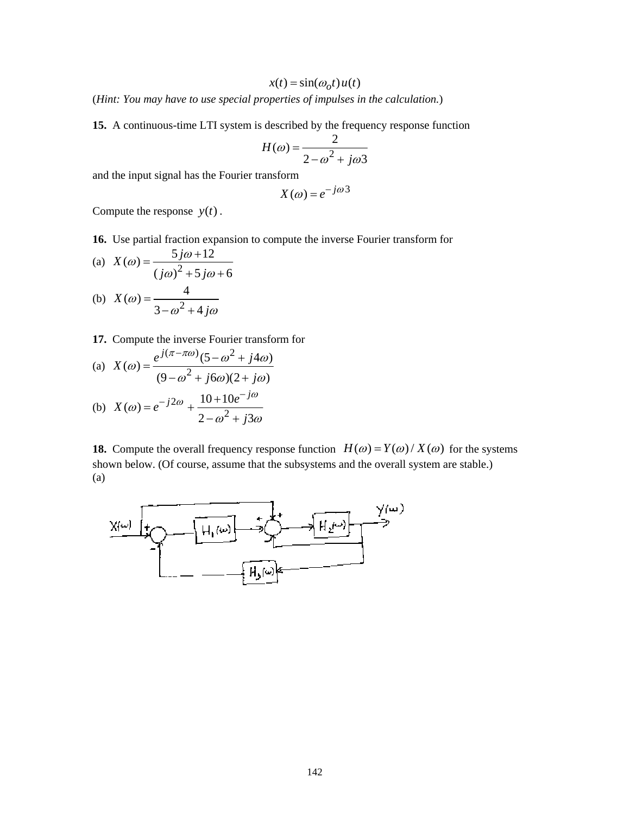$$
x(t) = \sin(\omega_0 t) u(t)
$$

(*Hint: You may have to use special properties of impulses in the calculation.*)

**15.** A continuous-time LTI system is described by the frequency response function

$$
H(\omega) = \frac{2}{2 - \omega^2 + j\omega^2}
$$

and the input signal has the Fourier transform

$$
X(\omega) = e^{-j\omega 3}
$$

Compute the response  $y(t)$ .

**16.** Use partial fraction expansion to compute the inverse Fourier transform for

(a) 
$$
X(\omega) = \frac{5j\omega + 12}{(j\omega)^2 + 5j\omega + 6}
$$

(b) 
$$
X(\omega) = \frac{4}{3 - \omega^2 + 4j\omega}
$$

**17.** Compute the inverse Fourier transform for

(a) 
$$
X(\omega) = \frac{e^{j(\pi - \pi\omega)}(5 - \omega^2 + j4\omega)}{(9 - \omega^2 + j6\omega)(2 + j\omega)}
$$

(b) 
$$
X(\omega) = e^{-j2\omega} + \frac{10 + 10e^{-j\omega}}{2 - \omega^2 + j3\omega}
$$

**18.** Compute the overall frequency response function  $H(\omega) = Y(\omega) / X(\omega)$  for the systems shown below. (Of course, assume that the subsystems and the overall system are stable.) (a)

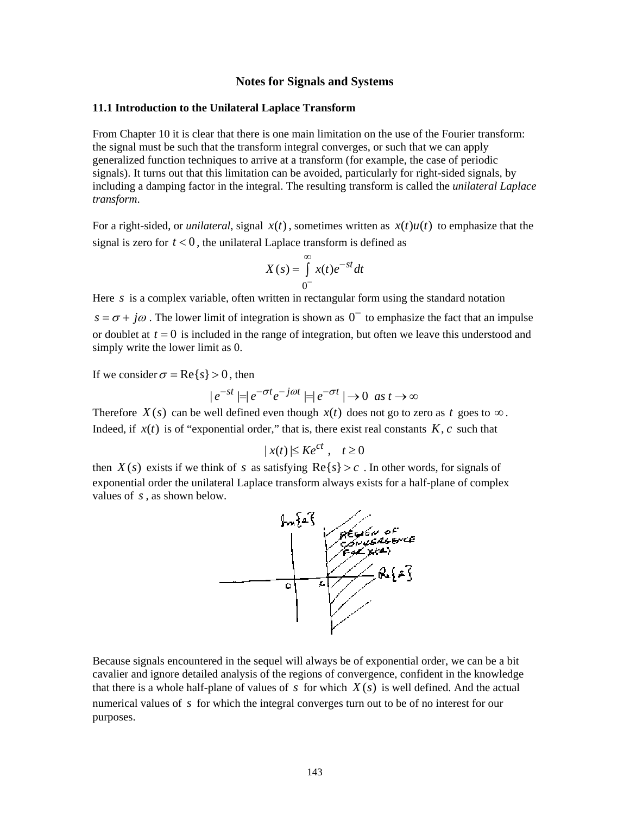## **Notes for Signals and Systems**

### **11.1 Introduction to the Unilateral Laplace Transform**

From Chapter 10 it is clear that there is one main limitation on the use of the Fourier transform: the signal must be such that the transform integral converges, or such that we can apply generalized function techniques to arrive at a transform (for example, the case of periodic signals). It turns out that this limitation can be avoided, particularly for right-sided signals, by including a damping factor in the integral. The resulting transform is called the *unilateral Laplace transform*.

For a right-sided, or *unilateral*, signal  $x(t)$ , sometimes written as  $x(t)u(t)$  to emphasize that the signal is zero for  $t < 0$ , the unilateral Laplace transform is defined as

$$
X(s) = \int_{0^-}^{\infty} x(t)e^{-st}dt
$$

Here *s* is a complex variable, often written in rectangular form using the standard notation

 $s = \sigma + j\omega$ . The lower limit of integration is shown as  $0^-$  to emphasize the fact that an impulse or doublet at  $t = 0$  is included in the range of integration, but often we leave this understood and simply write the lower limit as 0.

If we consider  $\sigma = \text{Re}\{s\} > 0$ , then

$$
|e^{-st}| = |e^{-\sigma t}e^{-j\omega t}| = |e^{-\sigma t}| \to 0 \text{ as } t \to \infty
$$

Therefore *X*(*s*) can be well defined even though *x*(*t*) does not go to zero as *t* goes to ∞. Indeed, if  $x(t)$  is of "exponential order," that is, there exist real constants  $K, c$  such that

$$
|x(t)| \le Ke^{ct}, \quad t \ge 0
$$

then  $X(s)$  exists if we think of *s* as satisfying  $\text{Re}\{s\} > c$ . In other words, for signals of exponential order the unilateral Laplace transform always exists for a half-plane of complex values of *s* , as shown below.



Because signals encountered in the sequel will always be of exponential order, we can be a bit cavalier and ignore detailed analysis of the regions of convergence, confident in the knowledge that there is a whole half-plane of values of  $s$  for which  $X(s)$  is well defined. And the actual numerical values of *s* for which the integral converges turn out to be of no interest for our purposes.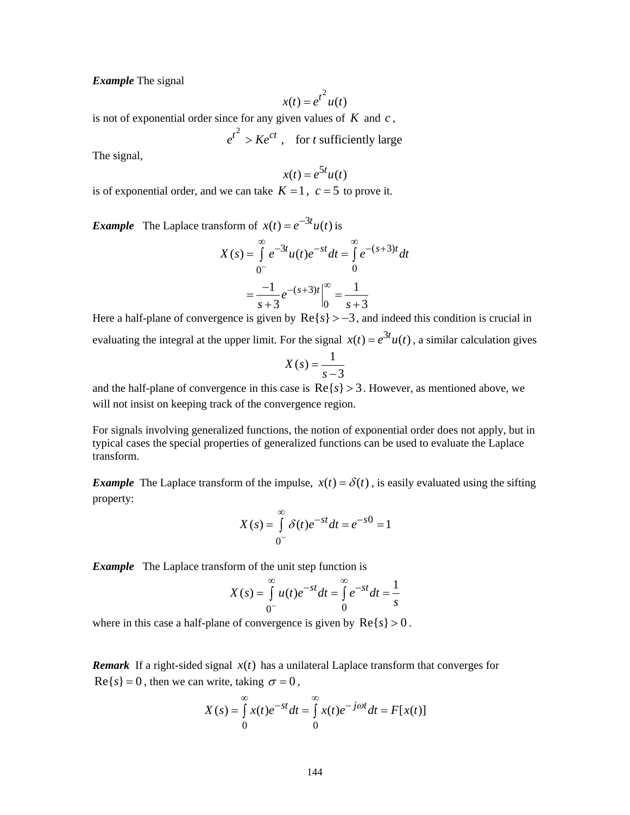*Example* The signal

$$
x(t) = e^{t^2} u(t)
$$

is not of exponential order since for any given values of  $K$  and  $c$ ,

 $e^{t^2} > Ke^{ct}$ , for *t* sufficiently large

The signal,

$$
x(t) = e^{5t}u(t)
$$

is of exponential order, and we can take  $K = 1$ ,  $c = 5$  to prove it.

*Example* The Laplace transform of  $x(t) = e^{-3t}u(t)$  is

$$
X(s) = \int_{0^-}^{\infty} e^{-3t} u(t) e^{-st} dt = \int_{0}^{\infty} e^{-(s+3)t} dt
$$

$$
= \frac{-1}{s+3} e^{-(s+3)t} \Big|_{0}^{\infty} = \frac{1}{s+3}
$$

Here a half-plane of convergence is given by  $\text{Re}\{s\} > -3$ , and indeed this condition is crucial in evaluating the integral at the upper limit. For the signal  $x(t) = e^{3t}u(t)$ , a similar calculation gives

$$
X(s) = \frac{1}{s-3}
$$

and the half-plane of convergence in this case is  $Re\{s\} > 3$ . However, as mentioned above, we will not insist on keeping track of the convergence region.

For signals involving generalized functions, the notion of exponential order does not apply, but in typical cases the special properties of generalized functions can be used to evaluate the Laplace transform.

*Example* The Laplace transform of the impulse,  $x(t) = \delta(t)$ , is easily evaluated using the sifting property:

$$
X(s) = \int_{0^{-}}^{\infty} \delta(t)e^{-st}dt = e^{-s0} = 1
$$

**Example** The Laplace transform of the unit step function is

$$
X(s) = \int_{0^{-}}^{\infty} u(t)e^{-st}dt = \int_{0}^{\infty} e^{-st}dt = \frac{1}{s}
$$

where in this case a half-plane of convergence is given by  $\text{Re}\{s\} > 0$ .

**Remark** If a right-sided signal  $x(t)$  has a unilateral Laplace transform that converges for  $\text{Re}\{s\} = 0$ , then we can write, taking  $\sigma = 0$ ,

$$
X(s) = \int_{0}^{\infty} x(t)e^{-st}dt = \int_{0}^{\infty} x(t)e^{-j\omega t}dt = F[x(t)]
$$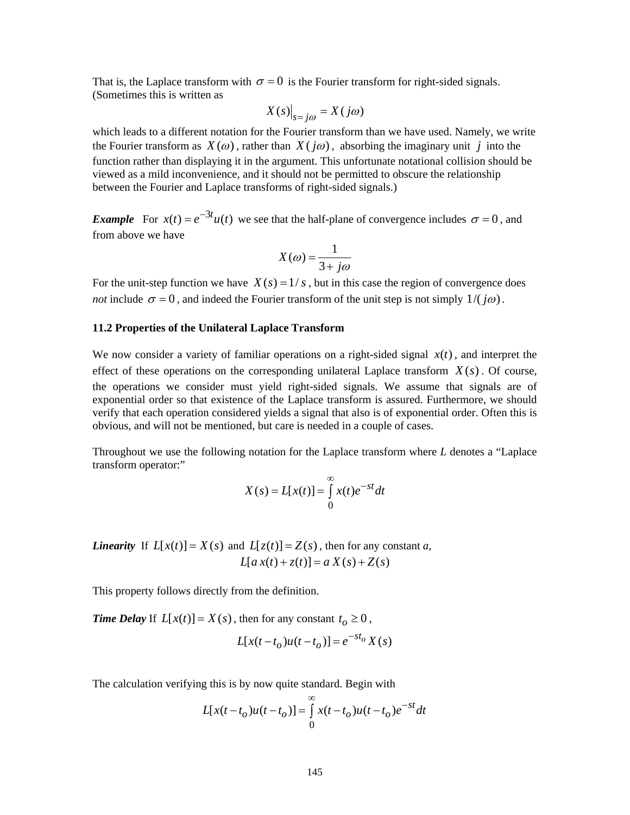That is, the Laplace transform with  $\sigma = 0$  is the Fourier transform for right-sided signals. (Sometimes this is written as

$$
X(s)\big|_{s=j\omega} = X(j\omega)
$$

which leads to a different notation for the Fourier transform than we have used. Namely, we write the Fourier transform as  $X(\omega)$ , rather than  $X(j\omega)$ , absorbing the imaginary unit *j* into the function rather than displaying it in the argument. This unfortunate notational collision should be viewed as a mild inconvenience, and it should not be permitted to obscure the relationship between the Fourier and Laplace transforms of right-sided signals.)

*Example* For  $x(t) = e^{-3t}u(t)$  we see that the half-plane of convergence includes  $\sigma = 0$ , and from above we have

$$
X(\omega) = \frac{1}{3 + j\omega}
$$

For the unit-step function we have  $X(s) = 1/s$ , but in this case the region of convergence does *not* include  $\sigma = 0$ , and indeed the Fourier transform of the unit step is not simply  $1/(j\omega)$ .

# **11.2 Properties of the Unilateral Laplace Transform**

We now consider a variety of familiar operations on a right-sided signal  $x(t)$ , and interpret the effect of these operations on the corresponding unilateral Laplace transform  $X(s)$ . Of course, the operations we consider must yield right-sided signals. We assume that signals are of exponential order so that existence of the Laplace transform is assured. Furthermore, we should verify that each operation considered yields a signal that also is of exponential order. Often this is obvious, and will not be mentioned, but care is needed in a couple of cases.

Throughout we use the following notation for the Laplace transform where *L* denotes a "Laplace transform operator:"

$$
X(s) = L[x(t)] = \int_{0}^{\infty} x(t)e^{-st}dt
$$

*Linearity* If  $L[x(t)] = X(s)$  and  $L[z(t)] = Z(s)$ , then for any constant *a*,  $L[a x(t) + z(t)] = a X(s) + Z(s)$ 

This property follows directly from the definition.

*Time Delay* If  $L[x(t)] = X(s)$ , then for any constant  $t_o \ge 0$ ,

$$
L[x(t - t_o)u(t - t_o)] = e^{-st_o} X(s)
$$

The calculation verifying this is by now quite standard. Begin with

$$
L[x(t - t_o)u(t - t_o)] = \int_{0}^{\infty} x(t - t_o)u(t - t_o)e^{-st}dt
$$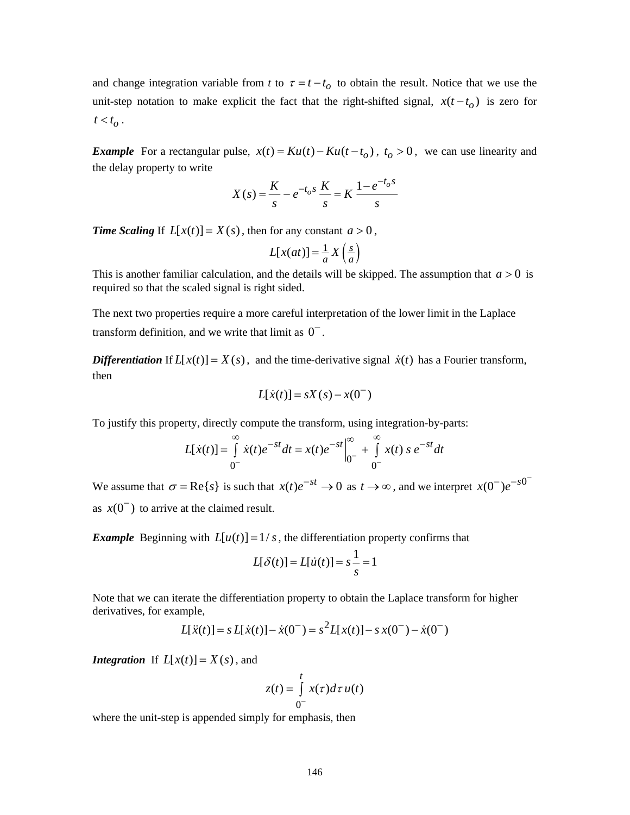and change integration variable from *t* to  $\tau = t - t_o$  to obtain the result. Notice that we use the unit-step notation to make explicit the fact that the right-shifted signal,  $x(t - t_0)$  is zero for  $t < t_{\alpha}$ .

*Example* For a rectangular pulse,  $x(t) = Ku(t) - Ku(t - t_0)$ ,  $t_0 > 0$ , we can use linearity and the delay property to write

$$
X(s) = \frac{K}{s} - e^{-t_o s} \frac{K}{s} = K \frac{1 - e^{-t_o s}}{s}
$$

*Time Scaling* If  $L[x(t)] = X(s)$ , then for any constant  $a > 0$ ,

$$
L[x(at)] = \frac{1}{a} X\left(\frac{s}{a}\right)
$$

This is another familiar calculation, and the details will be skipped. The assumption that  $a > 0$  is required so that the scaled signal is right sided.

The next two properties require a more careful interpretation of the lower limit in the Laplace transform definition, and we write that limit as  $0^-$ .

*Differentiation* If  $L[x(t)] = X(s)$ , and the time-derivative signal  $\dot{x}(t)$  has a Fourier transform, then

$$
L[\dot{x}(t)] = sX(s) - x(0^{-})
$$

To justify this property, directly compute the transform, using integration-by-parts:

$$
L[\dot{x}(t)] = \int_{0^{-}}^{\infty} \dot{x}(t)e^{-st}dt = x(t)e^{-st}\Big|_{0^{-}}^{\infty} + \int_{0^{-}}^{\infty} x(t) \, s \, e^{-st}dt
$$

We assume that  $\sigma = \text{Re}\{s\}$  is such that  $x(t)e^{-st} \to 0$  as  $t \to \infty$ , and we interpret  $x(0) e^{-s}$ as  $x(0^-)$  to arrive at the claimed result.

*Example* Beginning with  $L[u(t)] = 1/s$ , the differentiation property confirms that

$$
L[\delta(t)] = L[\dot{u}(t)] = s\frac{1}{s} = 1
$$

Note that we can iterate the differentiation property to obtain the Laplace transform for higher derivatives, for example,

$$
L[\ddot{x}(t)] = s L[\dot{x}(t)] - \dot{x}(0^{-}) = s^{2} L[x(t)] - s x(0^{-}) - \dot{x}(0^{-})
$$

*Integration* If  $L[x(t)] = X(s)$ , and

$$
z(t) = \int_{0^-}^{t} x(\tau) d\tau u(t)
$$

where the unit-step is appended simply for emphasis, then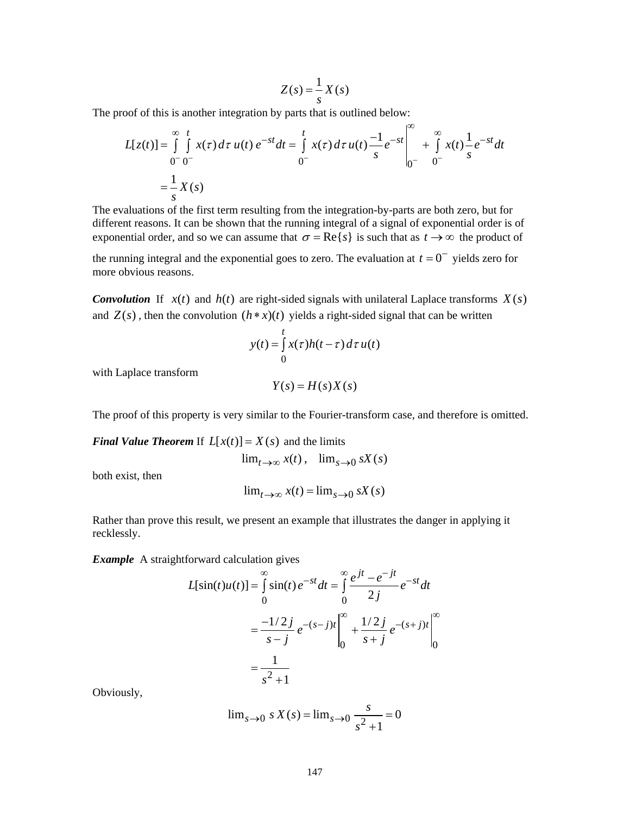$$
Z(s) = \frac{1}{s}X(s)
$$

The proof of this is another integration by parts that is outlined below:

$$
L[z(t)] = \int_{0}^{\infty} \int_{0}^{t} x(\tau) d\tau u(t) e^{-st} dt = \int_{0}^{t} x(\tau) d\tau u(t) \frac{-1}{s} e^{-st} \Big|_{0}^{\infty} + \int_{0}^{\infty} x(t) \frac{1}{s} e^{-st} dt
$$

$$
= \frac{1}{s} X(s)
$$

The evaluations of the first term resulting from the integration-by-parts are both zero, but for different reasons. It can be shown that the running integral of a signal of exponential order is of exponential order, and so we can assume that  $\sigma = \text{Re}\{s\}$  is such that as  $t \to \infty$  the product of

the running integral and the exponential goes to zero. The evaluation at  $t = 0^-$  yields zero for more obvious reasons.

*Convolution* If  $x(t)$  and  $h(t)$  are right-sided signals with unilateral Laplace transforms  $X(s)$ and  $Z(s)$ , then the convolution  $(h * x)(t)$  yields a right-sided signal that can be written

$$
y(t) = \int_{0}^{t} x(\tau)h(t-\tau) d\tau u(t)
$$

with Laplace transform

$$
Y(s) = H(s)X(s)
$$

The proof of this property is very similar to the Fourier-transform case, and therefore is omitted.

*Final Value Theorem* If  $L[x(t)] = X(s)$  and the limits

$$
\lim_{t \to \infty} x(t), \quad \lim_{s \to 0} sX(s)
$$

both exist, then

$$
\lim_{t \to \infty} x(t) = \lim_{s \to 0} sX(s)
$$

Rather than prove this result, we present an example that illustrates the danger in applying it recklessly.

*Example* A straightforward calculation gives

$$
L[\sin(t)u(t)] = \int_{0}^{\infty} \sin(t) e^{-st} dt = \int_{0}^{\infty} \frac{e^{jt} - e^{-jt}}{2j} e^{-st} dt
$$
  

$$
= \frac{-1/2j}{s-j} e^{-(s-j)t} \Big|_{0}^{\infty} + \frac{1/2j}{s+j} e^{-(s+j)t} \Big|_{0}^{\infty}
$$
  

$$
= \frac{1}{s^2 + 1}
$$

Obviously,

$$
\lim_{s \to 0} s X(s) = \lim_{s \to 0} \frac{s}{s^2 + 1} = 0
$$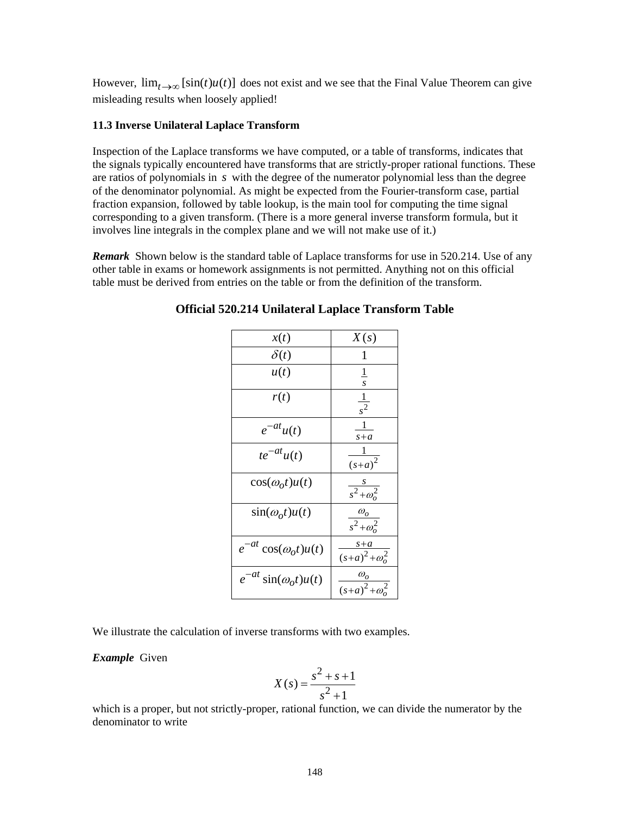However,  $\lim_{t\to\infty} [\sin(t) u(t)]$  does not exist and we see that the Final Value Theorem can give misleading results when loosely applied!

### **11.3 Inverse Unilateral Laplace Transform**

Inspection of the Laplace transforms we have computed, or a table of transforms, indicates that the signals typically encountered have transforms that are strictly-proper rational functions. These are ratios of polynomials in *s* with the degree of the numerator polynomial less than the degree of the denominator polynomial. As might be expected from the Fourier-transform case, partial fraction expansion, followed by table lookup, is the main tool for computing the time signal corresponding to a given transform. (There is a more general inverse transform formula, but it involves line integrals in the complex plane and we will not make use of it.)

*Remark* Shown below is the standard table of Laplace transforms for use in 520.214. Use of any other table in exams or homework assignments is not permitted. Anything not on this official table must be derived from entries on the table or from the definition of the transform.

| x(t)                          | X(s)                                              |
|-------------------------------|---------------------------------------------------|
| $\delta(t)$                   | 1                                                 |
| u(t)                          | $\overline{1}$<br>s                               |
| r(t)                          | $\frac{1}{s^2}$                                   |
| $e^{-at}u(t)$                 | $s + a$                                           |
| $te^{-at}u(t)$                | $(s+a)^2$                                         |
| $cos(\omega_0 t)u(t)$         | $\frac{s}{s^2+\omega_o^2}$                        |
| $\sin(\omega_0 t)u(t)$        | $\frac{\omega_o}{s^2 + \omega_o^2}$               |
| $e^{-at}\cos(\omega_0 t)u(t)$ | $s+a$<br>$\sqrt{(s+a)^2+\omega_0^2}$              |
| $e^{-at}\sin(\omega_0 t)u(t)$ | $\omega_{\rho}$<br>$\frac{1}{(s+a)^2+\omega_0^2}$ |

**Official 520.214 Unilateral Laplace Transform Table**

We illustrate the calculation of inverse transforms with two examples.

*Example* Given

$$
X(s) = \frac{s^2 + s + 1}{s^2 + 1}
$$

which is a proper, but not strictly-proper, rational function, we can divide the numerator by the denominator to write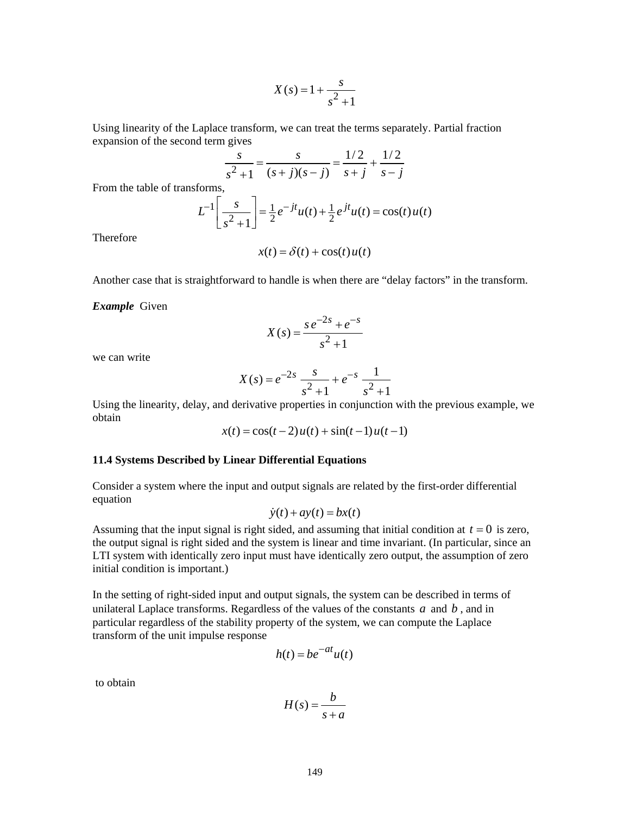$$
X(s) = 1 + \frac{s}{s^2 + 1}
$$

Using linearity of the Laplace transform, we can treat the terms separately. Partial fraction expansion of the second term gives

$$
\frac{s}{s^2 + 1} = \frac{s}{(s + j)(s - j)} = \frac{1/2}{s + j} + \frac{1/2}{s - j}
$$

From the table of transforms,

$$
L^{-1}\left[\frac{s}{s^2+1}\right] = \frac{1}{2}e^{-jt}u(t) + \frac{1}{2}e^{jt}u(t) = \cos(t)u(t)
$$

Therefore

$$
x(t) = \delta(t) + \cos(t)u(t)
$$

Another case that is straightforward to handle is when there are "delay factors" in the transform.

*Example* Given

$$
X(s) = \frac{s e^{-2s} + e^{-s}}{s^2 + 1}
$$

we can write

$$
X(s) = e^{-2s} \frac{s}{s^2 + 1} + e^{-s} \frac{1}{s^2 + 1}
$$

Using the linearity, delay, and derivative properties in conjunction with the previous example, we obtain

$$
x(t) = \cos(t-2)u(t) + \sin(t-1)u(t-1)
$$

### **11.4 Systems Described by Linear Differential Equations**

Consider a system where the input and output signals are related by the first-order differential equation

$$
\dot{y}(t) + ay(t) = bx(t)
$$

Assuming that the input signal is right sided, and assuming that initial condition at  $t = 0$  is zero, the output signal is right sided and the system is linear and time invariant. (In particular, since an LTI system with identically zero input must have identically zero output, the assumption of zero initial condition is important.)

In the setting of right-sided input and output signals, the system can be described in terms of unilateral Laplace transforms. Regardless of the values of the constants *a* and *b* , and in particular regardless of the stability property of the system, we can compute the Laplace transform of the unit impulse response

$$
h(t) = be^{-at}u(t)
$$

to obtain

$$
H(s) = \frac{b}{s+a}
$$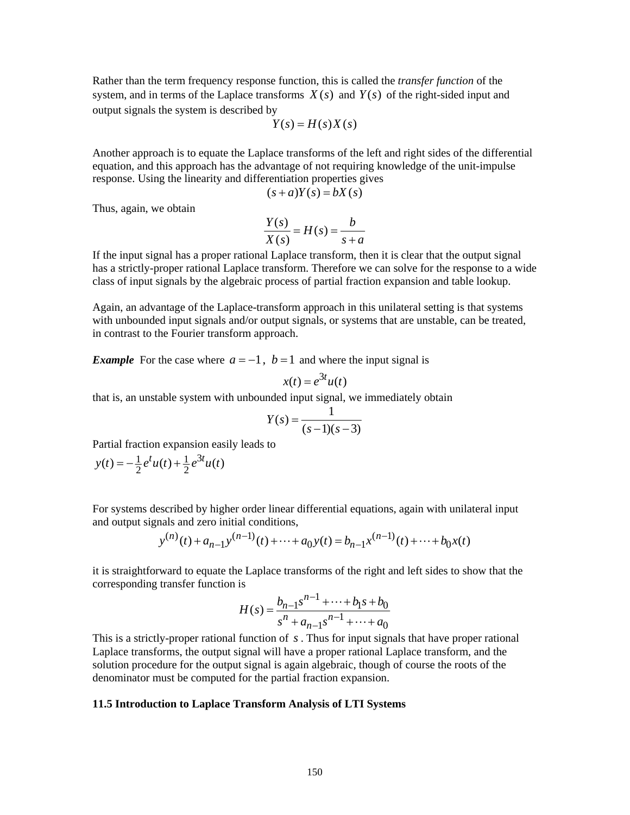Rather than the term frequency response function, this is called the *transfer function* of the system, and in terms of the Laplace transforms  $X(s)$  and  $Y(s)$  of the right-sided input and output signals the system is described by

$$
Y(s) = H(s)X(s)
$$

Another approach is to equate the Laplace transforms of the left and right sides of the differential equation, and this approach has the advantage of not requiring knowledge of the unit-impulse response. Using the linearity and differentiation properties gives

$$
(s+a)Y(s) = bX(s)
$$

Thus, again, we obtain

$$
\frac{Y(s)}{X(s)} = H(s) = \frac{b}{s+a}
$$

If the input signal has a proper rational Laplace transform, then it is clear that the output signal has a strictly-proper rational Laplace transform. Therefore we can solve for the response to a wide class of input signals by the algebraic process of partial fraction expansion and table lookup.

Again, an advantage of the Laplace-transform approach in this unilateral setting is that systems with unbounded input signals and/or output signals, or systems that are unstable, can be treated, in contrast to the Fourier transform approach.

*Example* For the case where  $a = -1$ ,  $b = 1$  and where the input signal is

$$
x(t) = e^{3t}u(t)
$$

that is, an unstable system with unbounded input signal, we immediately obtain

$$
Y(s) = \frac{1}{(s-1)(s-3)}
$$

Partial fraction expansion easily leads to

$$
y(t) = -\frac{1}{2}e^{t}u(t) + \frac{1}{2}e^{3t}u(t)
$$

For systems described by higher order linear differential equations, again with unilateral input and output signals and zero initial conditions,

$$
y^{(n)}(t) + a_{n-1}y^{(n-1)}(t) + \dots + a_0y(t) = b_{n-1}x^{(n-1)}(t) + \dots + b_0x(t)
$$

it is straightforward to equate the Laplace transforms of the right and left sides to show that the corresponding transfer function is

$$
H(s) = \frac{b_{n-1}s^{n-1} + \dots + b_1s + b_0}{s^n + a_{n-1}s^{n-1} + \dots + a_0}
$$

This is a strictly-proper rational function of *s* . Thus for input signals that have proper rational Laplace transforms, the output signal will have a proper rational Laplace transform, and the solution procedure for the output signal is again algebraic, though of course the roots of the denominator must be computed for the partial fraction expansion.

#### **11.5 Introduction to Laplace Transform Analysis of LTI Systems**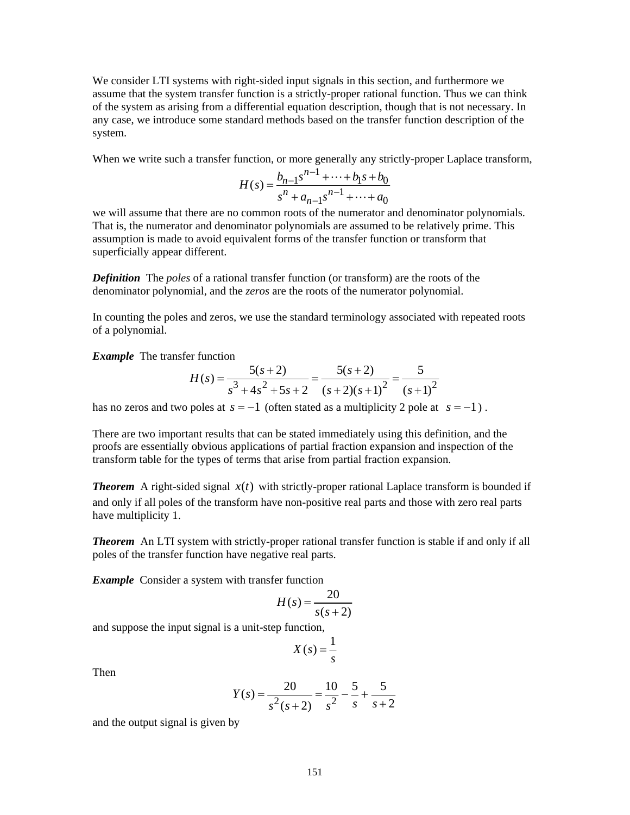We consider LTI systems with right-sided input signals in this section, and furthermore we assume that the system transfer function is a strictly-proper rational function. Thus we can think of the system as arising from a differential equation description, though that is not necessary. In any case, we introduce some standard methods based on the transfer function description of the system.

When we write such a transfer function, or more generally any strictly-proper Laplace transform,

$$
H(s) = \frac{b_{n-1}s^{n-1} + \dots + b_1s + b_0}{s^n + a_{n-1}s^{n-1} + \dots + a_0}
$$

we will assume that there are no common roots of the numerator and denominator polynomials. That is, the numerator and denominator polynomials are assumed to be relatively prime. This assumption is made to avoid equivalent forms of the transfer function or transform that superficially appear different.

*Definition* The *poles* of a rational transfer function (or transform) are the roots of the denominator polynomial, and the *zeros* are the roots of the numerator polynomial.

In counting the poles and zeros, we use the standard terminology associated with repeated roots of a polynomial.

*Example*The transfer function

$$
H(s) = \frac{5(s+2)}{s^3 + 4s^2 + 5s + 2} = \frac{5(s+2)}{(s+2)(s+1)^2} = \frac{5}{(s+1)^2}
$$

has no zeros and two poles at  $s = -1$  (often stated as a multiplicity 2 pole at  $s = -1$ ).

There are two important results that can be stated immediately using this definition, and the proofs are essentially obvious applications of partial fraction expansion and inspection of the transform table for the types of terms that arise from partial fraction expansion.

*Theorem* A right-sided signal  $x(t)$  with strictly-proper rational Laplace transform is bounded if and only if all poles of the transform have non-positive real parts and those with zero real parts have multiplicity 1.

**Theorem** An LTI system with strictly-proper rational transfer function is stable if and only if all poles of the transfer function have negative real parts.

*Example* Consider a system with transfer function

$$
H(s) = \frac{20}{s(s+2)}
$$

and suppose the input signal is a unit-step function,

$$
X(s) = \frac{1}{s}
$$

Then

$$
Y(s) = \frac{20}{s^2(s+2)} = \frac{10}{s^2} - \frac{5}{s} + \frac{5}{s+2}
$$

and the output signal is given by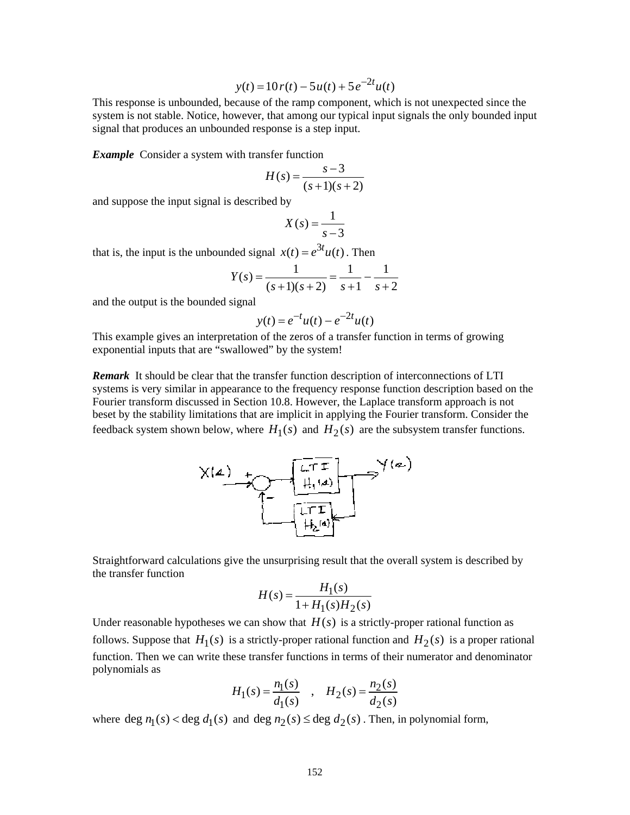$$
y(t) = 10 r(t) - 5 u(t) + 5 e^{-2t} u(t)
$$

This response is unbounded, because of the ramp component, which is not unexpected since the system is not stable. Notice, however, that among our typical input signals the only bounded input signal that produces an unbounded response is a step input.

*Example* Consider a system with transfer function

$$
H(s) = \frac{s-3}{(s+1)(s+2)}
$$

and suppose the input signal is described by

$$
X(s) = \frac{1}{s-3}
$$

that is, the input is the unbounded signal  $x(t) = e^{3t}u(t)$ . Then

$$
Y(s) = \frac{1}{(s+1)(s+2)} = \frac{1}{s+1} - \frac{1}{s+2}
$$

and the output is the bounded signal

$$
y(t) = e^{-t}u(t) - e^{-2t}u(t)
$$

This example gives an interpretation of the zeros of a transfer function in terms of growing exponential inputs that are "swallowed" by the system!

*Remark* It should be clear that the transfer function description of interconnections of LTI systems is very similar in appearance to the frequency response function description based on the Fourier transform discussed in Section 10.8. However, the Laplace transform approach is not beset by the stability limitations that are implicit in applying the Fourier transform. Consider the feedback system shown below, where  $H_1(s)$  and  $H_2(s)$  are the subsystem transfer functions.



Straightforward calculations give the unsurprising result that the overall system is described by the transfer function

$$
H(s) = \frac{H_1(s)}{1 + H_1(s)H_2(s)}
$$

Under reasonable hypotheses we can show that  $H(s)$  is a strictly-proper rational function as follows. Suppose that  $H_1(s)$  is a strictly-proper rational function and  $H_2(s)$  is a proper rational function. Then we can write these transfer functions in terms of their numerator and denominator polynomials as

$$
H_1(s) = \frac{n_1(s)}{d_1(s)} \quad , \quad H_2(s) = \frac{n_2(s)}{d_2(s)}
$$

where  $\deg n_1(s) < \deg d_1(s)$  and  $\deg n_2(s) \leq \deg d_2(s)$ . Then, in polynomial form,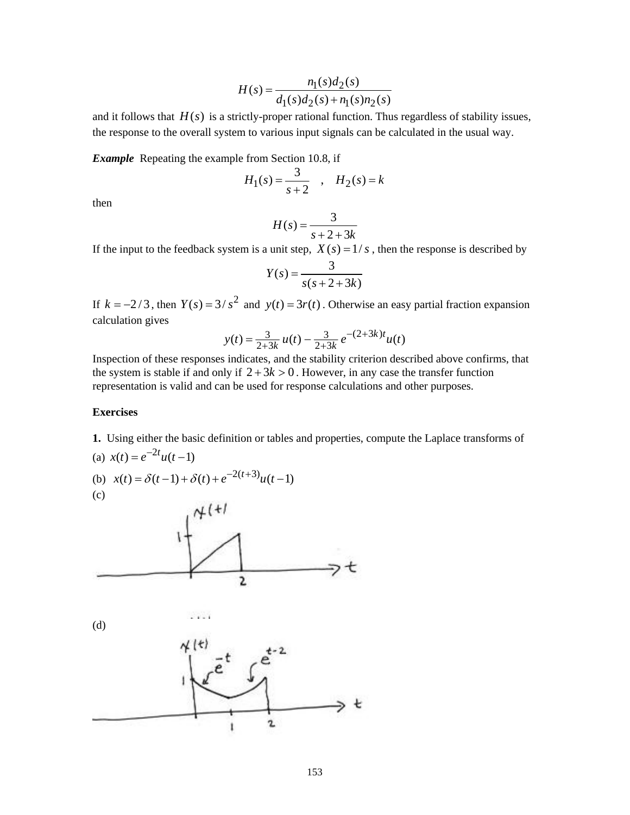$$
H(s) = \frac{n_1(s)d_2(s)}{d_1(s)d_2(s) + n_1(s)n_2(s)}
$$

and it follows that  $H(s)$  is a strictly-proper rational function. Thus regardless of stability issues, the response to the overall system to various input signals can be calculated in the usual way.

*Example* Repeating the example from Section 10.8, if

$$
H_1(s) = \frac{3}{s+2} , H_2(s) = k
$$

then

$$
H(s) = \frac{3}{s+2+3k}
$$

If the input to the feedback system is a unit step,  $X(s) = 1/s$ , then the response is described by

$$
Y(s) = \frac{3}{s(s+2+3k)}
$$

If  $k = -2/3$ , then  $Y(s) = 3/s^2$  and  $y(t) = 3r(t)$ . Otherwise an easy partial fraction expansion calculation gives

$$
y(t) = \frac{3}{2+3k} u(t) - \frac{3}{2+3k} e^{-(2+3k)t} u(t)
$$

Inspection of these responses indicates, and the stability criterion described above confirms, that the system is stable if and only if  $2+3k > 0$ . However, in any case the transfer function representation is valid and can be used for response calculations and other purposes.

#### **Exercises**

**1.** Using either the basic definition or tables and properties, compute the Laplace transforms of (a)  $x(t) = e^{-2t}u(t-1)$ 

(b) 
$$
x(t) = \delta(t-1) + \delta(t) + e^{-2(t+3)}u(t-1)
$$

(c)



(d)

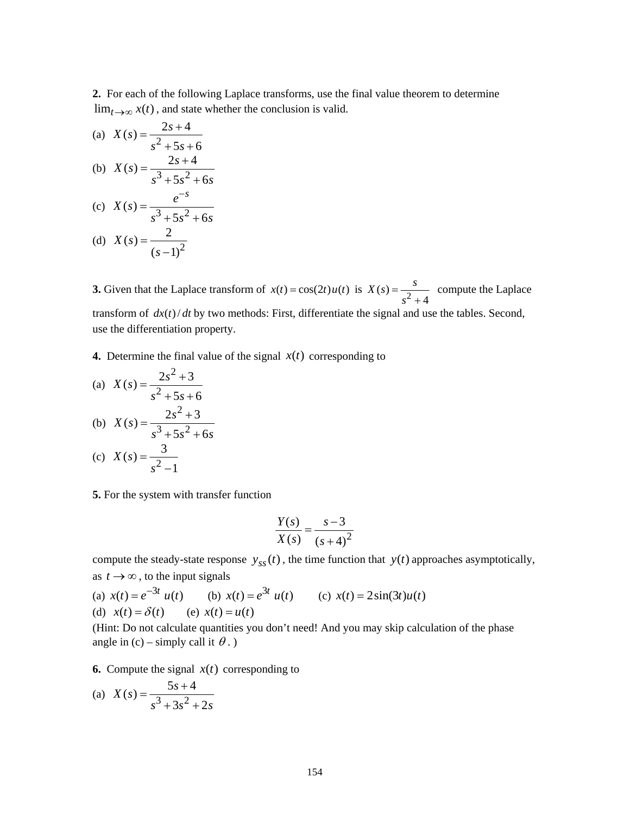**2.** For each of the following Laplace transforms, use the final value theorem to determine  $\lim_{t\to\infty} x(t)$ , and state whether the conclusion is valid.

(a)  $X(s) = \frac{2s+4}{s^2+5s+4}$  $5s + 6$  $X(s) = \frac{2s}{2s}$ *s s* <sup>+</sup> <sup>=</sup> + + (b)  $X(s) = \frac{2s+4}{s^3+5s^2}$  $5s^2 + 6$  $X(s) = \frac{2s}{s}$  $=\frac{2s+4}{s^3+5s^2+6s}$ (c)  $X(s) = \frac{e}{s^3 + 5s^2 + 6}$  $X(s) = \frac{e^{-s}}{s}$  $s^3 + 5s^2 + 6s$ −  $=\frac{e}{s^3+5s^2+}$ 

(d) 
$$
X(s) = \frac{2}{(s-1)^2}
$$

**3.** Given that the Laplace transform of  $x(t) = \cos(2t) u(t)$  is  $X(s) = \frac{s^2}{s^2 + 4}$  $X(s) = \frac{s}{2}$  $=\frac{3}{s^2+4}$  compute the Laplace transform of  $dx(t) / dt$  by two methods: First, differentiate the signal and use the tables. Second, use the differentiation property.

**4.** Determine the final value of the signal  $x(t)$  corresponding to

(a) 
$$
X(s) = \frac{2s^2 + 3}{s^2 + 5s + 6}
$$
  
\n(b)  $X(s) = \frac{2s^2 + 3}{s^3 + 5s^2 + 6s}$   
\n(c)  $X(s) = \frac{3}{s^2 - 1}$ 

**5.** For the system with transfer function

$$
\frac{Y(s)}{X(s)} = \frac{s-3}{\left(s+4\right)^2}
$$

compute the steady-state response  $y_{ss}(t)$ , the time function that  $y(t)$  approaches asymptotically, as  $t \rightarrow \infty$ , to the input signals

(a) 
$$
x(t) = e^{-3t} u(t)
$$
 (b)  $x(t) = e^{3t} u(t)$  (c)  $x(t) = 2\sin(3t)u(t)$   
(d)  $x(t) = \delta(t)$  (e)  $x(t) = u(t)$ 

(Hint: Do not calculate quantities you don't need! And you may skip calculation of the phase angle in (c) – simply call it  $\theta$ .)

**6.** Compute the signal  $x(t)$  corresponding to

(a) 
$$
X(s) = \frac{5s+4}{s^3 + 3s^2 + 2s}
$$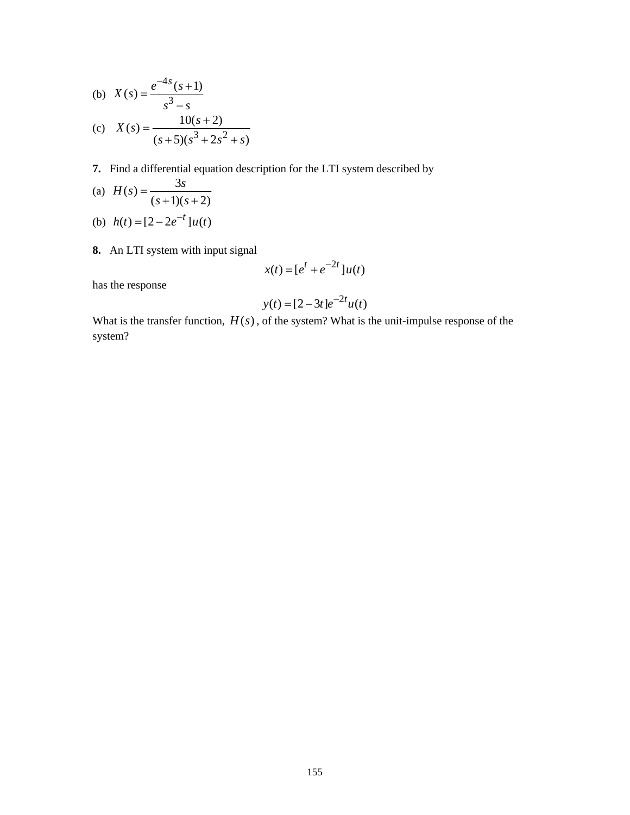(b) 
$$
X(s) = \frac{e^{-4s}(s+1)}{s^3 - s}
$$
  
\n(c)  $X(s) = \frac{10(s+2)}{(s+5)(s^3 + 2s^2 + s)}$ 

**7.** Find a differential equation description for the LTI system described by

(a) 
$$
H(s) = \frac{3s}{(s+1)(s+2)}
$$

(b) 
$$
h(t) = [2 - 2e^{-t}]u(t)
$$

**8.** An LTI system with input signal

$$
x(t) = \left[e^t + e^{-2t}\right]u(t)
$$

has the response

$$
y(t) = [2 - 3t]e^{-2t}u(t)
$$

What is the transfer function,  $H(s)$ , of the system? What is the unit-impulse response of the system?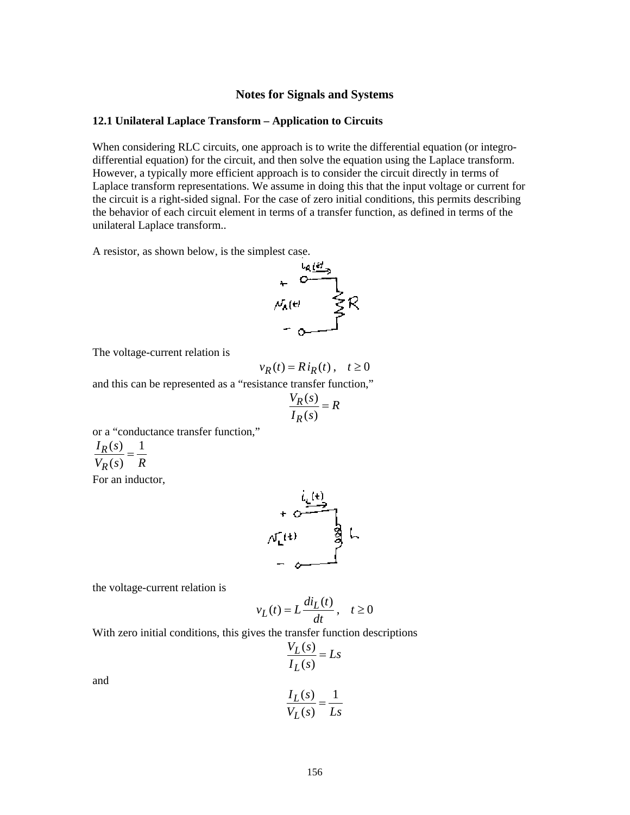### **Notes for Signals and Systems**

## **12.1 Unilateral Laplace Transform – Application to Circuits**

When considering RLC circuits, one approach is to write the differential equation (or integrodifferential equation) for the circuit, and then solve the equation using the Laplace transform. However, a typically more efficient approach is to consider the circuit directly in terms of Laplace transform representations. We assume in doing this that the input voltage or current for the circuit is a right-sided signal. For the case of zero initial conditions, this permits describing the behavior of each circuit element in terms of a transfer function, as defined in terms of the unilateral Laplace transform..

A resistor, as shown below, is the simplest case.



The voltage-current relation is

$$
v_R(t) = Ri_R(t), \quad t \ge 0
$$

and this can be represented as a "resistance transfer function,"

$$
\frac{V_R(s)}{I_R(s)} = R
$$

or a "conductance transfer function,"

$$
\frac{I_R(s)}{V_R(s)} = \frac{1}{R}
$$

For an inductor,



the voltage-current relation is

$$
v_L(t) = L \frac{di_L(t)}{dt}, \quad t \ge 0
$$

With zero initial conditions, this gives the transfer function descriptions

$$
\frac{V_L(s)}{I_L(s)} = Ls
$$

and

$$
\frac{I_L(s)}{V_L(s)} = \frac{1}{Ls}
$$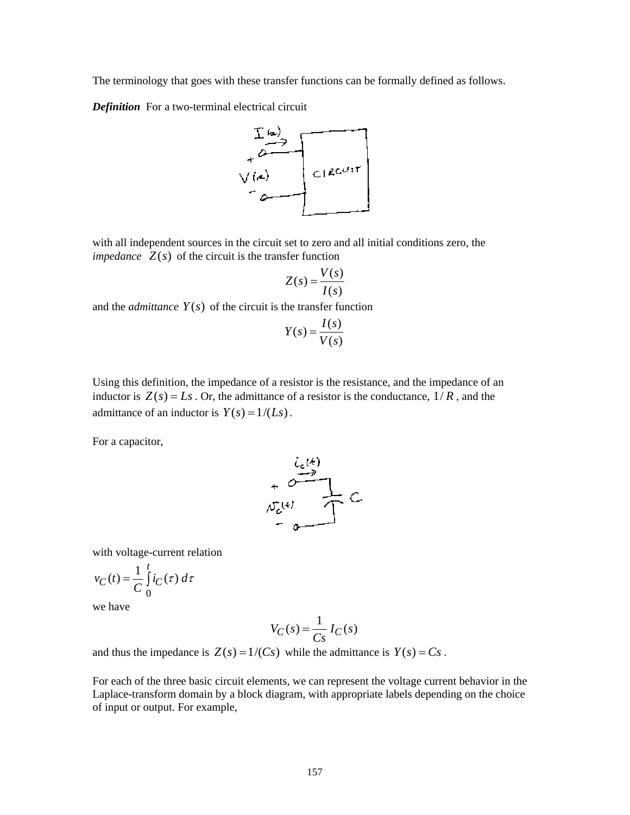The terminology that goes with these transfer functions can be formally defined as follows.

*Definition* For a two-terminal electrical circuit



with all independent sources in the circuit set to zero and all initial conditions zero, the *impedance*  $Z(s)$  of the circuit is the transfer function

$$
Z(s) = \frac{V(s)}{I(s)}
$$

and the *admittance*  $Y(s)$  of the circuit is the transfer function

$$
Y(s) = \frac{I(s)}{V(s)}
$$

Using this definition, the impedance of a resistor is the resistance, and the impedance of an inductor is  $Z(s) = Ls$ . Or, the admittance of a resistor is the conductance,  $1/R$ , and the admittance of an inductor is  $Y(s) = 1/(Ls)$ .

For a capacitor,



with voltage-current relation

$$
v_C(t) = \frac{1}{C} \int_0^t i_C(\tau) \, d\tau
$$

we have

$$
V_C(s) = \frac{1}{Cs} I_C(s)
$$

and thus the impedance is  $Z(s) = 1/(Cs)$  while the admittance is  $Y(s) = Cs$ .

For each of the three basic circuit elements, we can represent the voltage current behavior in the Laplace-transform domain by a block diagram, with appropriate labels depending on the choice of input or output. For example,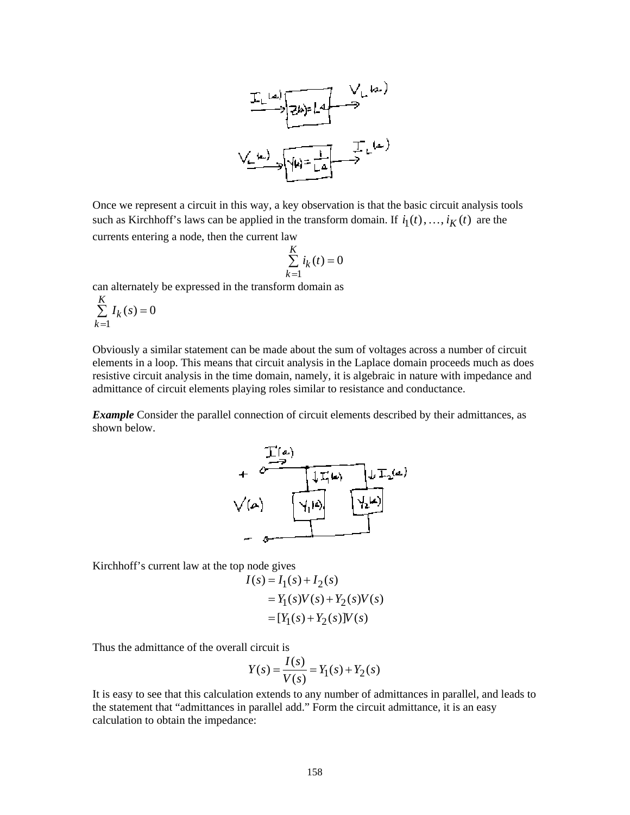

Once we represent a circuit in this way, a key observation is that the basic circuit analysis tools such as Kirchhoff's laws can be applied in the transform domain. If  $i_1(t), \ldots, i_K(t)$  are the currents entering a node, then the current law

$$
\sum_{k=1}^{K} i_k(t) = 0
$$

can alternately be expressed in the transform domain as

$$
\sum_{k=1}^{K} I_k(s) = 0
$$

Obviously a similar statement can be made about the sum of voltages across a number of circuit elements in a loop. This means that circuit analysis in the Laplace domain proceeds much as does resistive circuit analysis in the time domain, namely, it is algebraic in nature with impedance and admittance of circuit elements playing roles similar to resistance and conductance.

**Example** Consider the parallel connection of circuit elements described by their admittances, as shown below.



Kirchhoff's current law at the top node gives

$$
I(s) = I_1(s) + I_2(s)
$$
  
=  $Y_1(s)V(s) + Y_2(s)V(s)$   
=  $[Y_1(s) + Y_2(s)]V(s)$ 

Thus the admittance of the overall circuit is

$$
Y(s) = \frac{I(s)}{V(s)} = Y_1(s) + Y_2(s)
$$

It is easy to see that this calculation extends to any number of admittances in parallel, and leads to the statement that "admittances in parallel add." Form the circuit admittance, it is an easy calculation to obtain the impedance: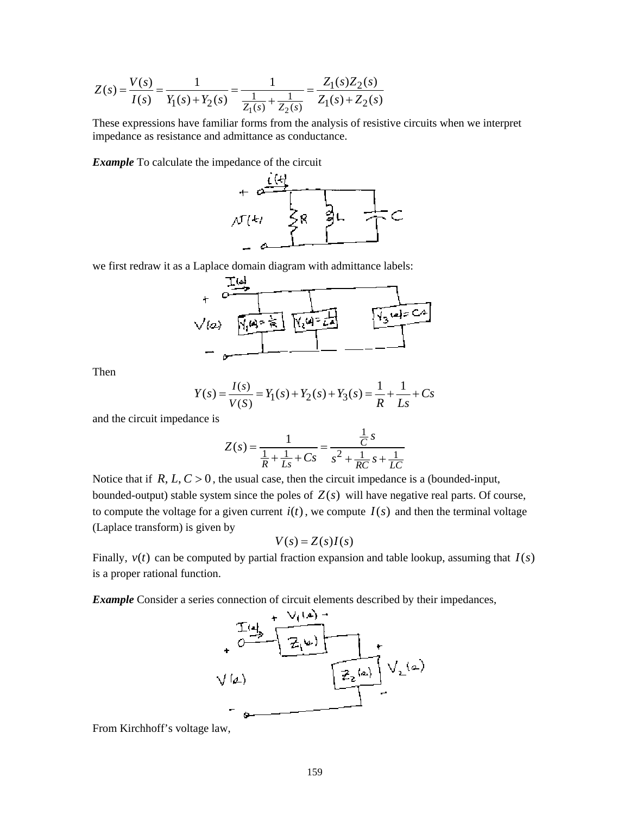$$
Z(s) = \frac{V(s)}{I(s)} = \frac{1}{Y_1(s) + Y_2(s)} = \frac{1}{\frac{1}{Z_1(s)} + \frac{1}{Z_2(s)}} = \frac{Z_1(s)Z_2(s)}{Z_1(s) + Z_2(s)}
$$

These expressions have familiar forms from the analysis of resistive circuits when we interpret impedance as resistance and admittance as conductance.

*Example* To calculate the impedance of the circuit



we first redraw it as a Laplace domain diagram with admittance labels:

$$
\frac{1}{\sqrt{2}}\sqrt{2}
$$

Then

$$
Y(s) = \frac{I(s)}{V(S)} = Y_1(s) + Y_2(s) + Y_3(s) = \frac{1}{R} + \frac{1}{Ls} + Cs
$$

and the circuit impedance is

$$
Z(s) = \frac{1}{\frac{1}{R} + \frac{1}{Ls} + Cs} = \frac{\frac{1}{C}s}{s^2 + \frac{1}{RC}s + \frac{1}{LC}}
$$

Notice that if  $R, L, C > 0$ , the usual case, then the circuit impedance is a (bounded-input, bounded-output) stable system since the poles of  $Z(s)$  will have negative real parts. Of course, to compute the voltage for a given current  $i(t)$ , we compute  $I(s)$  and then the terminal voltage (Laplace transform) is given by

$$
V(s) = Z(s)I(s)
$$

Finally,  $v(t)$  can be computed by partial fraction expansion and table lookup, assuming that  $I(s)$ is a proper rational function.

*Example* Consider a series connection of circuit elements described by their impedances,



From Kirchhoff's voltage law,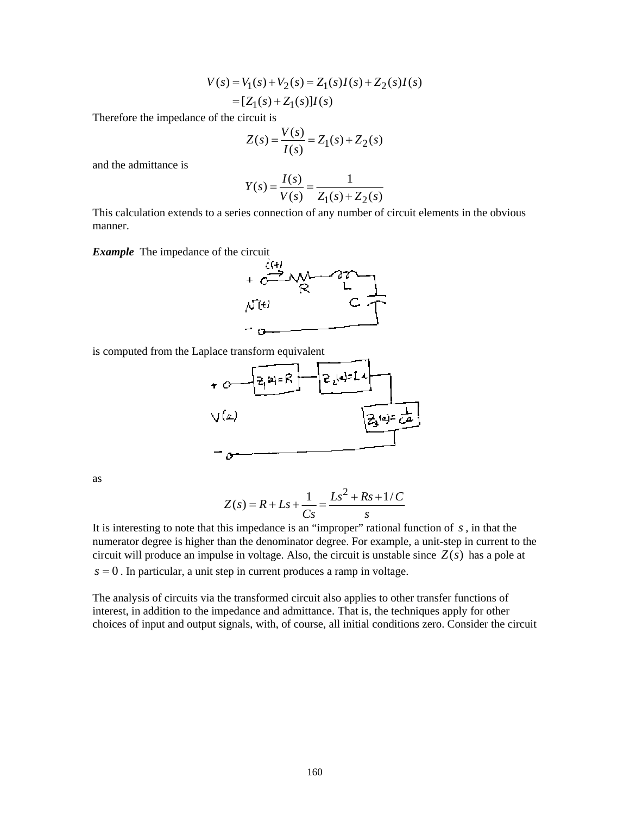$$
V(s) = V_1(s) + V_2(s) = Z_1(s)I(s) + Z_2(s)I(s)
$$
  
=  $[Z_1(s) + Z_1(s)]I(s)$ 

Therefore the impedance of the circuit is

$$
Z(s) = \frac{V(s)}{I(s)} = Z_1(s) + Z_2(s)
$$

and the admittance is

$$
Y(s) = \frac{I(s)}{V(s)} = \frac{1}{Z_1(s) + Z_2(s)}
$$

This calculation extends to a series connection of any number of circuit elements in the obvious manner.

*Example* The impedance of the circuit



is computed from the Laplace transform equivalent



as

$$
Z(s) = R + Ls + \frac{1}{Cs} = \frac{Ls^2 + Rs + 1/C}{s}
$$

It is interesting to note that this impedance is an "improper" rational function of *s* , in that the numerator degree is higher than the denominator degree. For example, a unit-step in current to the circuit will produce an impulse in voltage. Also, the circuit is unstable since  $Z(s)$  has a pole at  $s = 0$ . In particular, a unit step in current produces a ramp in voltage.

The analysis of circuits via the transformed circuit also applies to other transfer functions of interest, in addition to the impedance and admittance. That is, the techniques apply for other choices of input and output signals, with, of course, all initial conditions zero. Consider the circuit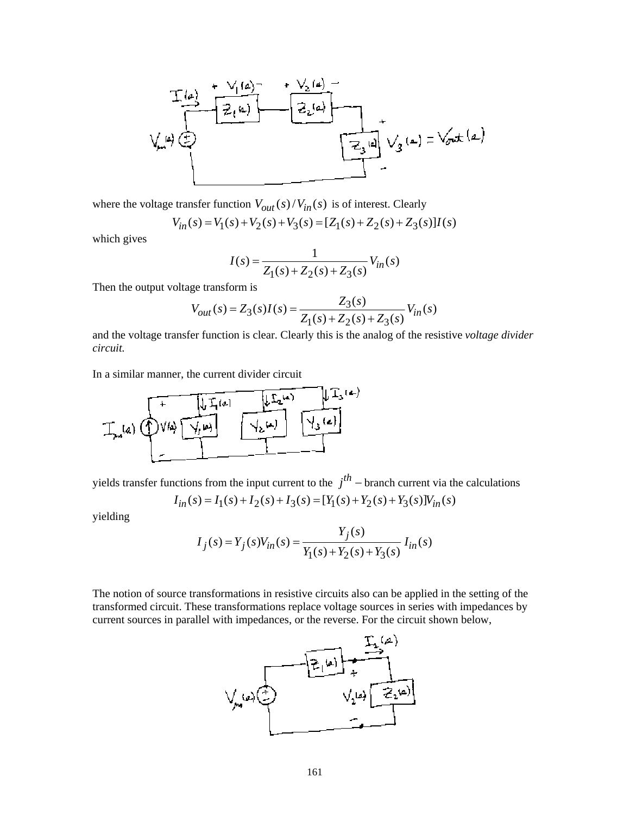

where the voltage transfer function  $V_{out}(s)/V_{in}(s)$  is of interest. Clearly

$$
V_{in}(s) = V_1(s) + V_2(s) + V_3(s) = [Z_1(s) + Z_2(s) + Z_3(s)]I(s)
$$

which gives

$$
I(s) = \frac{1}{Z_1(s) + Z_2(s) + Z_3(s)} V_{in}(s)
$$

Then the output voltage transform is

$$
V_{out}(s) = Z_3(s)I(s) = \frac{Z_3(s)}{Z_1(s) + Z_2(s) + Z_3(s)}V_{in}(s)
$$

and the voltage transfer function is clear. Clearly this is the analog of the resistive *voltage divider circuit.*

In a similar manner, the current divider circuit



yields transfer functions from the input current to the  $j<sup>th</sup>$  – branch current via the calculations

$$
I_{in}(s) = I_1(s) + I_2(s) + I_3(s) = [Y_1(s) + Y_2(s) + Y_3(s)]V_{in}(s)
$$

yielding

$$
I_j(s) = Y_j(s)V_{in}(s) = \frac{Y_j(s)}{Y_1(s) + Y_2(s) + Y_3(s)} I_{in}(s)
$$

The notion of source transformations in resistive circuits also can be applied in the setting of the transformed circuit. These transformations replace voltage sources in series with impedances by current sources in parallel with impedances, or the reverse. For the circuit shown below,

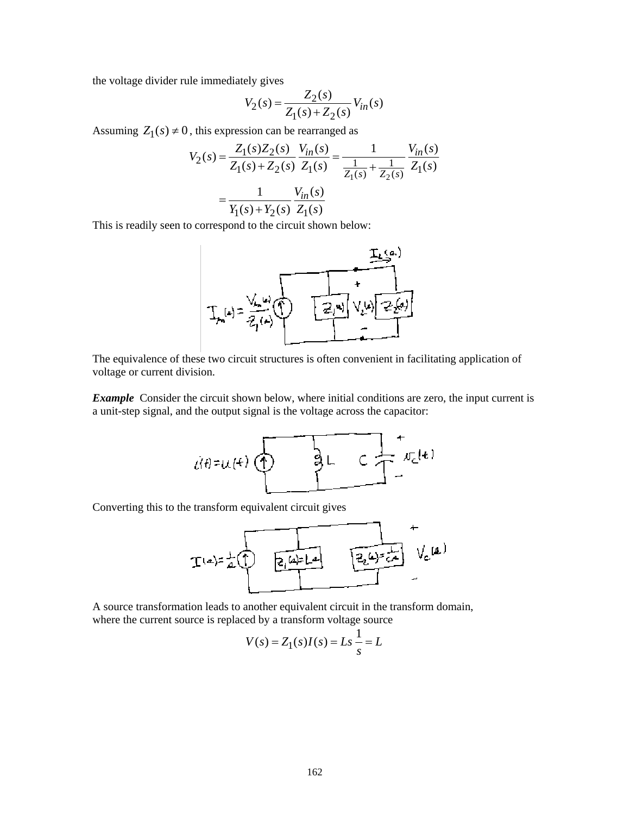the voltage divider rule immediately gives

$$
V_2(s) = \frac{Z_2(s)}{Z_1(s) + Z_2(s)} V_{in}(s)
$$

Assuming  $Z_1(s) \neq 0$ , this expression can be rearranged as

$$
V_2(s) = \frac{Z_1(s)Z_2(s)}{Z_1(s) + Z_2(s)} \frac{V_{in}(s)}{Z_1(s)} = \frac{1}{\frac{1}{Z_1(s)} + \frac{1}{Z_2(s)}} \frac{V_{in}(s)}{Z_1(s)}
$$

$$
= \frac{1}{Y_1(s) + Y_2(s)} \frac{V_{in}(s)}{Z_1(s)}
$$

This is readily seen to correspond to the circuit shown below:



The equivalence of these two circuit structures is often convenient in facilitating application of voltage or current division.

*Example* Consider the circuit shown below, where initial conditions are zero, the input current is a unit-step signal, and the output signal is the voltage across the capacitor:



Converting this to the transform equivalent circuit gives



A source transformation leads to another equivalent circuit in the transform domain, where the current source is replaced by a transform voltage source

$$
V(s) = Z_1(s)I(s) = Ls \frac{1}{s} = L
$$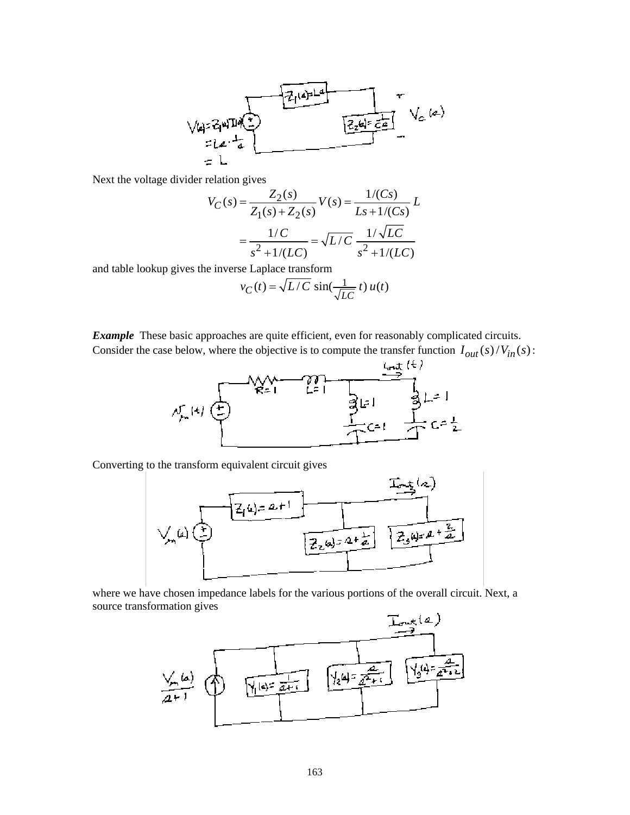

Next the voltage divider relation gives

$$
V_C(s) = \frac{Z_2(s)}{Z_1(s) + Z_2(s)} V(s) = \frac{1/(Cs)}{Ls + 1/(Cs)} L
$$

$$
= \frac{1/C}{s^2 + 1/(LC)} = \sqrt{L/C} \frac{1/\sqrt{LC}}{s^2 + 1/(LC)}
$$

and table lookup gives the inverse Laplace transform

$$
v_C(t) = \sqrt{L/C} \, \sin(\frac{1}{\sqrt{LC}} \, t) \, u(t)
$$

*Example* These basic approaches are quite efficient, even for reasonably complicated circuits. Consider the case below, where the objective is to compute the transfer function  $I_{out}(s)/V_{in}(s)$ :



Converting to the transform equivalent circuit gives



where we have chosen impedance labels for the various portions of the overall circuit. Next, a source transformation gives

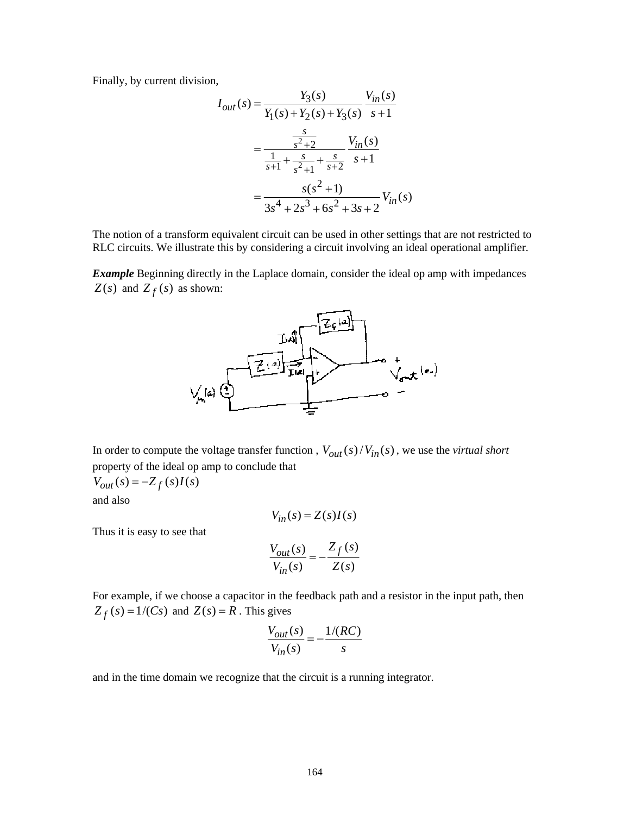Finally, by current division,

$$
I_{out}(s) = \frac{Y_3(s)}{Y_1(s) + Y_2(s) + Y_3(s)} \frac{V_{in}(s)}{s+1}
$$
  
= 
$$
\frac{\frac{s}{s^2+2}}{\frac{1}{s+1} + \frac{s}{s^2+1} + \frac{s}{s+2}} \frac{V_{in}(s)}{s+1}
$$
  
= 
$$
\frac{s(s^2+1)}{3s^4 + 2s^3 + 6s^2 + 3s + 2} V_{in}(s)
$$

The notion of a transform equivalent circuit can be used in other settings that are not restricted to RLC circuits. We illustrate this by considering a circuit involving an ideal operational amplifier.

*Example* Beginning directly in the Laplace domain, consider the ideal op amp with impedances *Z*(*s*) and *Z f* (*s*) as shown:



In order to compute the voltage transfer function,  $V_{out}(s)/V_{in}(s)$ , we use the *virtual short* property of the ideal op amp to conclude that

$$
V_{out}(s) = -Z_f(s)I(s)
$$

and also

 $V_{in}(s) = Z(s)I(s)$ 

Thus it is easy to see that

$$
\frac{V_{out}(s)}{V_{in}(s)} = -\frac{Z_f(s)}{Z(s)}
$$

For example, if we choose a capacitor in the feedback path and a resistor in the input path, then  $Z_f(s) = 1/(Cs)$  and  $Z(s) = R$ . This gives

$$
\frac{V_{out}(s)}{V_{in}(s)} = -\frac{1/(RC)}{s}
$$

and in the time domain we recognize that the circuit is a running integrator.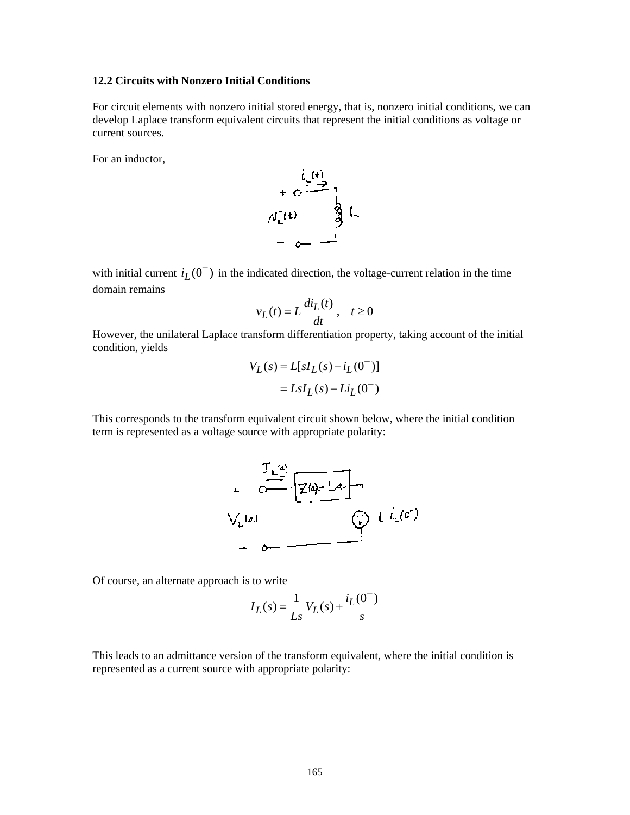## **12.2 Circuits with Nonzero Initial Conditions**

For circuit elements with nonzero initial stored energy, that is, nonzero initial conditions, we can develop Laplace transform equivalent circuits that represent the initial conditions as voltage or current sources.

For an inductor,



with initial current  $i_L(0^-)$  in the indicated direction, the voltage-current relation in the time domain remains

$$
v_L(t) = L \frac{di_L(t)}{dt}, \quad t \ge 0
$$

However, the unilateral Laplace transform differentiation property, taking account of the initial condition, yields

$$
V_L(s) = L[sI_L(s) - i_L(0^-)]
$$
  
=  $LsI_L(s) - Li_L(0^-)$ 

This corresponds to the transform equivalent circuit shown below, where the initial condition term is represented as a voltage source with appropriate polarity:



Of course, an alternate approach is to write

$$
I_L(s) = \frac{1}{Ls} V_L(s) + \frac{i_L(0^{-})}{s}
$$

This leads to an admittance version of the transform equivalent, where the initial condition is represented as a current source with appropriate polarity: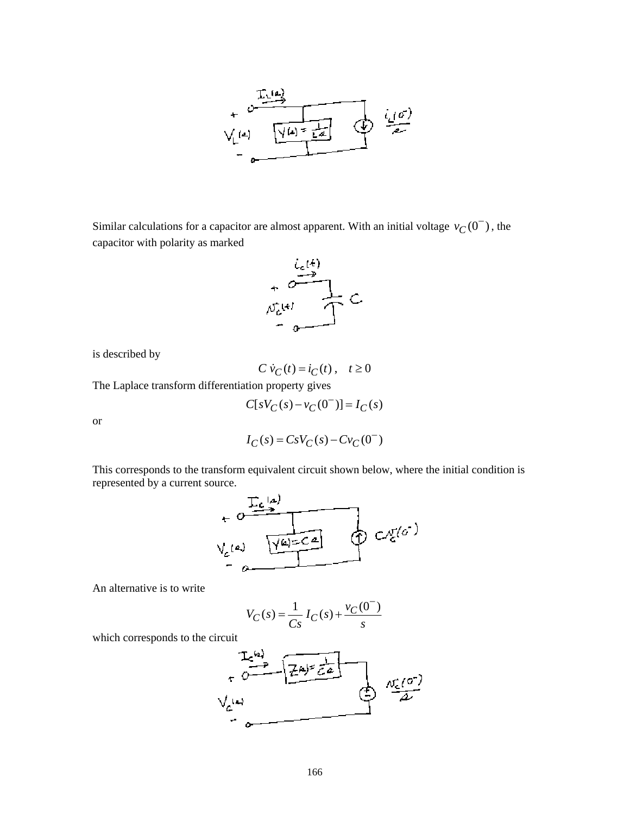

Similar calculations for a capacitor are almost apparent. With an initial voltage  $v_C(0^-)$ , the capacitor with polarity as marked



is described by

$$
C\dot{v}_C(t) = i_C(t), \quad t \ge 0
$$

The Laplace transform differentiation property gives

$$
C[sV_C(s) - v_C(0^-)] = I_C(s)
$$

or

$$
I_C(s) = CsV_C(s) - Cv_C(0^-)
$$

This corresponds to the transform equivalent circuit shown below, where the initial condition is



An alternative is to write

$$
V_C(s) = \frac{1}{Cs} I_C(s) + \frac{v_C(0^-)}{s}
$$

which corresponds to the circuit

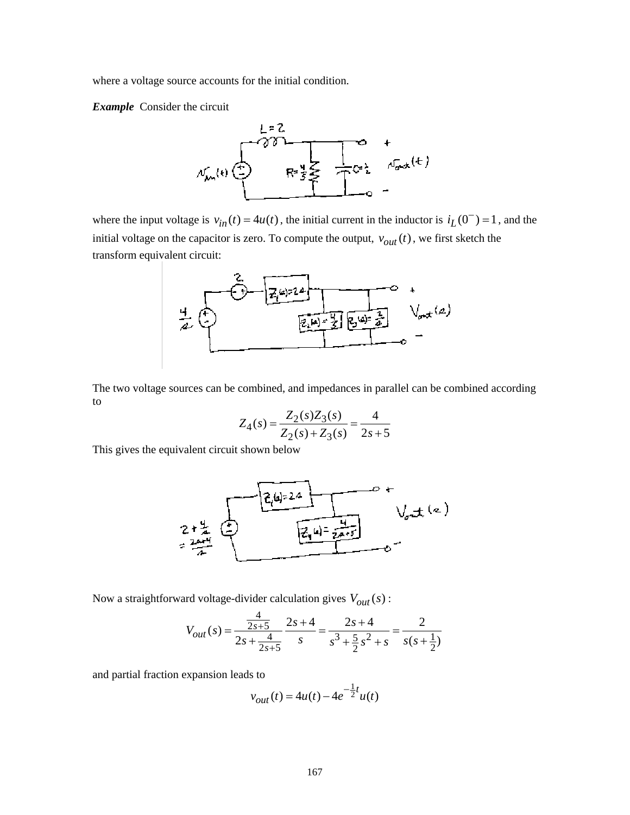where a voltage source accounts for the initial condition.

*Example* Consider the circuit



where the input voltage is  $v_{in}(t) = 4u(t)$ , the initial current in the inductor is  $i_l(0^-) = 1$ , and the initial voltage on the capacitor is zero. To compute the output,  $v_{out}(t)$ , we first sketch the transform equivalent circuit:



The two voltage sources can be combined, and impedances in parallel can be combined according to

$$
Z_4(s) = \frac{Z_2(s)Z_3(s)}{Z_2(s) + Z_3(s)} = \frac{4}{2s+5}
$$

This gives the equivalent circuit shown below



Now a straightforward voltage-divider calculation gives  $V_{out}(s)$ :

$$
V_{out}(s) = \frac{\frac{4}{2s+5}}{2s+\frac{4}{2s+5}} \frac{2s+4}{s} = \frac{2s+4}{s^3+\frac{5}{2}s^2+s} = \frac{2}{s(s+\frac{1}{2})}
$$

and partial fraction expansion leads to

$$
v_{out}(t) = 4u(t) - 4e^{-\frac{1}{2}t}u(t)
$$